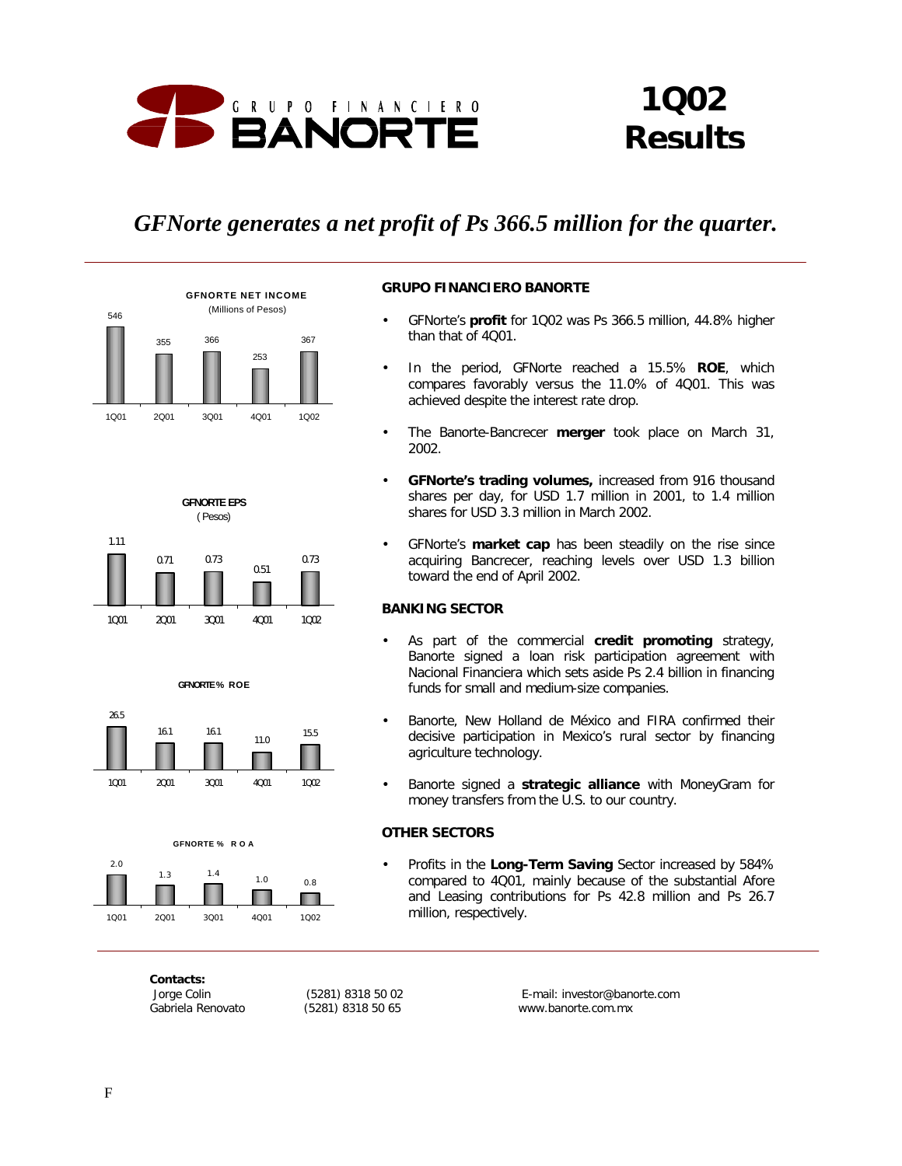

# *1Q02 Results*

## *GFNorte generates a net profit of Ps 366.5 million for the quarter.*





- GFNorte's **profit** for 1Q02 was Ps 366.5 million, 44.8% higher than that of 4Q01.
- In the period, GFNorte reached a 15.5% **ROE**, which compares favorably versus the 11.0% of 4Q01. This was achieved despite the interest rate drop.
- The Banorte-Bancrecer **merger** took place on March 31, 2002.
- **GFNorte's trading volumes,** increased from 916 thousand shares per day, for USD 1.7 million in 2001, to 1.4 million shares for USD 3.3 million in March 2002.
- GFNorte's **market cap** has been steadily on the rise since acquiring Bancrecer, reaching levels over USD 1.3 billion toward the end of April 2002.

## **BANKING SECTOR**

- As part of the commercial **credit promoting** strategy, Banorte signed a loan risk participation agreement with Nacional Financiera which sets aside Ps 2.4 billion in financing funds for small and medium-size companies.
- Banorte, New Holland de México and FIRA confirmed their decisive participation in Mexico's rural sector by financing agriculture technology.
- Banorte signed a **strategic alliance** with MoneyGram for money transfers from the U.S. to our country.

## **OTHER SECTORS**

• Profits in the **Long-Term Saving** Sector increased by 584% compared to 4Q01, mainly because of the substantial Afore and Leasing contributions for Ps 42.8 million and Ps 26.7 million, respectively.





1Q01 2Q01 3Q01 4Q01 1Q02

П

**GFNORTE % R O E** 



*Contacts:*

15.5

 *Jorge Colin (5281) 8318 50 02 E-mail: investor@banorte.com Gabriela Renovato (5281) 8318 50 65 www.banorte.com.mx*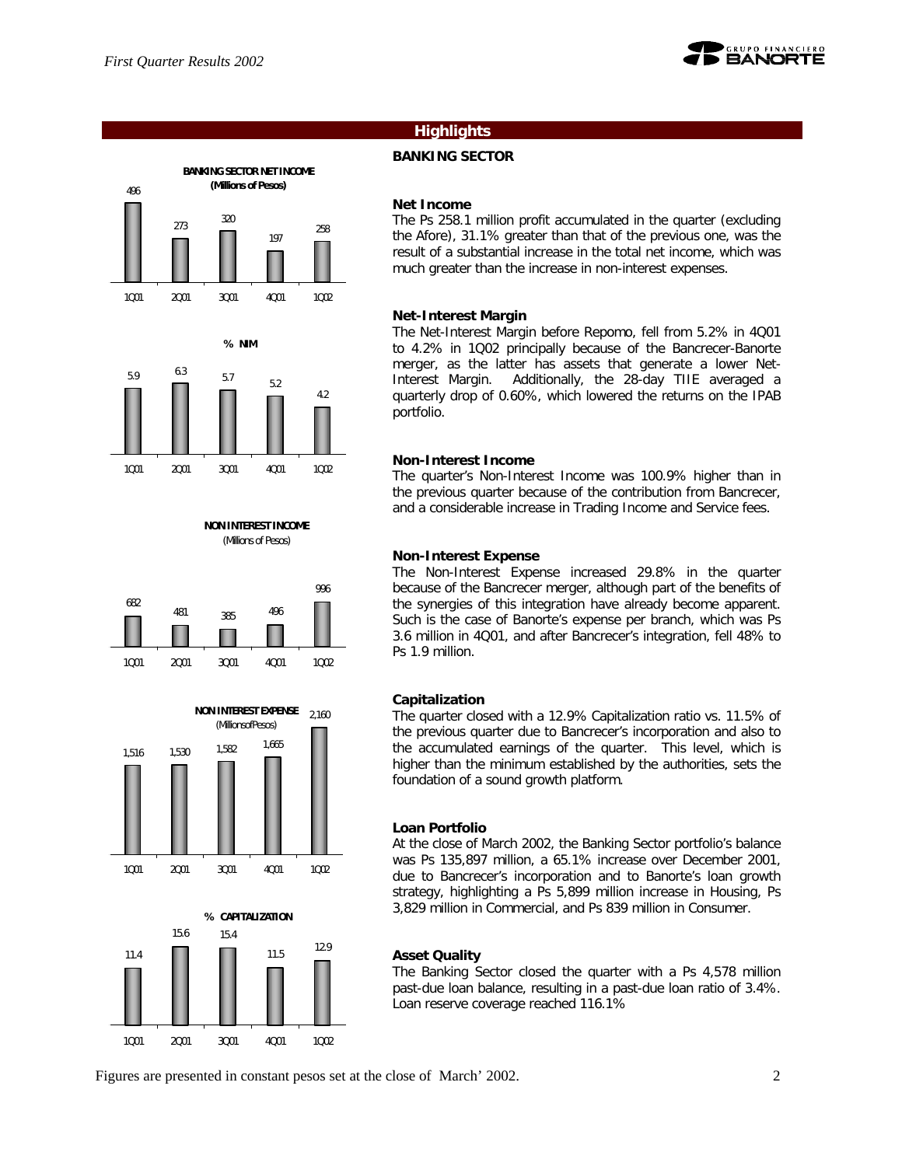





**NON INTEREST INCOME** (Millions of Pesos)







## **Highlights**

## **BANKING SECTOR**

## **Net Income**

The Ps 258.1 million profit accumulated in the quarter (excluding the Afore), 31.1% greater than that of the previous one, was the result of a substantial increase in the total net income, which was much greater than the increase in non-interest expenses.

## **Net-Interest Margin**

The Net-Interest Margin before Repomo, fell from 5.2% in 4Q01 to 4.2% in 1Q02 principally because of the Bancrecer-Banorte merger, as the latter has assets that generate a lower Net-Interest Margin. Additionally, the 28-day TIIE averaged a quarterly drop of 0.60%, which lowered the returns on the IPAB portfolio.

## **Non-Interest Income**

The quarter's Non-Interest Income was 100.9% higher than in the previous quarter because of the contribution from Bancrecer, and a considerable increase in Trading Income and Service fees.

## **Non-Interest Expense**

The Non-Interest Expense increased 29.8% in the quarter because of the Bancrecer merger, although part of the benefits of the synergies of this integration have already become apparent. Such is the case of Banorte's expense per branch, which was Ps 3.6 million in 4Q01, and after Bancrecer's integration, fell 48% to Ps 1.9 million.

## **Capitalization**

The quarter closed with a 12.9% Capitalization ratio vs. 11.5% of the previous quarter due to Bancrecer's incorporation and also to the accumulated earnings of the quarter. This level, which is higher than the minimum established by the authorities, sets the foundation of a sound growth platform.

## **Loan Portfolio**

At the close of March 2002, the Banking Sector portfolio's balance was Ps 135,897 million, a 65.1% increase over December 2001, due to Bancrecer's incorporation and to Banorte's loan growth strategy, highlighting a Ps 5,899 million increase in Housing, Ps 3,829 million in Commercial, and Ps 839 million in Consumer.

## **Asset Quality**

The Banking Sector closed the quarter with a Ps 4,578 million past-due loan balance, resulting in a past-due loan ratio of 3.4%. Loan reserve coverage reached 116.1%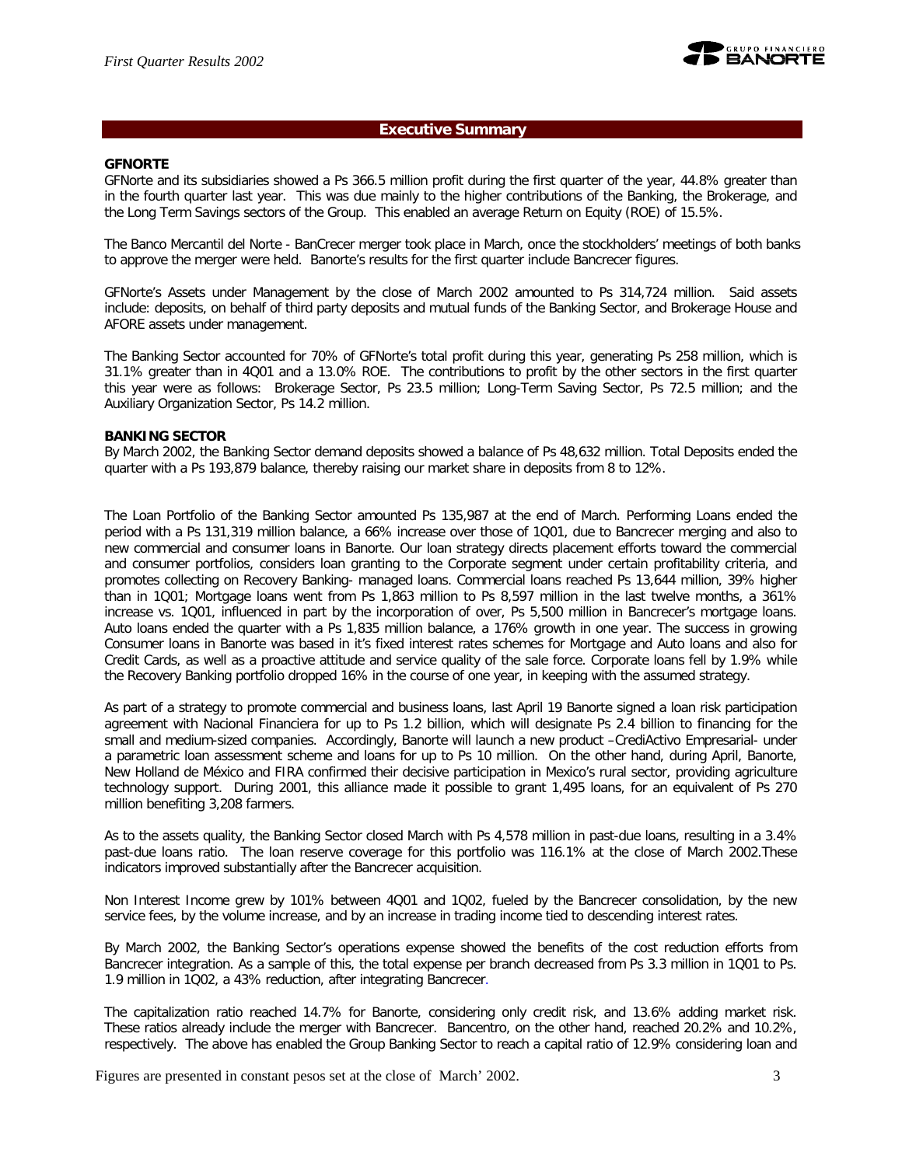

## **Executive Summary**

## **GFNORTE**

GFNorte and its subsidiaries showed a Ps 366.5 million profit during the first quarter of the year, 44.8% greater than in the fourth quarter last year. This was due mainly to the higher contributions of the Banking, the Brokerage, and the Long Term Savings sectors of the Group. This enabled an average Return on Equity (ROE) of 15.5%.

The Banco Mercantil del Norte - BanCrecer merger took place in March, once the stockholders' meetings of both banks to approve the merger were held. Banorte's results for the first quarter include Bancrecer figures.

GFNorte's Assets under Management by the close of March 2002 amounted to Ps 314,724 million. Said assets include: deposits, on behalf of third party deposits and mutual funds of the Banking Sector, and Brokerage House and AFORE assets under management.

The Banking Sector accounted for 70% of GFNorte's total profit during this year, generating Ps 258 million, which is 31.1% greater than in 4Q01 and a 13.0% ROE. The contributions to profit by the other sectors in the first quarter this year were as follows: Brokerage Sector, Ps 23.5 million; Long-Term Saving Sector, Ps 72.5 million; and the Auxiliary Organization Sector, Ps 14.2 million.

#### **BANKING SECTOR**

By March 2002, the Banking Sector demand deposits showed a balance of Ps 48,632 million. Total Deposits ended the quarter with a Ps 193,879 balance, thereby raising our market share in deposits from 8 to 12%.

The Loan Portfolio of the Banking Sector amounted Ps 135,987 at the end of March. Performing Loans ended the period with a Ps 131,319 million balance, a 66% increase over those of 1Q01, due to Bancrecer merging and also to new commercial and consumer loans in Banorte. Our loan strategy directs placement efforts toward the commercial and consumer portfolios, considers loan granting to the Corporate segment under certain profitability criteria, and promotes collecting on Recovery Banking- managed loans. Commercial loans reached Ps 13,644 million, 39% higher than in 1Q01; Mortgage loans went from Ps 1,863 million to Ps 8,597 million in the last twelve months, a 361% increase vs. 1Q01, influenced in part by the incorporation of over, Ps 5,500 million in Bancrecer's mortgage loans. Auto loans ended the quarter with a Ps 1,835 million balance, a 176% growth in one year. The success in growing Consumer loans in Banorte was based in it's fixed interest rates schemes for Mortgage and Auto loans and also for Credit Cards, as well as a proactive attitude and service quality of the sale force. Corporate loans fell by 1.9% while the Recovery Banking portfolio dropped 16% in the course of one year, in keeping with the assumed strategy.

As part of a strategy to promote commercial and business loans, last April 19 Banorte signed a loan risk participation agreement with Nacional Financiera for up to Ps 1.2 billion, which will designate Ps 2.4 billion to financing for the small and medium-sized companies. Accordingly, Banorte will launch a new product –CrediActivo Empresarial- under a parametric loan assessment scheme and loans for up to Ps 10 million. On the other hand, during April, Banorte, New Holland de México and FIRA confirmed their decisive participation in Mexico's rural sector, providing agriculture technology support. During 2001, this alliance made it possible to grant 1,495 loans, for an equivalent of Ps 270 million benefiting 3,208 farmers.

As to the assets quality, the Banking Sector closed March with Ps 4,578 million in past-due loans, resulting in a 3.4% past-due loans ratio. The loan reserve coverage for this portfolio was 116.1% at the close of March 2002.These indicators improved substantially after the Bancrecer acquisition.

Non Interest Income grew by 101% between 4Q01 and 1Q02, fueled by the Bancrecer consolidation, by the new service fees, by the volume increase, and by an increase in trading income tied to descending interest rates.

By March 2002, the Banking Sector's operations expense showed the benefits of the cost reduction efforts from Bancrecer integration. As a sample of this, the total expense per branch decreased from Ps 3.3 million in 1Q01 to Ps. 1.9 million in 1Q02, a 43% reduction, after integrating Bancrecer.

The capitalization ratio reached 14.7% for Banorte, considering only credit risk, and 13.6% adding market risk. These ratios already include the merger with Bancrecer. Bancentro, on the other hand, reached 20.2% and 10.2%, respectively. The above has enabled the Group Banking Sector to reach a capital ratio of 12.9% considering loan and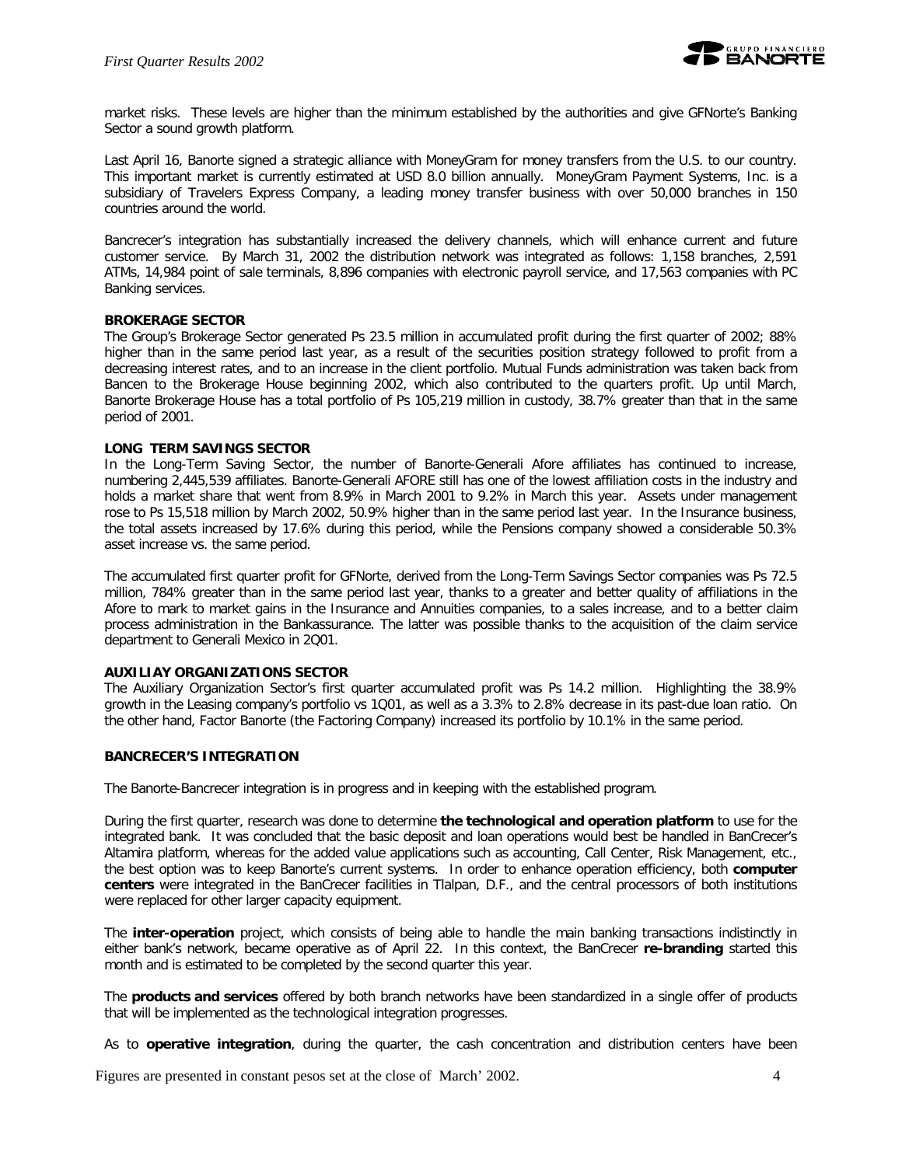

market risks. These levels are higher than the minimum established by the authorities and give GFNorte's Banking Sector a sound growth platform.

Last April 16, Banorte signed a strategic alliance with MoneyGram for money transfers from the U.S. to our country. This important market is currently estimated at USD 8.0 billion annually. MoneyGram Payment Systems, Inc. is a subsidiary of Travelers Express Company, a leading money transfer business with over 50,000 branches in 150 countries around the world.

Bancrecer's integration has substantially increased the delivery channels, which will enhance current and future customer service. By March 31, 2002 the distribution network was integrated as follows: 1,158 branches, 2,591 ATMs, 14,984 point of sale terminals, 8,896 companies with electronic payroll service, and 17,563 companies with PC Banking services.

## **BROKERAGE SECTOR**

The Group's Brokerage Sector generated Ps 23.5 million in accumulated profit during the first quarter of 2002; 88% higher than in the same period last year, as a result of the securities position strategy followed to profit from a decreasing interest rates, and to an increase in the client portfolio. Mutual Funds administration was taken back from Bancen to the Brokerage House beginning 2002, which also contributed to the quarters profit. Up until March, Banorte Brokerage House has a total portfolio of Ps 105,219 million in custody, 38.7% greater than that in the same period of 2001.

## **LONG TERM SAVINGS SECTOR**

In the Long-Term Saving Sector, the number of Banorte-Generali Afore affiliates has continued to increase, numbering 2,445,539 affiliates. Banorte-Generali AFORE still has one of the lowest affiliation costs in the industry and holds a market share that went from 8.9% in March 2001 to 9.2% in March this year. Assets under management rose to Ps 15,518 million by March 2002, 50.9% higher than in the same period last year. In the Insurance business, the total assets increased by 17.6% during this period, while the Pensions company showed a considerable 50.3% asset increase vs. the same period.

The accumulated first quarter profit for GFNorte, derived from the Long-Term Savings Sector companies was Ps 72.5 million, 784% greater than in the same period last year, thanks to a greater and better quality of affiliations in the Afore to mark to market gains in the Insurance and Annuities companies, to a sales increase, and to a better claim process administration in the Bankassurance. The latter was possible thanks to the acquisition of the claim service department to Generali Mexico in 2Q01.

## **AUXILIAY ORGANIZATIONS SECTOR**

The Auxiliary Organization Sector's first quarter accumulated profit was Ps 14.2 million. Highlighting the 38.9% growth in the Leasing company's portfolio vs 1Q01, as well as a 3.3% to 2.8% decrease in its past-due loan ratio. On the other hand, Factor Banorte (the Factoring Company) increased its portfolio by 10.1% in the same period.

## **BANCRECER'S INTEGRATION**

The Banorte-Bancrecer integration is in progress and in keeping with the established program.

During the first quarter, research was done to determine **the technological and operation platform** to use for the integrated bank. It was concluded that the basic deposit and loan operations would best be handled in BanCrecer's Altamira platform, whereas for the added value applications such as accounting, Call Center, Risk Management, etc., the best option was to keep Banorte's current systems. In order to enhance operation efficiency, both **computer centers** were integrated in the BanCrecer facilities in Tlalpan, D.F., and the central processors of both institutions were replaced for other larger capacity equipment.

The **inter-operation** project, which consists of being able to handle the main banking transactions indistinctly in either bank's network, became operative as of April 22. In this context, the BanCrecer **re-branding** started this month and is estimated to be completed by the second quarter this year.

The **products and services** offered by both branch networks have been standardized in a single offer of products that will be implemented as the technological integration progresses.

As to **operative integration**, during the quarter, the cash concentration and distribution centers have been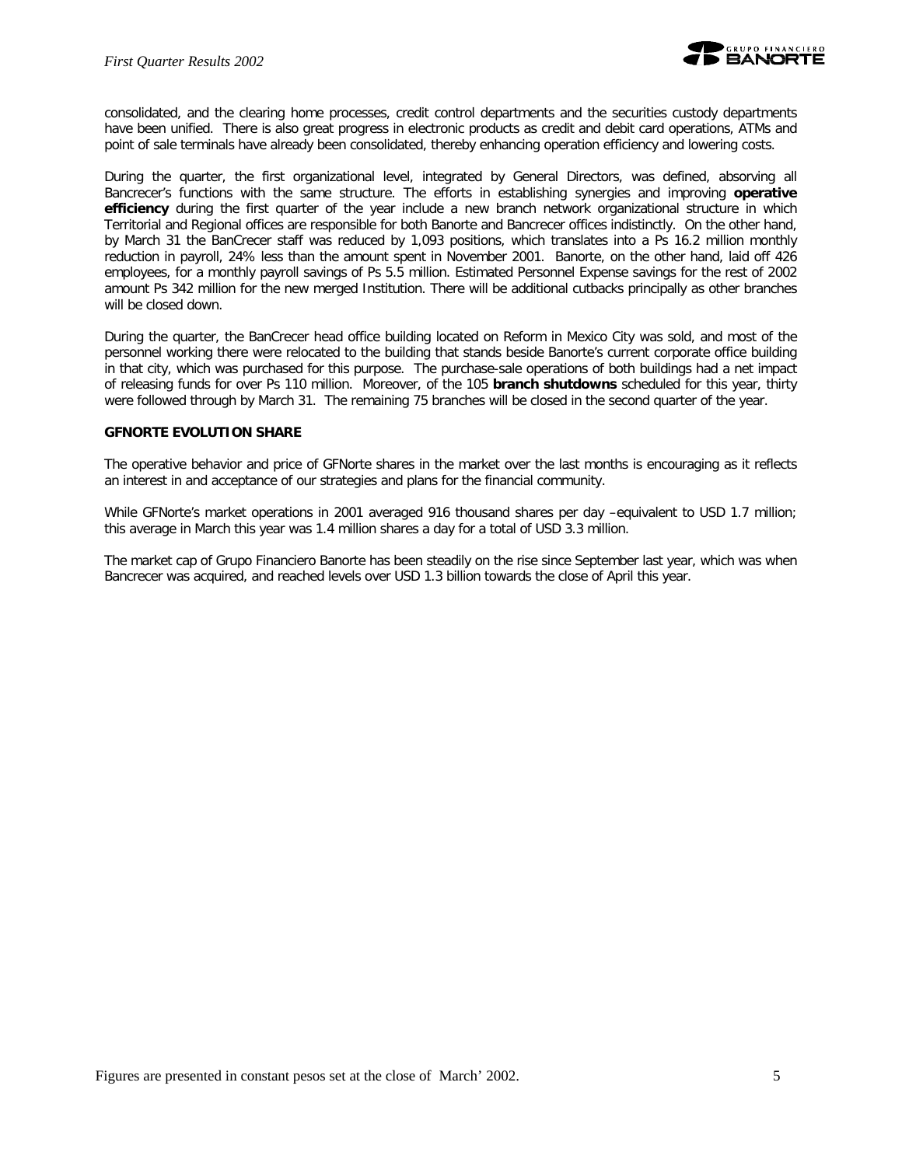

consolidated, and the clearing home processes, credit control departments and the securities custody departments have been unified. There is also great progress in electronic products as credit and debit card operations, ATMs and point of sale terminals have already been consolidated, thereby enhancing operation efficiency and lowering costs.

During the quarter, the first organizational level, integrated by General Directors, was defined, absorving all Bancrecer's functions with the same structure. The efforts in establishing synergies and improving **operative efficiency** during the first quarter of the year include a new branch network organizational structure in which Territorial and Regional offices are responsible for both Banorte and Bancrecer offices indistinctly. On the other hand, by March 31 the BanCrecer staff was reduced by 1,093 positions, which translates into a Ps 16.2 million monthly reduction in payroll, 24% less than the amount spent in November 2001. Banorte, on the other hand, laid off 426 employees, for a monthly payroll savings of Ps 5.5 million. Estimated Personnel Expense savings for the rest of 2002 amount Ps 342 million for the new merged Institution. There will be additional cutbacks principally as other branches will be closed down.

During the quarter, the BanCrecer head office building located on Reform in Mexico City was sold, and most of the personnel working there were relocated to the building that stands beside Banorte's current corporate office building in that city, which was purchased for this purpose. The purchase-sale operations of both buildings had a net impact of releasing funds for over Ps 110 million. Moreover, of the 105 **branch shutdowns** scheduled for this year, thirty were followed through by March 31. The remaining 75 branches will be closed in the second quarter of the year.

## **GFNORTE EVOLUTION SHARE**

The operative behavior and price of GFNorte shares in the market over the last months is encouraging as it reflects an interest in and acceptance of our strategies and plans for the financial community.

While GFNorte's market operations in 2001 averaged 916 thousand shares per day –equivalent to USD 1.7 million; this average in March this year was 1.4 million shares a day for a total of USD 3.3 million.

The market cap of Grupo Financiero Banorte has been steadily on the rise since September last year, which was when Bancrecer was acquired, and reached levels over USD 1.3 billion towards the close of April this year.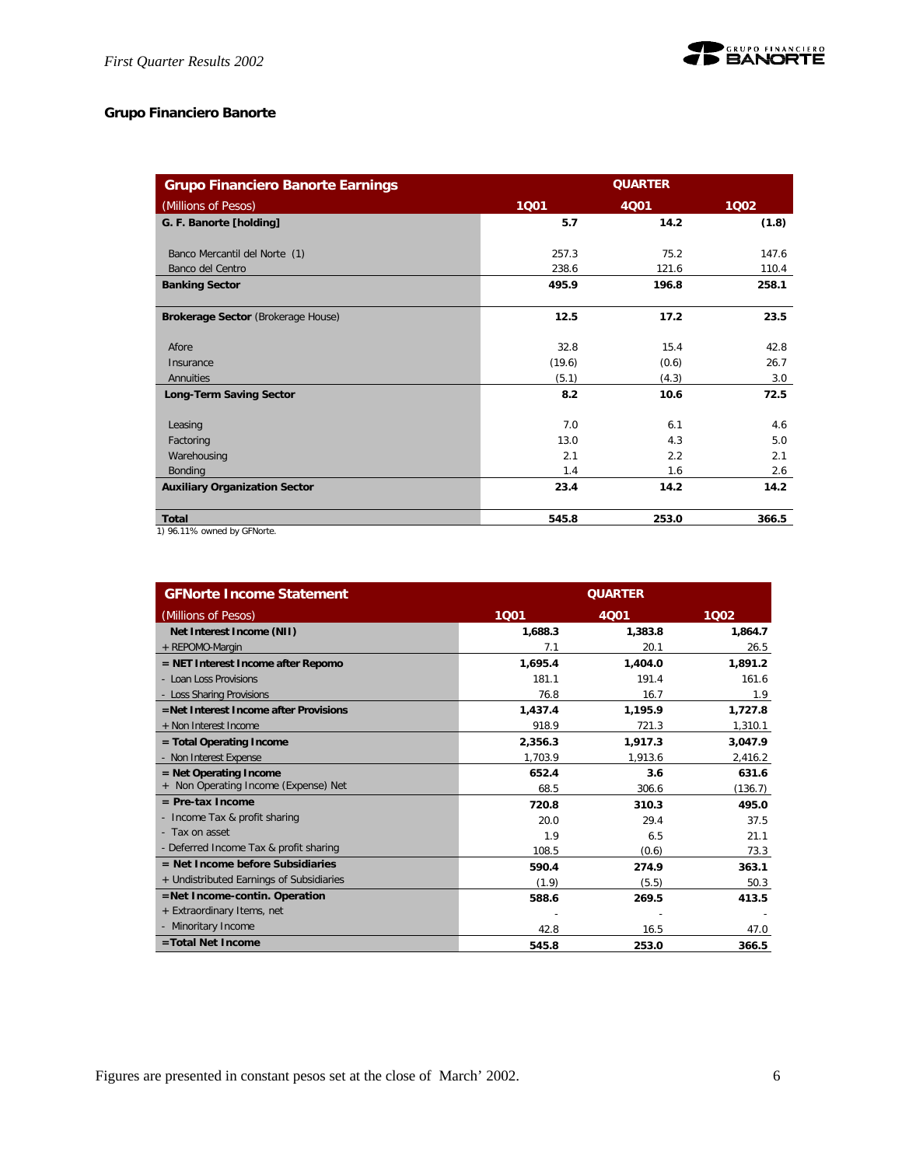

## **Grupo Financiero Banorte**

| <b>Grupo Financiero Banorte Earnings</b> | <b>QUARTER</b> |       |       |
|------------------------------------------|----------------|-------|-------|
| (Millions of Pesos)                      | 1001           | 4001  | 1002  |
| G. F. Banorte [holding]                  | 5.7            | 14.2  | (1.8) |
|                                          |                |       |       |
| Banco Mercantil del Norte (1)            | 257.3          | 75.2  | 147.6 |
| Banco del Centro                         | 238.6          | 121.6 | 110.4 |
| <b>Banking Sector</b>                    | 495.9          | 196.8 | 258.1 |
| Brokerage Sector (Brokerage House)       | 12.5           | 17.2  | 23.5  |
| Afore                                    | 32.8           | 15.4  | 42.8  |
| Insurance                                | (19.6)         | (0.6) | 26.7  |
| Annuities                                | (5.1)          | (4.3) | 3.0   |
| <b>Long-Term Saving Sector</b>           | 8.2            | 10.6  | 72.5  |
| Leasing                                  | 7.0            | 6.1   | 4.6   |
| Factoring                                | 13.0           | 4.3   | 5.0   |
| Warehousing                              | 2.1            | 2.2   | 2.1   |
| Bonding                                  | 1.4            | 1.6   | 2.6   |
| <b>Auxiliary Organization Sector</b>     | 23.4           | 14.2  | 14.2  |
| <b>Total</b><br>$\sim$ $ \sim$           | 545.8          | 253.0 | 366.5 |

1) 96.11% owned by GFNorte.

| <b>GFNorte Income Statement</b>          | <b>QUARTER</b> |             |         |  |
|------------------------------------------|----------------|-------------|---------|--|
| (Millions of Pesos)                      | 1001           | <b>4Q01</b> | 1002    |  |
| Net Interest Income (NII)                | 1,688.3        | 1,383.8     | 1,864.7 |  |
| + REPOMO-Margin                          | 7.1            | 20.1        | 26.5    |  |
| $=$ NET Interest Income after Repomo     | 1.695.4        | 1,404.0     | 1.891.2 |  |
| - Loan Loss Provisions                   | 181.1          | 191.4       | 161.6   |  |
| - Loss Sharing Provisions                | 76.8           | 16.7        | 1.9     |  |
| =Net Interest Income after Provisions    | 1,437.4        | 1,195.9     | 1,727.8 |  |
| + Non Interest Income                    | 918.9          | 721.3       | 1,310.1 |  |
| $=$ Total Operating Income               | 2,356.3        | 1,917.3     | 3,047.9 |  |
| - Non Interest Expense                   | 1.703.9        | 1,913.6     | 2,416.2 |  |
| $=$ Net Operating Income                 | 652.4          | 3.6         | 631.6   |  |
| + Non Operating Income (Expense) Net     | 68.5           | 306.6       | (136.7) |  |
| $=$ Pre-tax Income                       | 720.8          | 310.3       | 495.0   |  |
| - Income Tax & profit sharing            | 20.0           | 29.4        | 37.5    |  |
| - Tax on asset                           | 1.9            | 6.5         | 21.1    |  |
| - Deferred Income Tax & profit sharing   | 108.5          | (0.6)       | 73.3    |  |
| $=$ Net Income before Subsidiaries       | 590.4          | 274.9       | 363.1   |  |
| + Undistributed Earnings of Subsidiaries | (1.9)          | (5.5)       | 50.3    |  |
| $=$ Net Income-contin. Operation         | 588.6          | 269.5       | 413.5   |  |
| + Extraordinary Items, net               |                |             |         |  |
| - Minoritary Income                      | 42.8           | 16.5        | 47.0    |  |
| =Total Net Income                        | 545.8          | 253.0       | 366.5   |  |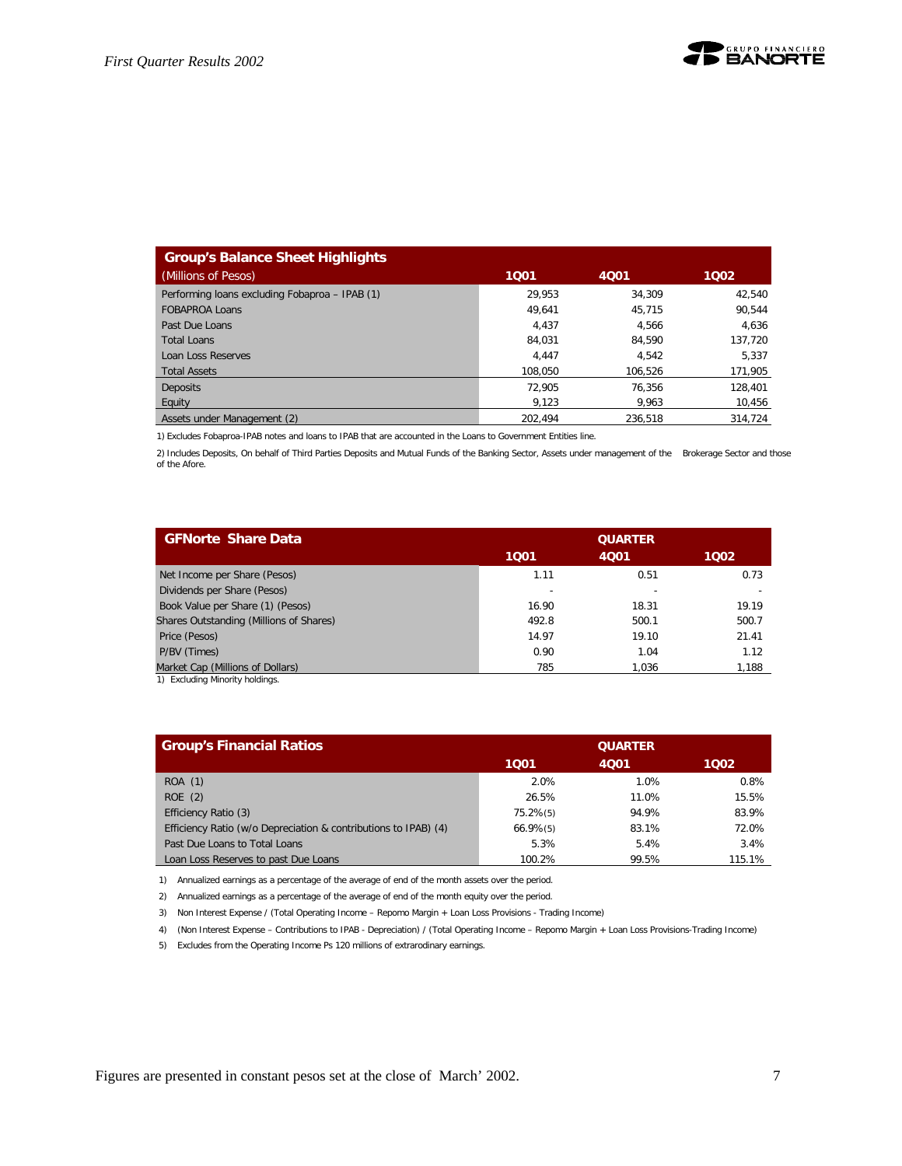

| <b>Group's Balance Sheet Highlights</b>        |         |         |         |
|------------------------------------------------|---------|---------|---------|
| (Millions of Pesos)                            | 1001    | 4001    | 1002    |
| Performing loans excluding Fobaproa - IPAB (1) | 29.953  | 34.309  | 42,540  |
| <b>FOBAPROA Loans</b>                          | 49.641  | 45.715  | 90.544  |
| Past Due Loans                                 | 4.437   | 4.566   | 4,636   |
| Total Loans                                    | 84.031  | 84.590  | 137,720 |
| Loan Loss Reserves                             | 4.447   | 4.542   | 5.337   |
| <b>Total Assets</b>                            | 108.050 | 106.526 | 171,905 |
| <b>Deposits</b>                                | 72.905  | 76.356  | 128.401 |
| Equity                                         | 9.123   | 9.963   | 10,456  |
| Assets under Management (2)                    | 202.494 | 236.518 | 314.724 |

1) Excludes Fobaproa-IPAB notes and loans to IPAB that are accounted in the Loans to Government Entities line.

2) Includes Deposits, On behalf of Third Parties Deposits and Mutual Funds of the Banking Sector, Assets under management of the Brokerage Sector and those of the Afore.

| <b>GFNorte Share Data</b>                                                                                                                                                                                                                                          | <b>QUARTER</b> |       |       |
|--------------------------------------------------------------------------------------------------------------------------------------------------------------------------------------------------------------------------------------------------------------------|----------------|-------|-------|
|                                                                                                                                                                                                                                                                    | 1001           | 4001  | 1002  |
| Net Income per Share (Pesos)                                                                                                                                                                                                                                       | 1.11           | 0.51  | 0.73  |
| Dividends per Share (Pesos)                                                                                                                                                                                                                                        |                | ۰     |       |
| Book Value per Share (1) (Pesos)                                                                                                                                                                                                                                   | 16.90          | 18.31 | 19.19 |
| Shares Outstanding (Millions of Shares)                                                                                                                                                                                                                            | 492.8          | 500.1 | 500.7 |
| Price (Pesos)                                                                                                                                                                                                                                                      | 14.97          | 19.10 | 21.41 |
| P/BV (Times)                                                                                                                                                                                                                                                       | 0.90           | 1.04  | 1.12  |
| Market Cap (Millions of Dollars)<br>And the first section of the condition of the condition of the condition of the condition of the condition of the condition of the condition of the condition of the condition of the condition of the condition of the condit | 785            | 1.036 | 1,188 |

1) Excluding Minority holdings.

| <b>Group's Financial Ratios</b>                                 |                | <b>QUARTER</b> |        |
|-----------------------------------------------------------------|----------------|----------------|--------|
|                                                                 | 1001           | 4001           | 1002   |
| ROA (1)                                                         | 2.0%           | 1.0%           | 0.8%   |
| ROE(2)                                                          | 26.5%          | 11.0%          | 15.5%  |
| Efficiency Ratio (3)                                            | $75.2\%$ (5)   | 94.9%          | 83.9%  |
| Efficiency Ratio (w/o Depreciation & contributions to IPAB) (4) | $66.9\%$ $(5)$ | 83.1%          | 72.0%  |
| Past Due Loans to Total Loans                                   | 5.3%           | 5.4%           | 3.4%   |
| Loan Loss Reserves to past Due Loans                            | 100.2%         | 99.5%          | 115.1% |

1) Annualized earnings as a percentage of the average of end of the month assets over the period.

2) Annualized earnings as a percentage of the average of end of the month equity over the period.

3) Non Interest Expense / (Total Operating Income – Repomo Margin + Loan Loss Provisions - Trading Income)

4) (Non Interest Expense – Contributions to IPAB - Depreciation) / (Total Operating Income – Repomo Margin + Loan Loss Provisions-Trading Income)

5) Excludes from the Operating Income Ps 120 millions of extrarodinary earnings.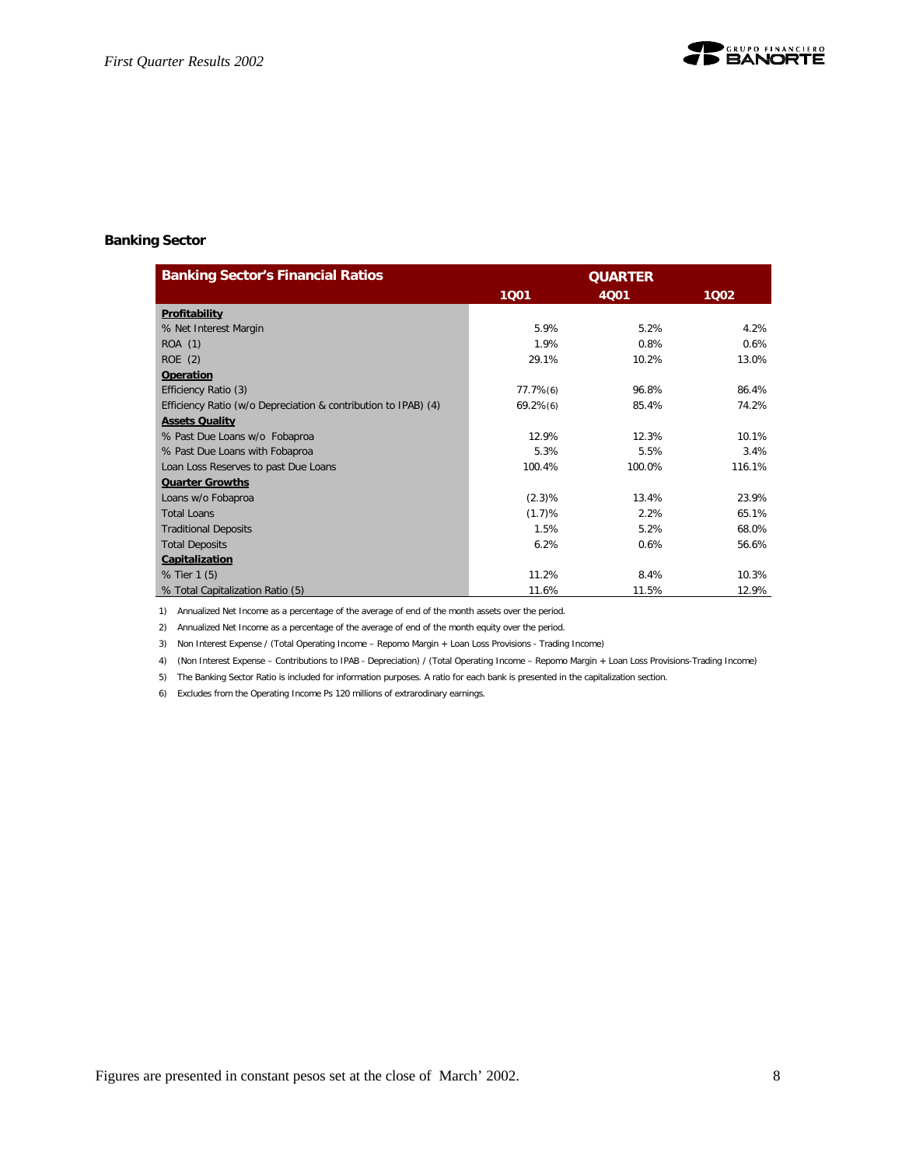

#### **Banking Sector**

| <b>Banking Sector's Financial Ratios</b>                       | <b>QUARTER</b> |             |        |
|----------------------------------------------------------------|----------------|-------------|--------|
|                                                                | 1001           | <b>4Q01</b> | 1002   |
| Profitability                                                  |                |             |        |
| % Net Interest Margin                                          | 5.9%           | 5.2%        | 4.2%   |
| ROA (1)                                                        | 1.9%           | 0.8%        | 0.6%   |
| ROE (2)                                                        | 29.1%          | 10.2%       | 13.0%  |
| <b>Operation</b>                                               |                |             |        |
| Efficiency Ratio (3)                                           | $77.7\%$ (6)   | 96.8%       | 86.4%  |
| Efficiency Ratio (w/o Depreciation & contribution to IPAB) (4) | $69.2\%$ $(6)$ | 85.4%       | 74.2%  |
| <b>Assets Quality</b>                                          |                |             |        |
| % Past Due Loans w/o Fobaproa                                  | 12.9%          | 12.3%       | 10.1%  |
| % Past Due Loans with Fobaproa                                 | 5.3%           | 5.5%        | 3.4%   |
| Loan Loss Reserves to past Due Loans                           | 100.4%         | 100.0%      | 116.1% |
| <b>Quarter Growths</b>                                         |                |             |        |
| Loans w/o Fobaproa                                             | $(2.3)\%$      | 13.4%       | 23.9%  |
| <b>Total Loans</b>                                             | (1.7)%         | 2.2%        | 65.1%  |
| <b>Traditional Deposits</b>                                    | 1.5%           | 5.2%        | 68.0%  |
| <b>Total Deposits</b>                                          | 6.2%           | 0.6%        | 56.6%  |
| Capitalization                                                 |                |             |        |
| % Tier 1 (5)                                                   | 11.2%          | 8.4%        | 10.3%  |
| % Total Capitalization Ratio (5)                               | 11.6%          | 11.5%       | 12.9%  |

1) Annualized Net Income as a percentage of the average of end of the month assets over the period.

2) Annualized Net Income as a percentage of the average of end of the month equity over the period.

3) Non Interest Expense / (Total Operating Income – Repomo Margin + Loan Loss Provisions - Trading Income)

4) (Non Interest Expense – Contributions to IPAB - Depreciation) / (Total Operating Income – Repomo Margin + Loan Loss Provisions-Trading Income)

5) The Banking Sector Ratio is included for information purposes. A ratio for each bank is presented in the capitalization section.

6) Excludes from the Operating Income Ps 120 millions of extrarodinary earnings.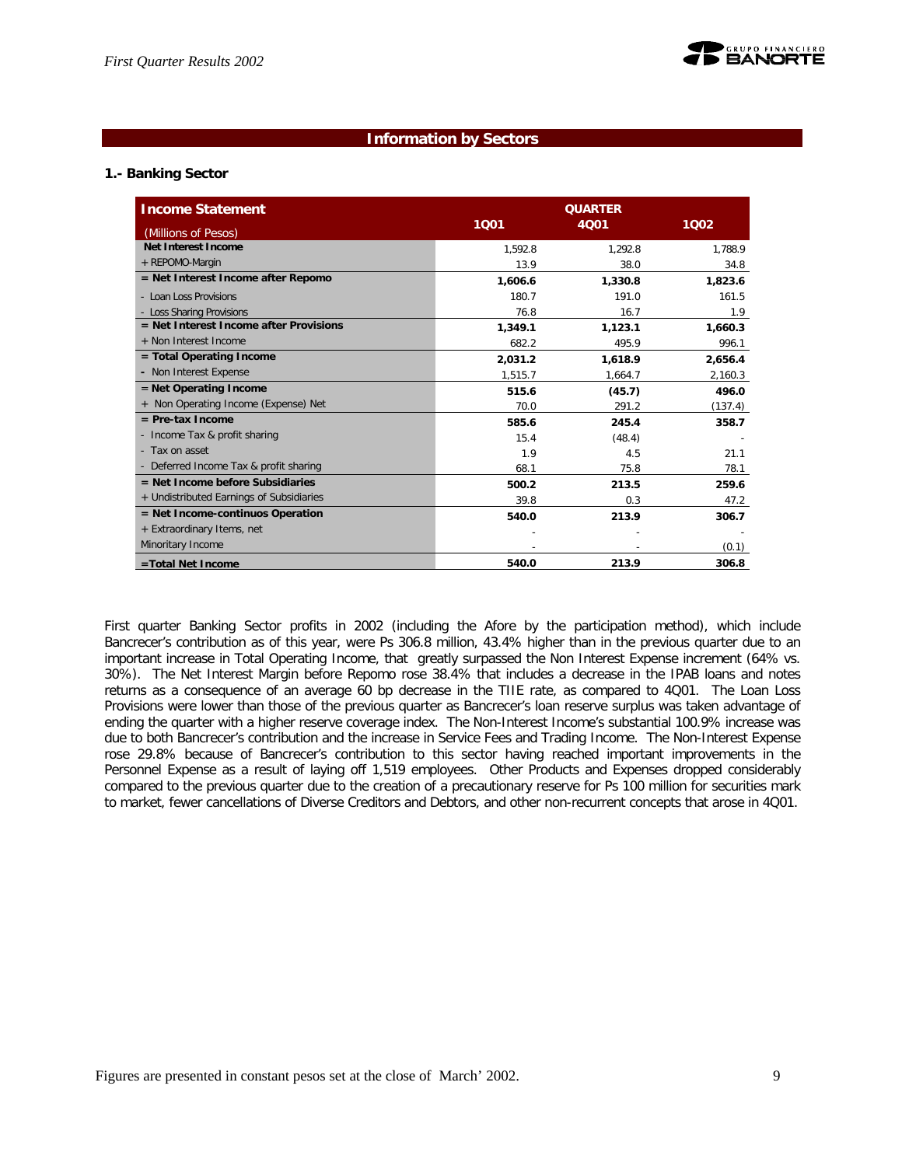

## **Information by Sectors**

## **1.- Banking Sector**

| <b>Income Statement</b>                  | <b>QUARTER</b> |         |         |
|------------------------------------------|----------------|---------|---------|
| (Millions of Pesos)                      | 1001           | 4001    | 1002    |
| Net Interest Income                      | 1.592.8        | 1.292.8 | 1.788.9 |
| + REPOMO-Margin                          | 13.9           | 38.0    | 34.8    |
| = Net Interest Income after Repomo       | 1,606.6        | 1,330.8 | 1,823.6 |
| - Loan Loss Provisions                   | 180.7          | 191.0   | 161.5   |
| - Loss Sharing Provisions                | 76.8           | 16.7    | 1.9     |
| $=$ Net Interest Income after Provisions | 1,349.1        | 1,123.1 | 1,660.3 |
| + Non Interest Income                    | 682.2          | 495.9   | 996.1   |
| = Total Operating Income                 | 2,031.2        | 1,618.9 | 2,656.4 |
| - Non Interest Expense                   | 1,515.7        | 1,664.7 | 2,160.3 |
| $=$ Net Operating Income                 | 515.6          | (45.7)  | 496.0   |
| + Non Operating Income (Expense) Net     | 70.0           | 291.2   | (137.4) |
| $=$ Pre-tax Income                       | 585.6          | 245.4   | 358.7   |
| - Income Tax & profit sharing            | 15.4           | (48.4)  |         |
| - Tax on asset                           | 1.9            | 4.5     | 21.1    |
| - Deferred Income Tax & profit sharing   | 68.1           | 75.8    | 78.1    |
| $=$ Net Income before Subsidiaries       | 500.2          | 213.5   | 259.6   |
| + Undistributed Earnings of Subsidiaries | 39.8           | 0.3     | 47.2    |
| $=$ Net Income-continuos Operation       | 540.0          | 213.9   | 306.7   |
| + Extraordinary Items, net               |                |         |         |
| Minoritary Income                        |                |         | (0.1)   |
| =Total Net Income                        | 540.0          | 213.9   | 306.8   |

First quarter Banking Sector profits in 2002 (including the Afore by the participation method), which include Bancrecer's contribution as of this year, were Ps 306.8 million, 43.4% higher than in the previous quarter due to an important increase in Total Operating Income, that greatly surpassed the Non Interest Expense increment (64% vs. 30%). The Net Interest Margin before Repomo rose 38.4% that includes a decrease in the IPAB loans and notes returns as a consequence of an average 60 bp decrease in the TIIE rate, as compared to 4Q01. The Loan Loss Provisions were lower than those of the previous quarter as Bancrecer's loan reserve surplus was taken advantage of ending the quarter with a higher reserve coverage index. The Non-Interest Income's substantial 100.9% increase was due to both Bancrecer's contribution and the increase in Service Fees and Trading Income. The Non-Interest Expense rose 29.8% because of Bancrecer's contribution to this sector having reached important improvements in the Personnel Expense as a result of laying off 1,519 employees. Other Products and Expenses dropped considerably compared to the previous quarter due to the creation of a precautionary reserve for Ps 100 million for securities mark to market, fewer cancellations of Diverse Creditors and Debtors, and other non-recurrent concepts that arose in 4Q01.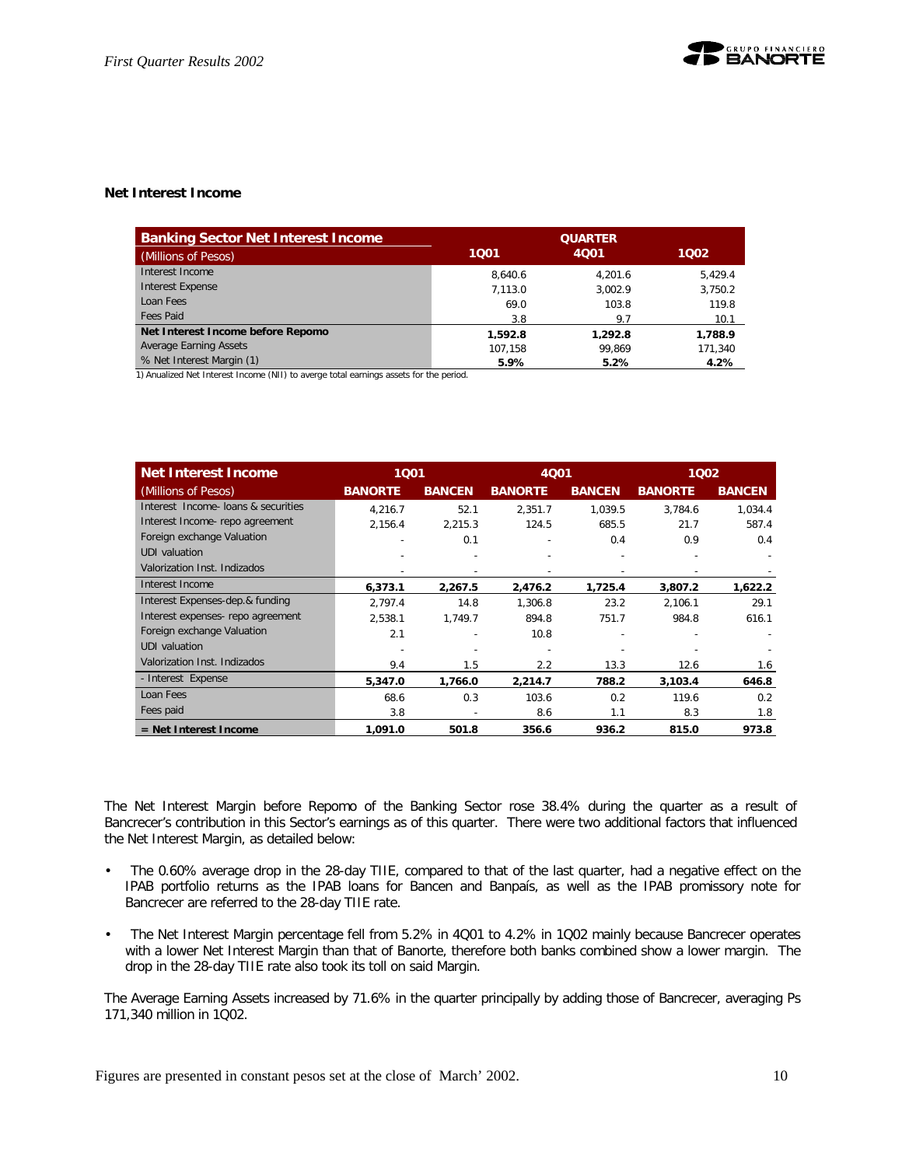## **Net Interest Income**

| <b>Banking Sector Net Interest Income</b> | <b>QUARTER</b> |         |         |  |
|-------------------------------------------|----------------|---------|---------|--|
| (Millions of Pesos)                       | 1001           | 4001    | 1002    |  |
| Interest Income                           | 8.640.6        | 4.201.6 | 5.429.4 |  |
| Interest Expense                          | 7.113.0        | 3.002.9 | 3,750.2 |  |
| Loan Fees                                 | 69.0           | 103.8   | 119.8   |  |
| <b>Fees Paid</b>                          | 3.8            | 9.7     | 10.1    |  |
| Net Interest Income before Repomo         | 1.592.8        | 1.292.8 | 1.788.9 |  |
| Average Earning Assets                    | 107.158        | 99.869  | 171,340 |  |
| % Net Interest Margin (1)                 | 5.9%           | 5.2%    | 4.2%    |  |

1) Anualized Net Interest Income (NII) to averge total earnings assets for the period.

| <b>Net Interest Income</b>          | 1001           |               | 4Q01           |               | 1002           |               |
|-------------------------------------|----------------|---------------|----------------|---------------|----------------|---------------|
| (Millions of Pesos)                 | <b>BANORTE</b> | <b>BANCEN</b> | <b>BANORTE</b> | <b>BANCEN</b> | <b>BANORTE</b> | <b>BANCEN</b> |
| Interest Income- loans & securities | 4.216.7        | 52.1          | 2,351.7        | 1.039.5       | 3,784.6        | 1,034.4       |
| Interest Income-repo agreement      | 2,156.4        | 2,215.3       | 124.5          | 685.5         | 21.7           | 587.4         |
| Foreign exchange Valuation          |                | 0.1           |                | 0.4           | 0.9            | 0.4           |
| <b>UDI</b> valuation                |                |               |                |               |                |               |
| Valorization Inst. Indizados        |                |               |                |               |                |               |
| Interest Income                     | 6,373.1        | 2,267.5       | 2,476.2        | 1,725.4       | 3,807.2        | 1,622.2       |
| Interest Expenses-dep.& funding     | 2.797.4        | 14.8          | 1.306.8        | 23.2          | 2.106.1        | 29.1          |
| Interest expenses- repo agreement   | 2,538.1        | 1,749.7       | 894.8          | 751.7         | 984.8          | 616.1         |
| Foreign exchange Valuation          | 2.1            |               | 10.8           |               |                |               |
| <b>UDI</b> valuation                |                |               |                |               |                |               |
| Valorization Inst. Indizados        | 9.4            | 1.5           | 2.2            | 13.3          | 12.6           | 1.6           |
| - Interest Expense                  | 5,347.0        | 1,766.0       | 2,214.7        | 788.2         | 3,103.4        | 646.8         |
| Loan Fees                           | 68.6           | 0.3           | 103.6          | 0.2           | 119.6          | 0.2           |
| Fees paid                           | 3.8            |               | 8.6            | 1.1           | 8.3            | 1.8           |
| $=$ Net Interest Income             | 1,091.0        | 501.8         | 356.6          | 936.2         | 815.0          | 973.8         |

The Net Interest Margin before Repomo of the Banking Sector rose 38.4% during the quarter as a result of Bancrecer's contribution in this Sector's earnings as of this quarter. There were two additional factors that influenced the Net Interest Margin, as detailed below:

- The 0.60% average drop in the 28-day TIIE, compared to that of the last quarter, had a negative effect on the IPAB portfolio returns as the IPAB loans for Bancen and Banpaís, as well as the IPAB promissory note for Bancrecer are referred to the 28-day TIIE rate.
- The Net Interest Margin percentage fell from 5.2% in 4Q01 to 4.2% in 1Q02 mainly because Bancrecer operates with a lower Net Interest Margin than that of Banorte, therefore both banks combined show a lower margin. The drop in the 28-day TIIE rate also took its toll on said Margin.

The Average Earning Assets increased by 71.6% in the quarter principally by adding those of Bancrecer, averaging Ps 171,340 million in 1Q02.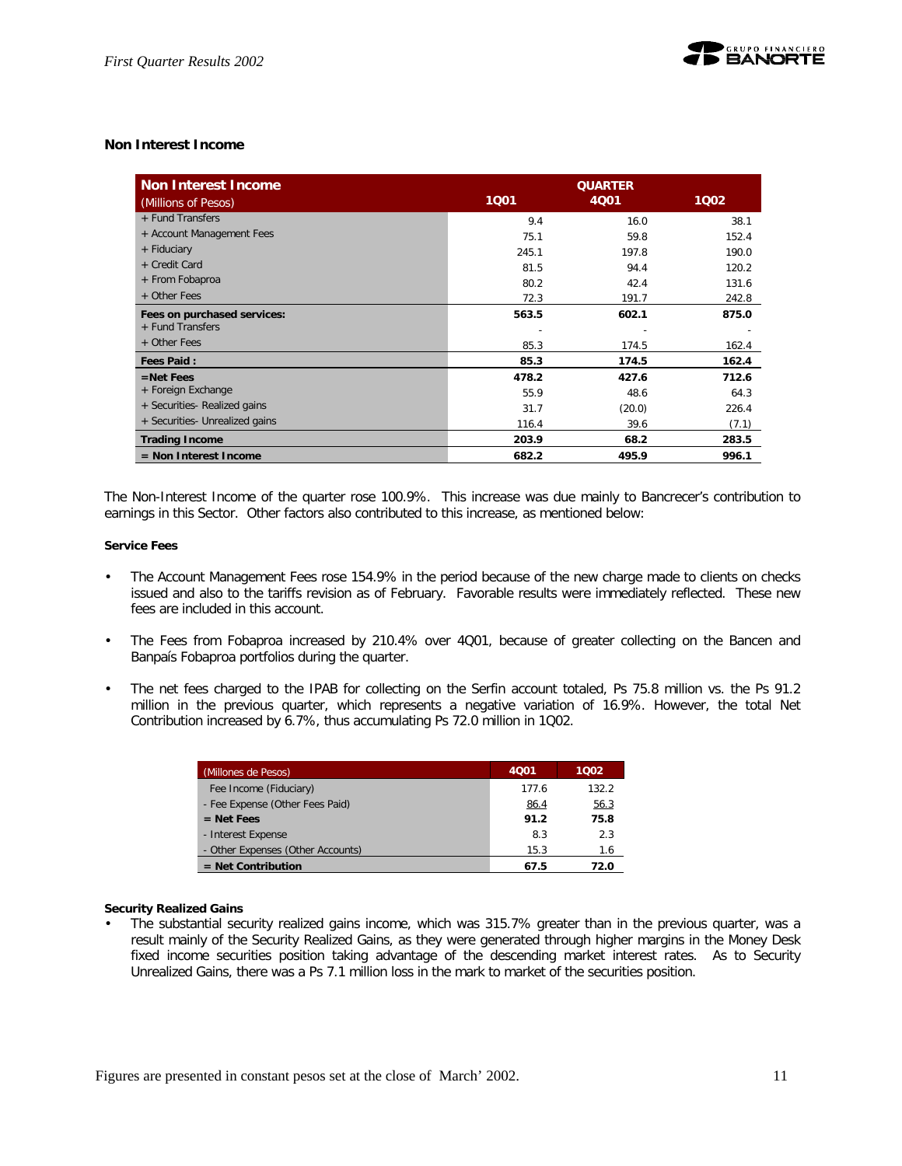

## **Non Interest Income**

| <b>Non Interest Income</b><br>(Millions of Pesos) | 1001  | 1002   |       |
|---------------------------------------------------|-------|--------|-------|
| + Fund Transfers                                  | 9.4   | 16.0   | 38.1  |
| + Account Management Fees                         | 75.1  | 59.8   | 152.4 |
| + Fiduciary                                       | 245.1 | 197.8  | 190.0 |
| + Credit Card                                     | 81.5  | 94.4   | 120.2 |
| + From Fobaproa                                   | 80.2  | 42.4   | 131.6 |
| + Other Fees                                      | 72.3  | 191.7  | 242.8 |
| Fees on purchased services:<br>+ Fund Transfers   | 563.5 | 602.1  | 875.0 |
| + Other Fees                                      | 85.3  | 174.5  | 162.4 |
| <b>Fees Paid:</b>                                 | 85.3  | 174.5  | 162.4 |
| $=$ Net Fees                                      | 478.2 | 427.6  | 712.6 |
| + Foreign Exchange                                | 55.9  | 48.6   | 64.3  |
| + Securities- Realized gains                      | 31.7  | (20.0) | 226.4 |
| + Securities- Unrealized gains                    | 116.4 | 39.6   | (7.1) |
| <b>Trading Income</b>                             | 203.9 | 68.2   | 283.5 |
| $=$ Non Interest Income                           | 682.2 | 495.9  | 996.1 |

The Non-Interest Income of the quarter rose 100.9%. This increase was due mainly to Bancrecer's contribution to earnings in this Sector. Other factors also contributed to this increase, as mentioned below:

#### **Service Fees**

- The Account Management Fees rose 154.9% in the period because of the new charge made to clients on checks issued and also to the tariffs revision as of February. Favorable results were immediately reflected. These new fees are included in this account.
- The Fees from Fobaproa increased by 210.4% over 4Q01, because of greater collecting on the Bancen and Banpaís Fobaproa portfolios during the quarter.
- The net fees charged to the IPAB for collecting on the Serfin account totaled, Ps 75.8 million vs. the Ps 91.2 million in the previous quarter, which represents a negative variation of 16.9%. However, the total Net Contribution increased by 6.7%, thus accumulating Ps 72.0 million in 1Q02.

| (Millones de Pesos)               | 4001  | 1002  |
|-----------------------------------|-------|-------|
| Fee Income (Fiduciary)            | 177.6 | 132.2 |
| - Fee Expense (Other Fees Paid)   | 86.4  | 56.3  |
| $=$ Net Fees                      | 91.2  | 75.8  |
| - Interest Expense                | 8.3   | 2.3   |
| - Other Expenses (Other Accounts) | 15.3  | 1.6   |
| $=$ Net Contribution              | 67.5  | 72.0  |

#### **Security Realized Gains**

• The substantial security realized gains income, which was 315.7% greater than in the previous quarter, was a result mainly of the Security Realized Gains, as they were generated through higher margins in the Money Desk fixed income securities position taking advantage of the descending market interest rates. As to Security Unrealized Gains, there was a Ps 7.1 million loss in the mark to market of the securities position.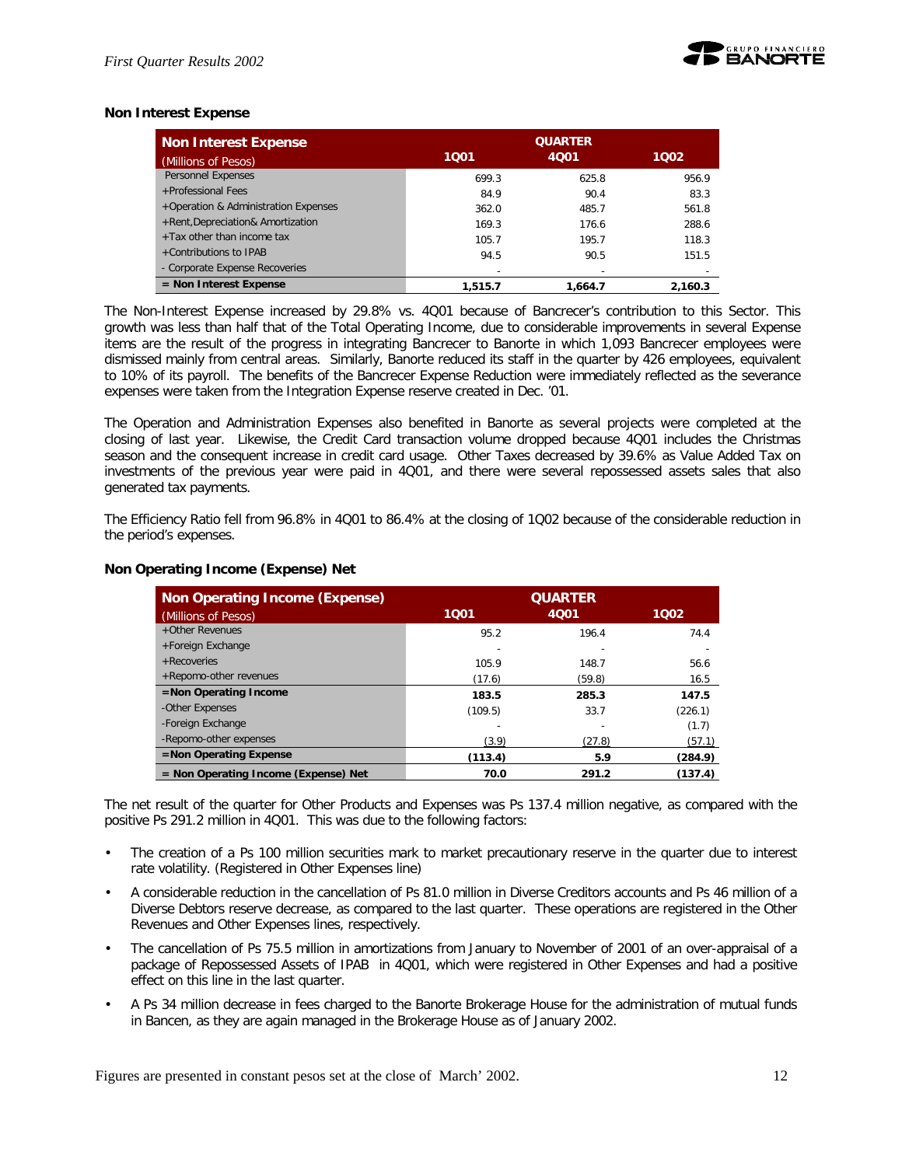

## **Non Interest Expense**

| <b>Non Interest Expense</b>          |         | <b>QUARTER</b> |         |
|--------------------------------------|---------|----------------|---------|
| (Millions of Pesos)                  | 1001    | 4001           | 1002    |
| <b>Personnel Expenses</b>            | 699.3   | 625.8          | 956.9   |
| +Professional Fees                   | 84.9    | 90.4           | 83.3    |
| +Operation & Administration Expenses | 362.0   | 485.7          | 561.8   |
| +Rent, Depreciation& Amortization    | 169.3   | 176.6          | 288.6   |
| +Tax other than income tax           | 105.7   | 195.7          | 118.3   |
| +Contributions to IPAB               | 94.5    | 90.5           | 151.5   |
| - Corporate Expense Recoveries       |         |                |         |
| $=$ Non Interest Expense             | 1,515.7 | 1.664.7        | 2.160.3 |

The Non-Interest Expense increased by 29.8% vs. 4Q01 because of Bancrecer's contribution to this Sector. This growth was less than half that of the Total Operating Income, due to considerable improvements in several Expense items are the result of the progress in integrating Bancrecer to Banorte in which 1,093 Bancrecer employees were dismissed mainly from central areas. Similarly, Banorte reduced its staff in the quarter by 426 employees, equivalent to 10% of its payroll. The benefits of the Bancrecer Expense Reduction were immediately reflected as the severance expenses were taken from the Integration Expense reserve created in Dec. '01.

The Operation and Administration Expenses also benefited in Banorte as several projects were completed at the closing of last year. Likewise, the Credit Card transaction volume dropped because 4Q01 includes the Christmas season and the consequent increase in credit card usage. Other Taxes decreased by 39.6% as Value Added Tax on investments of the previous year were paid in 4Q01, and there were several repossessed assets sales that also generated tax payments.

The Efficiency Ratio fell from 96.8% in 4Q01 to 86.4% at the closing of 1Q02 because of the considerable reduction in the period's expenses.

| <b>Non Operating Income (Expense)</b>  | <b>QUARTER</b> |        |         |  |
|----------------------------------------|----------------|--------|---------|--|
| (Millions of Pesos)                    | 1001           | 4Q01   | 1002    |  |
| +Other Revenues                        | 95.2           | 196.4  | 74.4    |  |
| +Foreign Exchange                      |                |        |         |  |
| + Recoveries                           | 105.9          | 148.7  | 56.6    |  |
| +Repomo-other revenues                 | (17.6)         | (59.8) | 16.5    |  |
| $=$ Non Operating Income               | 183.5          | 285.3  | 147.5   |  |
| -Other Expenses                        | (109.5)        | 33.7   | (226.1) |  |
| -Foreign Exchange                      |                |        | (1.7)   |  |
| -Repomo-other expenses                 | (3.9)          | (27.8) | (57.1)  |  |
| $=$ Non Operating Expense              | (113.4)        | 5.9    | (284.9) |  |
| $=$ Non Operating Income (Expense) Net | 70.0           | 291.2  | (137.4) |  |

#### **Non Operating Income (Expense) Net**

The net result of the quarter for Other Products and Expenses was Ps 137.4 million negative, as compared with the positive Ps 291.2 million in 4Q01. This was due to the following factors:

- The creation of a Ps 100 million securities mark to market precautionary reserve in the quarter due to interest rate volatility. (Registered in Other Expenses line)
- A considerable reduction in the cancellation of Ps 81.0 million in Diverse Creditors accounts and Ps 46 million of a Diverse Debtors reserve decrease, as compared to the last quarter. These operations are registered in the Other Revenues and Other Expenses lines, respectively.
- The cancellation of Ps 75.5 million in amortizations from January to November of 2001 of an over-appraisal of a package of Repossessed Assets of IPAB in 4Q01, which were registered in Other Expenses and had a positive effect on this line in the last quarter.
- A Ps 34 million decrease in fees charged to the Banorte Brokerage House for the administration of mutual funds in Bancen, as they are again managed in the Brokerage House as of January 2002.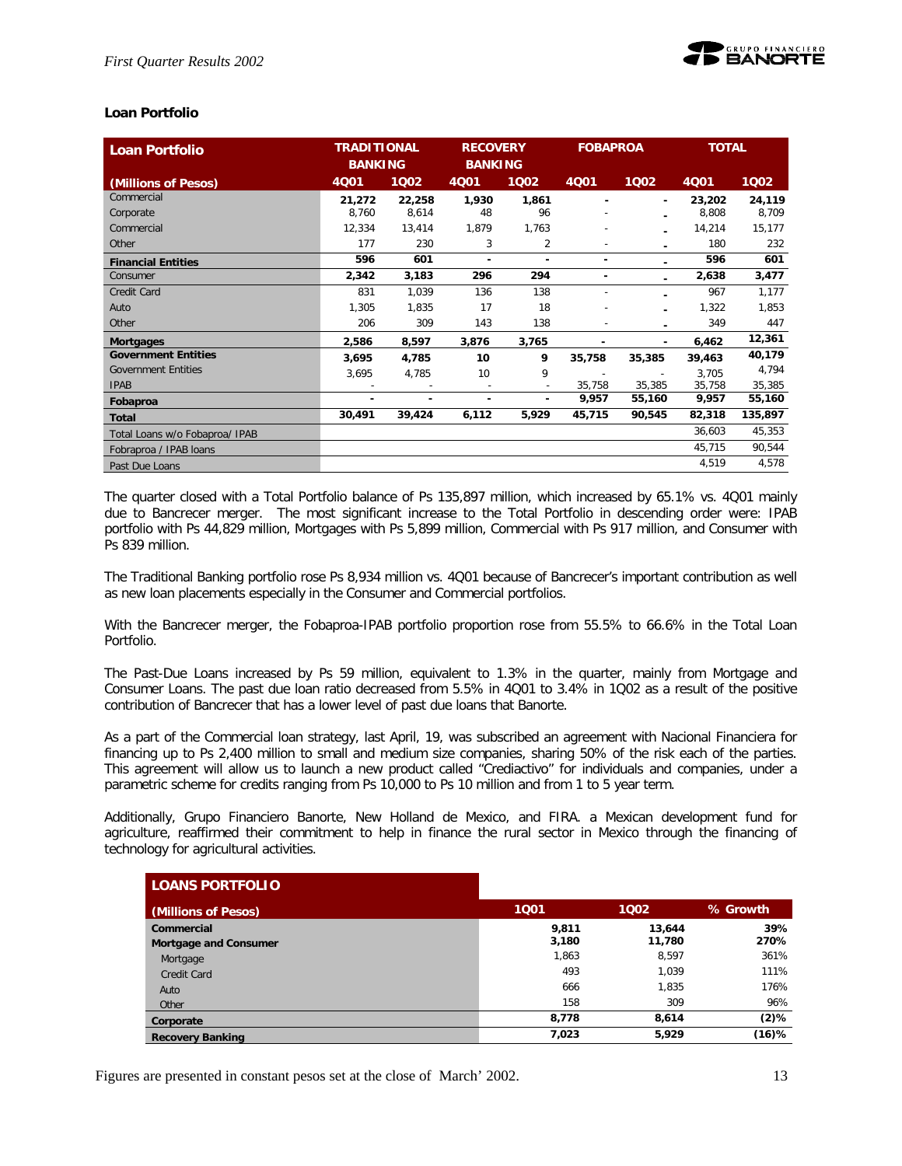

## **Loan Portfolio**

| <b>Loan Portfolio</b>          | <b>TRADITIONAL</b><br><b>BANKING</b> |        | <b>RECOVERY</b><br><b>BANKING</b> |                          | <b>FOBAPROA</b>          |        | <b>TOTAL</b> |         |
|--------------------------------|--------------------------------------|--------|-----------------------------------|--------------------------|--------------------------|--------|--------------|---------|
| (Millions of Pesos)            | 4001                                 | 1002   | <b>4Q01</b>                       | 1002                     | <b>4Q01</b>              | 1002   | <b>4Q01</b>  | 1Q02    |
| Commercial                     | 21,272                               | 22,258 | 1,930                             | 1,861                    |                          | ٠      | 23,202       | 24,119  |
| Corporate                      | 8,760                                | 8,614  | 48                                | 96                       |                          |        | 8,808        | 8,709   |
| Commercial                     | 12,334                               | 13,414 | 1,879                             | 1,763                    |                          |        | 14,214       | 15,177  |
| Other                          | 177                                  | 230    | 3                                 | 2                        | $\overline{\phantom{a}}$ |        | 180          | 232     |
| <b>Financial Entities</b>      | 596                                  | 601    | ٠                                 | ۰                        | ٠                        |        | 596          | 601     |
| Consumer                       | 2,342                                | 3,183  | 296                               | 294                      | ۰                        |        | 2,638        | 3,477   |
| Credit Card                    | 831                                  | 1,039  | 136                               | 138                      |                          |        | 967          | 1,177   |
| Auto                           | 1,305                                | 1,835  | 17                                | 18                       |                          |        | 1,322        | 1,853   |
| Other                          | 206                                  | 309    | 143                               | 138                      |                          |        | 349          | 447     |
| <b>Mortgages</b>               | 2,586                                | 8,597  | 3,876                             | 3,765                    |                          |        | 6,462        | 12,361  |
| <b>Government Entities</b>     | 3,695                                | 4,785  | 10                                | 9                        | 35,758                   | 35,385 | 39,463       | 40,179  |
| <b>Government Entities</b>     | 3,695                                | 4,785  | 10                                | 9                        |                          | ٠      | 3,705        | 4,794   |
| <b>IPAB</b>                    |                                      |        | ÷                                 | $\overline{\phantom{a}}$ | 35,758                   | 35,385 | 35,758       | 35,385  |
| Fobaproa                       | ۰                                    |        | ٠                                 |                          | 9,957                    | 55,160 | 9,957        | 55,160  |
| <b>Total</b>                   | 30,491                               | 39,424 | 6,112                             | 5,929                    | 45,715                   | 90,545 | 82,318       | 135,897 |
| Total Loans w/o Fobaproa/ IPAB |                                      |        |                                   |                          |                          |        | 36,603       | 45,353  |
| Fobraproa / IPAB loans         |                                      |        |                                   |                          |                          |        | 45,715       | 90,544  |
| Past Due Loans                 |                                      |        |                                   |                          |                          |        | 4,519        | 4,578   |

The quarter closed with a Total Portfolio balance of Ps 135,897 million, which increased by 65.1% vs. 4Q01 mainly due to Bancrecer merger. The most significant increase to the Total Portfolio in descending order were: IPAB portfolio with Ps 44,829 million, Mortgages with Ps 5,899 million, Commercial with Ps 917 million, and Consumer with Ps 839 million.

The Traditional Banking portfolio rose Ps 8,934 million vs. 4Q01 because of Bancrecer's important contribution as well as new loan placements especially in the Consumer and Commercial portfolios.

With the Bancrecer merger, the Fobaproa-IPAB portfolio proportion rose from 55.5% to 66.6% in the Total Loan Portfolio.

The Past-Due Loans increased by Ps 59 million, equivalent to 1.3% in the quarter, mainly from Mortgage and Consumer Loans. The past due loan ratio decreased from 5.5% in 4Q01 to 3.4% in 1Q02 as a result of the positive contribution of Bancrecer that has a lower level of past due loans that Banorte.

As a part of the Commercial loan strategy, last April, 19, was subscribed an agreement with Nacional Financiera for financing up to Ps 2,400 million to small and medium size companies, sharing 50% of the risk each of the parties. This agreement will allow us to launch a new product called "Crediactivo" for individuals and companies, under a parametric scheme for credits ranging from Ps 10,000 to Ps 10 million and from 1 to 5 year term.

Additionally, Grupo Financiero Banorte, New Holland de Mexico, and FIRA. a Mexican development fund for agriculture, reaffirmed their commitment to help in finance the rural sector in Mexico through the financing of technology for agricultural activities.

| <b>LOANS PORTFOLIO</b>       |       |        |          |
|------------------------------|-------|--------|----------|
| (Millions of Pesos)          | 1001  | 1002   | % Growth |
| Commercial                   | 9,811 | 13,644 | 39%      |
| <b>Mortgage and Consumer</b> | 3,180 | 11,780 | 270%     |
| Mortgage                     | 1,863 | 8.597  | 361%     |
| <b>Credit Card</b>           | 493   | 1.039  | 111%     |
| Auto                         | 666   | 1.835  | 176%     |
| Other                        | 158   | 309    | 96%      |
| Corporate                    | 8.778 | 8.614  | $(2)$ %  |
| <b>Recovery Banking</b>      | 7,023 | 5,929  | (16)%    |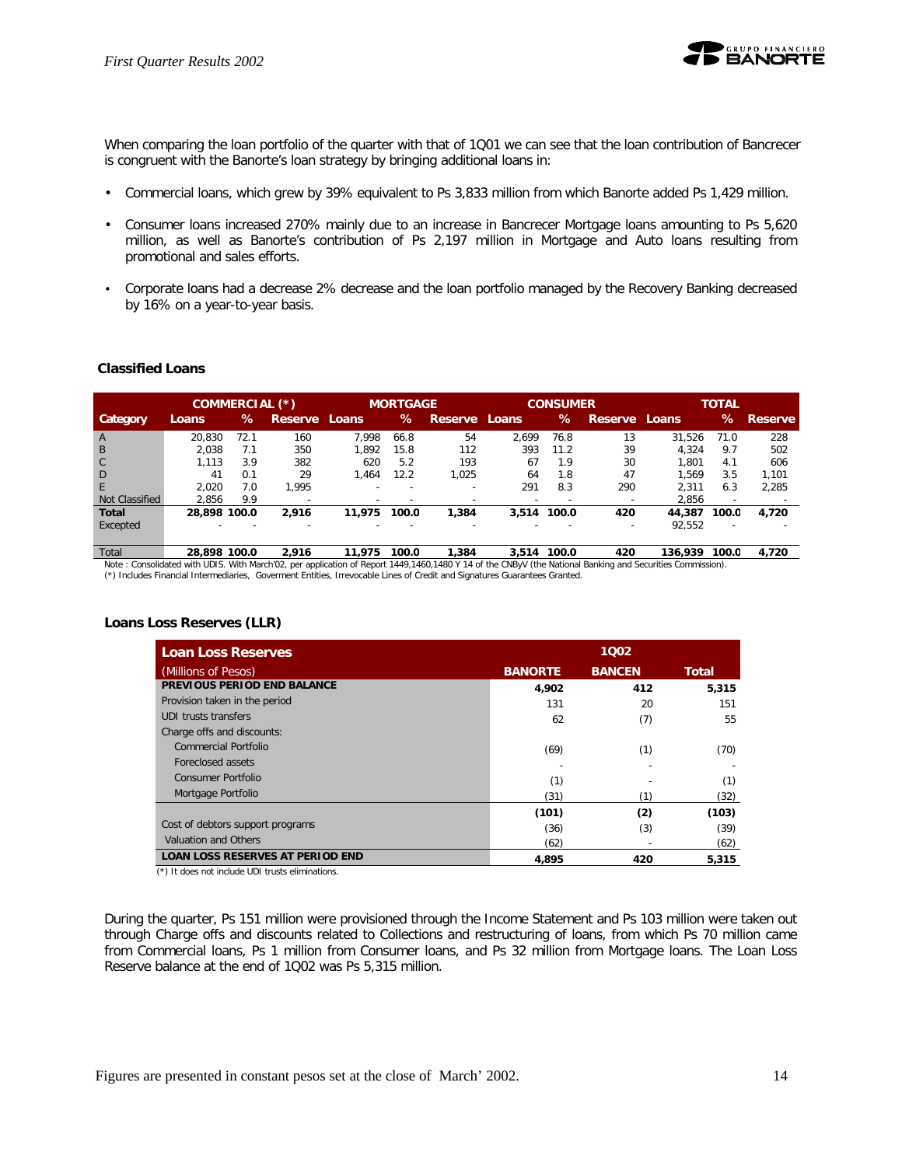

When comparing the loan portfolio of the quarter with that of 1Q01 we can see that the loan contribution of Bancrecer is congruent with the Banorte's loan strategy by bringing additional loans in:

- Commercial loans, which grew by 39% equivalent to Ps 3,833 million from which Banorte added Ps 1,429 million.
- Consumer loans increased 270% mainly due to an increase in Bancrecer Mortgage loans amounting to Ps 5,620 million, as well as Banorte's contribution of Ps 2,197 million in Mortgage and Auto loans resulting from promotional and sales efforts.
- Corporate loans had a decrease 2% decrease and the loan portfolio managed by the Recovery Banking decreased by 16% on a year-to-year basis.

## **Classified Loans**

|                |                          | COMMERCIAL (*) |                          |        | <b>MORTGAGE</b> |               |                          | <b>CONSUMER</b> |               |         | <b>TOTAL</b> |                |
|----------------|--------------------------|----------------|--------------------------|--------|-----------------|---------------|--------------------------|-----------------|---------------|---------|--------------|----------------|
| Category       | Loans                    | ℅              | <b>Reserve</b>           | Loans  | ℅               | Reserve Loans |                          | ℅               | Reserve Loans |         | ℅            | <b>Reserve</b> |
| A              | 20.830                   | 72.1           | 160                      | 7.998  | 66.8            | 54            | 2.699                    | 76.8            | 13            | 31.526  | 71.0         | 228            |
| B              | 2.038                    | 7.1            | 350                      | 1.892  | 15.8            | 112           | 393                      | 11.2            | 39            | 4.324   | 9.7          | 502            |
| $\mathsf{C}$   | 1.113                    | 3.9            | 382                      | 620    | 5.2             | 193           | 67                       | 1.9             | 30            | 1.801   | 4.1          | 606            |
| D              | 41                       | 0.1            | 29                       | 1.464  | 12.2            | 1.025         | 64                       | 1.8             | 47            | 1.569   | 3.5          | 1.101          |
| F              | 2.020                    | 7.0            | 1.995                    |        |                 |               | 291                      | 8.3             | 290           | 2.311   | 6.3          | 2.285          |
| Not Classified | 2.856                    | 9.9            | $\overline{\phantom{a}}$ |        |                 |               | $\overline{\phantom{0}}$ | -               |               | 2.856   | <b>.</b>     |                |
| <b>Total</b>   | 28,898 100.0             |                | 2.916                    | 11.975 | 100.0           | 1,384         | 3,514                    | 100.0           | 420           | 44,387  | 100.0        | 4,720          |
| Excepted       | $\overline{\phantom{0}}$ |                | $\overline{\phantom{a}}$ |        |                 | -             | $\overline{\phantom{0}}$ | -               |               | 92.552  | -            |                |
| Total          | 28.898 100.0             |                | 2.916                    | 11.975 | 100.0           | 1,384         | 3.514                    | 100.0           | 420           | 136.939 | 100.0        | 4.720          |

Note : Consolidated with UDIS. With March'02, per application of Report 1449,1460,1480 Y 14 of the CNByV (the National Banking and Securities Commission). (\*) Includes Financial Intermediaries, Goverment Entities, Irrevocable Lines of Credit and Signatures Guarantees Granted.

## **Loans Loss Reserves (LLR)**

| <b>Loan Loss Reserves</b>               |                | 1002          |       |
|-----------------------------------------|----------------|---------------|-------|
| (Millions of Pesos)                     | <b>BANORTE</b> | <b>BANCEN</b> | Total |
| PREVIOUS PERIOD END BALANCE             | 4,902          | 412           | 5,315 |
| Provision taken in the period           | 131            | 20            | 151   |
| UDI trusts transfers                    | 62             | (7)           | 55    |
| Charge offs and discounts:              |                |               |       |
| <b>Commercial Portfolio</b>             | (69)           | (1)           | (70)  |
| Foreclosed assets                       |                |               |       |
| Consumer Portfolio                      | (1)            |               | (1)   |
| Mortgage Portfolio                      | (31)           | (1`           | (32)  |
|                                         | (101)          | (2)           | (103) |
| Cost of debtors support programs        | (36)           | (3)           | (39)  |
| Valuation and Others                    | (62)           |               | (62)  |
| <b>LOAN LOSS RESERVES AT PERIOD END</b> | 4.895          | 420           | 5.315 |

(\*) It does not include UDI trusts eliminations.

During the quarter, Ps 151 million were provisioned through the Income Statement and Ps 103 million were taken out through Charge offs and discounts related to Collections and restructuring of loans, from which Ps 70 million came from Commercial loans, Ps 1 million from Consumer loans, and Ps 32 million from Mortgage loans. The Loan Loss Reserve balance at the end of 1Q02 was Ps 5,315 million.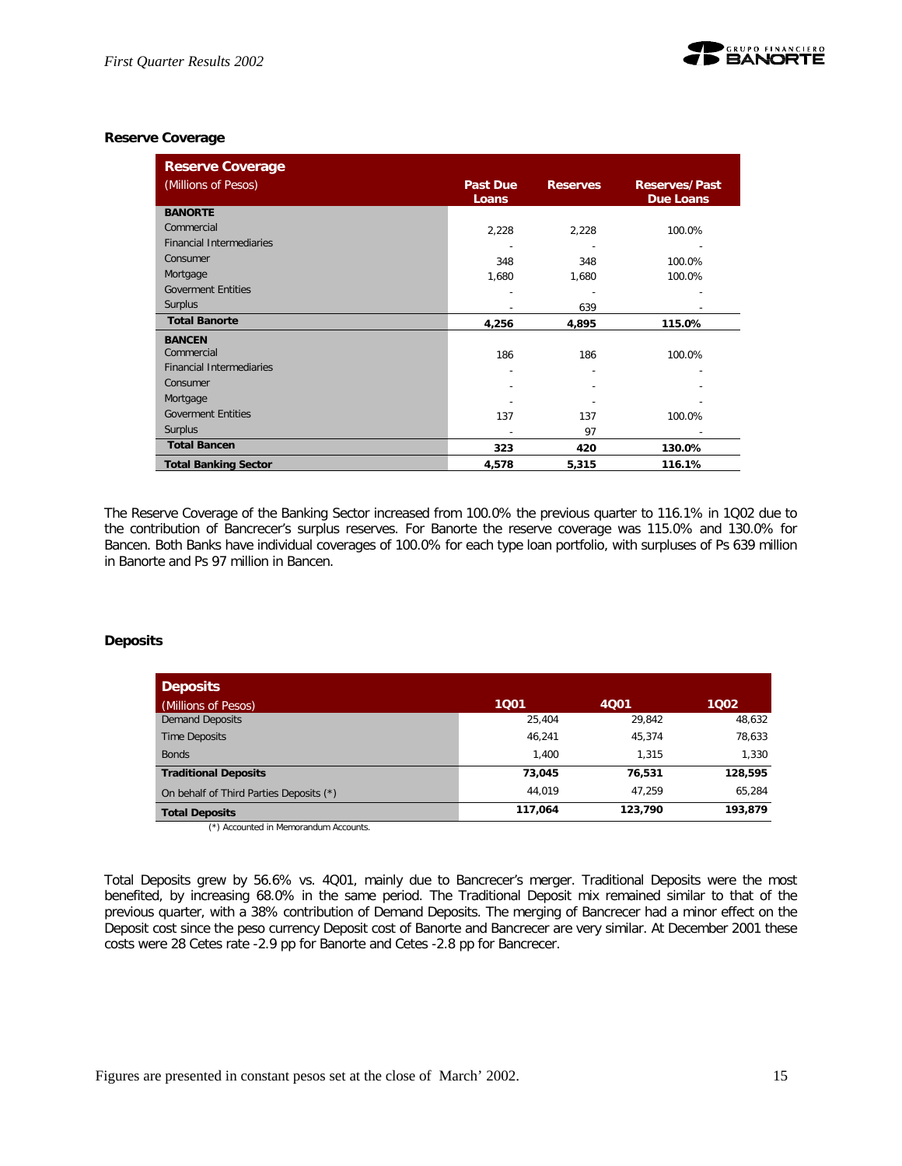

## **Reserve Coverage**

| <b>Reserve Coverage</b>         |                 |                 |                      |
|---------------------------------|-----------------|-----------------|----------------------|
| (Millions of Pesos)             | <b>Past Due</b> | <b>Reserves</b> | <b>Reserves/Past</b> |
|                                 | Loans           |                 | <b>Due Loans</b>     |
| <b>BANORTE</b>                  |                 |                 |                      |
| Commercial                      | 2,228           | 2,228           | 100.0%               |
| <b>Financial Intermediaries</b> |                 |                 |                      |
| Consumer                        | 348             | 348             | 100.0%               |
| Mortgage                        | 1,680           | 1,680           | 100.0%               |
| <b>Goverment Entities</b>       |                 |                 |                      |
| Surplus                         |                 | 639             |                      |
| <b>Total Banorte</b>            | 4,256           | 4,895           | 115.0%               |
| <b>BANCEN</b>                   |                 |                 |                      |
| Commercial                      | 186             | 186             | 100.0%               |
| <b>Financial Intermediaries</b> | ٠               |                 |                      |
| Consumer                        |                 |                 |                      |
| Mortgage                        |                 |                 |                      |
| <b>Goverment Entities</b>       | 137             | 137             | 100.0%               |
| <b>Surplus</b>                  |                 | 97              |                      |
| <b>Total Bancen</b>             | 323             | 420             | 130.0%               |
| <b>Total Banking Sector</b>     | 4,578           | 5,315           | 116.1%               |

The Reserve Coverage of the Banking Sector increased from 100.0% the previous quarter to 116.1% in 1Q02 due to the contribution of Bancrecer's surplus reserves. For Banorte the reserve coverage was 115.0% and 130.0% for Bancen. Both Banks have individual coverages of 100.0% for each type loan portfolio, with surpluses of Ps 639 million in Banorte and Ps 97 million in Bancen.

## **Deposits**

| <b>Deposits</b>                         |         |         |         |
|-----------------------------------------|---------|---------|---------|
| (Millions of Pesos)                     | 1001    | 4001    | 1002    |
| <b>Demand Deposits</b>                  | 25.404  | 29.842  | 48,632  |
| <b>Time Deposits</b>                    | 46.241  | 45.374  | 78,633  |
| <b>Bonds</b>                            | 1.400   | 1.315   | 1.330   |
| <b>Traditional Deposits</b>             | 73.045  | 76.531  | 128,595 |
| On behalf of Third Parties Deposits (*) | 44.019  | 47.259  | 65.284  |
| <b>Total Deposits</b>                   | 117,064 | 123,790 | 193,879 |

(\*) Accounted in Memorandum Accounts.

Total Deposits grew by 56.6% vs. 4Q01, mainly due to Bancrecer's merger. Traditional Deposits were the most benefited, by increasing 68.0% in the same period. The Traditional Deposit mix remained similar to that of the previous quarter, with a 38% contribution of Demand Deposits. The merging of Bancrecer had a minor effect on the Deposit cost since the peso currency Deposit cost of Banorte and Bancrecer are very similar. At December 2001 these costs were 28 Cetes rate -2.9 pp for Banorte and Cetes -2.8 pp for Bancrecer.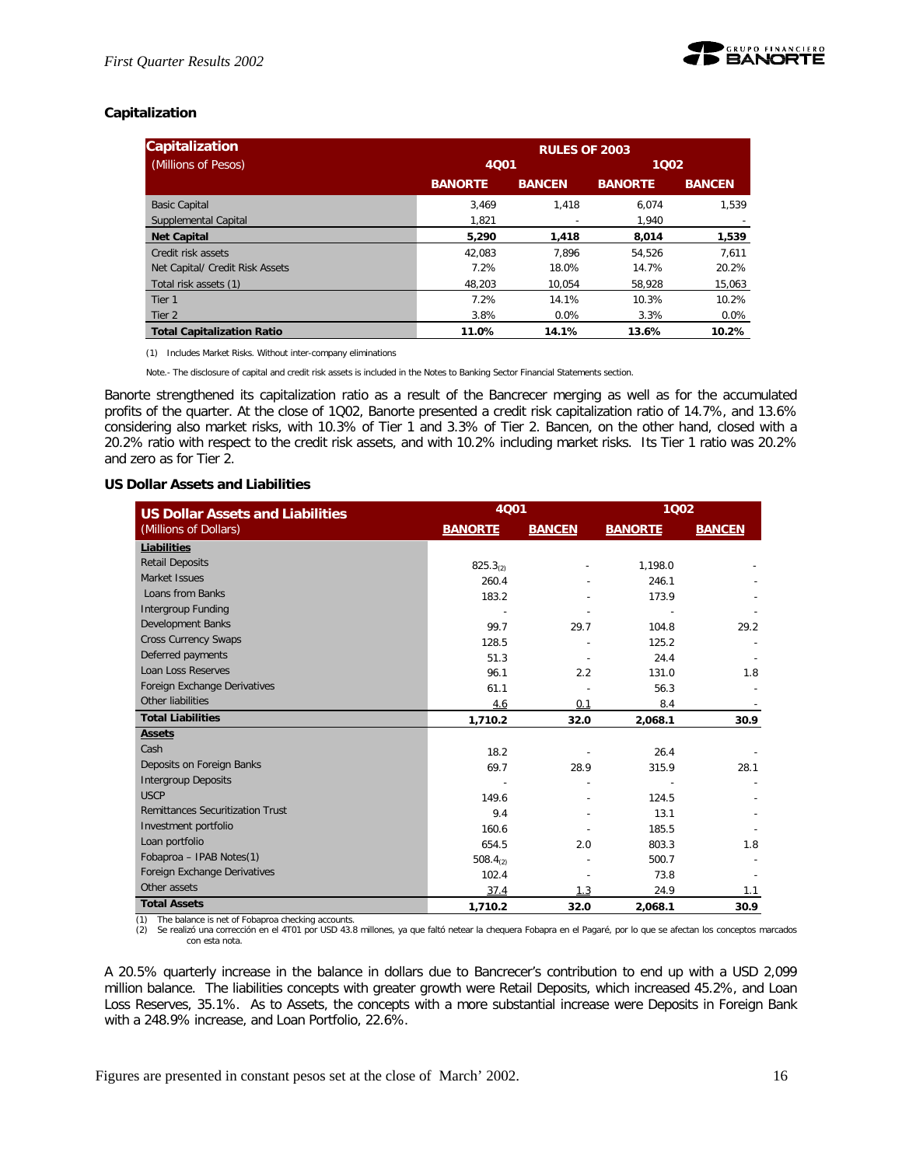

## **Capitalization**

| <b>Capitalization</b>             | <b>RULES OF 2003</b> |               |                |               |  |  |
|-----------------------------------|----------------------|---------------|----------------|---------------|--|--|
| (Millions of Pesos)               | 4Q01                 | 1002          |                |               |  |  |
|                                   | <b>BANORTE</b>       | <b>BANCEN</b> | <b>BANORTE</b> | <b>BANCEN</b> |  |  |
| <b>Basic Capital</b>              | 3.469                | 1.418         | 6.074          | 1.539         |  |  |
| Supplemental Capital              | 1.821                |               | 1.940          |               |  |  |
| <b>Net Capital</b>                | 5,290                | 1,418         | 8.014          | 1.539         |  |  |
| Credit risk assets                | 42.083               | 7.896         | 54.526         | 7.611         |  |  |
| Net Capital/ Credit Risk Assets   | 7.2%                 | 18.0%         | 14.7%          | 20.2%         |  |  |
| Total risk assets (1)             | 48,203               | 10.054        | 58.928         | 15,063        |  |  |
| Tier 1                            | 7.2%                 | 14.1%         | 10.3%          | 10.2%         |  |  |
| Tier 2                            | 3.8%                 | $0.0\%$       | 3.3%           | $0.0\%$       |  |  |
| <b>Total Capitalization Ratio</b> | 11.0%                | 14.1%         | 13.6%          | 10.2%         |  |  |

(1) Includes Market Risks. Without inter-company eliminations

Note.- The disclosure of capital and credit risk assets is included in the Notes to Banking Sector Financial Statements section.

Banorte strengthened its capitalization ratio as a result of the Bancrecer merging as well as for the accumulated profits of the quarter. At the close of 1Q02, Banorte presented a credit risk capitalization ratio of 14.7%, and 13.6% considering also market risks, with 10.3% of Tier 1 and 3.3% of Tier 2. Bancen, on the other hand, closed with a 20.2% ratio with respect to the credit risk assets, and with 10.2% including market risks. Its Tier 1 ratio was 20.2% and zero as for Tier 2.

## **US Dollar Assets and Liabilities**

| <b>US Dollar Assets and Liabilities</b> | 4Q01                 |               | 1002           |               |  |
|-----------------------------------------|----------------------|---------------|----------------|---------------|--|
| (Millions of Dollars)                   | <b>BANORTE</b>       | <b>BANCEN</b> | <b>BANORTE</b> | <b>BANCEN</b> |  |
| Liabilities                             |                      |               |                |               |  |
| <b>Retail Deposits</b>                  | 825.3 <sub>(2)</sub> |               | 1,198.0        |               |  |
| Market Issues                           | 260.4                |               | 246.1          |               |  |
| Loans from Banks                        | 183.2                |               | 173.9          |               |  |
| <b>Intergroup Funding</b>               |                      |               |                |               |  |
| Development Banks                       | 99.7                 | 29.7          | 104.8          | 29.2          |  |
| <b>Cross Currency Swaps</b>             | 128.5                |               | 125.2          |               |  |
| Deferred payments                       | 51.3                 |               | 24.4           |               |  |
| Loan Loss Reserves                      | 96.1                 | 2.2           | 131.0          | 1.8           |  |
| Foreign Exchange Derivatives            | 61.1                 |               | 56.3           |               |  |
| Other liabilities                       | 4.6                  | 0.1           | 8.4            |               |  |
| <b>Total Liabilities</b>                | 1,710.2              | 32.0          | 2,068.1        | 30.9          |  |
| <b>Assets</b>                           |                      |               |                |               |  |
| Cash                                    | 18.2                 |               | 26.4           |               |  |
| Deposits on Foreign Banks               | 69.7                 | 28.9          | 315.9          | 28.1          |  |
| <b>Intergroup Deposits</b>              |                      |               |                |               |  |
| <b>USCP</b>                             | 149.6                |               | 124.5          |               |  |
| <b>Remittances Securitization Trust</b> | 9.4                  |               | 13.1           |               |  |
| Investment portfolio                    | 160.6                |               | 185.5          |               |  |
| Loan portfolio                          | 654.5                | 2.0           | 803.3          | 1.8           |  |
| Fobaproa - IPAB Notes(1)                | 508.4 $(2)$          |               | 500.7          |               |  |
| Foreign Exchange Derivatives            | 102.4                |               | 73.8           |               |  |
| Other assets                            | 37.4                 | 1.3           | 24.9           | 1.1           |  |
| <b>Total Assets</b>                     | 1,710.2              | 32.0          | 2.068.1        | 30.9          |  |

(1) The balance is net of Fobaproa checking accounts. (2) Se realizó una corrección en el 4T01 por USD 43.8 millones, ya que faltó netear la chequera Fobapra en el Pagaré, por lo que se afectan los conceptos marcados con esta nota.

A 20.5% quarterly increase in the balance in dollars due to Bancrecer's contribution to end up with a USD 2,099 million balance. The liabilities concepts with greater growth were Retail Deposits, which increased 45.2%, and Loan Loss Reserves, 35.1%. As to Assets, the concepts with a more substantial increase were Deposits in Foreign Bank with a 248.9% increase, and Loan Portfolio, 22.6%.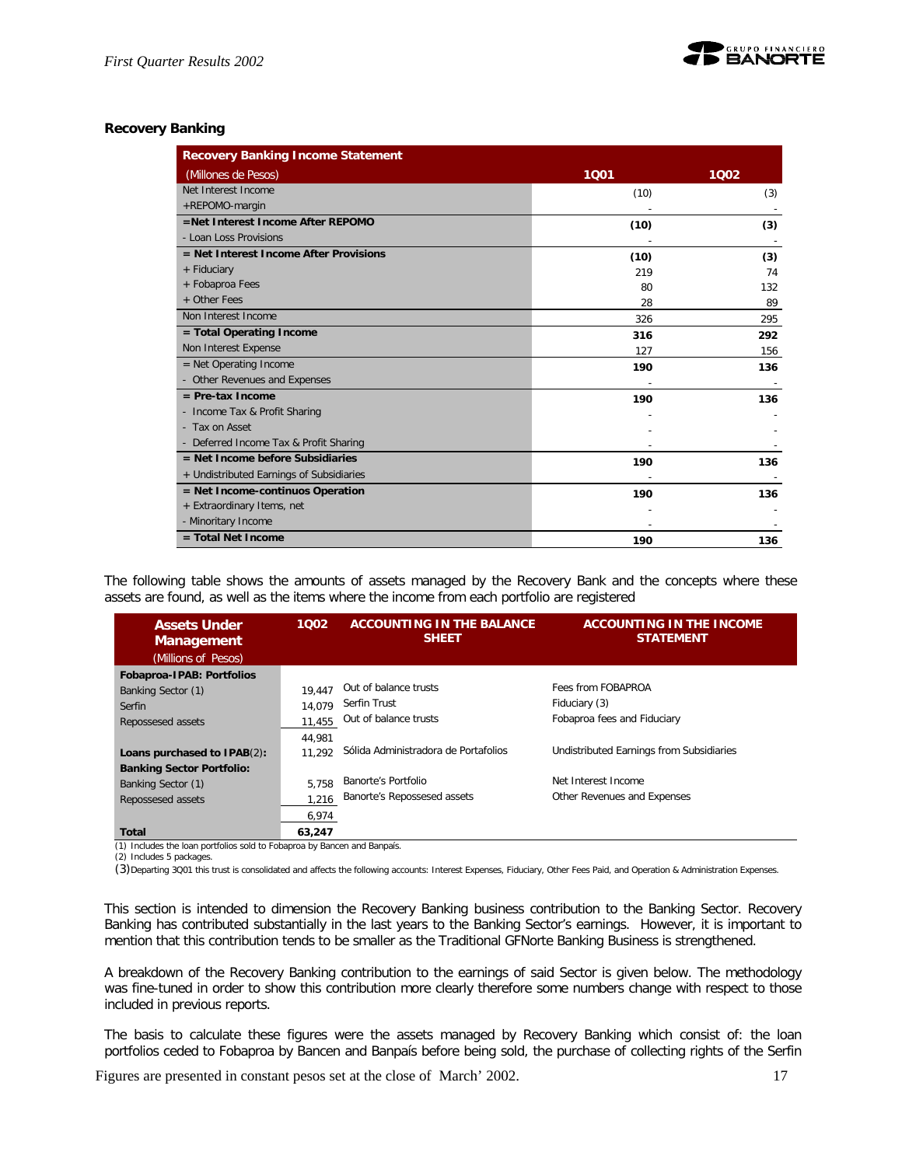

## **Recovery Banking**

| <b>Recovery Banking Income Statement</b> |      |      |
|------------------------------------------|------|------|
| (Millones de Pesos)                      | 1001 | 1002 |
| Net Interest Income                      | (10) | (3)  |
| +REPOMO-margin                           |      |      |
| =Net Interest Income After REPOMO        | (10) | (3)  |
| - Loan Loss Provisions                   |      |      |
| $=$ Net Interest Income After Provisions | (10) | (3)  |
| + Fiduciary                              | 219  | 74   |
| + Fobaproa Fees                          | 80   | 132  |
| + Other Fees                             | 28   | 89   |
| Non Interest Income                      | 326  | 295  |
| $=$ Total Operating Income               | 316  | 292  |
| Non Interest Expense                     | 127  | 156  |
| $=$ Net Operating Income                 | 190  | 136  |
| - Other Revenues and Expenses            |      |      |
| $=$ Pre-tax Income                       | 190  | 136  |
| - Income Tax & Profit Sharing            |      |      |
| - Tax on Asset                           |      |      |
| - Deferred Income Tax & Profit Sharing   |      |      |
| $=$ Net Income before Subsidiaries       | 190  | 136  |
| + Undistributed Earnings of Subsidiaries |      |      |
| = Net Income-continuos Operation         | 190  | 136  |
| + Extraordinary Items, net               |      |      |
| - Minoritary Income                      |      |      |
| $=$ Total Net Income                     | 190  | 136  |

The following table shows the amounts of assets managed by the Recovery Bank and the concepts where these assets are found, as well as the items where the income from each portfolio are registered

| <b>Assets Under</b><br><b>Management</b> | 1002   | <b>ACCOUNTING IN THE BALANCE</b><br><b>SHEET</b> | <b>ACCOUNTING IN THE INCOME</b><br><b>STATEMENT</b> |
|------------------------------------------|--------|--------------------------------------------------|-----------------------------------------------------|
| (Millions of Pesos)                      |        |                                                  |                                                     |
| Fobaproa-IPAB: Portfolios                |        |                                                  |                                                     |
| Banking Sector (1)                       | 19.447 | Out of balance trusts                            | Fees from FOBAPROA                                  |
| Serfin                                   | 14.079 | Serfin Trust                                     | Fiduciary (3)                                       |
| Repossesed assets                        | 11.455 | Out of balance trusts                            | Fobaproa fees and Fiduciary                         |
|                                          | 44.981 |                                                  |                                                     |
| Loans purchased to IPAB(2):              | 11.292 | Sólida Administradora de Portafolios             | Undistributed Earnings from Subsidiaries            |
| <b>Banking Sector Portfolio:</b>         |        |                                                  |                                                     |
| Banking Sector (1)                       | 5,758  | Banorte's Portfolio                              | Net Interest Income                                 |
| Repossesed assets                        | 1.216  | Banorte's Repossesed assets                      | Other Revenues and Expenses                         |
|                                          | 6,974  |                                                  |                                                     |
| Total                                    | 63,247 |                                                  |                                                     |

(1) Includes the loan portfolios sold to Fobaproa by Bancen and Banpaís.

(2) Includes 5 packages.

(3)Departing 3Q01 this trust is consolidated and affects the following accounts: Interest Expenses, Fiduciary, Other Fees Paid, and Operation & Administration Expenses.

This section is intended to dimension the Recovery Banking business contribution to the Banking Sector. Recovery Banking has contributed substantially in the last years to the Banking Sector's earnings. However, it is important to mention that this contribution tends to be smaller as the Traditional GFNorte Banking Business is strengthened.

A breakdown of the Recovery Banking contribution to the earnings of said Sector is given below. The methodology was fine-tuned in order to show this contribution more clearly therefore some numbers change with respect to those included in previous reports.

The basis to calculate these figures were the assets managed by Recovery Banking which consist of: the loan portfolios ceded to Fobaproa by Bancen and Banpaís before being sold, the purchase of collecting rights of the Serfin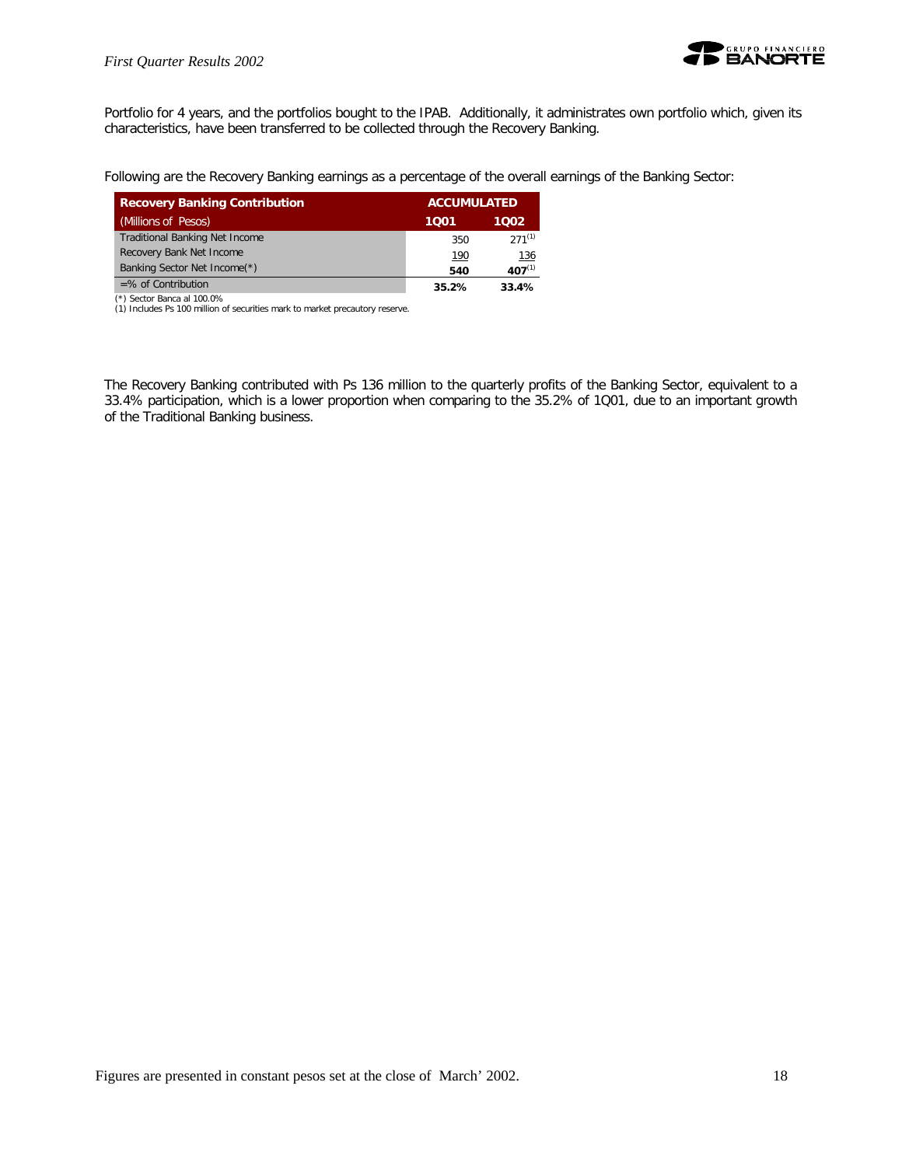

Portfolio for 4 years, and the portfolios bought to the IPAB. Additionally, it administrates own portfolio which, given its characteristics, have been transferred to be collected through the Recovery Banking.

Following are the Recovery Banking earnings as a percentage of the overall earnings of the Banking Sector:

| <b>Recovery Banking Contribution</b>  | <b>ACCUMULATED</b> |             |
|---------------------------------------|--------------------|-------------|
| (Millions of Pesos)                   | 1001               | 1002        |
| <b>Traditional Banking Net Income</b> | 350                | $271^{(1)}$ |
| Recovery Bank Net Income              | <u>190</u>         | <u>136</u>  |
| Banking Sector Net Income(*)          | 540                | $407^{(1)}$ |
| $=$ % of Contribution                 | 35.2%              | 33.4%       |

(\*) Sector Banca al 100.0%

(1) Includes Ps 100 million of securities mark to market precautory reserve.

The Recovery Banking contributed with Ps 136 million to the quarterly profits of the Banking Sector, equivalent to a 33.4% participation, which is a lower proportion when comparing to the 35.2% of 1Q01, due to an important growth of the Traditional Banking business.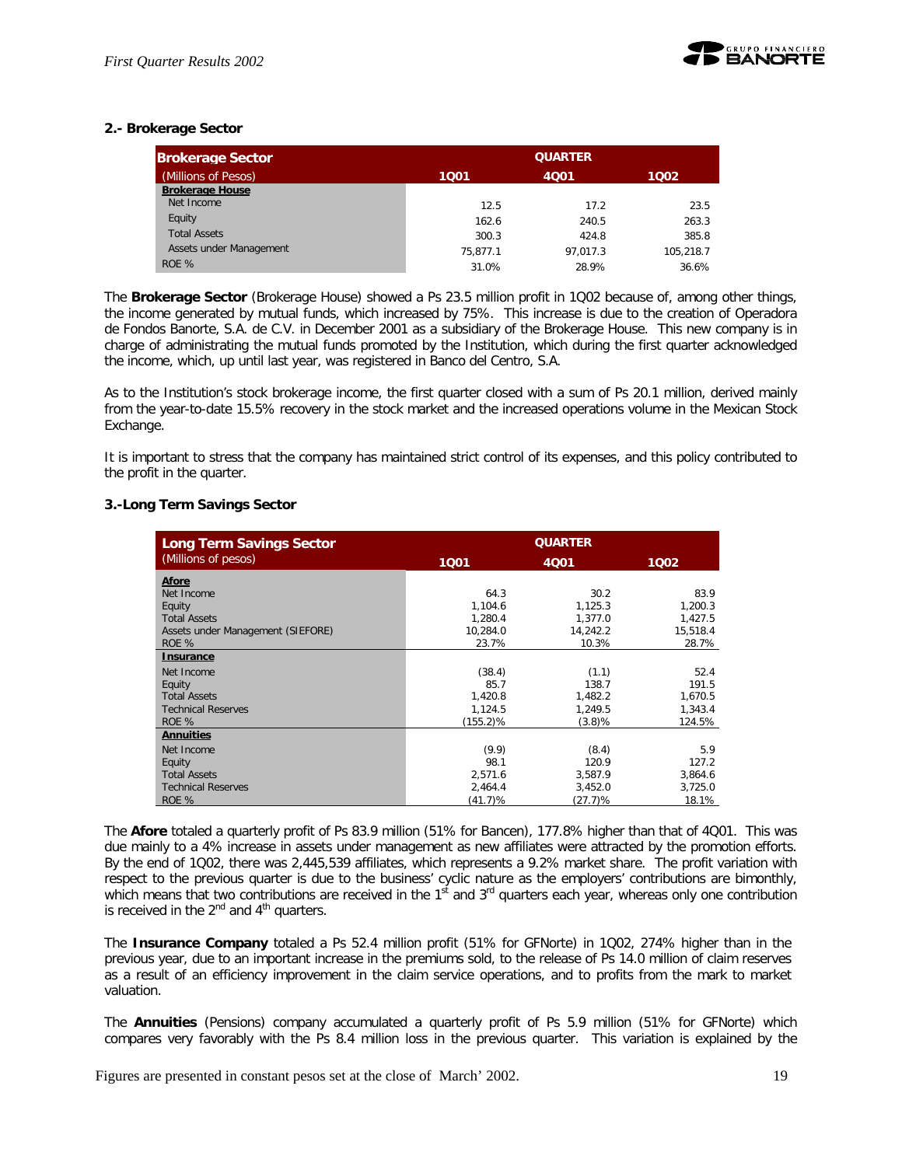

## **2.- Brokerage Sector**

| <b>Brokerage Sector</b> |          | <b>QUARTER</b> |           |  |  |  |  |
|-------------------------|----------|----------------|-----------|--|--|--|--|
| (Millions of Pesos)     | 1001     | 4001<br>1002   |           |  |  |  |  |
| <b>Brokerage House</b>  |          |                |           |  |  |  |  |
| Net Income              | 12.5     | 17.2           | 23.5      |  |  |  |  |
| Equity                  | 162.6    | 240.5          | 263.3     |  |  |  |  |
| <b>Total Assets</b>     | 300.3    | 424.8          | 385.8     |  |  |  |  |
| Assets under Management | 75.877.1 | 97.017.3       | 105.218.7 |  |  |  |  |
| ROE %                   | 31.0%    | 28.9%          | 36.6%     |  |  |  |  |

The *Brokerage Sector* (Brokerage House) showed a Ps 23.5 million profit in 1Q02 because of, among other things, the income generated by mutual funds, which increased by 75%. This increase is due to the creation of Operadora de Fondos Banorte, S.A. de C.V. in December 2001 as a subsidiary of the Brokerage House. This new company is in charge of administrating the mutual funds promoted by the Institution, which during the first quarter acknowledged the income, which, up until last year, was registered in Banco del Centro, S.A.

As to the Institution's stock brokerage income, the first quarter closed with a sum of Ps 20.1 million, derived mainly from the year-to-date 15.5% recovery in the stock market and the increased operations volume in the Mexican Stock Exchange.

It is important to stress that the company has maintained strict control of its expenses, and this policy contributed to the profit in the quarter.

## **3.-Long Term Savings Sector**

| <b>Long Term Savings Sector</b>   | <b>QUARTER</b> |          |          |
|-----------------------------------|----------------|----------|----------|
| (Millions of pesos)               | 1001           | 4Q01     | 1002     |
| <b>Afore</b>                      |                |          |          |
| Net Income                        | 64.3           | 30.2     | 83.9     |
| Equity                            | 1,104.6        | 1,125.3  | 1,200.3  |
| <b>Total Assets</b>               | 1,280.4        | 1.377.0  | 1,427.5  |
| Assets under Management (SIEFORE) | 10,284.0       | 14,242.2 | 15,518.4 |
| ROE %                             | 23.7%          | 10.3%    | 28.7%    |
| <b>Insurance</b>                  |                |          |          |
| Net Income                        | (38.4)         | (1.1)    | 52.4     |
| Equity                            | 85.7           | 138.7    | 191.5    |
| <b>Total Assets</b>               | 1,420.8        | 1,482.2  | 1,670.5  |
| <b>Technical Reserves</b>         | 1,124.5        | 1,249.5  | 1.343.4  |
| ROE %                             | $(155.2)\%$    | (3.8)%   | 124.5%   |
| <b>Annuities</b>                  |                |          |          |
| Net Income                        | (9.9)          | (8.4)    | 5.9      |
| Equity                            | 98.1           | 120.9    | 127.2    |
| <b>Total Assets</b>               | 2.571.6        | 3.587.9  | 3,864.6  |
| <b>Technical Reserves</b>         | 2,464.4        | 3,452.0  | 3,725.0  |
| ROE %                             | (41.7)%        | (27.7)%  | 18.1%    |

The *Afore* totaled a quarterly profit of Ps 83.9 million (51% for Bancen), 177.8% higher than that of 4Q01. This was due mainly to a 4% increase in assets under management as new affiliates were attracted by the promotion efforts. By the end of 1Q02, there was 2,445,539 affiliates, which represents a 9.2% market share. The profit variation with respect to the previous quarter is due to the business' cyclic nature as the employers' contributions are bimonthly, which means that two contributions are received in the 1<sup>st</sup> and 3<sup>rd</sup> quarters each year, whereas only one contribution is received in the  $2^{nd}$  and  $4^{th}$  quarters.

The *Insurance Company* totaled a Ps 52.4 million profit (51% for GFNorte) in 1Q02, 274% higher than in the previous year, due to an important increase in the premiums sold, to the release of Ps 14.0 million of claim reserves as a result of an efficiency improvement in the claim service operations, and to profits from the mark to market valuation.

The *Annuities* (Pensions) company accumulated a quarterly profit of Ps 5.9 million (51% for GFNorte) which compares very favorably with the Ps 8.4 million loss in the previous quarter. This variation is explained by the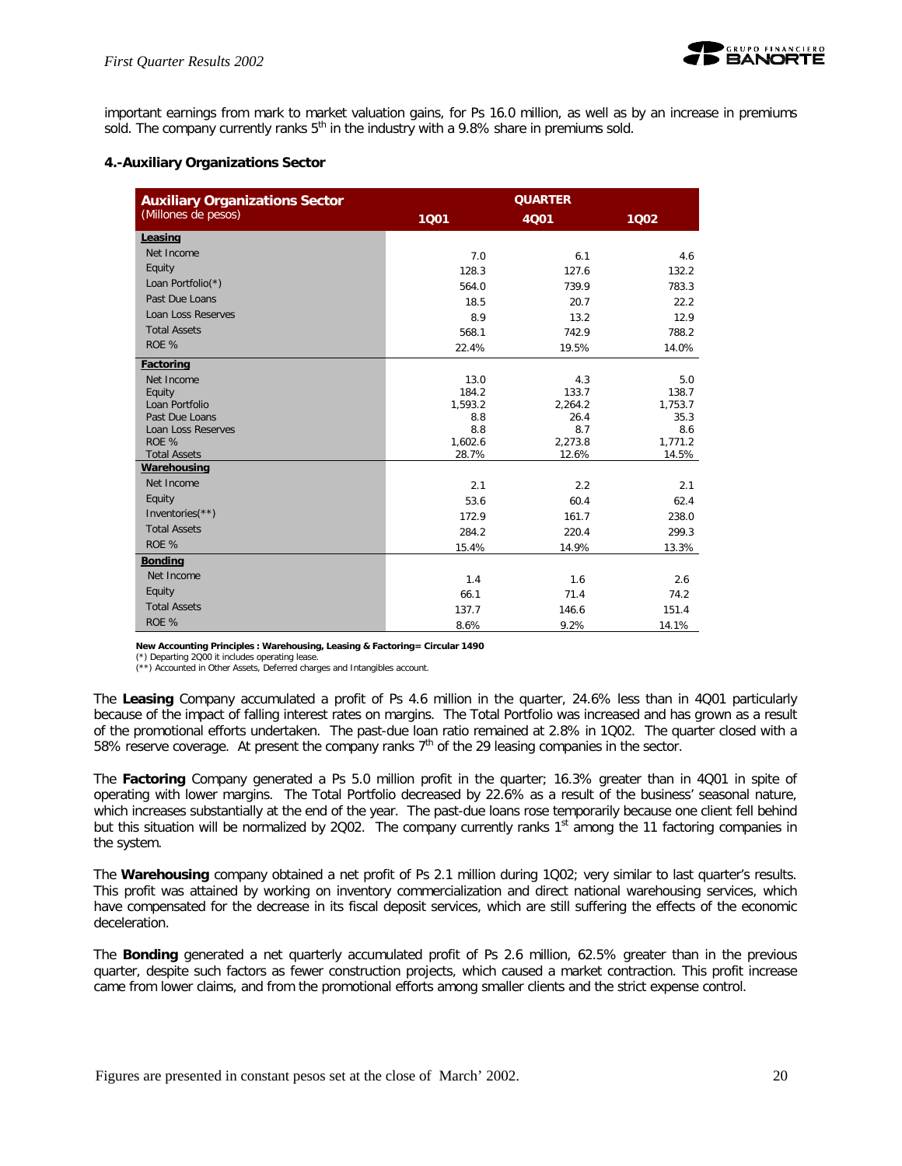

important earnings from mark to market valuation gains, for Ps 16.0 million, as well as by an increase in premiums sold. The company currently ranks  $5<sup>th</sup>$  in the industry with a 9.8% share in premiums sold.

## **4.-Auxiliary Organizations Sector**

| <b>Auxiliary Organizations Sector</b> | <b>QUARTER</b>   |                  |                  |  |
|---------------------------------------|------------------|------------------|------------------|--|
| (Millones de pesos)                   | 1001             | 4001             | 1Q02             |  |
| Leasing                               |                  |                  |                  |  |
| Net Income                            | 7.0              | 6.1              | 4.6              |  |
| Equity                                | 128.3            | 127.6            | 132.2            |  |
| Loan Portfolio(*)                     | 564.0            | 739.9            | 783.3            |  |
| Past Due Loans                        | 18.5             | 20.7             | 22.2             |  |
| Loan Loss Reserves                    | 8.9              | 13.2             | 12.9             |  |
| <b>Total Assets</b>                   | 568.1            | 742.9            | 788.2            |  |
| ROE %                                 | 22.4%            | 19.5%            | 14.0%            |  |
| <b>Factoring</b>                      |                  |                  |                  |  |
| Net Income                            | 13.0             | 4.3              | 5.0              |  |
| Equity                                | 184.2            | 133.7            | 138.7            |  |
| Loan Portfolio                        | 1,593.2          | 2,264.2          | 1,753.7          |  |
| Past Due Loans                        | 8.8              | 26.4             | 35.3             |  |
| Loan Loss Reserves                    | 8.8              | 8.7              | 8.6              |  |
| ROE %<br><b>Total Assets</b>          | 1,602.6<br>28.7% | 2,273.8<br>12.6% | 1,771.2<br>14.5% |  |
| Warehousing                           |                  |                  |                  |  |
| Net Income                            | 2.1              | 2.2              | 2.1              |  |
| Equity                                | 53.6             | 60.4             | 62.4             |  |
| Inventories $(**)$                    | 172.9            | 161.7            | 238.0            |  |
| <b>Total Assets</b>                   | 284.2            | 220.4            | 299.3            |  |
| ROE %                                 | 15.4%            | 14.9%            | 13.3%            |  |
| <b>Bonding</b>                        |                  |                  |                  |  |
| Net Income                            | 1.4              | 1.6              | 2.6              |  |
| Equity                                | 66.1             | 71.4             | 74.2             |  |
| <b>Total Assets</b>                   | 137.7            | 146.6            | 151.4            |  |
| ROE %                                 | 8.6%             | 9.2%             | 14.1%            |  |

**New Accounting Principles : Warehousing, Leasing & Factoring= Circular 1490**

(\*) Departing 2Q00 it includes operating lease.

(\*\*) Accounted in Other Assets, Deferred charges and Intangibles account.

The *Leasing* Company accumulated a profit of Ps 4.6 million in the quarter, 24.6% less than in 4Q01 particularly because of the impact of falling interest rates on margins. The Total Portfolio was increased and has grown as a result of the promotional efforts undertaken. The past-due loan ratio remained at 2.8% in 1Q02. The quarter closed with a 58% reserve coverage. At present the company ranks 7<sup>th</sup> of the 29 leasing companies in the sector.

The *Factoring* Company generated a Ps 5.0 million profit in the quarter; 16.3% greater than in 4Q01 in spite of operating with lower margins. The Total Portfolio decreased by 22.6% as a result of the business' seasonal nature, which increases substantially at the end of the year. The past-due loans rose temporarily because one client fell behind but this situation will be normalized by 2002. The company currently ranks 1<sup>st</sup> among the 11 factoring companies in the system.

The *Warehousing* company obtained a net profit of Ps 2.1 million during 1Q02; very similar to last quarter's results. This profit was attained by working on inventory commercialization and direct national warehousing services, which have compensated for the decrease in its fiscal deposit services, which are still suffering the effects of the economic deceleration.

The *Bonding* generated a net quarterly accumulated profit of Ps 2.6 million, 62.5% greater than in the previous quarter, despite such factors as fewer construction projects, which caused a market contraction. This profit increase came from lower claims, and from the promotional efforts among smaller clients and the strict expense control.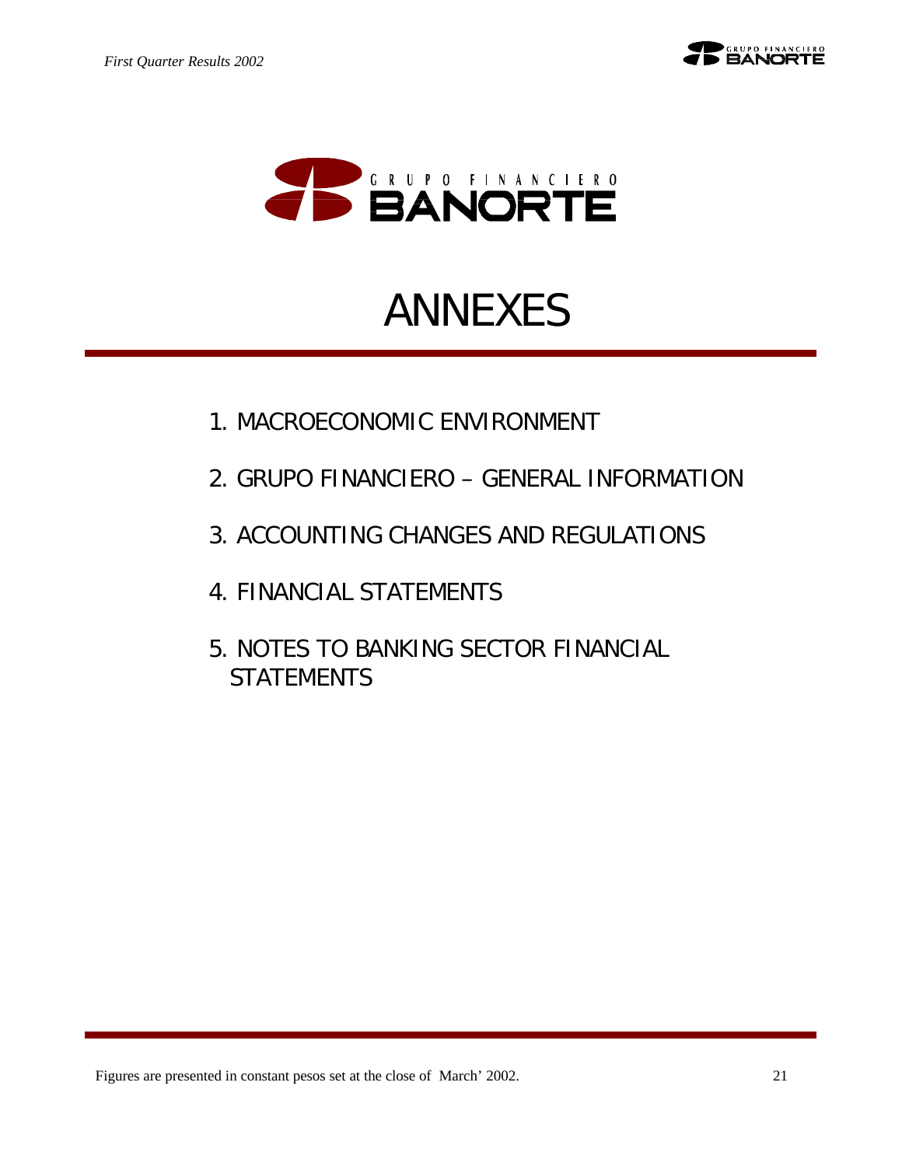

# ANNEXES

- 1. MACROECONOMIC ENVIRONMENT
- 2. GRUPO FINANCIERO GENERAL INFORMATION
- 3. ACCOUNTING CHANGES AND REGULATIONS
- 4. FINANCIAL STATEMENTS
- 5. NOTES TO BANKING SECTOR FINANCIAL **STATEMENTS**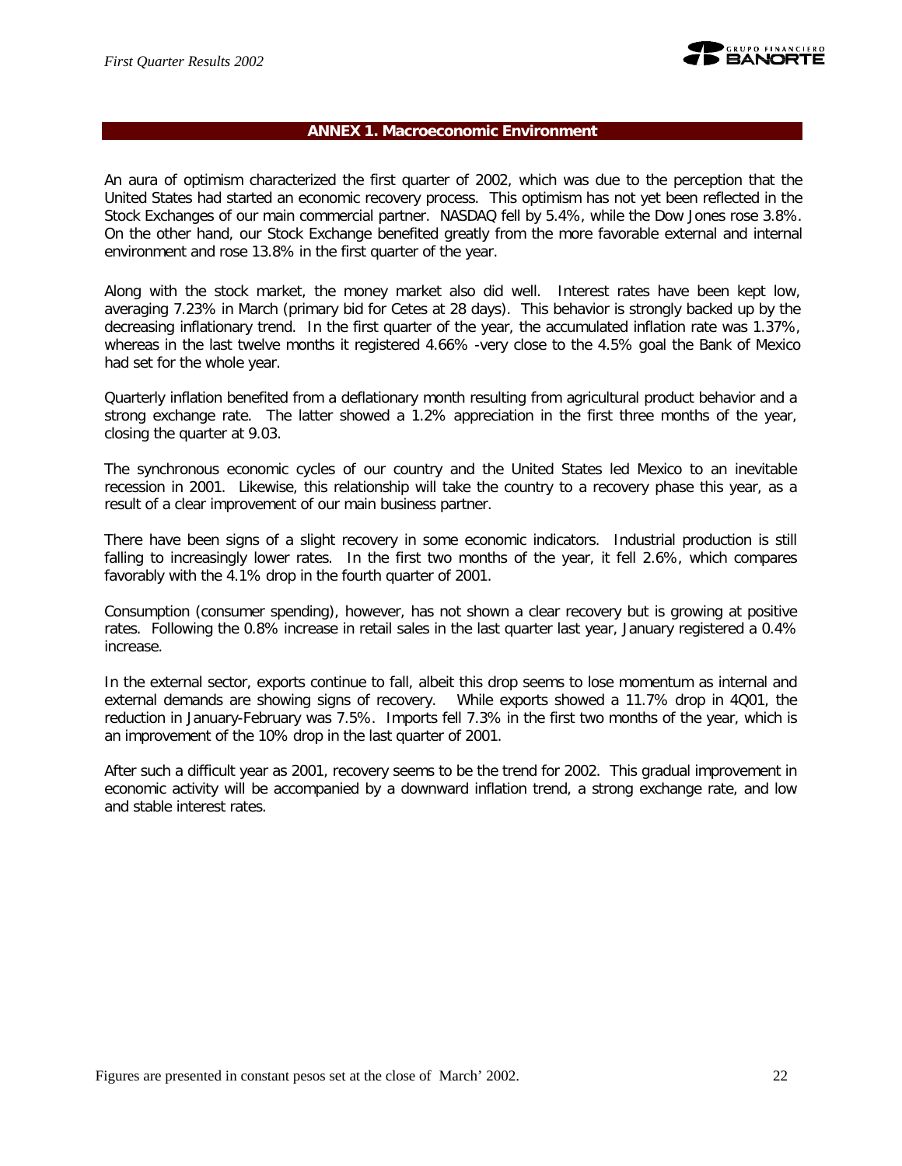

## **ANNEX 1. Macroeconomic Environment**

An aura of optimism characterized the first quarter of 2002, which was due to the perception that the United States had started an economic recovery process. This optimism has not yet been reflected in the Stock Exchanges of our main commercial partner. NASDAQ fell by 5.4%, while the Dow Jones rose 3.8%. On the other hand, our Stock Exchange benefited greatly from the more favorable external and internal environment and rose 13.8% in the first quarter of the year.

Along with the stock market, the money market also did well. Interest rates have been kept low, averaging 7.23% in March (primary bid for Cetes at 28 days). This behavior is strongly backed up by the decreasing inflationary trend. In the first quarter of the year, the accumulated inflation rate was 1.37%, whereas in the last twelve months it registered 4.66% -very close to the 4.5% goal the Bank of Mexico had set for the whole year.

Quarterly inflation benefited from a deflationary month resulting from agricultural product behavior and a strong exchange rate. The latter showed a 1.2% appreciation in the first three months of the year, closing the quarter at 9.03.

The synchronous economic cycles of our country and the United States led Mexico to an inevitable recession in 2001. Likewise, this relationship will take the country to a recovery phase this year, as a result of a clear improvement of our main business partner.

There have been signs of a slight recovery in some economic indicators. Industrial production is still falling to increasingly lower rates. In the first two months of the year, it fell 2.6%, which compares favorably with the 4.1% drop in the fourth quarter of 2001.

Consumption (consumer spending), however, has not shown a clear recovery but is growing at positive rates. Following the 0.8% increase in retail sales in the last quarter last year, January registered a 0.4% increase.

In the external sector, exports continue to fall, albeit this drop seems to lose momentum as internal and external demands are showing signs of recovery. While exports showed a 11.7% drop in 4Q01, the reduction in January-February was 7.5%. Imports fell 7.3% in the first two months of the year, which is an improvement of the 10% drop in the last quarter of 2001.

After such a difficult year as 2001, recovery seems to be the trend for 2002. This gradual improvement in economic activity will be accompanied by a downward inflation trend, a strong exchange rate, and low and stable interest rates.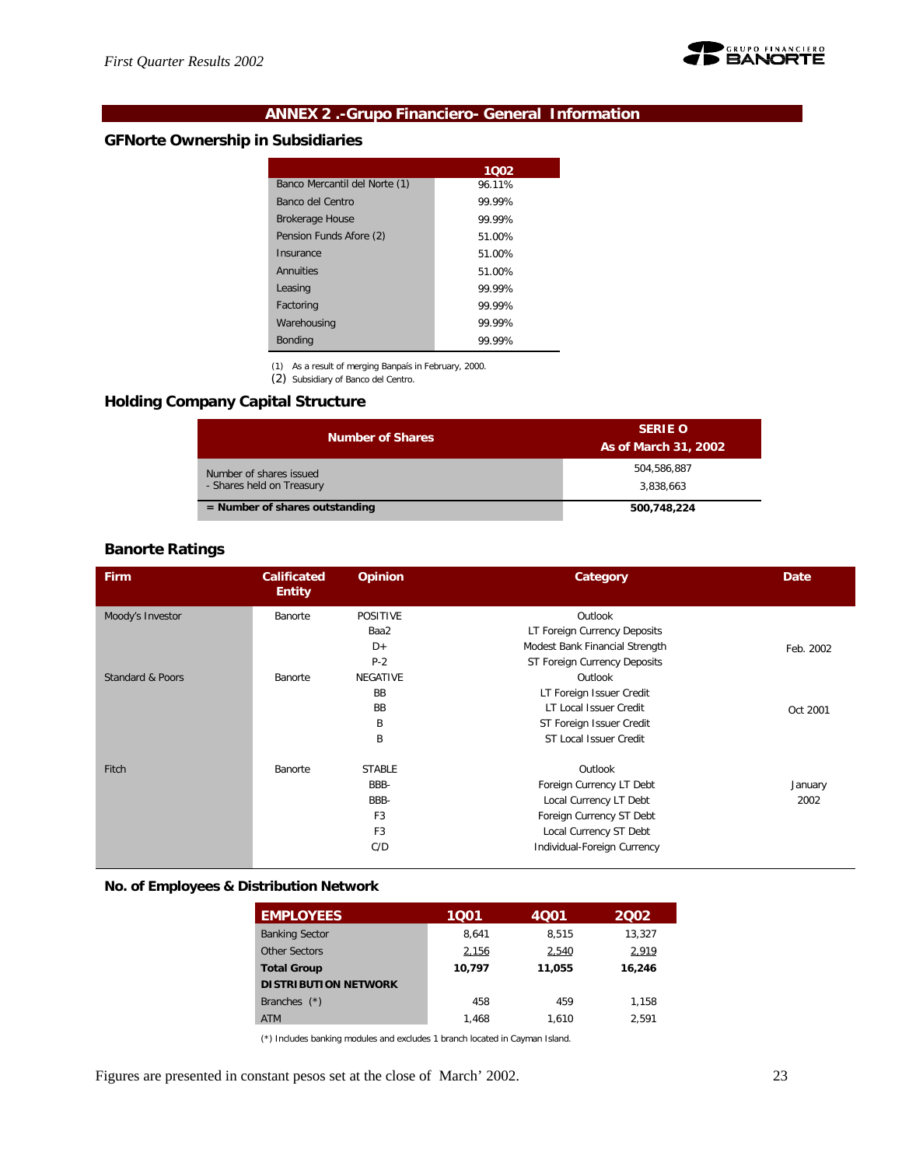

## **ANNEX 2 .-Grupo Financiero- General Information**

## **GFNorte Ownership in Subsidiaries**

| 1002   |
|--------|
| 96.11% |
| 99.99% |
| 99 99% |
| 51.00% |
| 51.00% |
| 51.00% |
| 99.99% |
| 99.99% |
| 99.99% |
| 99.99% |
|        |

(1) As a result of merging Banpaís in February, 2000. (2) Subsidiary of Banco del Centro.

## **Holding Company Capital Structure**

| <b>Number of Shares</b>          | <b>SERIE O</b><br>As of March 31, 2002 |
|----------------------------------|----------------------------------------|
| Number of shares issued          | 504.586.887                            |
| - Shares held on Treasury        | 3.838.663                              |
| $=$ Number of shares outstanding | 500,748,224                            |

## **Banorte Ratings**

| Firm             | <b>Calificated</b><br><b>Entity</b> | <b>Opinion</b>  | Category                       | <b>Date</b> |
|------------------|-------------------------------------|-----------------|--------------------------------|-------------|
| Moody's Investor | Banorte                             | <b>POSITIVE</b> | Outlook                        |             |
|                  |                                     | Baa2            | LT Foreign Currency Deposits   |             |
|                  |                                     | D+              | Modest Bank Financial Strength | Feb. 2002   |
|                  |                                     | $P-2$           | ST Foreign Currency Deposits   |             |
| Standard & Poors | Banorte                             | <b>NEGATIVE</b> | Outlook                        |             |
|                  |                                     | <b>BB</b>       | LT Foreign Issuer Credit       |             |
|                  |                                     | <b>BB</b>       | LT Local Issuer Credit         | Oct 2001    |
|                  |                                     | B               | ST Foreign Issuer Credit       |             |
|                  |                                     | Β               | ST Local Issuer Credit         |             |
| Fitch            | Banorte                             | <b>STABLE</b>   | Outlook                        |             |
|                  |                                     | BBB-            | Foreign Currency LT Debt       | January     |
|                  |                                     | BBB-            | Local Currency LT Debt         | 2002        |
|                  |                                     | F <sub>3</sub>  | Foreign Currency ST Debt       |             |
|                  |                                     | F <sub>3</sub>  | Local Currency ST Debt         |             |
|                  |                                     | C/D             | Individual-Foreign Currency    |             |

## **No. of Employees & Distribution Network**

| <b>EMPLOYEES</b>            | 1001   | 4001   | 2002   |
|-----------------------------|--------|--------|--------|
| <b>Banking Sector</b>       | 8.641  | 8.515  | 13,327 |
| Other Sectors               | 2,156  | 2,540  | 2,919  |
| <b>Total Group</b>          | 10.797 | 11.055 | 16,246 |
| <b>DISTRIBUTION NETWORK</b> |        |        |        |
| Branches $(*)$              | 458    | 459    | 1.158  |
| <b>ATM</b>                  | 1.468  | 1.610  | 2.591  |

(\*) Includes banking modules and excludes 1 branch located in Cayman Island.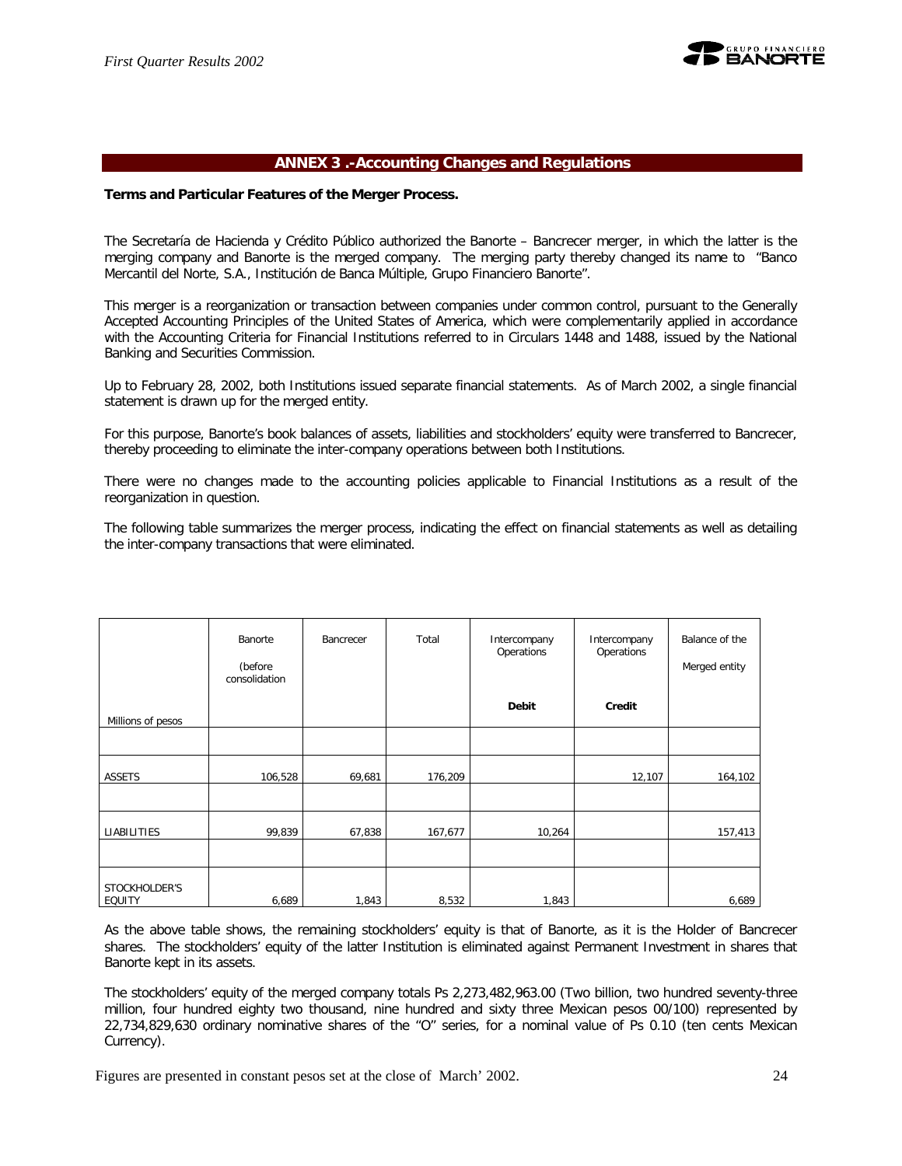

## **ANNEX 3 .-Accounting Changes and Regulations**

#### **Terms and Particular Features of the Merger Process.**

The Secretaría de Hacienda y Crédito Público authorized the Banorte – Bancrecer merger, in which the latter is the merging company and Banorte is the merged company. The merging party thereby changed its name to "Banco Mercantil del Norte, S.A., Institución de Banca Múltiple, Grupo Financiero Banorte".

This merger is a reorganization or transaction between companies under common control, pursuant to the Generally Accepted Accounting Principles of the United States of America, which were complementarily applied in accordance with the Accounting Criteria for Financial Institutions referred to in Circulars 1448 and 1488, issued by the National Banking and Securities Commission.

Up to February 28, 2002, both Institutions issued separate financial statements. As of March 2002, a single financial statement is drawn up for the merged entity.

For this purpose, Banorte's book balances of assets, liabilities and stockholders' equity were transferred to Bancrecer, thereby proceeding to eliminate the inter-company operations between both Institutions.

There were no changes made to the accounting policies applicable to Financial Institutions as a result of the reorganization in question.

The following table summarizes the merger process, indicating the effect on financial statements as well as detailing the inter-company transactions that were eliminated.

|                                | Banorte<br>(before<br>consolidation | Bancrecer | Total   | Intercompany<br>Operations | Intercompany<br>Operations | Balance of the<br>Merged entity |
|--------------------------------|-------------------------------------|-----------|---------|----------------------------|----------------------------|---------------------------------|
| Millions of pesos              |                                     |           |         | Debit                      | Credit                     |                                 |
|                                |                                     |           |         |                            |                            |                                 |
| <b>ASSETS</b>                  | 106,528                             | 69,681    | 176,209 |                            | 12,107                     | 164,102                         |
|                                |                                     |           |         |                            |                            |                                 |
| LIABILITIES                    | 99,839                              | 67,838    | 167,677 | 10,264                     |                            | 157,413                         |
|                                |                                     |           |         |                            |                            |                                 |
| STOCKHOLDER'S<br><b>EQUITY</b> | 6,689                               | 1,843     | 8,532   | 1,843                      |                            | 6,689                           |

As the above table shows, the remaining stockholders' equity is that of Banorte, as it is the Holder of Bancrecer shares. The stockholders' equity of the latter Institution is eliminated against Permanent Investment in shares that Banorte kept in its assets.

The stockholders' equity of the merged company totals Ps 2,273,482,963.00 (Two billion, two hundred seventy-three million, four hundred eighty two thousand, nine hundred and sixty three Mexican pesos 00/100) represented by 22,734,829,630 ordinary nominative shares of the "O" series, for a nominal value of Ps 0.10 (ten cents Mexican Currency).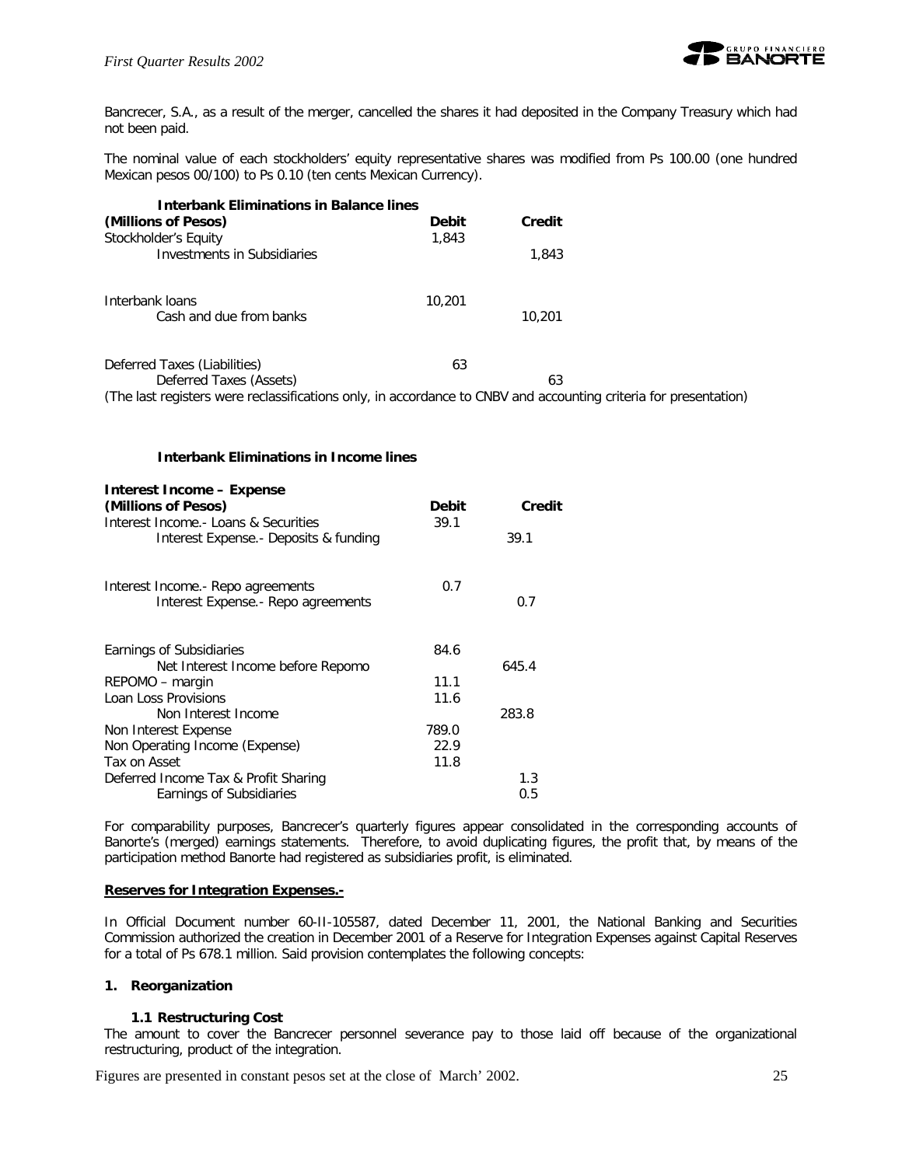

Bancrecer, S.A., as a result of the merger, cancelled the shares it had deposited in the Company Treasury which had not been paid.

The nominal value of each stockholders' equity representative shares was modified from Ps 100.00 (one hundred Mexican pesos 00/100) to Ps 0.10 (ten cents Mexican Currency).

| <b>Interbank Eliminations in Balance lines</b>                                                                   |              |        |  |
|------------------------------------------------------------------------------------------------------------------|--------------|--------|--|
| (Millions of Pesos)                                                                                              | <b>Debit</b> | Credit |  |
| Stockholder's Equity                                                                                             | 1,843        |        |  |
| Investments in Subsidiaries                                                                                      |              | 1,843  |  |
| Interbank loans                                                                                                  | 10,201       |        |  |
| Cash and due from banks                                                                                          |              | 10,201 |  |
| Deferred Taxes (Liabilities)                                                                                     | 63           |        |  |
| Deferred Taxes (Assets)                                                                                          |              | 63     |  |
| (The last registers were reclassifications only, in accordance to CNBV and accounting criteria for presentation) |              |        |  |

## **Interbank Eliminations in Income lines**

| <b>Debit</b><br>Credit |
|------------------------|
| 39.1                   |
| 39.1                   |
| 0.7                    |
| 0.7                    |
| 84.6                   |
| 645.4                  |
| 11.1                   |
| 11.6                   |
| 283.8                  |
| 789.0                  |
| 22.9                   |
| 11.8                   |
| 1.3                    |
| 0.5                    |
|                        |

For comparability purposes, Bancrecer's quarterly figures appear consolidated in the corresponding accounts of Banorte's (merged) earnings statements. Therefore, to avoid duplicating figures, the profit that, by means of the participation method Banorte had registered as subsidiaries profit, is eliminated.

## **Reserves for Integration Expenses.-**

In Official Document number 60-II-105587, dated December 11, 2001, the National Banking and Securities Commission authorized the creation in December 2001 of a Reserve for Integration Expenses against Capital Reserves for a total of Ps 678.1 million. Said provision contemplates the following concepts:

## **1. Reorganization**

## **1.1 Restructuring Cost**

The amount to cover the Bancrecer personnel severance pay to those laid off because of the organizational restructuring, product of the integration.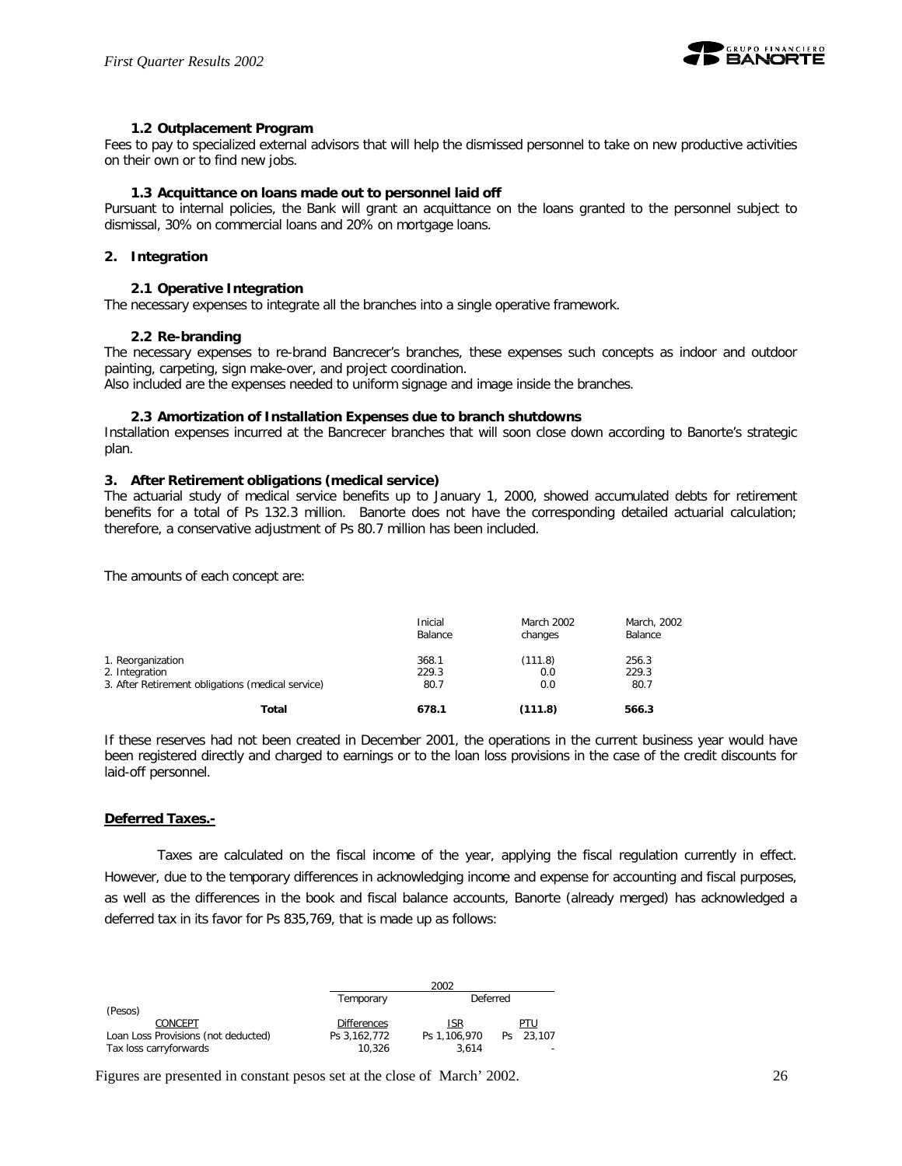

## **1.2 Outplacement Program**

Fees to pay to specialized external advisors that will help the dismissed personnel to take on new productive activities on their own or to find new jobs.

#### **1.3 Acquittance on loans made out to personnel laid off**

Pursuant to internal policies, the Bank will grant an acquittance on the loans granted to the personnel subject to dismissal, 30% on commercial loans and 20% on mortgage loans.

#### **2. Integration**

#### **2.1 Operative Integration**

The necessary expenses to integrate all the branches into a single operative framework.

#### **2.2 Re-branding**

The necessary expenses to re-brand Bancrecer's branches, these expenses such concepts as indoor and outdoor painting, carpeting, sign make-over, and project coordination.

Also included are the expenses needed to uniform signage and image inside the branches.

#### **2.3 Amortization of Installation Expenses due to branch shutdowns**

Installation expenses incurred at the Bancrecer branches that will soon close down according to Banorte's strategic plan.

#### **3. After Retirement obligations (medical service)**

The actuarial study of medical service benefits up to January 1, 2000, showed accumulated debts for retirement benefits for a total of Ps 132.3 million. Banorte does not have the corresponding detailed actuarial calculation; therefore, a conservative adjustment of Ps 80.7 million has been included.

The amounts of each concept are:

|                                                   | Inicial<br>Balance | <b>March 2002</b><br>changes | March, 2002<br>Balance |
|---------------------------------------------------|--------------------|------------------------------|------------------------|
| 1. Reorganization                                 | 368.1              | (111.8)                      | 256.3                  |
| 2. Integration                                    | 229.3              | 0.0                          | 229.3                  |
| 3. After Retirement obligations (medical service) | 80.7               | 0.0                          | 80.7                   |
| Total                                             | 678.1              | (111.8)                      | 566.3                  |

If these reserves had not been created in December 2001, the operations in the current business year would have been registered directly and charged to earnings or to the loan loss provisions in the case of the credit discounts for laid-off personnel.

#### **Deferred Taxes.-**

Taxes are calculated on the fiscal income of the year, applying the fiscal regulation currently in effect. However, due to the temporary differences in acknowledging income and expense for accounting and fiscal purposes, as well as the differences in the book and fiscal balance accounts, Banorte (already merged) has acknowledged a deferred tax in its favor for Ps 835,769, that is made up as follows:

|                                     |                    | 2002         |           |
|-------------------------------------|--------------------|--------------|-----------|
|                                     | Temporary          | Deferred     |           |
| (Pesos)                             |                    |              |           |
| CONCEPT                             | <b>Differences</b> | <b>ISR</b>   | PTU       |
| Loan Loss Provisions (not deducted) | Ps 3.162.772       | Ps 1.106.970 | Ps 23.107 |
| Tax loss carryforwards              | 10.326             | 3.614        |           |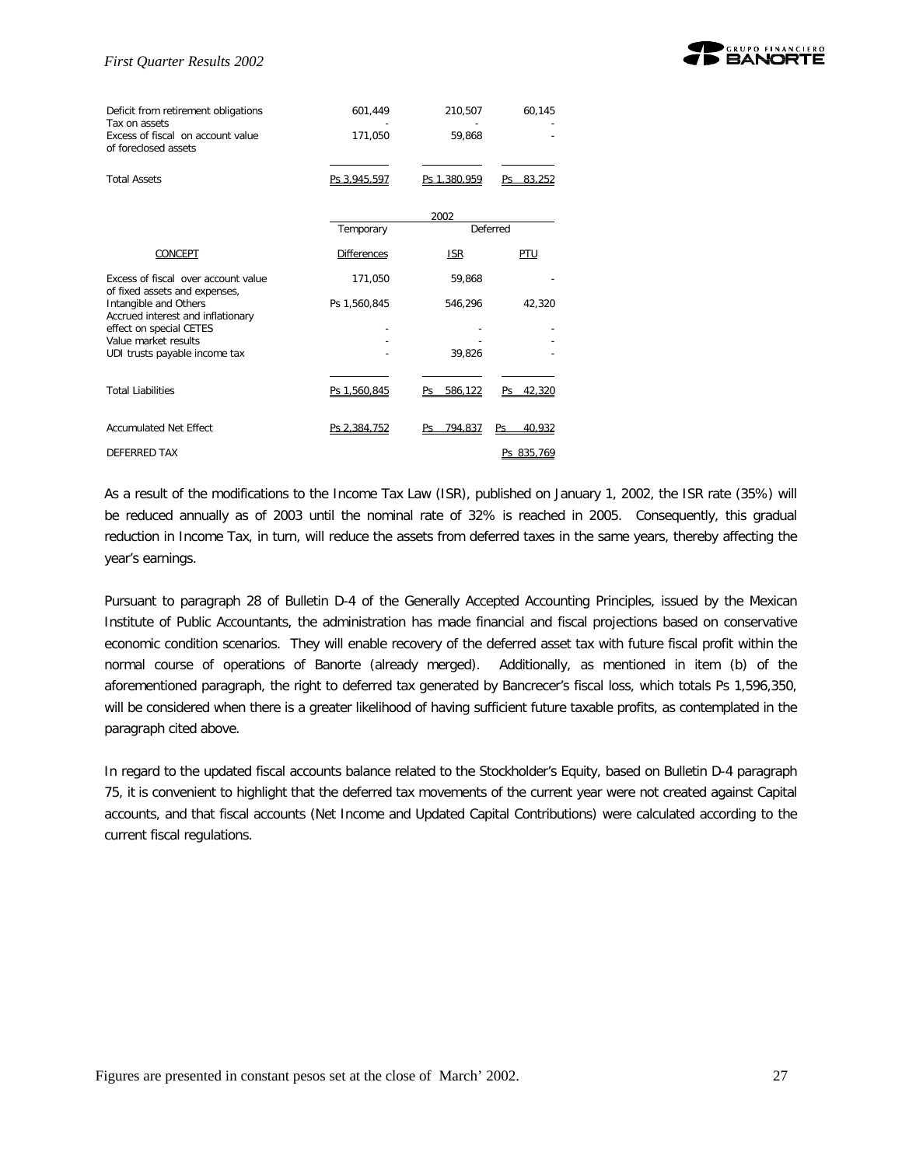

| Deficit from retirement obligations<br>Tax on assets<br>Excess of fiscal on account value<br>of foreclosed assets | 601,449<br>171,050 | 210,507<br>59,868 | 60,145       |
|-------------------------------------------------------------------------------------------------------------------|--------------------|-------------------|--------------|
| <b>Total Assets</b>                                                                                               | Ps 3.945.597       | Ps 1.380.959      | 83.252<br>Pς |
|                                                                                                                   | Temporary          | 2002              | Deferred     |
| CONCEPT                                                                                                           | <b>Differences</b> | <b>ISR</b>        | PTU          |
| Excess of fiscal over account value                                                                               | 171,050            | 59,868            |              |
| of fixed assets and expenses,<br>Intangible and Others<br>Accrued interest and inflationary                       | Ps 1,560,845       | 546,296           | 42,320       |
| effect on special CETES                                                                                           |                    |                   |              |
| Value market results<br>UDI trusts payable income tax                                                             |                    | 39,826            |              |
|                                                                                                                   |                    |                   |              |
| <b>Total Liabilities</b>                                                                                          | Ps 1.560.845       | 586.122           | 42.320<br>Pς |
| <b>Accumulated Net Effect</b>                                                                                     | Ps 2.384.752       | 794.837<br>Ps     | 40,932<br>Ps |
| DEFERRED TAX                                                                                                      |                    |                   | Ps 835.769   |

As a result of the modifications to the Income Tax Law (ISR), published on January 1, 2002, the ISR rate (35%) will be reduced annually as of 2003 until the nominal rate of 32% is reached in 2005. Consequently, this gradual reduction in Income Tax, in turn, will reduce the assets from deferred taxes in the same years, thereby affecting the year's earnings.

Pursuant to paragraph 28 of Bulletin D-4 of the Generally Accepted Accounting Principles, issued by the Mexican Institute of Public Accountants, the administration has made financial and fiscal projections based on conservative economic condition scenarios. They will enable recovery of the deferred asset tax with future fiscal profit within the normal course of operations of Banorte (already merged). Additionally, as mentioned in item (b) of the aforementioned paragraph, the right to deferred tax generated by Bancrecer's fiscal loss, which totals Ps 1,596,350, will be considered when there is a greater likelihood of having sufficient future taxable profits, as contemplated in the paragraph cited above.

In regard to the updated fiscal accounts balance related to the Stockholder's Equity, based on Bulletin D-4 paragraph 75, it is convenient to highlight that the deferred tax movements of the current year were not created against Capital accounts, and that fiscal accounts (Net Income and Updated Capital Contributions) were calculated according to the current fiscal regulations.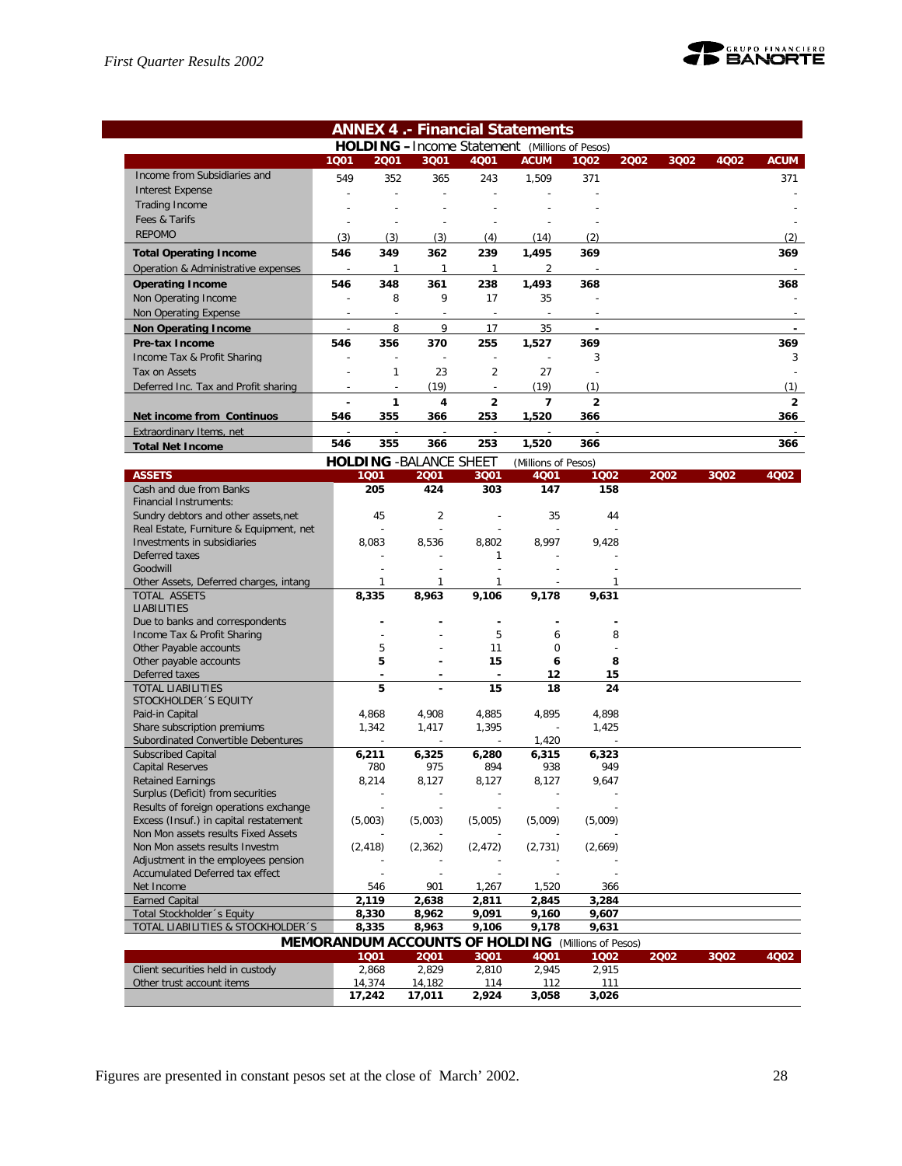

| <b>ANNEX 4.- Financial Statements</b>                                  |                          |                |                                |                |                                                           |                |      |      |      |                |
|------------------------------------------------------------------------|--------------------------|----------------|--------------------------------|----------------|-----------------------------------------------------------|----------------|------|------|------|----------------|
|                                                                        |                          |                |                                |                | <b>HOLDING</b> - Income Statement (Millions of Pesos)     |                |      |      |      |                |
|                                                                        | 1001                     | 2001           | 3Q01                           | 4001           | <b>ACUM</b>                                               | 1Q02           | 2002 | 3Q02 | 4Q02 | <b>ACUM</b>    |
| Income from Subsidiaries and                                           | 549                      | 352            | 365                            | 243            | 1,509                                                     | 371            |      |      |      | 371            |
| <b>Interest Expense</b>                                                | $\overline{a}$           | L,             | $\overline{\phantom{a}}$       |                |                                                           |                |      |      |      |                |
| Trading Income                                                         |                          |                |                                |                |                                                           |                |      |      |      |                |
| Fees & Tarifs                                                          |                          |                |                                |                |                                                           |                |      |      |      |                |
| <b>REPOMO</b>                                                          | (3)                      | (3)            | (3)                            | (4)            | (14)                                                      | (2)            |      |      |      | (2)            |
| <b>Total Operating Income</b>                                          | 546                      | 349            | 362                            | 239            | 1,495                                                     | 369            |      |      |      | 369            |
| Operation & Administrative expenses                                    | $\sim$                   | $\mathbf{1}$   | $\mathbf{1}$                   | $\mathbf{1}$   | 2                                                         |                |      |      |      |                |
| <b>Operating Income</b>                                                | 546                      | 348            | 361                            | 238            | 1,493                                                     | 368            |      |      |      | 368            |
| Non Operating Income                                                   | $\overline{\phantom{a}}$ | 8              | 9                              | 17             | 35                                                        |                |      |      |      |                |
| Non Operating Expense                                                  | $\overline{a}$           | $\overline{a}$ | $\overline{\phantom{a}}$       | $\overline{a}$ | $\overline{\phantom{a}}$                                  |                |      |      |      |                |
| <b>Non Operating Income</b>                                            |                          | 8              | $\mathsf{Q}$                   | 17             | 35                                                        |                |      |      |      |                |
| Pre-tax Income                                                         | 546                      | 356            | 370                            | 255            | 1,527                                                     | 369            |      |      |      | 369            |
| Income Tax & Profit Sharing                                            |                          | $\overline{a}$ | $\overline{a}$                 | $\overline{a}$ |                                                           | 3              |      |      |      | 3              |
| Tax on Assets                                                          |                          | 1              | 23                             | $\overline{2}$ | 27                                                        |                |      |      |      |                |
| Deferred Inc. Tax and Profit sharing                                   |                          |                | (19)                           |                | (19)                                                      | (1)            |      |      |      | (1)            |
|                                                                        |                          | 1              | 4                              | $\overline{2}$ | $\overline{7}$                                            | $\overline{2}$ |      |      |      | $\overline{2}$ |
| Net income from Continuos                                              | 546                      | 355            | 366                            | 253            | 1,520                                                     | 366            |      |      |      | 366            |
| Extraordinary Items, net                                               |                          |                |                                |                |                                                           |                |      |      |      |                |
| <b>Total Net Income</b>                                                | 546                      | 355            | 366                            | 253            | 1,520                                                     | 366            |      |      |      | 366            |
|                                                                        |                          |                | <b>HOLDING - BALANCE SHEET</b> |                | (Millions of Pesos)                                       |                |      |      |      |                |
| <b>ASSETS</b>                                                          |                          | 1001           | 2001                           | 3Q01           | 4Q01                                                      | 1002           |      | 2002 | 3Q02 | 4Q02           |
| Cash and due from Banks                                                |                          | 205            | 424                            | 303            | 147                                                       | 158            |      |      |      |                |
| Financial Instruments:                                                 |                          |                |                                |                |                                                           |                |      |      |      |                |
| Sundry debtors and other assets, net                                   |                          | 45             | 2                              |                | 35                                                        | 44             |      |      |      |                |
| Real Estate, Furniture & Equipment, net                                |                          |                |                                |                |                                                           |                |      |      |      |                |
| Investments in subsidiaries                                            |                          | 8,083          | 8,536                          | 8,802          | 8,997                                                     | 9,428          |      |      |      |                |
| Deferred taxes                                                         |                          |                |                                | 1              |                                                           |                |      |      |      |                |
| Goodwill                                                               |                          |                |                                |                |                                                           |                |      |      |      |                |
| Other Assets, Deferred charges, intang<br>TOTAL ASSETS                 |                          | 1<br>8,335     | 1<br>8,963                     | 1<br>9,106     | 9,178                                                     | 1<br>9,631     |      |      |      |                |
| <b>LIABILITIES</b>                                                     |                          |                |                                |                |                                                           |                |      |      |      |                |
| Due to banks and correspondents                                        |                          |                |                                |                |                                                           |                |      |      |      |                |
| Income Tax & Profit Sharing                                            |                          |                |                                | 5              | 6                                                         | 8              |      |      |      |                |
| Other Payable accounts                                                 |                          | 5              |                                | 11             | $\mathbf 0$                                               |                |      |      |      |                |
| Other payable accounts                                                 |                          | 5              |                                | 15             | 6                                                         | 8              |      |      |      |                |
| Deferred taxes                                                         |                          |                |                                | $\blacksquare$ | 12                                                        | 15             |      |      |      |                |
| <b>TOTAL LIABILITIES</b>                                               |                          | 5              | ÷,                             | 15             | 18                                                        | 24             |      |      |      |                |
| STOCKHOLDER 'S EQUITY<br>Paid-in Capital                               |                          |                |                                |                |                                                           |                |      |      |      |                |
| Share subscription premiums                                            |                          | 4,868<br>1,342 | 4,908<br>1,417                 | 4,885<br>1,395 | 4,895                                                     | 4,898<br>1,425 |      |      |      |                |
| Subordinated Convertible Debentures                                    |                          |                |                                |                | 1,420                                                     |                |      |      |      |                |
| <b>Subscribed Capital</b>                                              |                          | 6,211          | 6,325                          | 6,280          | 6,315                                                     | 6,323          |      |      |      |                |
| <b>Capital Reserves</b>                                                |                          | 780            | 975                            | 894            | 938                                                       | 949            |      |      |      |                |
| <b>Retained Earnings</b>                                               |                          | 8,214          | 8,127                          | 8,127          | 8,127                                                     | 9,647          |      |      |      |                |
| Surplus (Deficit) from securities                                      |                          |                |                                |                |                                                           |                |      |      |      |                |
| Results of foreign operations exchange                                 |                          |                |                                |                |                                                           |                |      |      |      |                |
| Excess (Insuf.) in capital restatement                                 |                          | (5,003)        | (5,003)                        | (5,005)        | (5,009)                                                   | (5,009)        |      |      |      |                |
| Non Mon assets results Fixed Assets                                    |                          |                |                                |                |                                                           |                |      |      |      |                |
| Non Mon assets results Investm                                         |                          | (2, 418)       | (2, 362)                       | (2, 472)       | (2, 731)                                                  | (2,669)        |      |      |      |                |
| Adjustment in the employees pension<br>Accumulated Deferred tax effect |                          |                |                                |                |                                                           |                |      |      |      |                |
| Net Income                                                             |                          | 546            | 901                            | 1,267          | 1,520                                                     | 366            |      |      |      |                |
| <b>Earned Capital</b>                                                  |                          | 2,119          | 2,638                          | 2.811          | 2,845                                                     | 3,284          |      |      |      |                |
| Total Stockholder 's Equity                                            |                          | 8,330          | 8,962                          | 9,091          | 9,160                                                     | 9,607          |      |      |      |                |
| TOTAL LIABILITIES & STOCKHOLDER 'S                                     |                          | 8,335          | 8,963                          | 9,106          | 9,178                                                     | 9,631          |      |      |      |                |
|                                                                        |                          |                |                                |                | <b>MEMORANDUM ACCOUNTS OF HOLDING</b> (Millions of Pesos) |                |      |      |      |                |
|                                                                        |                          | 1001           | 2001                           | 3Q01           | 4Q01                                                      | 1002           |      | 2002 | 3Q02 | 4Q02           |
| Client securities held in custody                                      |                          | 2,868          | 2,829                          | 2,810          | 2,945                                                     | 2,915          |      |      |      |                |
| Other trust account items                                              |                          | 14,374         | 14,182                         | 114            | 112                                                       | 111            |      |      |      |                |
|                                                                        |                          | 17,242         | 17,011                         | 2,924          | 3,058                                                     | 3,026          |      |      |      |                |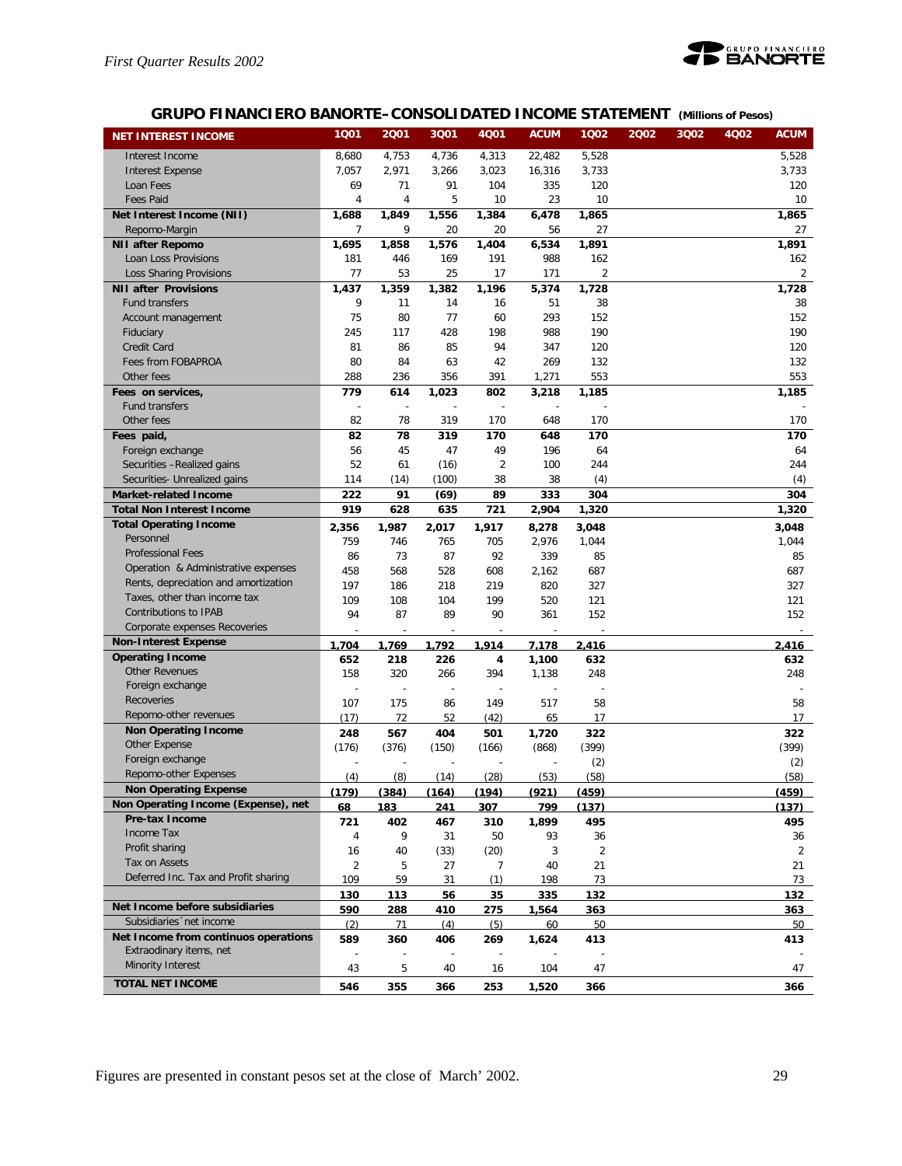

## **GRUPO FINANCIERO BANORTE–CONSOLIDATED INCOME STATEMENT** *(Millions of Pesos)*

| <b>NET INTEREST INCOME</b>                            | 1001  | 2001  | 3Q01  | 4001           | <b>ACUM</b>              | 1002  | 2002 | 3Q02 | 4Q02 | <b>ACUM</b>    |
|-------------------------------------------------------|-------|-------|-------|----------------|--------------------------|-------|------|------|------|----------------|
| Interest Income                                       | 8,680 | 4,753 | 4,736 | 4,313          | 22,482                   | 5,528 |      |      |      | 5,528          |
| <b>Interest Expense</b>                               | 7,057 | 2,971 | 3,266 | 3,023          | 16,316                   | 3,733 |      |      |      | 3,733          |
| Loan Fees                                             | 69    | 71    | 91    | 104            | 335                      | 120   |      |      |      | 120            |
| <b>Fees Paid</b>                                      | 4     | 4     | 5     | 10             | 23                       | 10    |      |      |      | 10             |
| Net Interest Income (NII)                             | 1,688 | 1,849 | 1,556 | 1,384          | 6,478                    | 1,865 |      |      |      | 1,865          |
| Repomo-Margin                                         | 7     | 9     | 20    | 20             | 56                       | 27    |      |      |      | 27             |
| <b>NII after Repomo</b>                               | 1,695 | 1,858 | 1,576 | 1,404          | 6,534                    | 1,891 |      |      |      | 1,891          |
| Loan Loss Provisions                                  | 181   | 446   | 169   | 191            | 988                      | 162   |      |      |      | 162            |
| Loss Sharing Provisions                               | 77    | 53    | 25    | 17             | 171                      | 2     |      |      |      | 2              |
| <b>NII after Provisions</b>                           | 1,437 | 1,359 | 1,382 | 1,196          | 5,374                    | 1,728 |      |      |      | 1,728          |
| Fund transfers                                        | 9     | 11    | 14    | 16             | 51                       | 38    |      |      |      | 38             |
| Account management                                    | 75    | 80    | 77    | 60             | 293                      | 152   |      |      |      | 152            |
| Fiduciary                                             | 245   | 117   | 428   | 198            | 988                      | 190   |      |      |      | 190            |
| Credit Card                                           | 81    | 86    | 85    | 94             | 347                      | 120   |      |      |      | 120            |
| Fees from FOBAPROA                                    | 80    | 84    | 63    | 42             | 269                      | 132   |      |      |      | 132            |
| Other fees                                            | 288   | 236   | 356   | 391            | 1,271                    | 553   |      |      |      | 553            |
| Fees on services,                                     | 779   | 614   | 1,023 | 802            | 3,218                    | 1,185 |      |      |      | 1,185          |
| <b>Fund transfers</b>                                 | J.    | J.    | L,    |                |                          |       |      |      |      |                |
| Other fees                                            | 82    | 78    | 319   | 170            | 648                      | 170   |      |      |      | 170            |
| Fees paid,                                            | 82    | 78    | 319   | 170            | 648                      | 170   |      |      |      | 170            |
| Foreign exchange                                      | 56    | 45    | 47    | 49             | 196                      | 64    |      |      |      | 64             |
| Securities -Realized gains                            | 52    | 61    | (16)  | $\overline{2}$ | 100                      | 244   |      |      |      | 244            |
| Securities- Unrealized gains                          | 114   | (14)  | (100) | 38             | 38                       | (4)   |      |      |      | (4)            |
| <b>Market-related Income</b>                          | 222   | 91    | (69)  | 89             | 333                      | 304   |      |      |      | 304            |
| <b>Total Non Interest Income</b>                      | 919   | 628   | 635   | 721            | 2,904                    | 1,320 |      |      |      | 1,320          |
| <b>Total Operating Income</b>                         | 2,356 | 1,987 | 2,017 | 1,917          | 8,278                    | 3,048 |      |      |      | 3,048          |
| Personnel                                             | 759   | 746   | 765   | 705            | 2,976                    | 1,044 |      |      |      | 1,044          |
| <b>Professional Fees</b>                              | 86    | 73    | 87    | 92             | 339                      | 85    |      |      |      | 85             |
| Operation & Administrative expenses                   | 458   | 568   | 528   | 608            | 2,162                    | 687   |      |      |      | 687            |
| Rents, depreciation and amortization                  | 197   | 186   | 218   | 219            | 820                      | 327   |      |      |      | 327            |
| Taxes, other than income tax                          | 109   | 108   | 104   | 199            | 520                      | 121   |      |      |      | 121            |
| Contributions to IPAB                                 | 94    | 87    | 89    | 90             | 361                      | 152   |      |      |      | 152            |
| Corporate expenses Recoveries                         |       |       | ÷     |                | $\overline{\phantom{a}}$ |       |      |      |      |                |
| <b>Non-Interest Expense</b>                           | 1,704 | 1,769 | 1,792 | 1,914          | 7,178                    | 2,416 |      |      |      | 2,416          |
| <b>Operating Income</b>                               | 652   | 218   | 226   | 4              | 1,100                    | 632   |      |      |      | 632            |
| <b>Other Revenues</b>                                 | 158   | 320   | 266   | 394            | 1,138                    | 248   |      |      |      | 248            |
| Foreign exchange                                      |       |       | ÷     |                |                          |       |      |      |      |                |
| <b>Recoveries</b>                                     | 107   | 175   | 86    | 149            | 517                      | 58    |      |      |      | 58             |
| Repomo-other revenues                                 | (17)  | 72    | 52    | (42)           | 65                       | 17    |      |      |      | 17             |
| <b>Non Operating Income</b>                           | 248   | 567   | 404   | 501            | 1,720                    | 322   |      |      |      | 322            |
| Other Expense                                         | (176) | (376) | (150) | (166)          | (868)                    | (399) |      |      |      | (399)          |
| Foreign exchange                                      |       |       |       |                |                          | (2)   |      |      |      | (2)            |
| Repomo-other Expenses                                 | (4)   | (8)   | (14)  | (28)           | (53)                     | (58)  |      |      |      | (58)           |
| <b>Non Operating Expense</b>                          | (179) | (384) | (164) | (194)          | (921)                    | (459) |      |      |      | (459)          |
| Non Operating Income (Expense), net<br>Pre-tax Income | 68    | 183   | 241   | 307            | 799                      | (137) |      |      |      | (137)          |
| Income Tax                                            | 721   | 402   | 467   | 310            | 1,899                    | 495   |      |      |      | 495            |
| Profit sharing                                        | 4     | 9     | 31    | 50             | 93                       | 36    |      |      |      | 36             |
| Tax on Assets                                         | 16    | 40    | (33)  | (20)           | 3                        | 2     |      |      |      | $\overline{2}$ |
| Deferred Inc. Tax and Profit sharing                  | 2     | 5     | 27    | 7              | 40                       | 21    |      |      |      | 21             |
|                                                       | 109   | 59    | 31    | (1)            | 198                      | 73    |      |      |      | 73             |
| Net Income before subsidiaries                        | 130   | 113   | 56    | 35             | 335                      | 132   |      |      |      | 132            |
| Subsidiaries 'net income                              | 590   | 288   | 410   | 275            | 1,564                    | 363   |      |      |      | 363            |
| Net Income from continuos operations                  | (2)   | 71    | (4)   | (5)            | 60                       | 50    |      |      |      | 50             |
| Extraodinary items, net                               | 589   | 360   | 406   | 269            | 1,624                    | 413   |      |      |      | 413            |
| Minority Interest                                     |       |       | 40    |                |                          |       |      |      |      |                |
| <b>TOTAL NET INCOME</b>                               | 43    | 5     |       | 16             | 104                      | 47    |      |      |      | 47             |
|                                                       | 546   | 355   | 366   | 253            | 1,520                    | 366   |      |      |      | 366            |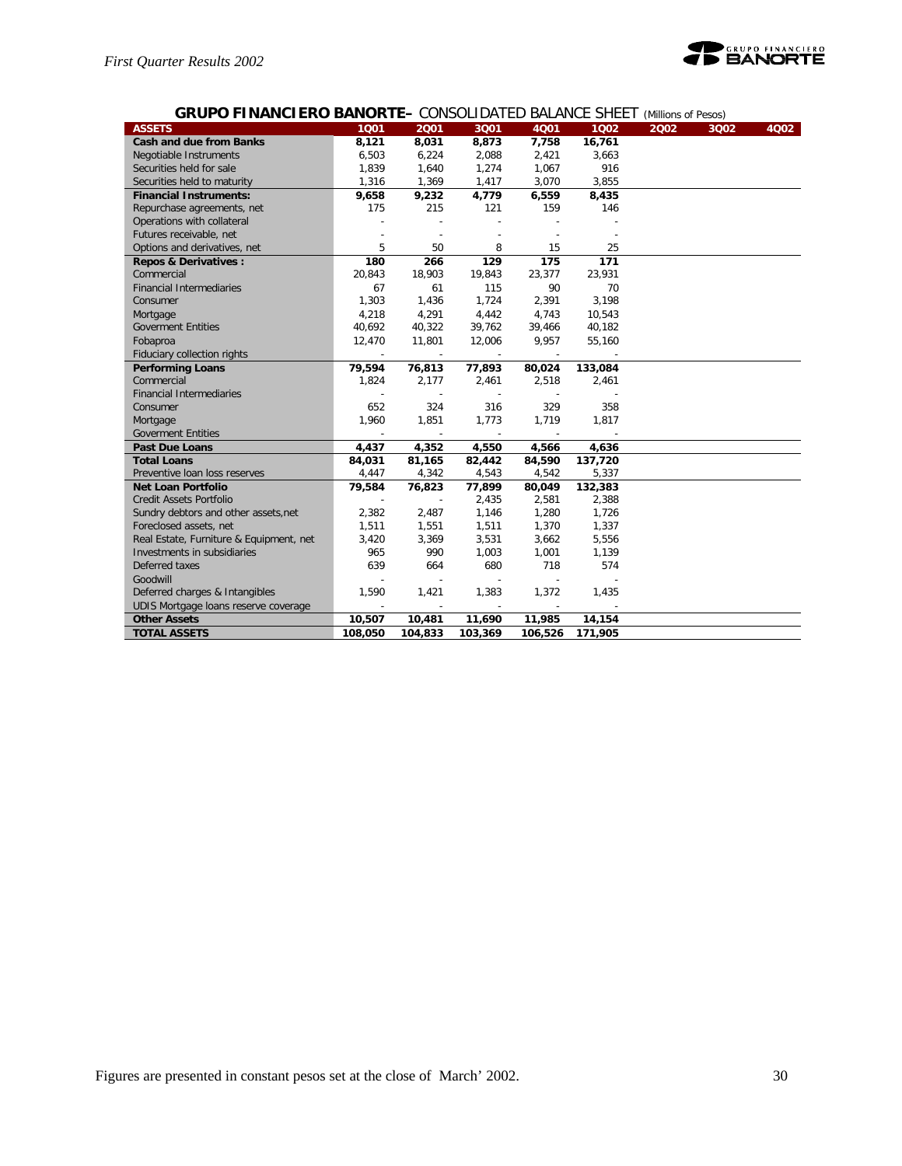

## **GRUPO FINANCIERO BANORTE–** CONSOLIDATED BALANCE SHEET *(Millions of Pesos)*

| <b>ASSETS</b>                           | 1001    | 2001           | 3001    | 4001    | 1002    | 2002 | 3Q02 | 4Q02 |
|-----------------------------------------|---------|----------------|---------|---------|---------|------|------|------|
| <b>Cash and due from Banks</b>          | 8,121   | 8,031          | 8,873   | 7,758   | 16,761  |      |      |      |
| Negotiable Instruments                  | 6,503   | 6,224          | 2,088   | 2,421   | 3,663   |      |      |      |
| Securities held for sale                | 1,839   | 1,640          | 1,274   | 1,067   | 916     |      |      |      |
| Securities held to maturity             | 1,316   | 1,369          | 1,417   | 3,070   | 3,855   |      |      |      |
| <b>Financial Instruments:</b>           | 9,658   | 9,232          | 4,779   | 6,559   | 8,435   |      |      |      |
| Repurchase agreements, net              | 175     | 215            | 121     | 159     | 146     |      |      |      |
| Operations with collateral              |         |                |         |         |         |      |      |      |
| Futures receivable, net                 |         |                |         |         |         |      |      |      |
| Options and derivatives, net            | 5       | 50             | 8       | 15      | 25      |      |      |      |
| <b>Repos &amp; Derivatives:</b>         | 180     | 266            | 129     | 175     | 171     |      |      |      |
| Commercial                              | 20,843  | 18,903         | 19,843  | 23,377  | 23,931  |      |      |      |
| <b>Financial Intermediaries</b>         | 67      | 61             | 115     | 90      | 70      |      |      |      |
| Consumer                                | 1,303   | 1,436          | 1,724   | 2,391   | 3,198   |      |      |      |
| Mortgage                                | 4,218   | 4,291          | 4,442   | 4,743   | 10,543  |      |      |      |
| <b>Goverment Entities</b>               | 40,692  | 40,322         | 39,762  | 39,466  | 40,182  |      |      |      |
| Fobaproa                                | 12,470  | 11,801         | 12,006  | 9,957   | 55,160  |      |      |      |
| Fiduciary collection rights             |         |                |         |         |         |      |      |      |
| <b>Performing Loans</b>                 | 79,594  | 76,813         | 77,893  | 80,024  | 133,084 |      |      |      |
| Commercial                              | 1,824   | 2,177          | 2,461   | 2,518   | 2,461   |      |      |      |
| <b>Financial Intermediaries</b>         |         |                |         |         |         |      |      |      |
| Consumer                                | 652     | 324            | 316     | 329     | 358     |      |      |      |
| Mortgage                                | 1,960   | 1,851          | 1,773   | 1,719   | 1,817   |      |      |      |
| <b>Goverment Entities</b>               |         |                |         |         |         |      |      |      |
| <b>Past Due Loans</b>                   | 4,437   | 4,352          | 4,550   | 4,566   | 4,636   |      |      |      |
| <b>Total Loans</b>                      | 84,031  | 81,165         | 82,442  | 84,590  | 137,720 |      |      |      |
| Preventive loan loss reserves           | 4,447   | 4,342          | 4,543   | 4,542   | 5,337   |      |      |      |
| <b>Net Loan Portfolio</b>               | 79,584  | 76,823         | 77,899  | 80,049  | 132,383 |      |      |      |
| <b>Credit Assets Portfolio</b>          |         |                | 2,435   | 2,581   | 2,388   |      |      |      |
| Sundry debtors and other assets, net    | 2,382   | 2,487          | 1,146   | 1,280   | 1,726   |      |      |      |
| Foreclosed assets, net                  | 1,511   | 1,551          | 1,511   | 1,370   | 1,337   |      |      |      |
| Real Estate, Furniture & Equipment, net | 3,420   | 3,369          | 3,531   | 3,662   | 5,556   |      |      |      |
| Investments in subsidiaries             | 965     | 990            | 1,003   | 1,001   | 1,139   |      |      |      |
| Deferred taxes                          | 639     | 664            | 680     | 718     | 574     |      |      |      |
| Goodwill                                |         | $\overline{a}$ | ÷,      |         |         |      |      |      |
| Deferred charges & Intangibles          | 1,590   | 1,421          | 1,383   | 1,372   | 1,435   |      |      |      |
| UDIS Mortgage loans reserve coverage    |         |                |         |         |         |      |      |      |
| <b>Other Assets</b>                     | 10,507  | 10,481         | 11,690  | 11,985  | 14,154  |      |      |      |
| <b>TOTAL ASSETS</b>                     | 108,050 | 104,833        | 103,369 | 106,526 | 171,905 |      |      |      |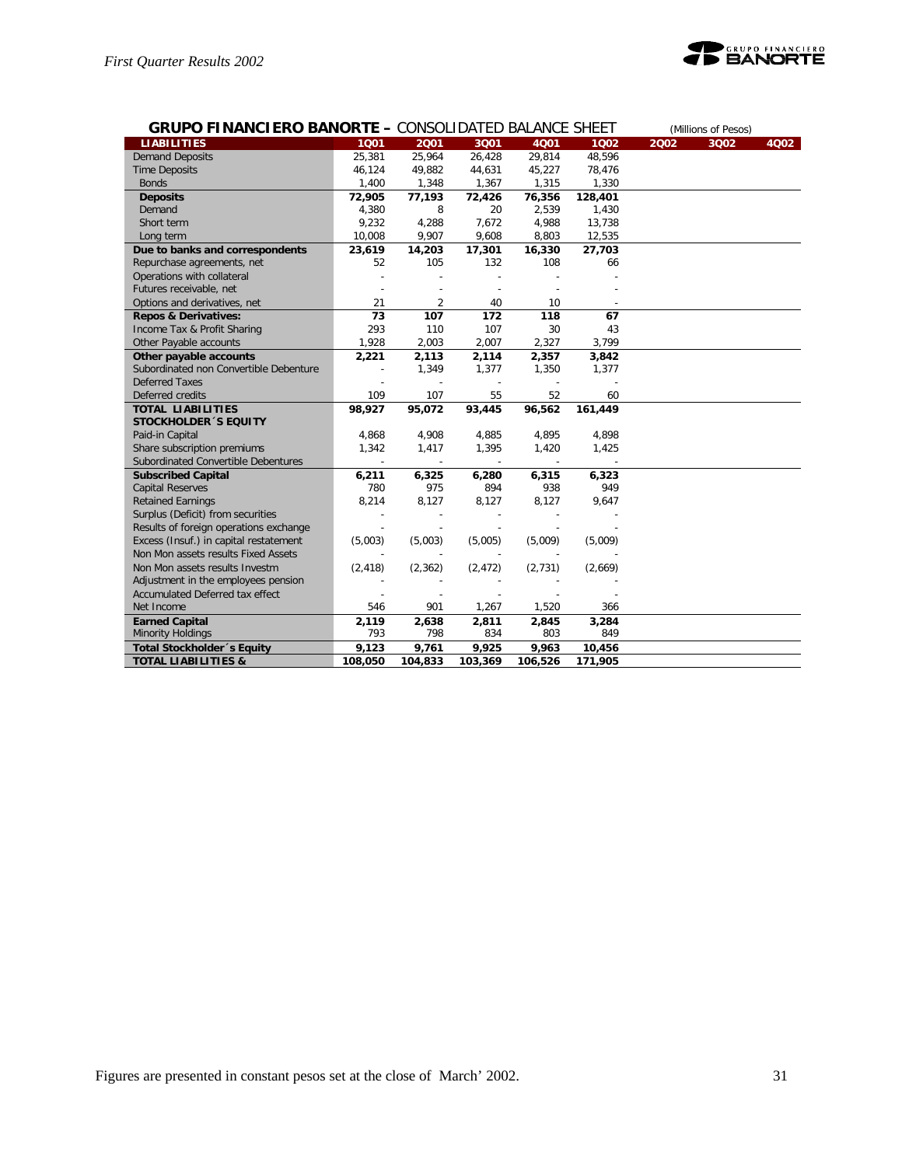

| <b>GRUPO FINANCIERO BANORTE - CONSOLIDATED BALANCE SHEET</b> |          |                |          |         |         |      | (Millions of Pesos) |      |  |
|--------------------------------------------------------------|----------|----------------|----------|---------|---------|------|---------------------|------|--|
| <b>LIABILITIES</b>                                           | 1001     | 2001           | 3Q01     | 4001    | 1002    | 2002 | 3Q02                | 4Q02 |  |
| <b>Demand Deposits</b>                                       | 25,381   | 25,964         | 26,428   | 29,814  | 48,596  |      |                     |      |  |
| <b>Time Deposits</b>                                         | 46,124   | 49,882         | 44,631   | 45,227  | 78,476  |      |                     |      |  |
| <b>Bonds</b>                                                 | 1,400    | 1,348          | 1,367    | 1,315   | 1,330   |      |                     |      |  |
| <b>Deposits</b>                                              | 72,905   | 77,193         | 72,426   | 76,356  | 128,401 |      |                     |      |  |
| Demand                                                       | 4,380    | 8              | 20       | 2,539   | 1,430   |      |                     |      |  |
| Short term                                                   | 9,232    | 4,288          | 7,672    | 4,988   | 13,738  |      |                     |      |  |
| Long term                                                    | 10,008   | 9,907          | 9,608    | 8,803   | 12,535  |      |                     |      |  |
| Due to banks and correspondents                              | 23,619   | 14,203         | 17,301   | 16,330  | 27,703  |      |                     |      |  |
| Repurchase agreements, net                                   | 52       | 105            | 132      | 108     | 66      |      |                     |      |  |
| Operations with collateral                                   |          |                |          |         |         |      |                     |      |  |
| Futures receivable, net                                      |          |                |          |         |         |      |                     |      |  |
| Options and derivatives, net                                 | 21       | $\overline{2}$ | 40       | 10      |         |      |                     |      |  |
| <b>Repos &amp; Derivatives:</b>                              | 73       | 107            | 172      | 118     | 67      |      |                     |      |  |
| Income Tax & Profit Sharing                                  | 293      | 110            | 107      | 30      | 43      |      |                     |      |  |
| Other Payable accounts                                       | 1,928    | 2,003          | 2,007    | 2,327   | 3,799   |      |                     |      |  |
| Other payable accounts                                       | 2,221    | 2,113          | 2,114    | 2,357   | 3,842   |      |                     |      |  |
| Subordinated non Convertible Debenture                       |          | 1,349          | 1,377    | 1,350   | 1,377   |      |                     |      |  |
| <b>Deferred Taxes</b>                                        |          |                |          |         |         |      |                     |      |  |
| Deferred credits                                             | 109      | 107            | 55       | 52      | 60      |      |                     |      |  |
| <b>TOTAL LIABILITIES</b>                                     | 98,927   | 95,072         | 93,445   | 96,562  | 161,449 |      |                     |      |  |
| <b>STOCKHOLDER 'S EQUITY</b>                                 |          |                |          |         |         |      |                     |      |  |
| Paid-in Capital                                              | 4,868    | 4,908          | 4,885    | 4,895   | 4,898   |      |                     |      |  |
| Share subscription premiums                                  | 1,342    | 1,417          | 1,395    | 1,420   | 1,425   |      |                     |      |  |
| Subordinated Convertible Debentures                          | $\sim$   | $\sim$         | $\sim$   | $\sim$  |         |      |                     |      |  |
| <b>Subscribed Capital</b>                                    | 6,211    | 6,325          | 6,280    | 6,315   | 6,323   |      |                     |      |  |
| <b>Capital Reserves</b>                                      | 780      | 975            | 894      | 938     | 949     |      |                     |      |  |
| <b>Retained Earnings</b>                                     | 8,214    | 8,127          | 8,127    | 8,127   | 9,647   |      |                     |      |  |
| Surplus (Deficit) from securities                            |          |                |          |         |         |      |                     |      |  |
| Results of foreign operations exchange                       |          |                |          |         |         |      |                     |      |  |
| Excess (Insuf.) in capital restatement                       | (5,003)  | (5,003)        | (5,005)  | (5,009) | (5,009) |      |                     |      |  |
| Non Mon assets results Fixed Assets                          |          |                |          |         |         |      |                     |      |  |
| Non Mon assets results Investm                               | (2, 418) | (2, 362)       | (2, 472) | (2,731) | (2,669) |      |                     |      |  |
| Adjustment in the employees pension                          |          |                |          |         |         |      |                     |      |  |
| Accumulated Deferred tax effect                              |          |                |          |         |         |      |                     |      |  |
| Net Income                                                   | 546      | 901            | 1,267    | 1,520   | 366     |      |                     |      |  |
| <b>Earned Capital</b>                                        | 2,119    | 2,638          | 2,811    | 2,845   | 3,284   |      |                     |      |  |
| <b>Minority Holdings</b>                                     | 793      | 798            | 834      | 803     | 849     |      |                     |      |  |
| <b>Total Stockholder</b> 's Equity                           | 9,123    | 9,761          | 9,925    | 9,963   | 10,456  |      |                     |      |  |
| <b>TOTAL LIABILITIES &amp;</b>                               | 108,050  | 104,833        | 103,369  | 106,526 | 171,905 |      |                     |      |  |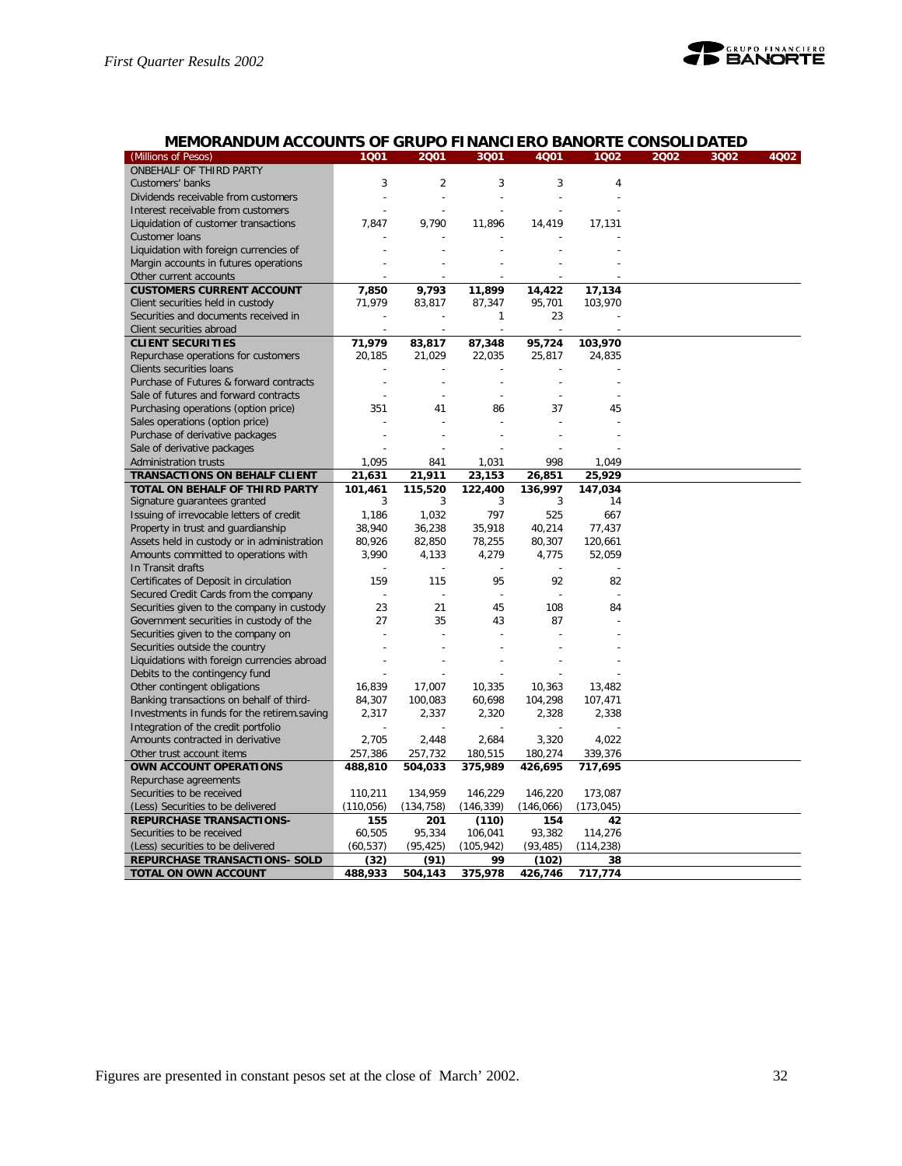

## **MEMORANDUM ACCOUNTS OF GRUPO FINANCIERO BANORTE CONSOLIDATED**

| ONBEHALF OF THIRD PARTY<br>$\overline{2}$<br>Customers' banks<br>3<br>3<br>3<br>4<br>Dividends receivable from customers<br>$\overline{a}$<br>Interest receivable from customers<br>Liquidation of customer transactions<br>7,847<br>9,790<br>11,896<br>14,419<br>17,131<br>Customer Ioans<br>Liquidation with foreign currencies of<br>Margin accounts in futures operations<br>Other current accounts<br><b>CUSTOMERS CURRENT ACCOUNT</b><br>7,850<br>9,793<br>11,899<br>14,422<br>17,134<br>71,979<br>95,701<br>103,970<br>Client securities held in custody<br>83,817<br>87,347<br>Securities and documents received in<br>23<br>1<br>Client securities abroad<br><b>CLIENT SECURITIES</b><br>71,979<br>95,724<br>83,817<br>87,348<br>103,970<br>Repurchase operations for customers<br>20,185<br>21,029<br>22,035<br>25,817<br>24,835<br>Clients securities loans<br>Purchase of Futures & forward contracts<br>Sale of futures and forward contracts<br>÷,<br>Purchasing operations (option price)<br>37<br>351<br>41<br>86<br>45<br>Sales operations (option price)<br>Purchase of derivative packages<br>Sale of derivative packages<br>1,095<br>998<br><b>Administration trusts</b><br>841<br>1,031<br>1,049<br><b>TRANSACTIONS ON BEHALF CLIENT</b><br>21,631<br>21,911<br>23,153<br>25,929<br>26,851<br>TOTAL ON BEHALF OF THIRD PARTY<br>101,461<br>115,520<br>122,400<br>136,997<br>147,034<br>Signature guarantees granted<br>3<br>3<br>14<br>3<br>3<br>Issuing of irrevocable letters of credit<br>1,186<br>1,032<br>797<br>525<br>667<br>Property in trust and guardianship<br>38,940<br>36,238<br>35,918<br>40,214<br>77,437<br>Assets held in custody or in administration<br>80,926<br>82,850<br>78,255<br>80,307<br>120,661<br>Amounts committed to operations with<br>3,990<br>52,059<br>4,133<br>4,279<br>4,775<br>In Transit drafts<br>159<br>95<br>92<br>Certificates of Deposit in circulation<br>115<br>82<br>Secured Credit Cards from the company<br>$\overline{a}$<br>23<br>21<br>45<br>108<br>Securities given to the company in custody<br>84<br>Government securities in custody of the<br>27<br>35<br>43<br>87<br>Securities given to the company on<br>Securities outside the country<br>Liquidations with foreign currencies abroad<br>Debits to the contingency fund<br>Other contingent obligations<br>16,839<br>17,007<br>10,335<br>10,363<br>13,482<br>84,307<br>60,698<br>104,298<br>Banking transactions on behalf of third-<br>100,083<br>107,471<br>2,317<br>Investments in funds for the retirem.saving<br>2,337<br>2,320<br>2,328<br>2,338<br>Integration of the credit portfolio<br>Amounts contracted in derivative<br>2,705<br>2,448<br>2,684<br>3,320<br>4,022<br>257,386<br>257,732<br>180,515<br>180,274<br>339,376<br>Other trust account items<br>OWN ACCOUNT OPERATIONS<br>488,810<br>504,033<br>375,989<br>426,695<br>717,695<br>Repurchase agreements<br>Securities to be received<br>110,211<br>134,959<br>146,229<br>146,220<br>173,087<br>(110, 056)<br>(146, 339)<br>(Less) Securities to be delivered<br>(134, 758)<br>(146,066)<br>(173, 045)<br><b>REPURCHASE TRANSACTIONS-</b><br>155<br>201<br>(110)<br>154<br>42<br>Securities to be received<br>60,505<br>95,334<br>106,041<br>93,382<br>114,276<br>(105, 942)<br>(Less) securities to be delivered<br>(60, 537)<br>(95, 425)<br>(93, 485)<br>(114, 238)<br>(91)<br>REPURCHASE TRANSACTIONS- SOLD<br>(32)<br>99<br>(102)<br>38 | (Millions of Pesos)  | 1001    | 2001    | 3001    | 4Q01    | 1002    | 2002<br>3Q02 | 4Q02 |
|---------------------------------------------------------------------------------------------------------------------------------------------------------------------------------------------------------------------------------------------------------------------------------------------------------------------------------------------------------------------------------------------------------------------------------------------------------------------------------------------------------------------------------------------------------------------------------------------------------------------------------------------------------------------------------------------------------------------------------------------------------------------------------------------------------------------------------------------------------------------------------------------------------------------------------------------------------------------------------------------------------------------------------------------------------------------------------------------------------------------------------------------------------------------------------------------------------------------------------------------------------------------------------------------------------------------------------------------------------------------------------------------------------------------------------------------------------------------------------------------------------------------------------------------------------------------------------------------------------------------------------------------------------------------------------------------------------------------------------------------------------------------------------------------------------------------------------------------------------------------------------------------------------------------------------------------------------------------------------------------------------------------------------------------------------------------------------------------------------------------------------------------------------------------------------------------------------------------------------------------------------------------------------------------------------------------------------------------------------------------------------------------------------------------------------------------------------------------------------------------------------------------------------------------------------------------------------------------------------------------------------------------------------------------------------------------------------------------------------------------------------------------------------------------------------------------------------------------------------------------------------------------------------------------------------------------------------------------------------------------------------------------------------------------------------------------------------------------------------------------------------------------------------------------------------------------------------------------------------------------------------------------------------------------------------------------------------------------------------------------------------------------------------------------------------------------------|----------------------|---------|---------|---------|---------|---------|--------------|------|
|                                                                                                                                                                                                                                                                                                                                                                                                                                                                                                                                                                                                                                                                                                                                                                                                                                                                                                                                                                                                                                                                                                                                                                                                                                                                                                                                                                                                                                                                                                                                                                                                                                                                                                                                                                                                                                                                                                                                                                                                                                                                                                                                                                                                                                                                                                                                                                                                                                                                                                                                                                                                                                                                                                                                                                                                                                                                                                                                                                                                                                                                                                                                                                                                                                                                                                                                                                                                                                                   |                      |         |         |         |         |         |              |      |
|                                                                                                                                                                                                                                                                                                                                                                                                                                                                                                                                                                                                                                                                                                                                                                                                                                                                                                                                                                                                                                                                                                                                                                                                                                                                                                                                                                                                                                                                                                                                                                                                                                                                                                                                                                                                                                                                                                                                                                                                                                                                                                                                                                                                                                                                                                                                                                                                                                                                                                                                                                                                                                                                                                                                                                                                                                                                                                                                                                                                                                                                                                                                                                                                                                                                                                                                                                                                                                                   |                      |         |         |         |         |         |              |      |
|                                                                                                                                                                                                                                                                                                                                                                                                                                                                                                                                                                                                                                                                                                                                                                                                                                                                                                                                                                                                                                                                                                                                                                                                                                                                                                                                                                                                                                                                                                                                                                                                                                                                                                                                                                                                                                                                                                                                                                                                                                                                                                                                                                                                                                                                                                                                                                                                                                                                                                                                                                                                                                                                                                                                                                                                                                                                                                                                                                                                                                                                                                                                                                                                                                                                                                                                                                                                                                                   |                      |         |         |         |         |         |              |      |
|                                                                                                                                                                                                                                                                                                                                                                                                                                                                                                                                                                                                                                                                                                                                                                                                                                                                                                                                                                                                                                                                                                                                                                                                                                                                                                                                                                                                                                                                                                                                                                                                                                                                                                                                                                                                                                                                                                                                                                                                                                                                                                                                                                                                                                                                                                                                                                                                                                                                                                                                                                                                                                                                                                                                                                                                                                                                                                                                                                                                                                                                                                                                                                                                                                                                                                                                                                                                                                                   |                      |         |         |         |         |         |              |      |
|                                                                                                                                                                                                                                                                                                                                                                                                                                                                                                                                                                                                                                                                                                                                                                                                                                                                                                                                                                                                                                                                                                                                                                                                                                                                                                                                                                                                                                                                                                                                                                                                                                                                                                                                                                                                                                                                                                                                                                                                                                                                                                                                                                                                                                                                                                                                                                                                                                                                                                                                                                                                                                                                                                                                                                                                                                                                                                                                                                                                                                                                                                                                                                                                                                                                                                                                                                                                                                                   |                      |         |         |         |         |         |              |      |
|                                                                                                                                                                                                                                                                                                                                                                                                                                                                                                                                                                                                                                                                                                                                                                                                                                                                                                                                                                                                                                                                                                                                                                                                                                                                                                                                                                                                                                                                                                                                                                                                                                                                                                                                                                                                                                                                                                                                                                                                                                                                                                                                                                                                                                                                                                                                                                                                                                                                                                                                                                                                                                                                                                                                                                                                                                                                                                                                                                                                                                                                                                                                                                                                                                                                                                                                                                                                                                                   |                      |         |         |         |         |         |              |      |
|                                                                                                                                                                                                                                                                                                                                                                                                                                                                                                                                                                                                                                                                                                                                                                                                                                                                                                                                                                                                                                                                                                                                                                                                                                                                                                                                                                                                                                                                                                                                                                                                                                                                                                                                                                                                                                                                                                                                                                                                                                                                                                                                                                                                                                                                                                                                                                                                                                                                                                                                                                                                                                                                                                                                                                                                                                                                                                                                                                                                                                                                                                                                                                                                                                                                                                                                                                                                                                                   |                      |         |         |         |         |         |              |      |
|                                                                                                                                                                                                                                                                                                                                                                                                                                                                                                                                                                                                                                                                                                                                                                                                                                                                                                                                                                                                                                                                                                                                                                                                                                                                                                                                                                                                                                                                                                                                                                                                                                                                                                                                                                                                                                                                                                                                                                                                                                                                                                                                                                                                                                                                                                                                                                                                                                                                                                                                                                                                                                                                                                                                                                                                                                                                                                                                                                                                                                                                                                                                                                                                                                                                                                                                                                                                                                                   |                      |         |         |         |         |         |              |      |
|                                                                                                                                                                                                                                                                                                                                                                                                                                                                                                                                                                                                                                                                                                                                                                                                                                                                                                                                                                                                                                                                                                                                                                                                                                                                                                                                                                                                                                                                                                                                                                                                                                                                                                                                                                                                                                                                                                                                                                                                                                                                                                                                                                                                                                                                                                                                                                                                                                                                                                                                                                                                                                                                                                                                                                                                                                                                                                                                                                                                                                                                                                                                                                                                                                                                                                                                                                                                                                                   |                      |         |         |         |         |         |              |      |
|                                                                                                                                                                                                                                                                                                                                                                                                                                                                                                                                                                                                                                                                                                                                                                                                                                                                                                                                                                                                                                                                                                                                                                                                                                                                                                                                                                                                                                                                                                                                                                                                                                                                                                                                                                                                                                                                                                                                                                                                                                                                                                                                                                                                                                                                                                                                                                                                                                                                                                                                                                                                                                                                                                                                                                                                                                                                                                                                                                                                                                                                                                                                                                                                                                                                                                                                                                                                                                                   |                      |         |         |         |         |         |              |      |
|                                                                                                                                                                                                                                                                                                                                                                                                                                                                                                                                                                                                                                                                                                                                                                                                                                                                                                                                                                                                                                                                                                                                                                                                                                                                                                                                                                                                                                                                                                                                                                                                                                                                                                                                                                                                                                                                                                                                                                                                                                                                                                                                                                                                                                                                                                                                                                                                                                                                                                                                                                                                                                                                                                                                                                                                                                                                                                                                                                                                                                                                                                                                                                                                                                                                                                                                                                                                                                                   |                      |         |         |         |         |         |              |      |
|                                                                                                                                                                                                                                                                                                                                                                                                                                                                                                                                                                                                                                                                                                                                                                                                                                                                                                                                                                                                                                                                                                                                                                                                                                                                                                                                                                                                                                                                                                                                                                                                                                                                                                                                                                                                                                                                                                                                                                                                                                                                                                                                                                                                                                                                                                                                                                                                                                                                                                                                                                                                                                                                                                                                                                                                                                                                                                                                                                                                                                                                                                                                                                                                                                                                                                                                                                                                                                                   |                      |         |         |         |         |         |              |      |
|                                                                                                                                                                                                                                                                                                                                                                                                                                                                                                                                                                                                                                                                                                                                                                                                                                                                                                                                                                                                                                                                                                                                                                                                                                                                                                                                                                                                                                                                                                                                                                                                                                                                                                                                                                                                                                                                                                                                                                                                                                                                                                                                                                                                                                                                                                                                                                                                                                                                                                                                                                                                                                                                                                                                                                                                                                                                                                                                                                                                                                                                                                                                                                                                                                                                                                                                                                                                                                                   |                      |         |         |         |         |         |              |      |
|                                                                                                                                                                                                                                                                                                                                                                                                                                                                                                                                                                                                                                                                                                                                                                                                                                                                                                                                                                                                                                                                                                                                                                                                                                                                                                                                                                                                                                                                                                                                                                                                                                                                                                                                                                                                                                                                                                                                                                                                                                                                                                                                                                                                                                                                                                                                                                                                                                                                                                                                                                                                                                                                                                                                                                                                                                                                                                                                                                                                                                                                                                                                                                                                                                                                                                                                                                                                                                                   |                      |         |         |         |         |         |              |      |
|                                                                                                                                                                                                                                                                                                                                                                                                                                                                                                                                                                                                                                                                                                                                                                                                                                                                                                                                                                                                                                                                                                                                                                                                                                                                                                                                                                                                                                                                                                                                                                                                                                                                                                                                                                                                                                                                                                                                                                                                                                                                                                                                                                                                                                                                                                                                                                                                                                                                                                                                                                                                                                                                                                                                                                                                                                                                                                                                                                                                                                                                                                                                                                                                                                                                                                                                                                                                                                                   |                      |         |         |         |         |         |              |      |
|                                                                                                                                                                                                                                                                                                                                                                                                                                                                                                                                                                                                                                                                                                                                                                                                                                                                                                                                                                                                                                                                                                                                                                                                                                                                                                                                                                                                                                                                                                                                                                                                                                                                                                                                                                                                                                                                                                                                                                                                                                                                                                                                                                                                                                                                                                                                                                                                                                                                                                                                                                                                                                                                                                                                                                                                                                                                                                                                                                                                                                                                                                                                                                                                                                                                                                                                                                                                                                                   |                      |         |         |         |         |         |              |      |
|                                                                                                                                                                                                                                                                                                                                                                                                                                                                                                                                                                                                                                                                                                                                                                                                                                                                                                                                                                                                                                                                                                                                                                                                                                                                                                                                                                                                                                                                                                                                                                                                                                                                                                                                                                                                                                                                                                                                                                                                                                                                                                                                                                                                                                                                                                                                                                                                                                                                                                                                                                                                                                                                                                                                                                                                                                                                                                                                                                                                                                                                                                                                                                                                                                                                                                                                                                                                                                                   |                      |         |         |         |         |         |              |      |
|                                                                                                                                                                                                                                                                                                                                                                                                                                                                                                                                                                                                                                                                                                                                                                                                                                                                                                                                                                                                                                                                                                                                                                                                                                                                                                                                                                                                                                                                                                                                                                                                                                                                                                                                                                                                                                                                                                                                                                                                                                                                                                                                                                                                                                                                                                                                                                                                                                                                                                                                                                                                                                                                                                                                                                                                                                                                                                                                                                                                                                                                                                                                                                                                                                                                                                                                                                                                                                                   |                      |         |         |         |         |         |              |      |
|                                                                                                                                                                                                                                                                                                                                                                                                                                                                                                                                                                                                                                                                                                                                                                                                                                                                                                                                                                                                                                                                                                                                                                                                                                                                                                                                                                                                                                                                                                                                                                                                                                                                                                                                                                                                                                                                                                                                                                                                                                                                                                                                                                                                                                                                                                                                                                                                                                                                                                                                                                                                                                                                                                                                                                                                                                                                                                                                                                                                                                                                                                                                                                                                                                                                                                                                                                                                                                                   |                      |         |         |         |         |         |              |      |
|                                                                                                                                                                                                                                                                                                                                                                                                                                                                                                                                                                                                                                                                                                                                                                                                                                                                                                                                                                                                                                                                                                                                                                                                                                                                                                                                                                                                                                                                                                                                                                                                                                                                                                                                                                                                                                                                                                                                                                                                                                                                                                                                                                                                                                                                                                                                                                                                                                                                                                                                                                                                                                                                                                                                                                                                                                                                                                                                                                                                                                                                                                                                                                                                                                                                                                                                                                                                                                                   |                      |         |         |         |         |         |              |      |
|                                                                                                                                                                                                                                                                                                                                                                                                                                                                                                                                                                                                                                                                                                                                                                                                                                                                                                                                                                                                                                                                                                                                                                                                                                                                                                                                                                                                                                                                                                                                                                                                                                                                                                                                                                                                                                                                                                                                                                                                                                                                                                                                                                                                                                                                                                                                                                                                                                                                                                                                                                                                                                                                                                                                                                                                                                                                                                                                                                                                                                                                                                                                                                                                                                                                                                                                                                                                                                                   |                      |         |         |         |         |         |              |      |
|                                                                                                                                                                                                                                                                                                                                                                                                                                                                                                                                                                                                                                                                                                                                                                                                                                                                                                                                                                                                                                                                                                                                                                                                                                                                                                                                                                                                                                                                                                                                                                                                                                                                                                                                                                                                                                                                                                                                                                                                                                                                                                                                                                                                                                                                                                                                                                                                                                                                                                                                                                                                                                                                                                                                                                                                                                                                                                                                                                                                                                                                                                                                                                                                                                                                                                                                                                                                                                                   |                      |         |         |         |         |         |              |      |
|                                                                                                                                                                                                                                                                                                                                                                                                                                                                                                                                                                                                                                                                                                                                                                                                                                                                                                                                                                                                                                                                                                                                                                                                                                                                                                                                                                                                                                                                                                                                                                                                                                                                                                                                                                                                                                                                                                                                                                                                                                                                                                                                                                                                                                                                                                                                                                                                                                                                                                                                                                                                                                                                                                                                                                                                                                                                                                                                                                                                                                                                                                                                                                                                                                                                                                                                                                                                                                                   |                      |         |         |         |         |         |              |      |
|                                                                                                                                                                                                                                                                                                                                                                                                                                                                                                                                                                                                                                                                                                                                                                                                                                                                                                                                                                                                                                                                                                                                                                                                                                                                                                                                                                                                                                                                                                                                                                                                                                                                                                                                                                                                                                                                                                                                                                                                                                                                                                                                                                                                                                                                                                                                                                                                                                                                                                                                                                                                                                                                                                                                                                                                                                                                                                                                                                                                                                                                                                                                                                                                                                                                                                                                                                                                                                                   |                      |         |         |         |         |         |              |      |
|                                                                                                                                                                                                                                                                                                                                                                                                                                                                                                                                                                                                                                                                                                                                                                                                                                                                                                                                                                                                                                                                                                                                                                                                                                                                                                                                                                                                                                                                                                                                                                                                                                                                                                                                                                                                                                                                                                                                                                                                                                                                                                                                                                                                                                                                                                                                                                                                                                                                                                                                                                                                                                                                                                                                                                                                                                                                                                                                                                                                                                                                                                                                                                                                                                                                                                                                                                                                                                                   |                      |         |         |         |         |         |              |      |
|                                                                                                                                                                                                                                                                                                                                                                                                                                                                                                                                                                                                                                                                                                                                                                                                                                                                                                                                                                                                                                                                                                                                                                                                                                                                                                                                                                                                                                                                                                                                                                                                                                                                                                                                                                                                                                                                                                                                                                                                                                                                                                                                                                                                                                                                                                                                                                                                                                                                                                                                                                                                                                                                                                                                                                                                                                                                                                                                                                                                                                                                                                                                                                                                                                                                                                                                                                                                                                                   |                      |         |         |         |         |         |              |      |
|                                                                                                                                                                                                                                                                                                                                                                                                                                                                                                                                                                                                                                                                                                                                                                                                                                                                                                                                                                                                                                                                                                                                                                                                                                                                                                                                                                                                                                                                                                                                                                                                                                                                                                                                                                                                                                                                                                                                                                                                                                                                                                                                                                                                                                                                                                                                                                                                                                                                                                                                                                                                                                                                                                                                                                                                                                                                                                                                                                                                                                                                                                                                                                                                                                                                                                                                                                                                                                                   |                      |         |         |         |         |         |              |      |
|                                                                                                                                                                                                                                                                                                                                                                                                                                                                                                                                                                                                                                                                                                                                                                                                                                                                                                                                                                                                                                                                                                                                                                                                                                                                                                                                                                                                                                                                                                                                                                                                                                                                                                                                                                                                                                                                                                                                                                                                                                                                                                                                                                                                                                                                                                                                                                                                                                                                                                                                                                                                                                                                                                                                                                                                                                                                                                                                                                                                                                                                                                                                                                                                                                                                                                                                                                                                                                                   |                      |         |         |         |         |         |              |      |
|                                                                                                                                                                                                                                                                                                                                                                                                                                                                                                                                                                                                                                                                                                                                                                                                                                                                                                                                                                                                                                                                                                                                                                                                                                                                                                                                                                                                                                                                                                                                                                                                                                                                                                                                                                                                                                                                                                                                                                                                                                                                                                                                                                                                                                                                                                                                                                                                                                                                                                                                                                                                                                                                                                                                                                                                                                                                                                                                                                                                                                                                                                                                                                                                                                                                                                                                                                                                                                                   |                      |         |         |         |         |         |              |      |
|                                                                                                                                                                                                                                                                                                                                                                                                                                                                                                                                                                                                                                                                                                                                                                                                                                                                                                                                                                                                                                                                                                                                                                                                                                                                                                                                                                                                                                                                                                                                                                                                                                                                                                                                                                                                                                                                                                                                                                                                                                                                                                                                                                                                                                                                                                                                                                                                                                                                                                                                                                                                                                                                                                                                                                                                                                                                                                                                                                                                                                                                                                                                                                                                                                                                                                                                                                                                                                                   |                      |         |         |         |         |         |              |      |
|                                                                                                                                                                                                                                                                                                                                                                                                                                                                                                                                                                                                                                                                                                                                                                                                                                                                                                                                                                                                                                                                                                                                                                                                                                                                                                                                                                                                                                                                                                                                                                                                                                                                                                                                                                                                                                                                                                                                                                                                                                                                                                                                                                                                                                                                                                                                                                                                                                                                                                                                                                                                                                                                                                                                                                                                                                                                                                                                                                                                                                                                                                                                                                                                                                                                                                                                                                                                                                                   |                      |         |         |         |         |         |              |      |
|                                                                                                                                                                                                                                                                                                                                                                                                                                                                                                                                                                                                                                                                                                                                                                                                                                                                                                                                                                                                                                                                                                                                                                                                                                                                                                                                                                                                                                                                                                                                                                                                                                                                                                                                                                                                                                                                                                                                                                                                                                                                                                                                                                                                                                                                                                                                                                                                                                                                                                                                                                                                                                                                                                                                                                                                                                                                                                                                                                                                                                                                                                                                                                                                                                                                                                                                                                                                                                                   |                      |         |         |         |         |         |              |      |
|                                                                                                                                                                                                                                                                                                                                                                                                                                                                                                                                                                                                                                                                                                                                                                                                                                                                                                                                                                                                                                                                                                                                                                                                                                                                                                                                                                                                                                                                                                                                                                                                                                                                                                                                                                                                                                                                                                                                                                                                                                                                                                                                                                                                                                                                                                                                                                                                                                                                                                                                                                                                                                                                                                                                                                                                                                                                                                                                                                                                                                                                                                                                                                                                                                                                                                                                                                                                                                                   |                      |         |         |         |         |         |              |      |
|                                                                                                                                                                                                                                                                                                                                                                                                                                                                                                                                                                                                                                                                                                                                                                                                                                                                                                                                                                                                                                                                                                                                                                                                                                                                                                                                                                                                                                                                                                                                                                                                                                                                                                                                                                                                                                                                                                                                                                                                                                                                                                                                                                                                                                                                                                                                                                                                                                                                                                                                                                                                                                                                                                                                                                                                                                                                                                                                                                                                                                                                                                                                                                                                                                                                                                                                                                                                                                                   |                      |         |         |         |         |         |              |      |
|                                                                                                                                                                                                                                                                                                                                                                                                                                                                                                                                                                                                                                                                                                                                                                                                                                                                                                                                                                                                                                                                                                                                                                                                                                                                                                                                                                                                                                                                                                                                                                                                                                                                                                                                                                                                                                                                                                                                                                                                                                                                                                                                                                                                                                                                                                                                                                                                                                                                                                                                                                                                                                                                                                                                                                                                                                                                                                                                                                                                                                                                                                                                                                                                                                                                                                                                                                                                                                                   |                      |         |         |         |         |         |              |      |
|                                                                                                                                                                                                                                                                                                                                                                                                                                                                                                                                                                                                                                                                                                                                                                                                                                                                                                                                                                                                                                                                                                                                                                                                                                                                                                                                                                                                                                                                                                                                                                                                                                                                                                                                                                                                                                                                                                                                                                                                                                                                                                                                                                                                                                                                                                                                                                                                                                                                                                                                                                                                                                                                                                                                                                                                                                                                                                                                                                                                                                                                                                                                                                                                                                                                                                                                                                                                                                                   |                      |         |         |         |         |         |              |      |
|                                                                                                                                                                                                                                                                                                                                                                                                                                                                                                                                                                                                                                                                                                                                                                                                                                                                                                                                                                                                                                                                                                                                                                                                                                                                                                                                                                                                                                                                                                                                                                                                                                                                                                                                                                                                                                                                                                                                                                                                                                                                                                                                                                                                                                                                                                                                                                                                                                                                                                                                                                                                                                                                                                                                                                                                                                                                                                                                                                                                                                                                                                                                                                                                                                                                                                                                                                                                                                                   |                      |         |         |         |         |         |              |      |
|                                                                                                                                                                                                                                                                                                                                                                                                                                                                                                                                                                                                                                                                                                                                                                                                                                                                                                                                                                                                                                                                                                                                                                                                                                                                                                                                                                                                                                                                                                                                                                                                                                                                                                                                                                                                                                                                                                                                                                                                                                                                                                                                                                                                                                                                                                                                                                                                                                                                                                                                                                                                                                                                                                                                                                                                                                                                                                                                                                                                                                                                                                                                                                                                                                                                                                                                                                                                                                                   |                      |         |         |         |         |         |              |      |
|                                                                                                                                                                                                                                                                                                                                                                                                                                                                                                                                                                                                                                                                                                                                                                                                                                                                                                                                                                                                                                                                                                                                                                                                                                                                                                                                                                                                                                                                                                                                                                                                                                                                                                                                                                                                                                                                                                                                                                                                                                                                                                                                                                                                                                                                                                                                                                                                                                                                                                                                                                                                                                                                                                                                                                                                                                                                                                                                                                                                                                                                                                                                                                                                                                                                                                                                                                                                                                                   |                      |         |         |         |         |         |              |      |
|                                                                                                                                                                                                                                                                                                                                                                                                                                                                                                                                                                                                                                                                                                                                                                                                                                                                                                                                                                                                                                                                                                                                                                                                                                                                                                                                                                                                                                                                                                                                                                                                                                                                                                                                                                                                                                                                                                                                                                                                                                                                                                                                                                                                                                                                                                                                                                                                                                                                                                                                                                                                                                                                                                                                                                                                                                                                                                                                                                                                                                                                                                                                                                                                                                                                                                                                                                                                                                                   |                      |         |         |         |         |         |              |      |
|                                                                                                                                                                                                                                                                                                                                                                                                                                                                                                                                                                                                                                                                                                                                                                                                                                                                                                                                                                                                                                                                                                                                                                                                                                                                                                                                                                                                                                                                                                                                                                                                                                                                                                                                                                                                                                                                                                                                                                                                                                                                                                                                                                                                                                                                                                                                                                                                                                                                                                                                                                                                                                                                                                                                                                                                                                                                                                                                                                                                                                                                                                                                                                                                                                                                                                                                                                                                                                                   |                      |         |         |         |         |         |              |      |
|                                                                                                                                                                                                                                                                                                                                                                                                                                                                                                                                                                                                                                                                                                                                                                                                                                                                                                                                                                                                                                                                                                                                                                                                                                                                                                                                                                                                                                                                                                                                                                                                                                                                                                                                                                                                                                                                                                                                                                                                                                                                                                                                                                                                                                                                                                                                                                                                                                                                                                                                                                                                                                                                                                                                                                                                                                                                                                                                                                                                                                                                                                                                                                                                                                                                                                                                                                                                                                                   |                      |         |         |         |         |         |              |      |
|                                                                                                                                                                                                                                                                                                                                                                                                                                                                                                                                                                                                                                                                                                                                                                                                                                                                                                                                                                                                                                                                                                                                                                                                                                                                                                                                                                                                                                                                                                                                                                                                                                                                                                                                                                                                                                                                                                                                                                                                                                                                                                                                                                                                                                                                                                                                                                                                                                                                                                                                                                                                                                                                                                                                                                                                                                                                                                                                                                                                                                                                                                                                                                                                                                                                                                                                                                                                                                                   |                      |         |         |         |         |         |              |      |
|                                                                                                                                                                                                                                                                                                                                                                                                                                                                                                                                                                                                                                                                                                                                                                                                                                                                                                                                                                                                                                                                                                                                                                                                                                                                                                                                                                                                                                                                                                                                                                                                                                                                                                                                                                                                                                                                                                                                                                                                                                                                                                                                                                                                                                                                                                                                                                                                                                                                                                                                                                                                                                                                                                                                                                                                                                                                                                                                                                                                                                                                                                                                                                                                                                                                                                                                                                                                                                                   |                      |         |         |         |         |         |              |      |
|                                                                                                                                                                                                                                                                                                                                                                                                                                                                                                                                                                                                                                                                                                                                                                                                                                                                                                                                                                                                                                                                                                                                                                                                                                                                                                                                                                                                                                                                                                                                                                                                                                                                                                                                                                                                                                                                                                                                                                                                                                                                                                                                                                                                                                                                                                                                                                                                                                                                                                                                                                                                                                                                                                                                                                                                                                                                                                                                                                                                                                                                                                                                                                                                                                                                                                                                                                                                                                                   |                      |         |         |         |         |         |              |      |
|                                                                                                                                                                                                                                                                                                                                                                                                                                                                                                                                                                                                                                                                                                                                                                                                                                                                                                                                                                                                                                                                                                                                                                                                                                                                                                                                                                                                                                                                                                                                                                                                                                                                                                                                                                                                                                                                                                                                                                                                                                                                                                                                                                                                                                                                                                                                                                                                                                                                                                                                                                                                                                                                                                                                                                                                                                                                                                                                                                                                                                                                                                                                                                                                                                                                                                                                                                                                                                                   |                      |         |         |         |         |         |              |      |
|                                                                                                                                                                                                                                                                                                                                                                                                                                                                                                                                                                                                                                                                                                                                                                                                                                                                                                                                                                                                                                                                                                                                                                                                                                                                                                                                                                                                                                                                                                                                                                                                                                                                                                                                                                                                                                                                                                                                                                                                                                                                                                                                                                                                                                                                                                                                                                                                                                                                                                                                                                                                                                                                                                                                                                                                                                                                                                                                                                                                                                                                                                                                                                                                                                                                                                                                                                                                                                                   |                      |         |         |         |         |         |              |      |
|                                                                                                                                                                                                                                                                                                                                                                                                                                                                                                                                                                                                                                                                                                                                                                                                                                                                                                                                                                                                                                                                                                                                                                                                                                                                                                                                                                                                                                                                                                                                                                                                                                                                                                                                                                                                                                                                                                                                                                                                                                                                                                                                                                                                                                                                                                                                                                                                                                                                                                                                                                                                                                                                                                                                                                                                                                                                                                                                                                                                                                                                                                                                                                                                                                                                                                                                                                                                                                                   |                      |         |         |         |         |         |              |      |
|                                                                                                                                                                                                                                                                                                                                                                                                                                                                                                                                                                                                                                                                                                                                                                                                                                                                                                                                                                                                                                                                                                                                                                                                                                                                                                                                                                                                                                                                                                                                                                                                                                                                                                                                                                                                                                                                                                                                                                                                                                                                                                                                                                                                                                                                                                                                                                                                                                                                                                                                                                                                                                                                                                                                                                                                                                                                                                                                                                                                                                                                                                                                                                                                                                                                                                                                                                                                                                                   |                      |         |         |         |         |         |              |      |
|                                                                                                                                                                                                                                                                                                                                                                                                                                                                                                                                                                                                                                                                                                                                                                                                                                                                                                                                                                                                                                                                                                                                                                                                                                                                                                                                                                                                                                                                                                                                                                                                                                                                                                                                                                                                                                                                                                                                                                                                                                                                                                                                                                                                                                                                                                                                                                                                                                                                                                                                                                                                                                                                                                                                                                                                                                                                                                                                                                                                                                                                                                                                                                                                                                                                                                                                                                                                                                                   |                      |         |         |         |         |         |              |      |
|                                                                                                                                                                                                                                                                                                                                                                                                                                                                                                                                                                                                                                                                                                                                                                                                                                                                                                                                                                                                                                                                                                                                                                                                                                                                                                                                                                                                                                                                                                                                                                                                                                                                                                                                                                                                                                                                                                                                                                                                                                                                                                                                                                                                                                                                                                                                                                                                                                                                                                                                                                                                                                                                                                                                                                                                                                                                                                                                                                                                                                                                                                                                                                                                                                                                                                                                                                                                                                                   |                      |         |         |         |         |         |              |      |
|                                                                                                                                                                                                                                                                                                                                                                                                                                                                                                                                                                                                                                                                                                                                                                                                                                                                                                                                                                                                                                                                                                                                                                                                                                                                                                                                                                                                                                                                                                                                                                                                                                                                                                                                                                                                                                                                                                                                                                                                                                                                                                                                                                                                                                                                                                                                                                                                                                                                                                                                                                                                                                                                                                                                                                                                                                                                                                                                                                                                                                                                                                                                                                                                                                                                                                                                                                                                                                                   |                      |         |         |         |         |         |              |      |
|                                                                                                                                                                                                                                                                                                                                                                                                                                                                                                                                                                                                                                                                                                                                                                                                                                                                                                                                                                                                                                                                                                                                                                                                                                                                                                                                                                                                                                                                                                                                                                                                                                                                                                                                                                                                                                                                                                                                                                                                                                                                                                                                                                                                                                                                                                                                                                                                                                                                                                                                                                                                                                                                                                                                                                                                                                                                                                                                                                                                                                                                                                                                                                                                                                                                                                                                                                                                                                                   |                      |         |         |         |         |         |              |      |
|                                                                                                                                                                                                                                                                                                                                                                                                                                                                                                                                                                                                                                                                                                                                                                                                                                                                                                                                                                                                                                                                                                                                                                                                                                                                                                                                                                                                                                                                                                                                                                                                                                                                                                                                                                                                                                                                                                                                                                                                                                                                                                                                                                                                                                                                                                                                                                                                                                                                                                                                                                                                                                                                                                                                                                                                                                                                                                                                                                                                                                                                                                                                                                                                                                                                                                                                                                                                                                                   |                      |         |         |         |         |         |              |      |
|                                                                                                                                                                                                                                                                                                                                                                                                                                                                                                                                                                                                                                                                                                                                                                                                                                                                                                                                                                                                                                                                                                                                                                                                                                                                                                                                                                                                                                                                                                                                                                                                                                                                                                                                                                                                                                                                                                                                                                                                                                                                                                                                                                                                                                                                                                                                                                                                                                                                                                                                                                                                                                                                                                                                                                                                                                                                                                                                                                                                                                                                                                                                                                                                                                                                                                                                                                                                                                                   |                      |         |         |         |         |         |              |      |
|                                                                                                                                                                                                                                                                                                                                                                                                                                                                                                                                                                                                                                                                                                                                                                                                                                                                                                                                                                                                                                                                                                                                                                                                                                                                                                                                                                                                                                                                                                                                                                                                                                                                                                                                                                                                                                                                                                                                                                                                                                                                                                                                                                                                                                                                                                                                                                                                                                                                                                                                                                                                                                                                                                                                                                                                                                                                                                                                                                                                                                                                                                                                                                                                                                                                                                                                                                                                                                                   |                      |         |         |         |         |         |              |      |
|                                                                                                                                                                                                                                                                                                                                                                                                                                                                                                                                                                                                                                                                                                                                                                                                                                                                                                                                                                                                                                                                                                                                                                                                                                                                                                                                                                                                                                                                                                                                                                                                                                                                                                                                                                                                                                                                                                                                                                                                                                                                                                                                                                                                                                                                                                                                                                                                                                                                                                                                                                                                                                                                                                                                                                                                                                                                                                                                                                                                                                                                                                                                                                                                                                                                                                                                                                                                                                                   | TOTAL ON OWN ACCOUNT | 488,933 | 504,143 | 375,978 | 426,746 | 717,774 |              |      |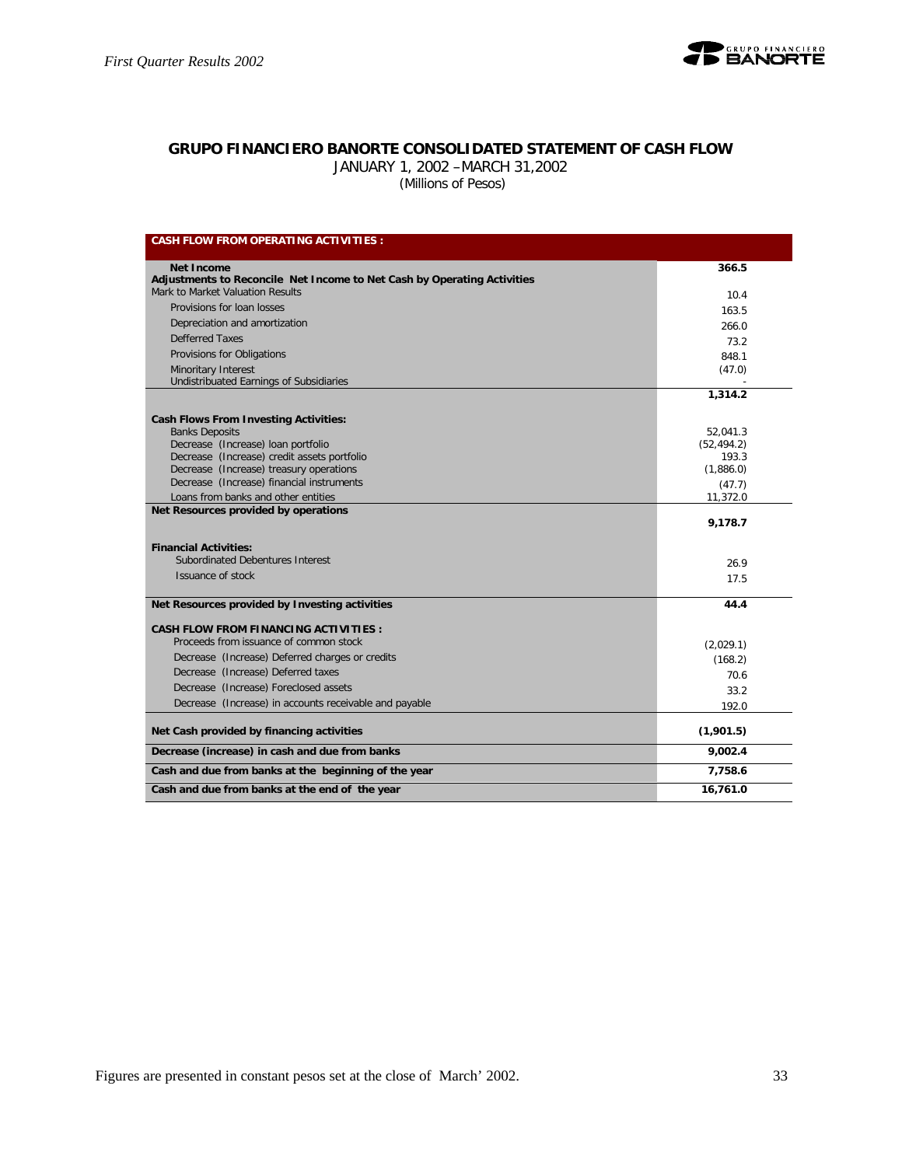

## **GRUPO FINANCIERO BANORTE CONSOLIDATED STATEMENT OF CASH FLOW**

JANUARY 1, 2002 –MARCH 31,2002

 *(Millions of Pesos)*

| <b>CASH FLOW FROM OPERATING ACTIVITIES:</b>                                 |             |
|-----------------------------------------------------------------------------|-------------|
| Net Income                                                                  | 366.5       |
| Adjustments to Reconcile Net Income to Net Cash by Operating Activities     |             |
| Mark to Market Valuation Results                                            | 10.4        |
| Provisions for loan losses                                                  | 163.5       |
| Depreciation and amortization                                               | 266.0       |
| Defferred Taxes                                                             | 73.2        |
| Provisions for Obligations                                                  | 848.1       |
| Minoritary Interest                                                         | (47.0)      |
| Undistribuated Earnings of Subsidiaries                                     |             |
|                                                                             | 1,314.2     |
| <b>Cash Flows From Investing Activities:</b>                                |             |
| <b>Banks Deposits</b>                                                       | 52,041.3    |
| Decrease (Increase) loan portfolio                                          | (52, 494.2) |
| Decrease (Increase) credit assets portfolio                                 | 193.3       |
| Decrease (Increase) treasury operations                                     | (1,886.0)   |
| Decrease (Increase) financial instruments                                   | (47.7)      |
| Loans from banks and other entities<br>Net Resources provided by operations | 11,372.0    |
|                                                                             | 9,178.7     |
| <b>Financial Activities:</b>                                                |             |
| Subordinated Debentures Interest                                            | 26.9        |
| Issuance of stock                                                           | 17.5        |
|                                                                             |             |
| Net Resources provided by Investing activities                              | 44.4        |
| <b>CASH FLOW FROM FINANCING ACTIVITIES:</b>                                 |             |
| Proceeds from issuance of common stock                                      | (2,029.1)   |
| Decrease (Increase) Deferred charges or credits                             | (168.2)     |
| Decrease (Increase) Deferred taxes                                          | 70.6        |
| Decrease (Increase) Foreclosed assets                                       | 33.2        |
| Decrease (Increase) in accounts receivable and payable                      | 192.0       |
|                                                                             |             |
| Net Cash provided by financing activities                                   | (1,901.5)   |
| Decrease (increase) in cash and due from banks                              | 9.002.4     |
| Cash and due from banks at the beginning of the year                        | 7,758.6     |
| Cash and due from banks at the end of the year                              | 16,761.0    |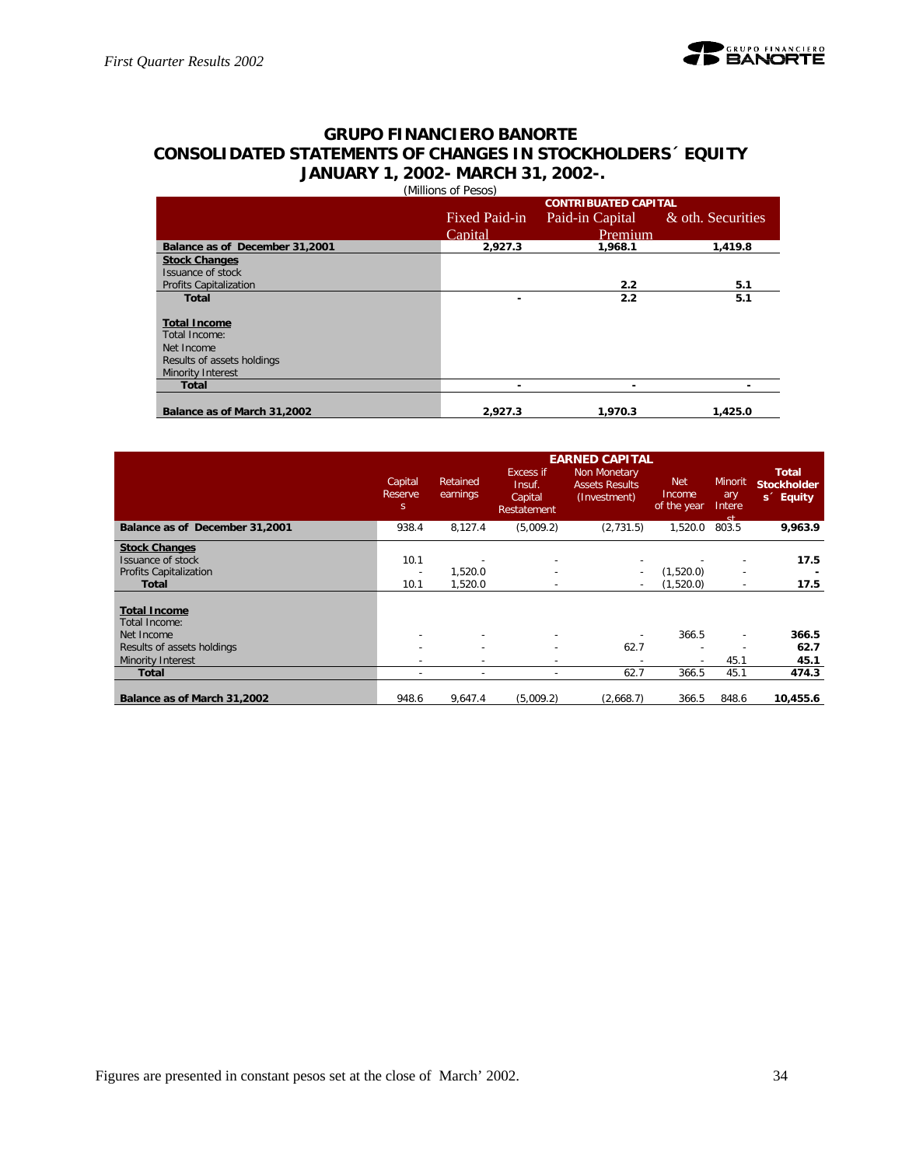## **GRUPO FINANCIERO BANORTE CONSOLIDATED STATEMENTS OF CHANGES IN STOCKHOLDERS´ EQUITY JANUARY 1, 2002- MARCH 31, 2002-.** (Millions of Pesos)

|                                |               | <b>CONTRIBUATED CAPITAL</b> |                   |
|--------------------------------|---------------|-----------------------------|-------------------|
|                                | Fixed Paid-in | Paid-in Capital             | & oth. Securities |
|                                | Capital       | Premium                     |                   |
| Balance as of December 31,2001 | 2,927.3       | 1,968.1                     | 1,419.8           |
| <b>Stock Changes</b>           |               |                             |                   |
| Issuance of stock              |               |                             |                   |
| <b>Profits Capitalization</b>  |               | 2.2                         | 5.1               |
| <b>Total</b>                   | ۰             | 2.2                         | 5.1               |
|                                |               |                             |                   |
| <b>Total Income</b>            |               |                             |                   |
| Total Income:                  |               |                             |                   |
| Net Income                     |               |                             |                   |
| Results of assets holdings     |               |                             |                   |
| Minority Interest              |               |                             |                   |
| <b>Total</b>                   |               | -                           |                   |
|                                |               |                             |                   |
| Balance as of March 31,2002    | 2.927.3       | 1.970.3                     | 1,425.0           |

|                                |                          |                      |                                               | <b>EARNED CAPITAL</b>                                 |                                     |                                        |                                                             |
|--------------------------------|--------------------------|----------------------|-----------------------------------------------|-------------------------------------------------------|-------------------------------------|----------------------------------------|-------------------------------------------------------------|
|                                | Capital<br>Reserve<br>S. | Retained<br>earnings | Excess if<br>Insuf.<br>Capital<br>Restatement | Non Monetary<br><b>Assets Results</b><br>(Investment) | <b>Net</b><br>Income<br>of the year | <b>Minorit</b><br>ary<br>Intere<br>et. | <b>Total</b><br><b>Stockholder</b><br>s <sup>c</sup> Equity |
| Balance as of December 31,2001 | 938.4                    | 8,127.4              | (5,009.2)                                     | (2,731.5)                                             | 1,520.0                             | 803.5                                  | 9,963.9                                                     |
| <b>Stock Changes</b>           |                          |                      |                                               |                                                       |                                     |                                        |                                                             |
| Issuance of stock              | 10.1                     |                      |                                               |                                                       |                                     |                                        | 17.5                                                        |
| <b>Profits Capitalization</b>  | $\overline{\phantom{a}}$ | 1,520.0              | $\overline{\phantom{a}}$                      | $\overline{\phantom{a}}$                              | (1,520.0)                           | $\sim$                                 |                                                             |
| <b>Total</b>                   | 10.1                     | 1,520.0              |                                               |                                                       | (1,520.0)                           | $\sim$                                 | 17.5                                                        |
|                                |                          |                      |                                               |                                                       |                                     |                                        |                                                             |
| <b>Total Income</b>            |                          |                      |                                               |                                                       |                                     |                                        |                                                             |
| Total Income:                  |                          |                      |                                               |                                                       |                                     |                                        |                                                             |
| Net Income                     | ٠                        |                      |                                               |                                                       | 366.5                               | $\overline{\phantom{a}}$               | 366.5                                                       |
| Results of assets holdings     | ٠                        |                      |                                               | 62.7                                                  |                                     |                                        | 62.7                                                        |
| Minority Interest              |                          |                      |                                               |                                                       |                                     | 45.1                                   | 45.1                                                        |
| Total                          | ٠                        | ٠                    | $\overline{\phantom{a}}$                      | 62.7                                                  | 366.5                               | 45.1                                   | 474.3                                                       |
|                                |                          |                      |                                               |                                                       |                                     |                                        |                                                             |
| Balance as of March 31,2002    | 948.6                    | 9,647.4              | (5,009.2)                                     | (2,668.7)                                             | 366.5                               | 848.6                                  | 10,455.6                                                    |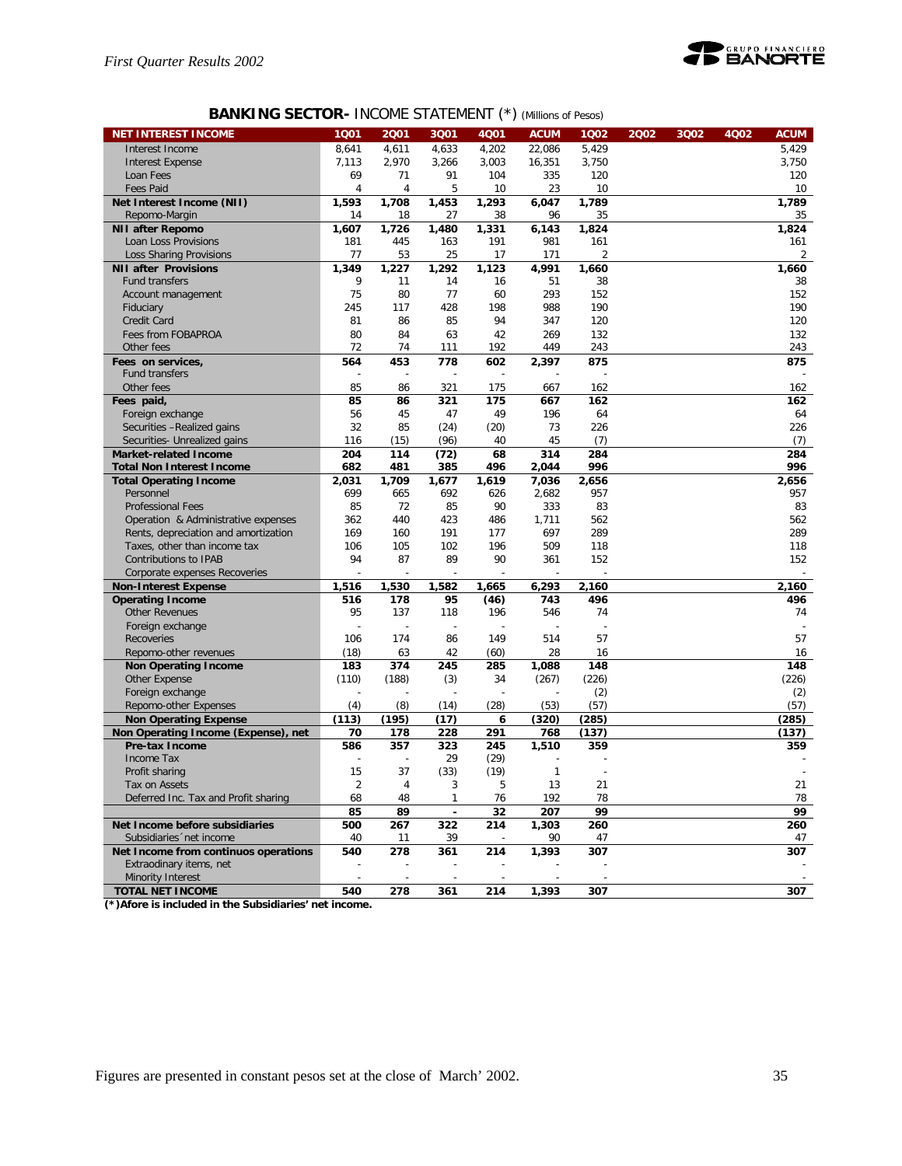

## **BANKING SECTOR-** INCOME STATEMENT (\*) *(Millions of Pesos)*

| <b>NET INTEREST INCOME</b>                             | 1 <sub>Q01</sub> | 2001                     | 3Q01                     | <b>4Q01</b> | <b>ACUM</b> | 1002       | 2002 | 3Q02 | 4Q02 | <b>ACUM</b> |
|--------------------------------------------------------|------------------|--------------------------|--------------------------|-------------|-------------|------------|------|------|------|-------------|
| Interest Income                                        | 8,641            | 4,611                    | 4,633                    | 4,202       | 22,086      | 5,429      |      |      |      | 5.429       |
| <b>Interest Expense</b>                                | 7,113            | 2,970                    | 3,266                    | 3,003       | 16,351      | 3,750      |      |      |      | 3,750       |
| Loan Fees                                              | 69               | 71                       | 91                       | 104         | 335         | 120        |      |      |      | 120         |
| Fees Paid                                              | 4                | 4                        | 5                        | 10          | 23          | 10         |      |      |      | 10          |
| Net Interest Income (NII)                              | 1,593            | 1,708                    | 1,453                    | 1,293       | 6,047       | 1,789      |      |      |      | 1,789       |
| Repomo-Margin                                          | 14               | 18                       | 27                       | 38          | 96          | 35         |      |      |      | 35          |
| <b>NII after Repomo</b>                                | 1,607            | 1,726                    | 1,480                    | 1,331       | 6,143       | 1,824      |      |      |      | 1,824       |
| Loan Loss Provisions                                   | 181              | 445                      | 163                      | 191         | 981         | 161        |      |      |      | 161         |
| <b>Loss Sharing Provisions</b>                         | 77               | 53                       | 25                       | 17          | 171         | 2          |      |      |      | 2           |
| <b>NII after Provisions</b>                            | 1,349            | 1.227                    | 1,292                    | 1,123       | 4,991       | 1,660      |      |      |      | 1.660       |
| <b>Fund transfers</b>                                  | 9                | 11                       | 14                       | 16          | 51          | 38         |      |      |      | 38          |
| Account management                                     | 75               | 80                       | 77                       | 60          | 293         | 152        |      |      |      | 152         |
| Fiduciary                                              | 245              | 117                      | 428                      | 198         | 988         | 190        |      |      |      | 190         |
| Credit Card                                            | 81               | 86                       | 85                       | 94          | 347         | 120        |      |      |      | 120         |
| Fees from FOBAPROA<br>Other fees                       | 80<br>72         | 84<br>74                 | 63                       | 42<br>192   | 269<br>449  | 132<br>243 |      |      |      | 132<br>243  |
| Fees on services,                                      | 564              | 453                      | 111<br>778               | 602         |             | 875        |      |      |      | 875         |
| Fund transfers                                         | $\overline{a}$   | $\overline{\phantom{a}}$ | $\overline{a}$           |             | 2,397       |            |      |      |      |             |
| Other fees                                             | 85               | 86                       | 321                      | 175         | 667         | 162        |      |      |      | 162         |
| Fees paid,                                             | 85               | 86                       | 321                      | 175         | 667         | 162        |      |      |      | 162         |
| Foreign exchange                                       | 56               | 45                       | 47                       | 49          | 196         | 64         |      |      |      | 64          |
| Securities -Realized gains                             | 32               | 85                       | (24)                     | (20)        | 73          | 226        |      |      |      | 226         |
| Securities- Unrealized gains                           | 116              | (15)                     | (96)                     | 40          | 45          | (7)        |      |      |      | (7)         |
| <b>Market-related Income</b>                           | 204              | 114                      | (72)                     | 68          | 314         | 284        |      |      |      | 284         |
| <b>Total Non Interest Income</b>                       | 682              | 481                      | 385                      | 496         | 2,044       | 996        |      |      |      | 996         |
| <b>Total Operating Income</b>                          | 2,031            | 1,709                    | 1,677                    | 1.619       | 7,036       | 2,656      |      |      |      | 2,656       |
| Personnel                                              | 699              | 665                      | 692                      | 626         | 2,682       | 957        |      |      |      | 957         |
| <b>Professional Fees</b>                               | 85               | 72                       | 85                       | 90          | 333         | 83         |      |      |      | 83          |
| Operation & Administrative expenses                    | 362              | 440                      | 423                      | 486         | 1,711       | 562        |      |      |      | 562         |
| Rents, depreciation and amortization                   | 169              | 160                      | 191                      | 177         | 697         | 289        |      |      |      | 289         |
| Taxes, other than income tax                           | 106              | 105                      | 102                      | 196         | 509         | 118        |      |      |      | 118         |
| Contributions to IPAB                                  | 94               | 87                       | 89                       | 90          | 361         | 152        |      |      |      | 152         |
| Corporate expenses Recoveries                          | 1,516            | 1,530                    | 1,582                    | 1,665       | 6,293       | 2,160      |      |      |      | 2,160       |
| <b>Non-Interest Expense</b><br><b>Operating Income</b> | 516              | 178                      | 95                       | (46)        | 743         | 496        |      |      |      | 496         |
| <b>Other Revenues</b>                                  | 95               | 137                      | 118                      | 196         | 546         | 74         |      |      |      | 74          |
| Foreign exchange                                       | ÷                |                          |                          |             |             |            |      |      |      |             |
| Recoveries                                             | 106              | 174                      | 86                       | 149         | 514         | 57         |      |      |      | 57          |
| Repomo-other revenues                                  | (18)             | 63                       | 42                       | (60)        | 28          | 16         |      |      |      | 16          |
| <b>Non Operating Income</b>                            | 183              | 374                      | 245                      | 285         | 1,088       | 148        |      |      |      | 148         |
| Other Expense                                          | (110)            | (188)                    | (3)                      | 34          | (267)       | (226)      |      |      |      | (226)       |
| Foreign exchange                                       |                  |                          | Ē,                       |             |             | (2)        |      |      |      | (2)         |
| Repomo-other Expenses                                  | (4)              | (8)                      | (14)                     | (28)        | (53)        | (57)       |      |      |      | (57)        |
| <b>Non Operating Expense</b>                           | (113)            | (195)                    | (17)                     | 6           | (320)       | (285)      |      |      |      | (285)       |
| Non Operating Income (Expense), net                    | 70               | 178                      | 228                      | 291         | 768         | (137)      |      |      |      | (137)       |
| Pre-tax Income                                         | 586              | 357                      | 323                      | 245         | 1,510       | 359        |      |      |      | 359         |
| <b>Income Tax</b>                                      |                  |                          | 29                       | (29)        |             |            |      |      |      |             |
| Profit sharing                                         | 15               | 37                       | (33)                     | (19)        | 1           |            |      |      |      |             |
| Tax on Assets                                          | $\overline{2}$   |                          | 3                        | b           | 13          | 21         |      |      |      | 21          |
| Deferred Inc. Tax and Profit sharing                   | 68               | 48                       | 1                        | 76          | 192         | 78         |      |      |      | 78          |
| Net Income before subsidiaries                         | 85               | 89                       | $\overline{\phantom{a}}$ | 32          | 207         | 99         |      |      |      | 99          |
| Subsidiaries 'net income                               | 500<br>40        | 267<br>11                | 322<br>39                | 214         | 1,303<br>90 | 260<br>47  |      |      |      | 260<br>47   |
| Net Income from continuos operations                   | 540              | 278                      | 361                      | 214         | 1,393       | 307        |      |      |      | 307         |
| Extraodinary items, net                                |                  |                          |                          |             |             |            |      |      |      |             |
| Minority Interest                                      | $\overline{a}$   | $\overline{a}$           |                          |             |             |            |      |      |      |             |
| <b>TOTAL NET INCOME</b>                                | 540              | 278                      | 361                      | 214         | 1,393       | 307        |      |      |      | 307         |
|                                                        |                  |                          |                          |             |             |            |      |      |      |             |

**(\*)Afore is included in the Subsidiaries' net income.**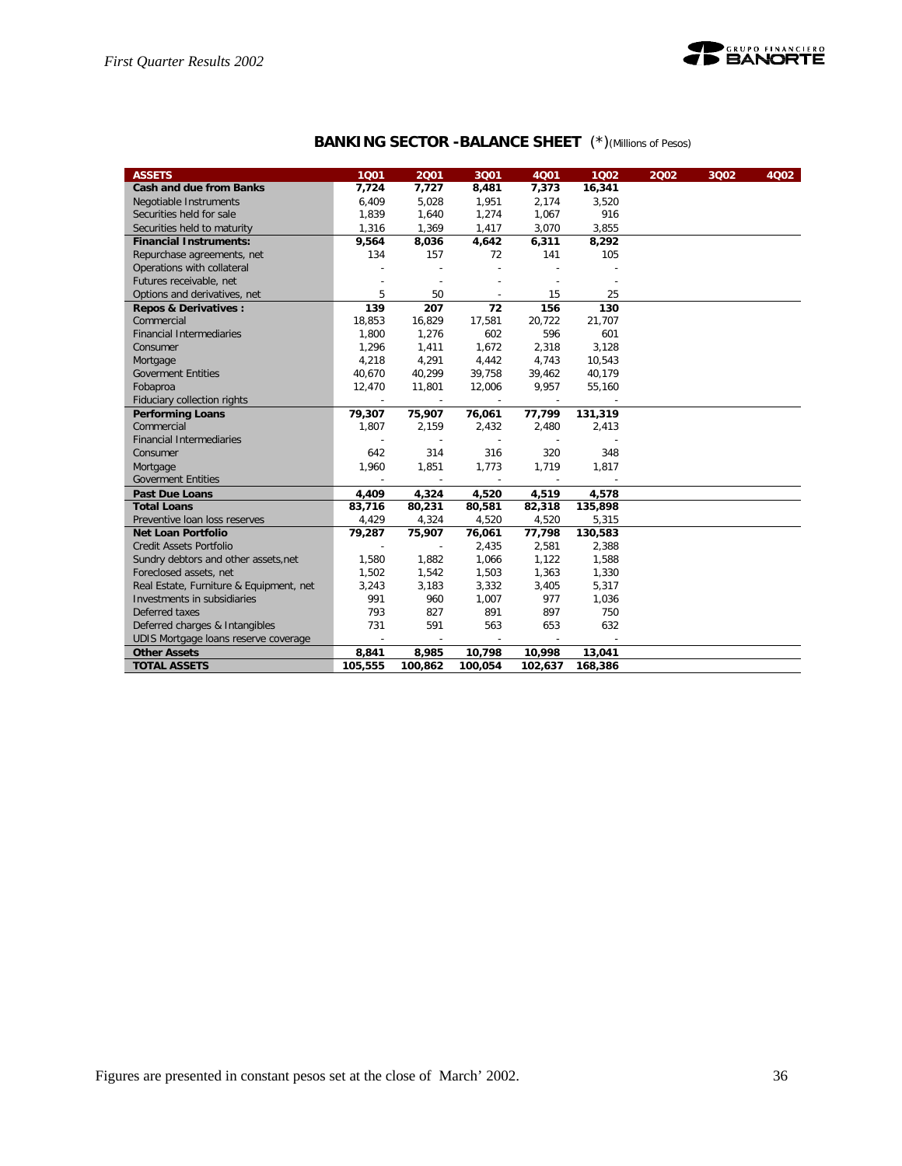

| <b>BANKING SECTOR -BALANCE SHEET</b> (*) (Millions of Pesos) |  |
|--------------------------------------------------------------|--|
|--------------------------------------------------------------|--|

| <b>ASSETS</b>                           | 1001                     | 2001                     | 3Q01                     | 4Q01                     | 1002    | 2002 | 3Q02 | 4Q02 |
|-----------------------------------------|--------------------------|--------------------------|--------------------------|--------------------------|---------|------|------|------|
| <b>Cash and due from Banks</b>          | 7,724                    | 7,727                    | 8,481                    | 7,373                    | 16,341  |      |      |      |
| Negotiable Instruments                  | 6,409                    | 5,028                    | 1,951                    | 2,174                    | 3,520   |      |      |      |
| Securities held for sale                | 1,839                    | 1,640                    | 1,274                    | 1,067                    | 916     |      |      |      |
| Securities held to maturity             | 1,316                    | 1,369                    | 1,417                    | 3,070                    | 3,855   |      |      |      |
| <b>Financial Instruments:</b>           | 9,564                    | 8,036                    | 4,642                    | 6,311                    | 8,292   |      |      |      |
| Repurchase agreements, net              | 134                      | 157                      | 72                       | 141                      | 105     |      |      |      |
| Operations with collateral              |                          |                          | $\overline{a}$           |                          |         |      |      |      |
| Futures receivable, net                 |                          | $\sim$                   | $\overline{\phantom{a}}$ |                          |         |      |      |      |
| Options and derivatives, net            | 5                        | 50                       | $\sim$                   | 15                       | 25      |      |      |      |
| <b>Repos &amp; Derivatives:</b>         | 139                      | 207                      | 72                       | 156                      | 130     |      |      |      |
| Commercial                              | 18,853                   | 16,829                   | 17,581                   | 20,722                   | 21,707  |      |      |      |
| <b>Financial Intermediaries</b>         | 1,800                    | 1,276                    | 602                      | 596                      | 601     |      |      |      |
| Consumer                                | 1,296                    | 1,411                    | 1,672                    | 2,318                    | 3,128   |      |      |      |
| Mortgage                                | 4,218                    | 4,291                    | 4,442                    | 4,743                    | 10,543  |      |      |      |
| <b>Goverment Entities</b>               | 40,670                   | 40,299                   | 39,758                   | 39,462                   | 40,179  |      |      |      |
| Fobaproa                                | 12,470                   | 11,801                   | 12,006                   | 9,957                    | 55,160  |      |      |      |
| Fiduciary collection rights             | $\sim$                   | $\overline{\phantom{a}}$ |                          |                          |         |      |      |      |
| <b>Performing Loans</b>                 | 79,307                   | 75,907                   | 76,061                   | 77,799                   | 131,319 |      |      |      |
| Commercial                              | 1,807                    | 2,159                    | 2,432                    | 2,480                    | 2,413   |      |      |      |
| <b>Financial Intermediaries</b>         |                          |                          | $\sim$                   |                          |         |      |      |      |
| Consumer                                | 642                      | 314                      | 316                      | 320                      | 348     |      |      |      |
| Mortgage                                | 1,960                    | 1,851                    | 1,773                    | 1,719                    | 1,817   |      |      |      |
| <b>Goverment Entities</b>               | $\overline{\phantom{a}}$ | $\overline{\phantom{a}}$ | $\sim$                   | $\overline{\phantom{a}}$ |         |      |      |      |
| <b>Past Due Loans</b>                   | 4,409                    | 4,324                    | 4,520                    | 4,519                    | 4,578   |      |      |      |
| <b>Total Loans</b>                      | 83,716                   | 80,231                   | 80,581                   | 82,318                   | 135,898 |      |      |      |
| Preventive Ioan loss reserves           | 4,429                    | 4,324                    | 4,520                    | 4,520                    | 5,315   |      |      |      |
| Net Loan Portfolio                      | 79,287                   | 75,907                   | 76,061                   | 77,798                   | 130,583 |      |      |      |
| <b>Credit Assets Portfolio</b>          | ÷,                       | $\overline{a}$           | 2,435                    | 2,581                    | 2,388   |      |      |      |
| Sundry debtors and other assets, net    | 1,580                    | 1,882                    | 1,066                    | 1,122                    | 1,588   |      |      |      |
| Foreclosed assets, net                  | 1,502                    | 1,542                    | 1,503                    | 1,363                    | 1,330   |      |      |      |
| Real Estate, Furniture & Equipment, net | 3,243                    | 3,183                    | 3,332                    | 3,405                    | 5,317   |      |      |      |
| Investments in subsidiaries             | 991                      | 960                      | 1,007                    | 977                      | 1,036   |      |      |      |
| Deferred taxes                          | 793                      | 827                      | 891                      | 897                      | 750     |      |      |      |
| Deferred charges & Intangibles          | 731                      | 591                      | 563                      | 653                      | 632     |      |      |      |
| UDIS Mortgage loans reserve coverage    | ÷                        | $\overline{\phantom{a}}$ | $\overline{\phantom{a}}$ |                          |         |      |      |      |
| <b>Other Assets</b>                     | 8,841                    | 8,985                    | 10,798                   | 10,998                   | 13,041  |      |      |      |
| <b>TOTAL ASSETS</b>                     | 105,555                  | 100,862                  | 100,054                  | 102,637                  | 168,386 |      |      |      |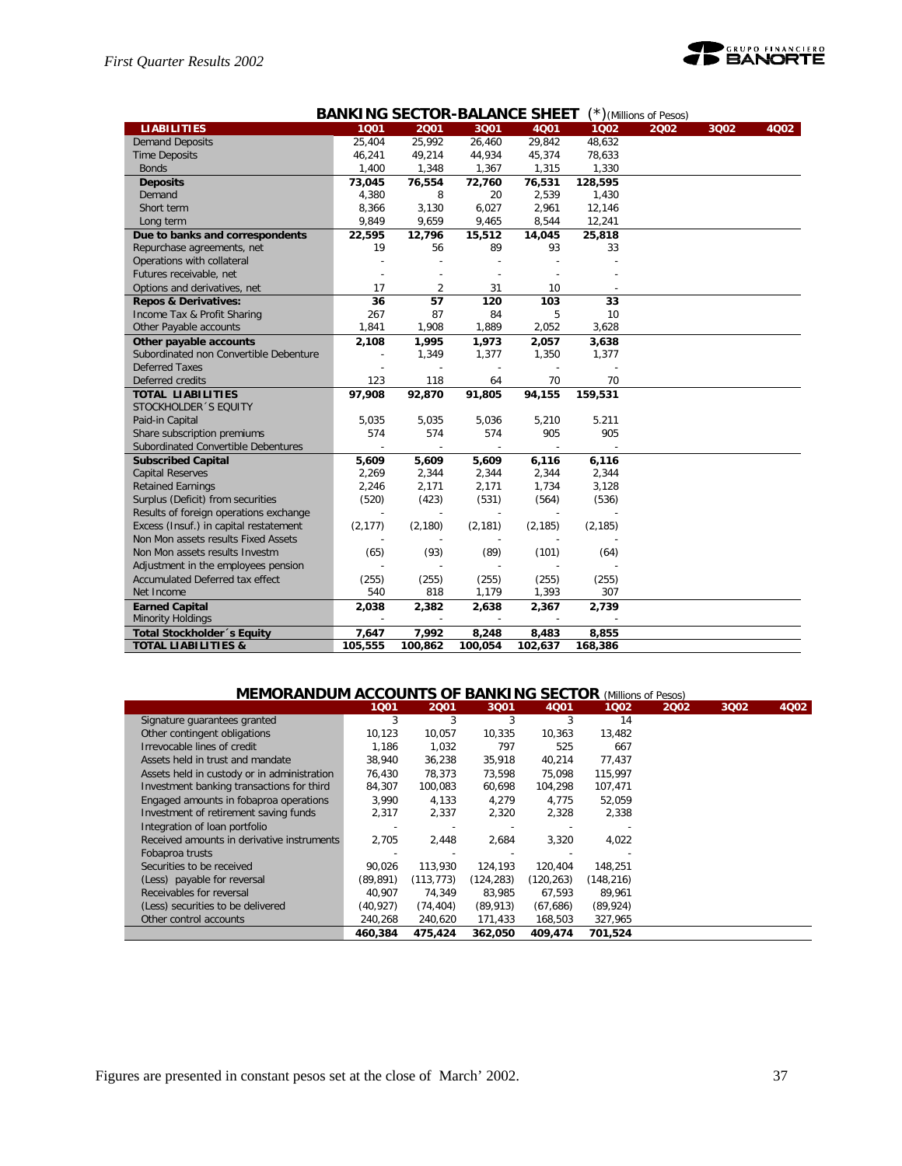

|                                        | <b>BANKING SECTOR-BALANCE SHEET</b><br>$(*)$ (Millions of Pesos) |                          |                          |          |          |      |      |      |  |
|----------------------------------------|------------------------------------------------------------------|--------------------------|--------------------------|----------|----------|------|------|------|--|
| <b>LIABILITIES</b>                     | 1001                                                             | 2001                     | 3Q01                     | 4001     | 1002     | 2002 | 3Q02 | 4Q02 |  |
| <b>Demand Deposits</b>                 | 25,404                                                           | 25,992                   | 26,460                   | 29,842   | 48,632   |      |      |      |  |
| <b>Time Deposits</b>                   | 46,241                                                           | 49,214                   | 44,934                   | 45,374   | 78,633   |      |      |      |  |
| <b>Bonds</b>                           | 1,400                                                            | 1,348                    | 1,367                    | 1,315    | 1,330    |      |      |      |  |
| <b>Deposits</b>                        | 73,045                                                           | 76,554                   | 72,760                   | 76,531   | 128,595  |      |      |      |  |
| Demand                                 | 4,380                                                            | 8                        | 20                       | 2,539    | 1,430    |      |      |      |  |
| Short term                             | 8,366                                                            | 3,130                    | 6,027                    | 2,961    | 12,146   |      |      |      |  |
| Long term                              | 9,849                                                            | 9,659                    | 9,465                    | 8,544    | 12,241   |      |      |      |  |
| Due to banks and correspondents        | 22,595                                                           | 12,796                   | 15,512                   | 14,045   | 25,818   |      |      |      |  |
| Repurchase agreements, net             | 19                                                               | 56                       | 89                       | 93       | 33       |      |      |      |  |
| Operations with collateral             |                                                                  |                          |                          |          |          |      |      |      |  |
| Futures receivable, net                |                                                                  |                          |                          |          |          |      |      |      |  |
| Options and derivatives, net           | 17                                                               | $\overline{2}$           | 31                       | 10       |          |      |      |      |  |
| <b>Repos &amp; Derivatives:</b>        | 36                                                               | 57                       | 120                      | 103      | 33       |      |      |      |  |
| Income Tax & Profit Sharing            | 267                                                              | 87                       | 84                       | 5        | 10       |      |      |      |  |
| Other Payable accounts                 | 1,841                                                            | 1,908                    | 1,889                    | 2,052    | 3,628    |      |      |      |  |
| Other payable accounts                 | 2,108                                                            | 1,995                    | 1,973                    | 2,057    | 3,638    |      |      |      |  |
| Subordinated non Convertible Debenture |                                                                  | 1,349                    | 1,377                    | 1,350    | 1,377    |      |      |      |  |
| <b>Deferred Taxes</b>                  |                                                                  |                          |                          |          |          |      |      |      |  |
| Deferred credits                       | 123                                                              | 118                      | 64                       | 70       | 70       |      |      |      |  |
| <b>TOTAL LIABILITIES</b>               | 97,908                                                           | 92,870                   | 91,805                   | 94,155   | 159,531  |      |      |      |  |
| STOCKHOLDER 'S EQUITY                  |                                                                  |                          |                          |          |          |      |      |      |  |
| Paid-in Capital                        | 5,035                                                            | 5,035                    | 5,036                    | 5,210    | 5.211    |      |      |      |  |
| Share subscription premiums            | 574                                                              | 574                      | 574                      | 905      | 905      |      |      |      |  |
| Subordinated Convertible Debentures    |                                                                  | $\overline{\phantom{a}}$ | $\overline{\phantom{a}}$ |          |          |      |      |      |  |
| <b>Subscribed Capital</b>              | 5,609                                                            | 5,609                    | 5,609                    | 6,116    | 6,116    |      |      |      |  |
| <b>Capital Reserves</b>                | 2,269                                                            | 2,344                    | 2,344                    | 2,344    | 2,344    |      |      |      |  |
| <b>Retained Earnings</b>               | 2,246                                                            | 2,171                    | 2,171                    | 1,734    | 3,128    |      |      |      |  |
| Surplus (Deficit) from securities      | (520)                                                            | (423)                    | (531)                    | (564)    | (536)    |      |      |      |  |
| Results of foreign operations exchange |                                                                  |                          |                          |          |          |      |      |      |  |
| Excess (Insuf.) in capital restatement | (2, 177)                                                         | (2, 180)                 | (2, 181)                 | (2, 185) | (2, 185) |      |      |      |  |
| Non Mon assets results Fixed Assets    |                                                                  |                          |                          |          |          |      |      |      |  |
| Non Mon assets results Investm         | (65)                                                             | (93)                     | (89)                     | (101)    | (64)     |      |      |      |  |
| Adjustment in the employees pension    |                                                                  |                          |                          |          |          |      |      |      |  |
| Accumulated Deferred tax effect        | (255)                                                            | (255)                    | (255)                    | (255)    | (255)    |      |      |      |  |
| Net Income                             | 540                                                              | 818                      | 1,179                    | 1,393    | 307      |      |      |      |  |
| <b>Earned Capital</b>                  | 2,038                                                            | 2,382                    | 2,638                    | 2,367    | 2,739    |      |      |      |  |
| <b>Minority Holdings</b>               | $\overline{\phantom{a}}$                                         | $\sim$                   |                          |          |          |      |      |      |  |
| Total Stockholder 's Equity            | 7,647                                                            | 7,992                    | 8,248                    | 8,483    | 8,855    |      |      |      |  |
| <b>TOTAL LIABILITIES &amp;</b>         | 105,555                                                          | 100,862                  | 100,054                  | 102,637  | 168,386  |      |      |      |  |

## **MEMORANDUM ACCOUNTS OF BANKING SECTOR** *(Millions of Pesos)*

|                                             | 1001      | 2001       | 3Q01       | <b>4Q01</b> | 1002       | 2002 | 3Q02 | 4Q02 |
|---------------------------------------------|-----------|------------|------------|-------------|------------|------|------|------|
| Signature guarantees granted                | 3         | 3          | 3          | 3           | 14         |      |      |      |
| Other contingent obligations                | 10,123    | 10,057     | 10,335     | 10,363      | 13,482     |      |      |      |
| Irrevocable lines of credit                 | 1.186     | 1.032      | 797        | 525         | 667        |      |      |      |
| Assets held in trust and mandate            | 38.940    | 36.238     | 35,918     | 40.214      | 77.437     |      |      |      |
| Assets held in custody or in administration | 76.430    | 78.373     | 73,598     | 75.098      | 115.997    |      |      |      |
| Investment banking transactions for third   | 84.307    | 100.083    | 60.698     | 104.298     | 107,471    |      |      |      |
| Engaged amounts in fobaproa operations      | 3,990     | 4,133      | 4,279      | 4,775       | 52,059     |      |      |      |
| Investment of retirement saving funds       | 2,317     | 2,337      | 2,320      | 2,328       | 2,338      |      |      |      |
| Integration of loan portfolio               |           |            |            |             |            |      |      |      |
| Received amounts in derivative instruments  | 2,705     | 2,448      | 2,684      | 3,320       | 4,022      |      |      |      |
| Fobaproa trusts                             |           |            |            |             |            |      |      |      |
| Securities to be received                   | 90.026    | 113.930    | 124.193    | 120.404     | 148.251    |      |      |      |
| (Less) payable for reversal                 | (89,891)  | (113, 773) | (124, 283) | (120,263)   | (148, 216) |      |      |      |
| Receivables for reversal                    | 40.907    | 74.349     | 83.985     | 67,593      | 89,961     |      |      |      |
| (Less) securities to be delivered           | (40, 927) | (74, 404)  | (89, 913)  | (67,686)    | (89, 924)  |      |      |      |
| Other control accounts                      | 240,268   | 240,620    | 171,433    | 168,503     | 327,965    |      |      |      |
|                                             | 460.384   | 475,424    | 362,050    | 409,474     | 701,524    |      |      |      |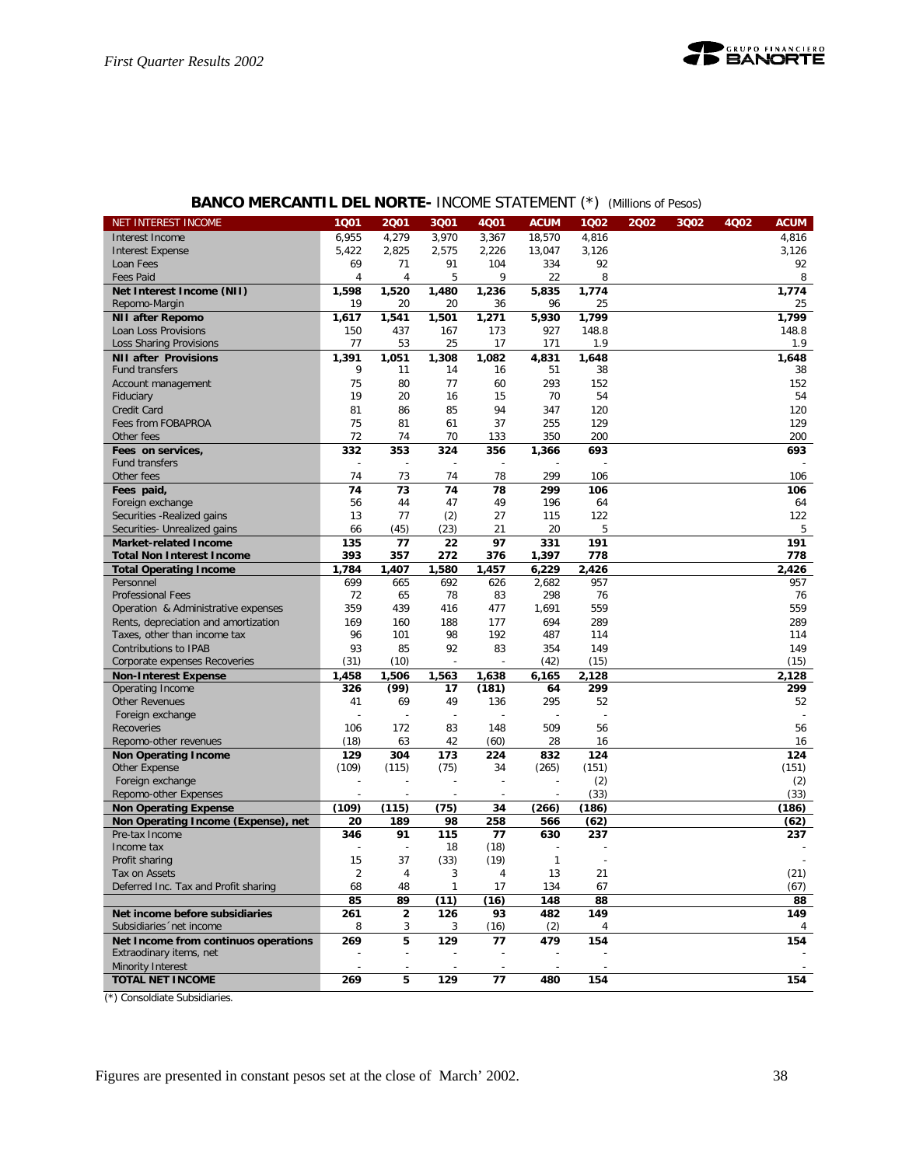## **BANCO MERCANTIL DEL NORTE-** INCOME STATEMENT (\*) *(Millions of Pesos)*

| NET INTEREST INCOME                        | 1001           | 2001                    | 3Q01           | 4Q01         | <b>ACUM</b>    | 1Q02         | 2002 | 3Q02 | 4Q02 | <b>ACUM</b>  |
|--------------------------------------------|----------------|-------------------------|----------------|--------------|----------------|--------------|------|------|------|--------------|
| Interest Income                            | 6,955          | 4,279                   | 3,970          | 3,367        | 18,570         | 4,816        |      |      |      | 4,816        |
| <b>Interest Expense</b>                    | 5,422          | 2,825                   | 2,575          | 2,226        | 13,047         | 3,126        |      |      |      | 3,126        |
| Loan Fees                                  | 69             | 71                      | 91             | 104          | 334            | 92           |      |      |      | 92           |
| <b>Fees Paid</b>                           | 4              | 4                       | 5              | 9            | 22             | 8            |      |      |      | 8            |
| Net Interest Income (NII)                  | 1,598          | 1,520                   | 1,480          | 1,236        | 5,835          | 1,774        |      |      |      | 1,774        |
| Repomo-Margin                              | 19             | 20                      | 20             | 36           | 96             | 25           |      |      |      | 25           |
| <b>NII after Repomo</b>                    | 1,617          | 1,541                   | 1,501          | 1,271        | 5,930          | 1,799        |      |      |      | 1,799        |
| Loan Loss Provisions                       | 150            | 437                     | 167            | 173          | 927            | 148.8        |      |      |      | 148.8        |
| Loss Sharing Provisions                    | 77             | 53                      | 25             | 17           | 171            | 1.9          |      |      |      | 1.9          |
| <b>NII after Provisions</b>                | 1,391          | 1,051                   | 1,308          | 1,082        | 4,831          | 1.648        |      |      |      | 1.648        |
| <b>Fund transfers</b>                      | 9              | 11                      | 14             | 16           | 51             | 38           |      |      |      | 38           |
| Account management                         | 75             | 80                      | 77             | 60           | 293            | 152          |      |      |      | 152          |
| Fiduciary                                  | 19             | 20                      | 16             | 15           | 70             | 54           |      |      |      | 54           |
| Credit Card                                | 81             | 86                      | 85             | 94           | 347            | 120          |      |      |      | 120          |
| Fees from FOBAPROA                         | 75             | 81                      | 61             | 37           | 255            | 129          |      |      |      | 129          |
| Other fees                                 | 72             | 74                      | 70             | 133          | 350            | 200          |      |      |      | 200          |
| Fees on services,                          | 332            | 353                     | 324            | 356          | 1,366          | 693          |      |      |      | 693          |
| Fund transfers                             | ÷              | ÷                       | $\overline{a}$ | ÷,           |                |              |      |      |      |              |
| Other fees                                 | 74             | 73                      | 74             | 78           | 299            | 106          |      |      |      | 106          |
| Fees paid,                                 | 74             | 73                      | 74             | 78           | 299            | 106          |      |      |      | 106          |
| Foreign exchange                           | 56             | 44                      | 47             | 49           | 196            | 64           |      |      |      | 64           |
| Securities - Realized gains                | 13             | 77                      | (2)            | 27           | 115            | 122          |      |      |      | 122          |
| Securities- Unrealized gains               | 66             | (45)                    | (23)           | 21           | 20             | 5            |      |      |      | 5            |
| <b>Market-related Income</b>               | 135            | 77                      | 22             | 97           | 331            | 191          |      |      |      | 191          |
| <b>Total Non Interest Income</b>           | 393            | 357                     | 272            | 376          | 1,397          | 778<br>2.426 |      |      |      | 778<br>2,426 |
| <b>Total Operating Income</b><br>Personnel | 1,784<br>699   | 1,407<br>665            | 1,580<br>692   | 1,457<br>626 | 6,229<br>2,682 | 957          |      |      |      | 957          |
| Professional Fees                          | 72             | 65                      | 78             | 83           | 298            | 76           |      |      |      | 76           |
| Operation & Administrative expenses        | 359            | 439                     | 416            | 477          | 1,691          | 559          |      |      |      | 559          |
| Rents, depreciation and amortization       | 169            | 160                     | 188            | 177          | 694            | 289          |      |      |      | 289          |
| Taxes, other than income tax               | 96             | 101                     | 98             | 192          | 487            | 114          |      |      |      | 114          |
| Contributions to IPAB                      | 93             | 85                      | 92             | 83           | 354            | 149          |      |      |      | 149          |
| Corporate expenses Recoveries              | (31)           | (10)                    |                |              | (42)           | (15)         |      |      |      | (15)         |
| <b>Non-Interest Expense</b>                | 1,458          | 1,506                   | 1,563          | 1,638        | 6,165          | 2,128        |      |      |      | 2,128        |
| Operating Income                           | 326            | (99)                    | 17             | (181)        | 64             | 299          |      |      |      | 299          |
| <b>Other Revenues</b>                      | 41             | 69                      | 49             | 136          | 295            | 52           |      |      |      | 52           |
| Foreign exchange                           |                |                         | ÷,             |              |                |              |      |      |      |              |
| Recoveries                                 | 106            | 172                     | 83             | 148          | 509            | 56           |      |      |      | 56           |
| Repomo-other revenues                      | (18)           | 63                      | 42             | (60)         | 28             | 16           |      |      |      | 16           |
| <b>Non Operating Income</b>                | 129            | 304                     | 173            | 224          | 832            | 124          |      |      |      | 124          |
| Other Expense                              | (109)          | (115)                   | (75)           | 34           | (265)          | (151)        |      |      |      | (151)        |
| Foreign exchange                           |                |                         |                |              |                | (2)          |      |      |      | (2)          |
| Repomo-other Expenses                      |                |                         |                |              |                | (33)         |      |      |      | (33)         |
| <b>Non Operating Expense</b>               | (109)          | (115)                   | (75)           | 34           | (266)          | (186)        |      |      |      | (186)        |
| Non Operating Income (Expense), net        | 20             | 189                     | 98             | 258          | 566            | (62)         |      |      |      | (62)         |
| Pre-tax Income                             | 346            | 91                      | 115            | 77           | 630            | 237          |      |      |      | 237          |
| Income tax                                 |                |                         | 18             | (18)         |                |              |      |      |      |              |
| Profit sharing                             | 15             | 37                      | (33)           | (19)         | $\mathbf{1}$   |              |      |      |      |              |
| Tax on Assets                              | $\overline{c}$ |                         | 3              |              | 13             | 21           |      |      |      | (21)         |
| Deferred Inc. Tax and Profit sharing       | 68             | 48                      | $\mathbf{1}$   | 17           | 134            | 67           |      |      |      | (67)         |
|                                            | 85             | 89                      | (11)           | (16)         | 148            | 88           |      |      |      | 88           |
| Net income before subsidiaries             | 261            | $\overline{\mathbf{c}}$ | 126            | 93           | 482            | 149          |      |      |      | 149          |
| Subsidiaries 'net income                   | 8              | 3                       | 3              | (16)         | (2)            | 4            |      |      |      | 4            |
| Net Income from continuos operations       | 269            | 5                       | 129            | 77           | 479            | 154          |      |      |      | 154          |
| Extraodinary items, net                    |                |                         |                |              |                |              |      |      |      |              |
| Minority Interest                          |                |                         |                |              |                |              |      |      |      |              |
| <b>TOTAL NET INCOME</b>                    | 269            | 5                       | 129            | 77           | 480            | 154          |      |      |      | 154          |

(\*) Consoldiate Subsidiaries.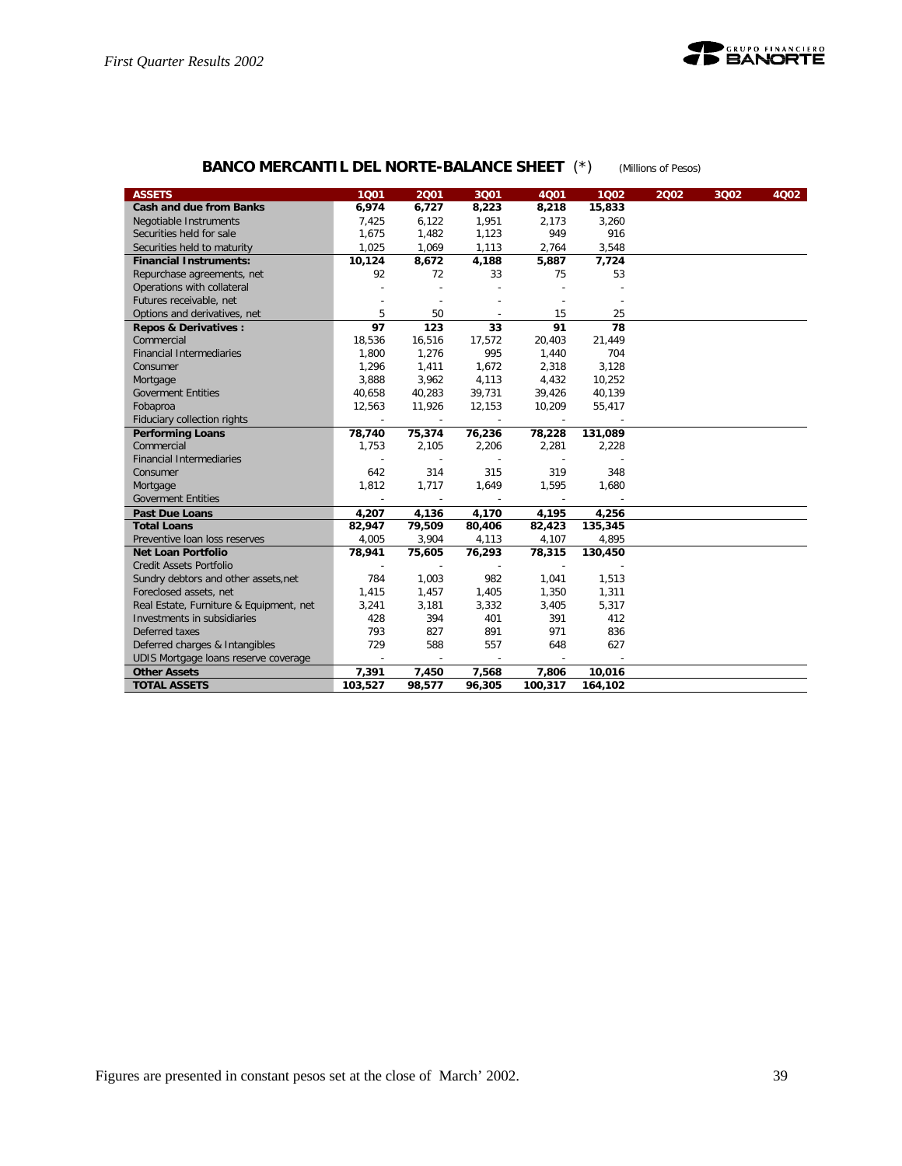

## **BANCO MERCANTIL DEL NORTE-BALANCE SHEET** (\*) *(Millions of Pesos)*

| <b>ASSETS</b>                           | 1001                     | 2001                     | 3001   | 4001    | 1002    | 2002 | 3Q02 | 4002 |
|-----------------------------------------|--------------------------|--------------------------|--------|---------|---------|------|------|------|
| <b>Cash and due from Banks</b>          | 6,974                    | 6,727                    | 8,223  | 8,218   | 15,833  |      |      |      |
| Negotiable Instruments                  | 7,425                    | 6,122                    | 1,951  | 2,173   | 3,260   |      |      |      |
| Securities held for sale                | 1,675                    | 1,482                    | 1,123  | 949     | 916     |      |      |      |
| Securities held to maturity             | 1,025                    | 1,069                    | 1,113  | 2,764   | 3,548   |      |      |      |
| <b>Financial Instruments:</b>           | 10,124                   | 8,672                    | 4,188  | 5,887   | 7,724   |      |      |      |
| Repurchase agreements, net              | 92                       | 72                       | 33     | 75      | 53      |      |      |      |
| Operations with collateral              |                          |                          |        |         |         |      |      |      |
| Futures receivable, net                 |                          |                          | ÷      |         |         |      |      |      |
| Options and derivatives, net            | 5                        | 50                       | $\sim$ | 15      | 25      |      |      |      |
| <b>Repos &amp; Derivatives:</b>         | 97                       | 123                      | 33     | 91      | 78      |      |      |      |
| Commercial                              | 18,536                   | 16,516                   | 17,572 | 20,403  | 21,449  |      |      |      |
| <b>Financial Intermediaries</b>         | 1,800                    | 1,276                    | 995    | 1,440   | 704     |      |      |      |
| Consumer                                | 1,296                    | 1,411                    | 1,672  | 2,318   | 3,128   |      |      |      |
| Mortgage                                | 3,888                    | 3,962                    | 4,113  | 4,432   | 10,252  |      |      |      |
| <b>Goverment Entities</b>               | 40,658                   | 40,283                   | 39,731 | 39,426  | 40,139  |      |      |      |
| Fobaproa                                | 12,563                   | 11,926                   | 12,153 | 10,209  | 55,417  |      |      |      |
| Fiduciary collection rights             | $\overline{\phantom{a}}$ | $\overline{\phantom{a}}$ | $\sim$ | $\sim$  |         |      |      |      |
| <b>Performing Loans</b>                 | 78,740                   | 75,374                   | 76,236 | 78,228  | 131,089 |      |      |      |
| Commercial                              | 1,753                    | 2,105                    | 2,206  | 2,281   | 2,228   |      |      |      |
| <b>Financial Intermediaries</b>         |                          |                          | $\sim$ |         |         |      |      |      |
| Consumer                                | 642                      | 314                      | 315    | 319     | 348     |      |      |      |
| Mortgage                                | 1,812                    | 1,717                    | 1,649  | 1,595   | 1,680   |      |      |      |
| <b>Goverment Entities</b>               |                          |                          |        |         |         |      |      |      |
| <b>Past Due Loans</b>                   | 4,207                    | 4,136                    | 4,170  | 4,195   | 4,256   |      |      |      |
| <b>Total Loans</b>                      | 82,947                   | 79,509                   | 80,406 | 82,423  | 135,345 |      |      |      |
| Preventive Ioan loss reserves           | 4,005                    | 3,904                    | 4,113  | 4,107   | 4,895   |      |      |      |
| <b>Net Loan Portfolio</b>               | 78,941                   | 75,605                   | 76,293 | 78,315  | 130,450 |      |      |      |
| <b>Credit Assets Portfolio</b>          | $\overline{a}$           | $\sim$                   | $\sim$ | $\sim$  |         |      |      |      |
| Sundry debtors and other assets, net    | 784                      | 1,003                    | 982    | 1,041   | 1,513   |      |      |      |
| Foreclosed assets, net                  | 1,415                    | 1,457                    | 1,405  | 1,350   | 1,311   |      |      |      |
| Real Estate, Furniture & Equipment, net | 3,241                    | 3,181                    | 3,332  | 3,405   | 5,317   |      |      |      |
| Investments in subsidiaries             | 428                      | 394                      | 401    | 391     | 412     |      |      |      |
| Deferred taxes                          | 793                      | 827                      | 891    | 971     | 836     |      |      |      |
| Deferred charges & Intangibles          | 729                      | 588                      | 557    | 648     | 627     |      |      |      |
| UDIS Mortgage loans reserve coverage    | $\overline{\phantom{a}}$ | $\overline{\phantom{a}}$ | $\sim$ | $\sim$  |         |      |      |      |
| <b>Other Assets</b>                     | 7,391                    | 7,450                    | 7,568  | 7,806   | 10,016  |      |      |      |
| <b>TOTAL ASSETS</b>                     | 103,527                  | 98,577                   | 96,305 | 100,317 | 164,102 |      |      |      |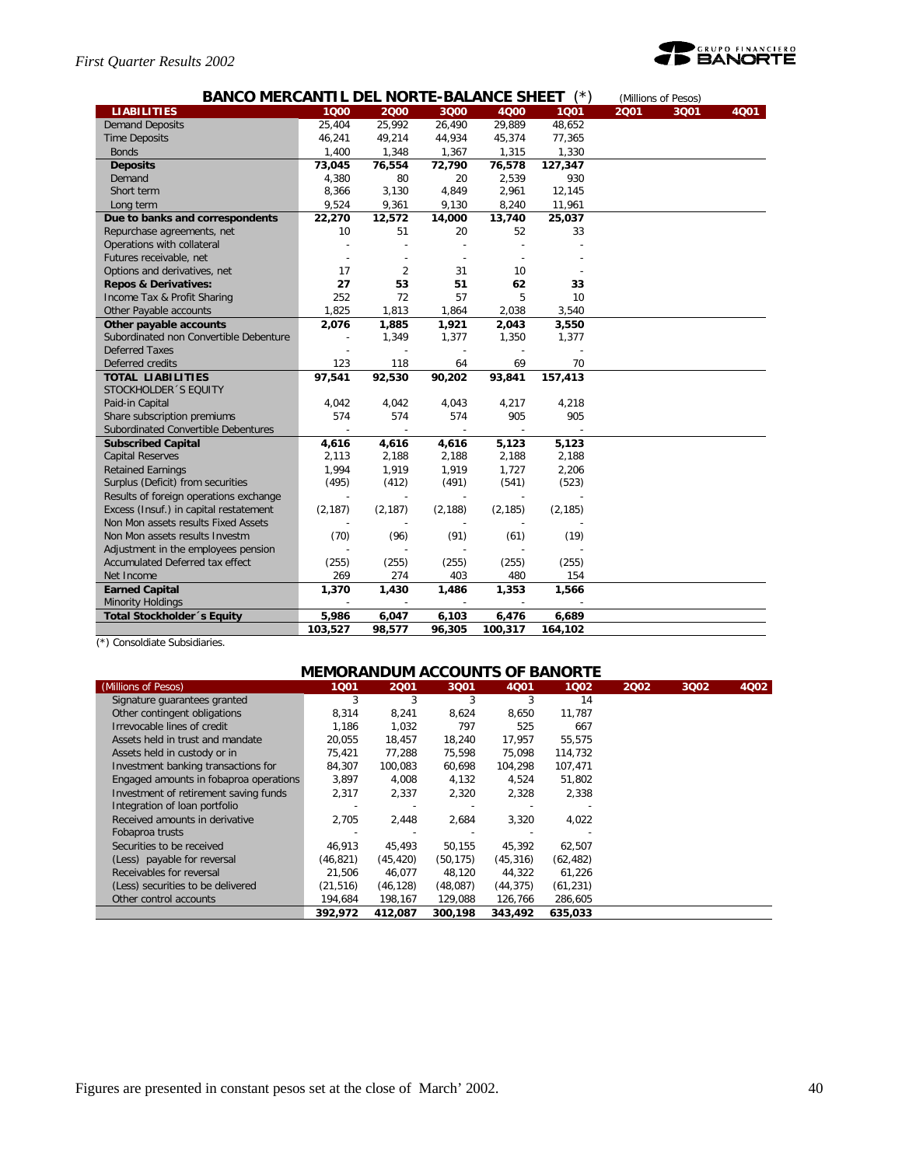## *First Quarter Results 2002*



| <b>BANCO MERCANTIL DEL NORTE-BALANCE SHEET</b> |          |                | (Millions of Pesos)      |          |          |      |      |      |
|------------------------------------------------|----------|----------------|--------------------------|----------|----------|------|------|------|
| <b>LIABILITIES</b>                             | 1000     | 2000           | 3Q00                     | 4000     | 1001     | 2001 | 3Q01 | 4001 |
| <b>Demand Deposits</b>                         | 25,404   | 25,992         | 26,490                   | 29,889   | 48,652   |      |      |      |
| <b>Time Deposits</b>                           | 46,241   | 49,214         | 44,934                   | 45,374   | 77,365   |      |      |      |
| <b>Bonds</b>                                   | 1,400    | 1,348          | 1,367                    | 1,315    | 1,330    |      |      |      |
| <b>Deposits</b>                                | 73,045   | 76,554         | 72,790                   | 76,578   | 127,347  |      |      |      |
| Demand                                         | 4,380    | 80             | 20                       | 2,539    | 930      |      |      |      |
| Short term                                     | 8,366    | 3,130          | 4,849                    | 2,961    | 12,145   |      |      |      |
| Long term                                      | 9,524    | 9,361          | 9,130                    | 8,240    | 11,961   |      |      |      |
| Due to banks and correspondents                | 22,270   | 12,572         | 14,000                   | 13,740   | 25,037   |      |      |      |
| Repurchase agreements, net                     | 10       | 51             | 20                       | 52       | 33       |      |      |      |
| Operations with collateral                     |          |                |                          |          |          |      |      |      |
| Futures receivable, net                        |          |                |                          |          |          |      |      |      |
| Options and derivatives, net                   | 17       | $\overline{2}$ | 31                       | 10       |          |      |      |      |
| <b>Repos &amp; Derivatives:</b>                | 27       | 53             | 51                       | 62       | 33       |      |      |      |
| Income Tax & Profit Sharing                    | 252      | 72             | 57                       | 5        | 10       |      |      |      |
| Other Payable accounts                         | 1,825    | 1,813          | 1,864                    | 2,038    | 3,540    |      |      |      |
| Other payable accounts                         | 2,076    | 1,885          | 1,921                    | 2,043    | 3,550    |      |      |      |
| Subordinated non Convertible Debenture         |          | 1,349          | 1,377                    | 1,350    | 1,377    |      |      |      |
| <b>Deferred Taxes</b>                          |          |                |                          |          |          |      |      |      |
| Deferred credits                               | 123      | 118            | 64                       | 69       | 70       |      |      |      |
| <b>TOTAL LIABILITIES</b>                       | 97,541   | 92,530         | 90,202                   | 93,841   | 157,413  |      |      |      |
| STOCKHOLDER 'S EQUITY                          |          |                |                          |          |          |      |      |      |
| Paid-in Capital                                | 4,042    | 4,042          | 4,043                    | 4,217    | 4,218    |      |      |      |
| Share subscription premiums                    | 574      | 574            | 574                      | 905      | 905      |      |      |      |
| Subordinated Convertible Debentures            |          |                |                          |          |          |      |      |      |
| <b>Subscribed Capital</b>                      | 4,616    | 4,616          | 4,616                    | 5,123    | 5,123    |      |      |      |
| <b>Capital Reserves</b>                        | 2,113    | 2,188          | 2,188                    | 2,188    | 2,188    |      |      |      |
| <b>Retained Earnings</b>                       | 1,994    | 1,919          | 1,919                    | 1,727    | 2,206    |      |      |      |
| Surplus (Deficit) from securities              | (495)    | (412)          | (491)                    | (541)    | (523)    |      |      |      |
| Results of foreign operations exchange         |          |                |                          |          |          |      |      |      |
| Excess (Insuf.) in capital restatement         | (2, 187) | (2, 187)       | (2, 188)                 | (2, 185) | (2, 185) |      |      |      |
| Non Mon assets results Fixed Assets            |          |                |                          |          |          |      |      |      |
| Non Mon assets results Investm                 | (70)     | (96)           | (91)                     | (61)     | (19)     |      |      |      |
| Adjustment in the employees pension            |          |                |                          |          |          |      |      |      |
| Accumulated Deferred tax effect                | (255)    | (255)          | (255)                    | (255)    | (255)    |      |      |      |
| Net Income                                     | 269      | 274            | 403                      | 480      | 154      |      |      |      |
| <b>Earned Capital</b>                          | 1,370    | 1,430          | 1,486                    | 1,353    | 1,566    |      |      |      |
| <b>Minority Holdings</b>                       |          |                | $\overline{\phantom{a}}$ |          |          |      |      |      |
| <b>Total Stockholder</b> 's Equity             | 5,986    | 6,047          | 6,103                    | 6,476    | 6,689    |      |      |      |
|                                                | 103,527  | 98,577         | 96,305                   | 100,317  | 164,102  |      |      |      |

(\*) Consoldiate Subsidiaries.

## **MEMORANDUM ACCOUNTS OF BANORTE**

| (Millions of Pesos)                    | 1001      | 2001      | 3Q01      | 4Q01      | 1002      | 2002 | 3Q02 | 4Q02 |
|----------------------------------------|-----------|-----------|-----------|-----------|-----------|------|------|------|
| Signature quarantees granted           | 3         | 3         | 3         | 3         | 14        |      |      |      |
| Other contingent obligations           | 8,314     | 8,241     | 8,624     | 8,650     | 11.787    |      |      |      |
| Irrevocable lines of credit            | 1.186     | 1,032     | 797       | 525       | 667       |      |      |      |
| Assets held in trust and mandate       | 20.055    | 18.457    | 18,240    | 17.957    | 55,575    |      |      |      |
| Assets held in custody or in           | 75,421    | 77,288    | 75,598    | 75,098    | 114,732   |      |      |      |
| Investment banking transactions for    | 84,307    | 100.083   | 60,698    | 104.298   | 107,471   |      |      |      |
| Engaged amounts in fobaproa operations | 3,897     | 4,008     | 4,132     | 4,524     | 51,802    |      |      |      |
| Investment of retirement saving funds  | 2,317     | 2.337     | 2,320     | 2,328     | 2.338     |      |      |      |
| Integration of loan portfolio          |           |           |           |           |           |      |      |      |
| Received amounts in derivative         | 2,705     | 2,448     | 2,684     | 3,320     | 4,022     |      |      |      |
| Fobaproa trusts                        |           |           |           |           |           |      |      |      |
| Securities to be received              | 46,913    | 45,493    | 50,155    | 45,392    | 62,507    |      |      |      |
| (Less) payable for reversal            | (46, 821) | (45, 420) | (50, 175) | (45, 316) | (62, 482) |      |      |      |
| Receivables for reversal               | 21.506    | 46,077    | 48,120    | 44,322    | 61,226    |      |      |      |
| (Less) securities to be delivered      | (21, 516) | (46, 128) | (48,087)  | (44, 375) | (61, 231) |      |      |      |
| Other control accounts                 | 194,684   | 198,167   | 129,088   | 126,766   | 286,605   |      |      |      |
|                                        | 392,972   | 412.087   | 300.198   | 343,492   | 635.033   |      |      |      |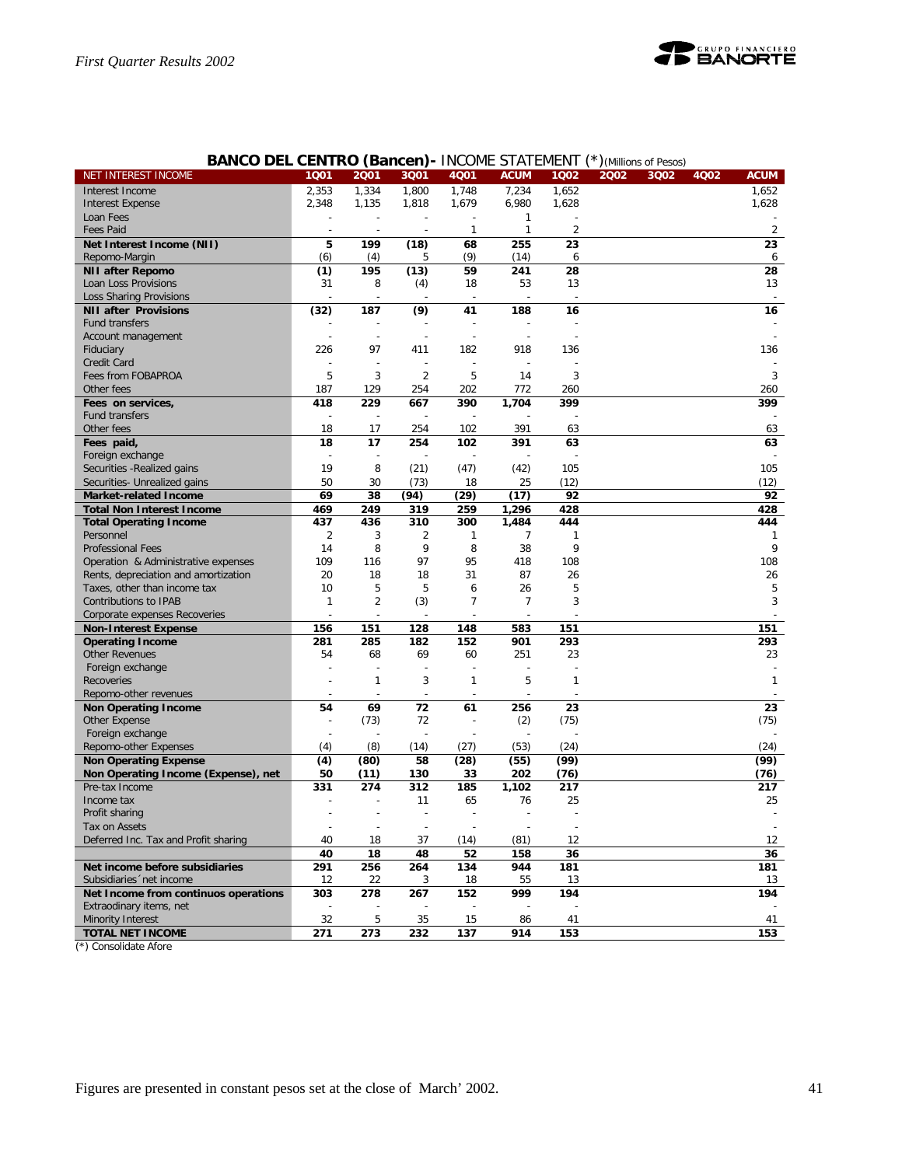

| NET INTEREST INCOME                  | 1001         | 2001           | 3Q01           | 4Q01           | <b>ACUM</b>    | 1002                     | 2002 | 3Q02 | 4Q02 | <b>ACUM</b>    |
|--------------------------------------|--------------|----------------|----------------|----------------|----------------|--------------------------|------|------|------|----------------|
| Interest Income                      | 2,353        | 1,334          | 1,800          | 1,748          | 7,234          | 1,652                    |      |      |      | 1,652          |
| <b>Interest Expense</b>              | 2,348        | 1,135          | 1,818          | 1,679          | 6,980          | 1,628                    |      |      |      | 1,628          |
| Loan Fees                            |              |                |                |                | $\mathbf{1}$   |                          |      |      |      |                |
| <b>Fees Paid</b>                     |              |                |                | $\mathbf{1}$   | $\mathbf{1}$   | $\overline{\mathcal{L}}$ |      |      |      | $\overline{2}$ |
| Net Interest Income (NII)            | 5            | 199            | (18)           | 68             | 255            | 23                       |      |      |      | 23             |
| Repomo-Margin                        | (6)          | (4)            | 5              | (9)            | (14)           | 6                        |      |      |      | 6              |
| <b>NII after Repomo</b>              | (1)          | 195            | (13)           | 59             | 241            | 28                       |      |      |      | 28             |
| Loan Loss Provisions                 | 31           | 8              | (4)            | 18             | 53             | 13                       |      |      |      | 13             |
| <b>Loss Sharing Provisions</b>       |              |                |                |                |                |                          |      |      |      |                |
| <b>NII after Provisions</b>          | (32)         | 187            | (9)            | 41             | 188            | 16                       |      |      |      | 16             |
| Fund transfers                       |              |                |                |                |                |                          |      |      |      |                |
| Account management                   |              |                |                |                |                |                          |      |      |      |                |
| Fiduciary                            | 226          | 97             | 411            | 182            | 918            | 136                      |      |      |      | 136            |
| Credit Card                          |              |                |                |                |                |                          |      |      |      |                |
| Fees from FOBAPROA                   | 5            | 3              | $\overline{2}$ | 5              | 14             | 3                        |      |      |      | 3              |
| Other fees                           | 187          | 129            | 254            | 202            | 772            | 260                      |      |      |      | 260            |
| Fees on services,                    | 418          | 229            | 667            | 390            | 1,704          | 399                      |      |      |      | 399            |
| Fund transfers                       |              |                |                |                |                |                          |      |      |      |                |
| Other fees                           | 18           | 17             | 254            | 102            | 391            | 63                       |      |      |      | 63             |
| Fees paid,                           | 18           | 17             | 254            | 102            | 391            | 63                       |      |      |      | 63             |
| Foreign exchange                     |              |                |                |                |                |                          |      |      |      |                |
| Securities - Realized gains          | 19           | 8              | (21)           | (47)           | (42)           | 105                      |      |      |      | 105            |
| Securities- Unrealized gains         | 50           | 30             | (73)           | 18             | 25             | (12)                     |      |      |      | (12)           |
| Market-related Income                | 69           | 38             | (94)           | (29)           | (17)           | 92                       |      |      |      | 92             |
| <b>Total Non Interest Income</b>     | 469          | 249            | 319            | 259            | 1,296          | 428                      |      |      |      | 428            |
| <b>Total Operating Income</b>        | 437          | 436            | 310            | 300            | 1,484          | 444                      |      |      |      | 444            |
| Personnel                            | 2            | 3              | 2              | 1              | 7              | 1                        |      |      |      | 1              |
| <b>Professional Fees</b>             | 14           | 8              | 9              | 8              | 38             | 9                        |      |      |      | 9              |
| Operation & Administrative expenses  | 109          | 116            | 97             | 95             | 418            | 108                      |      |      |      | 108            |
| Rents, depreciation and amortization | 20           | 18             | 18             | 31             | 87             | 26                       |      |      |      | 26             |
| Taxes, other than income tax         | 10           | 5              | 5              | 6              | 26             | 5                        |      |      |      | 5              |
| Contributions to IPAB                | $\mathbf{1}$ | $\overline{2}$ | (3)            | $\overline{7}$ | $\overline{7}$ | 3                        |      |      |      | 3              |
| Corporate expenses Recoveries        |              |                |                |                |                |                          |      |      |      |                |
| <b>Non-Interest Expense</b>          | 156          | 151            | 128            | 148            | 583            | 151                      |      |      |      | 151            |
| <b>Operating Income</b>              | 281          | 285            | 182            | 152            | 901            | 293                      |      |      |      | 293            |
| <b>Other Revenues</b>                | 54           | 68             | 69             | 60             | 251            | 23                       |      |      |      | 23             |
| Foreign exchange                     |              |                |                |                |                |                          |      |      |      |                |
| Recoveries                           |              | $\mathbf{1}$   | 3              | $\mathbf{1}$   | 5              | $\mathbf{1}$             |      |      |      | $\mathbf{1}$   |
| Repomo-other revenues                |              |                |                |                |                |                          |      |      |      |                |
| <b>Non Operating Income</b>          | 54           | 69             | 72             | 61             | 256            | 23                       |      |      |      | 23             |
| Other Expense                        |              | (73)           | 72             |                | (2)            | (75)                     |      |      |      | (75)           |
| Foreign exchange                     |              |                |                |                |                |                          |      |      |      |                |
| Repomo-other Expenses                | (4)          | (8)            | (14)           | (27)           | (53)           | (24)                     |      |      |      | (24)           |
| <b>Non Operating Expense</b>         | (4)          | (80)           | 58             | (28)           | (55)           | (99)                     |      |      |      | (99)           |
| Non Operating Income (Expense), net  | 50           | (11)           | 130            | 33             | 202            | (76)                     |      |      |      | (76)           |
| Pre-tax Income                       | 331          | 274            | 312            | 185            | 1,102          | 217                      |      |      |      | 217            |
| Income tax                           |              |                | 11             | 65             | 76             | 25                       |      |      |      | 25             |
| Profit sharing                       |              |                |                |                |                |                          |      |      |      |                |
| Tax on Assets                        |              |                |                |                |                |                          |      |      |      |                |
| Deferred Inc. Tax and Profit sharing | 40           | 18             | 37             | (14)           | (81)           | 12                       |      |      |      | 12             |
|                                      | 40           | 18             | 48             | 52             | 158            | 36                       |      |      |      | 36             |
| Net income before subsidiaries       | 291          | 256            | 264            | 134            | 944            | 181                      |      |      |      | 181            |
| Subsidiaries 'net income             | 12           | 22             | 3              | 18             | 55             | 13                       |      |      |      | 13             |
| Net Income from continuos operations | 303          | 278            | 267            | 152            | 999            | 194                      |      |      |      | 194            |
| Extraodinary items, net              |              |                |                |                |                |                          |      |      |      |                |
| Minority Interest                    | 32           | 5              | 35             | 15             | 86             | 41                       |      |      |      | 41             |
| <b>TOTAL NET INCOME</b>              | 271          | 273            | 232            | 137            | 914            | 153                      |      |      |      | 153            |

## **BANCO DEL CENTRO (Bancen)-** INCOME STATEMENT (\*)*(Millions of Pesos)*

(\*) Consolidate Afore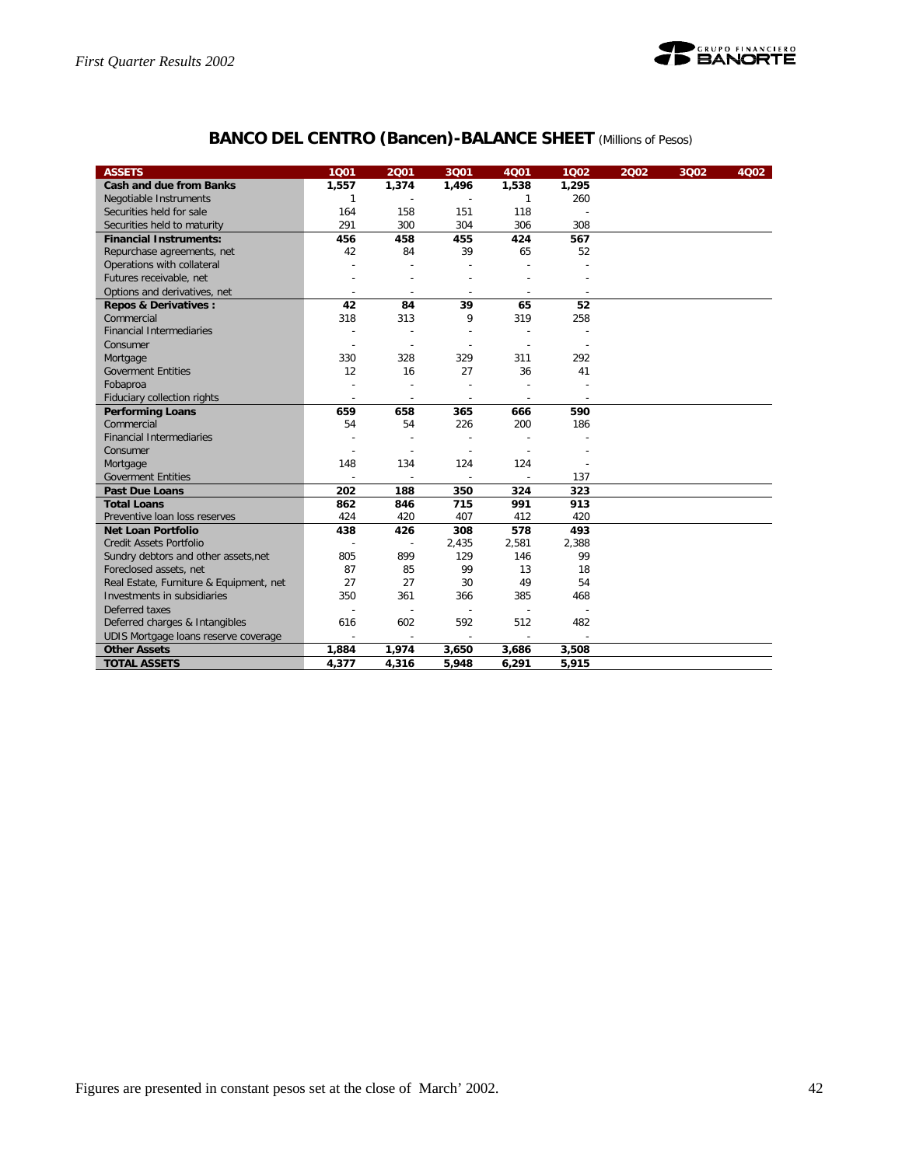

## **BANCO DEL CENTRO (Bancen)-BALANCE SHEET** *(Millions of Pesos)*

| <b>ASSETS</b>                           | 1001                     | 2001   | 3Q01                     | 4001                     | 1002                     | 2002 | 3Q02 | 4Q02 |
|-----------------------------------------|--------------------------|--------|--------------------------|--------------------------|--------------------------|------|------|------|
| <b>Cash and due from Banks</b>          | 1,557                    | 1,374  | 1,496                    | 1,538                    | 1,295                    |      |      |      |
| Negotiable Instruments                  | 1                        |        |                          | 1                        | 260                      |      |      |      |
| Securities held for sale                | 164                      | 158    | 151                      | 118                      |                          |      |      |      |
| Securities held to maturity             | 291                      | 300    | 304                      | 306                      | 308                      |      |      |      |
| <b>Financial Instruments:</b>           | 456                      | 458    | 455                      | 424                      | 567                      |      |      |      |
| Repurchase agreements, net              | 42                       | 84     | 39                       | 65                       | 52                       |      |      |      |
| Operations with collateral              |                          |        |                          |                          |                          |      |      |      |
| Futures receivable, net                 |                          |        |                          |                          |                          |      |      |      |
| Options and derivatives, net            |                          |        |                          |                          |                          |      |      |      |
| <b>Repos &amp; Derivatives:</b>         | 42                       | 84     | 39                       | 65                       | 52                       |      |      |      |
| Commercial                              | 318                      | 313    | 9                        | 319                      | 258                      |      |      |      |
| <b>Financial Intermediaries</b>         |                          |        |                          |                          |                          |      |      |      |
| Consumer                                |                          |        |                          |                          |                          |      |      |      |
| Mortgage                                | 330                      | 328    | 329                      | 311                      | 292                      |      |      |      |
| <b>Goverment Entities</b>               | 12                       | 16     | 27                       | 36                       | 41                       |      |      |      |
| Fobaproa                                |                          |        |                          |                          |                          |      |      |      |
| Fiduciary collection rights             | $\overline{\phantom{a}}$ | ÷      | $\overline{\phantom{a}}$ | $\overline{\phantom{a}}$ | $\overline{\phantom{a}}$ |      |      |      |
| <b>Performing Loans</b>                 | 659                      | 658    | 365                      | 666                      | 590                      |      |      |      |
| Commercial                              | 54                       | 54     | 226                      | 200                      | 186                      |      |      |      |
| <b>Financial Intermediaries</b>         |                          |        |                          |                          |                          |      |      |      |
| Consumer                                |                          |        |                          |                          |                          |      |      |      |
| Mortgage                                | 148                      | 134    | 124                      | 124                      |                          |      |      |      |
| <b>Goverment Entities</b>               |                          |        |                          |                          | 137                      |      |      |      |
| <b>Past Due Loans</b>                   | 202                      | 188    | 350                      | 324                      | 323                      |      |      |      |
| <b>Total Loans</b>                      | 862                      | 846    | 715                      | 991                      | 913                      |      |      |      |
| Preventive Ioan loss reserves           | 424                      | 420    | 407                      | 412                      | 420                      |      |      |      |
| <b>Net Loan Portfolio</b>               | 438                      | 426    | 308                      | 578                      | 493                      |      |      |      |
| <b>Credit Assets Portfolio</b>          |                          |        | 2,435                    | 2,581                    | 2,388                    |      |      |      |
| Sundry debtors and other assets, net    | 805                      | 899    | 129                      | 146                      | 99                       |      |      |      |
| Foreclosed assets, net                  | 87                       | 85     | 99                       | 13                       | 18                       |      |      |      |
| Real Estate, Furniture & Equipment, net | 27                       | 27     | 30                       | 49                       | 54                       |      |      |      |
| Investments in subsidiaries             | 350                      | 361    | 366                      | 385                      | 468                      |      |      |      |
| Deferred taxes                          |                          |        |                          |                          |                          |      |      |      |
| Deferred charges & Intangibles          | 616                      | 602    | 592                      | 512                      | 482                      |      |      |      |
| UDIS Mortgage loans reserve coverage    |                          | $\sim$ |                          |                          |                          |      |      |      |
| <b>Other Assets</b>                     | 1,884                    | 1,974  | 3,650                    | 3,686                    | 3,508                    |      |      |      |
| <b>TOTAL ASSETS</b>                     | 4,377                    | 4,316  | 5,948                    | 6,291                    | 5,915                    |      |      |      |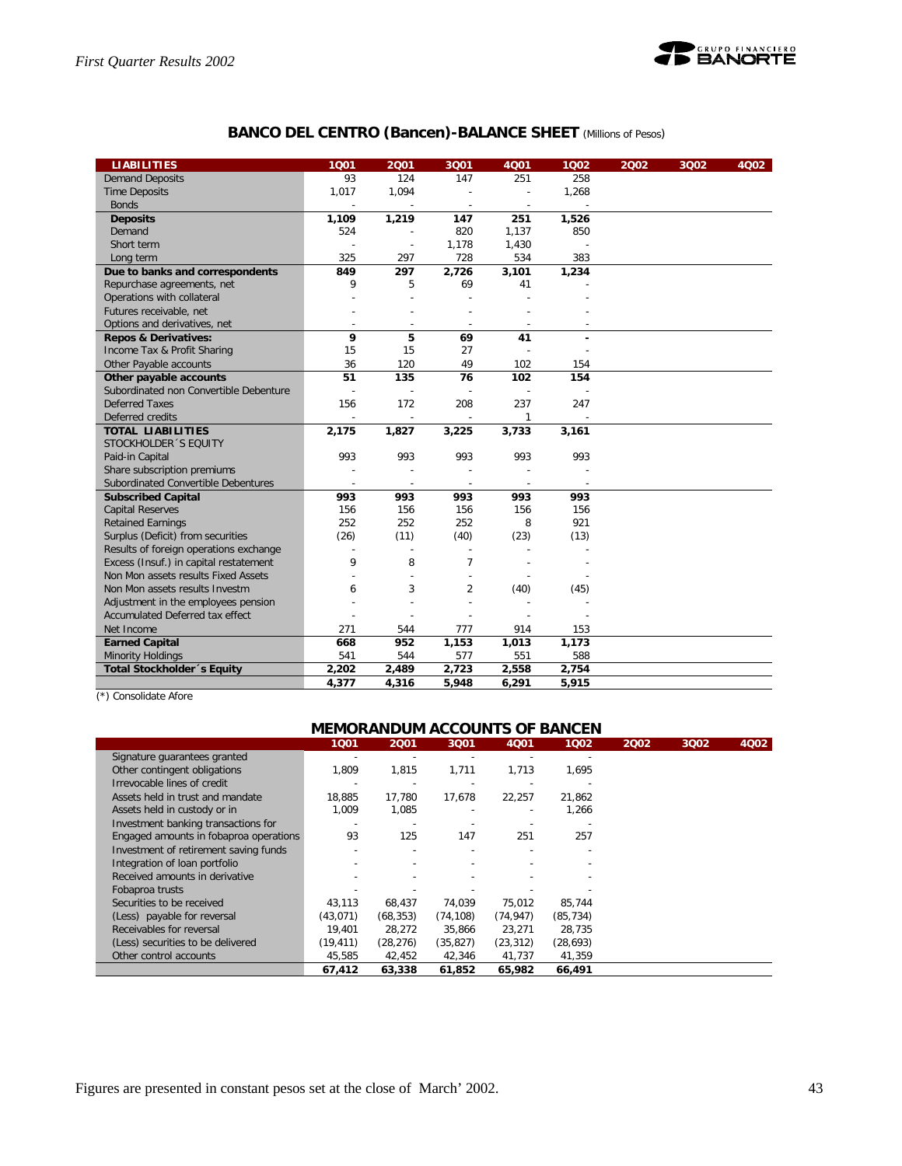

## **BANCO DEL CENTRO (Bancen)-BALANCE SHEET** *(Millions of Pesos)*

| <b>LIABILITIES</b>                     | 1001                     | 2001   | 3Q01                     | 4Q01                     | 1002  | 2002 | 3002 | 4Q02 |
|----------------------------------------|--------------------------|--------|--------------------------|--------------------------|-------|------|------|------|
| <b>Demand Deposits</b>                 | 93                       | 124    | 147                      | 251                      | 258   |      |      |      |
| <b>Time Deposits</b>                   | 1,017                    | 1,094  |                          | $\overline{\phantom{a}}$ | 1,268 |      |      |      |
| <b>Bonds</b>                           |                          |        | ÷                        |                          |       |      |      |      |
| <b>Deposits</b>                        | 1,109                    | 1,219  | 147                      | 251                      | 1,526 |      |      |      |
| Demand                                 | 524                      |        | 820                      | 1,137                    | 850   |      |      |      |
| Short term                             |                          |        | 1,178                    | 1,430                    |       |      |      |      |
| Long term                              | 325                      | 297    | 728                      | 534                      | 383   |      |      |      |
| Due to banks and correspondents        | 849                      | 297    | 2,726                    | 3,101                    | 1,234 |      |      |      |
| Repurchase agreements, net             | 9                        | 5      | 69                       | 41                       |       |      |      |      |
| Operations with collateral             |                          |        |                          |                          |       |      |      |      |
| Futures receivable, net                |                          |        |                          |                          |       |      |      |      |
| Options and derivatives, net           | $\overline{\phantom{a}}$ | $\sim$ | $\sim$                   |                          |       |      |      |      |
| <b>Repos &amp; Derivatives:</b>        | 9                        | 5      | 69                       | 41                       |       |      |      |      |
| Income Tax & Profit Sharing            | 15                       | 15     | 27                       |                          |       |      |      |      |
| Other Payable accounts                 | 36                       | 120    | 49                       | 102                      | 154   |      |      |      |
| Other payable accounts                 | 51                       | 135    | 76                       | 102                      | 154   |      |      |      |
| Subordinated non Convertible Debenture |                          |        |                          |                          |       |      |      |      |
| Deferred Taxes                         | 156                      | 172    | 208                      | 237                      | 247   |      |      |      |
| Deferred credits                       |                          |        | $\overline{\phantom{a}}$ | $\mathbf{1}$             |       |      |      |      |
| <b>TOTAL LIABILITIES</b>               | 2,175                    | 1,827  | 3,225                    | 3,733                    | 3,161 |      |      |      |
| STOCKHOLDER 'S EQUITY                  |                          |        |                          |                          |       |      |      |      |
| Paid-in Capital                        | 993                      | 993    | 993                      | 993                      | 993   |      |      |      |
| Share subscription premiums            |                          |        |                          |                          |       |      |      |      |
| Subordinated Convertible Debentures    |                          |        | ÷                        |                          |       |      |      |      |
| <b>Subscribed Capital</b>              | 993                      | 993    | 993                      | 993                      | 993   |      |      |      |
| <b>Capital Reserves</b>                | 156                      | 156    | 156                      | 156                      | 156   |      |      |      |
| <b>Retained Earnings</b>               | 252                      | 252    | 252                      | 8                        | 921   |      |      |      |
| Surplus (Deficit) from securities      | (26)                     | (11)   | (40)                     | (23)                     | (13)  |      |      |      |
| Results of foreign operations exchange |                          |        | $\overline{a}$           |                          |       |      |      |      |
| Excess (Insuf.) in capital restatement | 9                        | 8      | $\overline{7}$           |                          |       |      |      |      |
| Non Mon assets results Fixed Assets    |                          |        |                          |                          |       |      |      |      |
| Non Mon assets results Investm         | 6                        | 3      | $\overline{2}$           | (40)                     | (45)  |      |      |      |
| Adjustment in the employees pension    |                          |        |                          |                          |       |      |      |      |
| Accumulated Deferred tax effect        |                          |        |                          |                          |       |      |      |      |
| Net Income                             | 271                      | 544    | 777                      | 914                      | 153   |      |      |      |
| <b>Earned Capital</b>                  | 668                      | 952    | 1,153                    | 1,013                    | 1,173 |      |      |      |
| <b>Minority Holdings</b>               | 541                      | 544    | 577                      | 551                      | 588   |      |      |      |
| Total Stockholder 's Equity            | 2,202                    | 2,489  | 2,723                    | 2,558                    | 2,754 |      |      |      |
|                                        | 4,377                    | 4,316  | 5.948                    | 6,291                    | 5,915 |      |      |      |

(\*) Consolidate Afore

Ī

## **MEMORANDUM ACCOUNTS OF BANCEN**

|                                        |           | ----      | ----      |           |           |      |      |      |
|----------------------------------------|-----------|-----------|-----------|-----------|-----------|------|------|------|
|                                        | 1001      | 2001      | 3001      | 4001      | 1002      | 2002 | 3Q02 | 4Q02 |
| Signature guarantees granted           |           |           |           |           |           |      |      |      |
| Other contingent obligations           | 1,809     | 1,815     | 1.711     | 1,713     | 1,695     |      |      |      |
| Irrevocable lines of credit            |           |           |           |           |           |      |      |      |
| Assets held in trust and mandate       | 18,885    | 17,780    | 17,678    | 22,257    | 21,862    |      |      |      |
| Assets held in custody or in           | 1,009     | 1,085     |           |           | 1,266     |      |      |      |
| Investment banking transactions for    |           |           |           |           |           |      |      |      |
| Engaged amounts in fobaproa operations | 93        | 125       | 147       | 251       | 257       |      |      |      |
| Investment of retirement saving funds  |           |           |           |           |           |      |      |      |
| Integration of loan portfolio          |           |           |           |           |           |      |      |      |
| Received amounts in derivative         |           |           |           |           |           |      |      |      |
| Fobaproa trusts                        |           |           |           |           |           |      |      |      |
| Securities to be received              | 43,113    | 68,437    | 74,039    | 75,012    | 85,744    |      |      |      |
| (Less) payable for reversal            | (43, 071) | (68, 353) | (74, 108) | (74, 947) | (85, 734) |      |      |      |
| Receivables for reversal               | 19.401    | 28,272    | 35.866    | 23,271    | 28,735    |      |      |      |
| (Less) securities to be delivered      | (19, 411) | (28, 276) | (35, 827) | (23, 312) | (28, 693) |      |      |      |
| Other control accounts                 | 45,585    | 42,452    | 42,346    | 41,737    | 41,359    |      |      |      |
|                                        | 67,412    | 63,338    | 61,852    | 65,982    | 66,491    |      |      |      |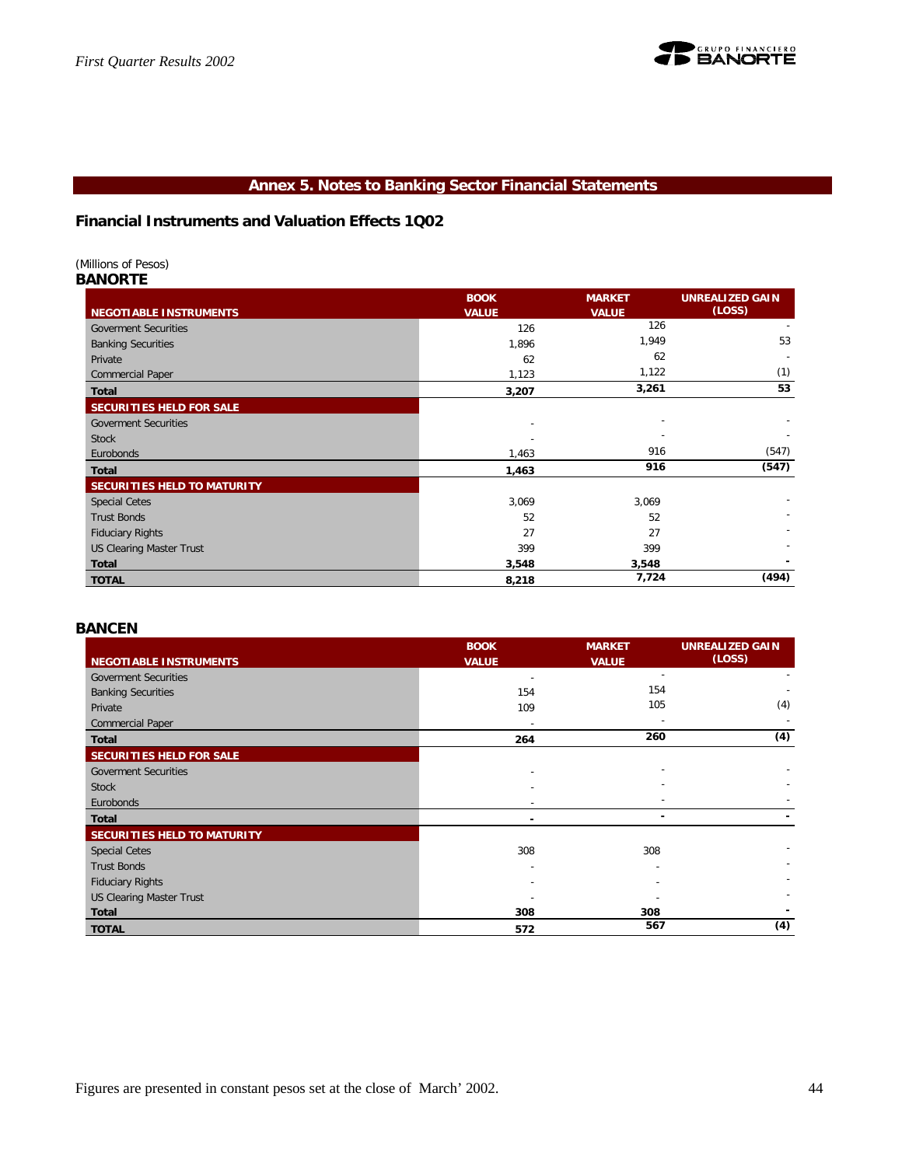

## **Annex 5. Notes to Banking Sector Financial Statements**

**Financial Instruments and Valuation Effects 1Q02**

## *(Millions of Pesos)*

## *BANORTE*

|                                 | <b>BOOK</b>  | <b>MARKET</b> | <b>UNREALIZED GAIN</b> |
|---------------------------------|--------------|---------------|------------------------|
| <b>NEGOTIABLE INSTRUMENTS</b>   | <b>VALUE</b> | <b>VALUE</b>  | (LOSS)                 |
| <b>Goverment Securities</b>     | 126          | 126           |                        |
| <b>Banking Securities</b>       | 1,896        | 1,949         | 53                     |
| Private                         | 62           | 62            |                        |
| <b>Commercial Paper</b>         | 1,123        | 1,122         | (1)                    |
| Total                           | 3,207        | 3,261         | 53                     |
| SECURITIES HELD FOR SALE        |              |               |                        |
| <b>Goverment Securities</b>     |              |               |                        |
| <b>Stock</b>                    |              |               |                        |
| Eurobonds                       | 1,463        | 916           | (547)                  |
| Total                           | 1,463        | 916           | (547)                  |
| SECURITIES HELD TO MATURITY     |              |               |                        |
| <b>Special Cetes</b>            | 3,069        | 3,069         |                        |
| <b>Trust Bonds</b>              | 52           | 52            |                        |
| <b>Fiduciary Rights</b>         | 27           | 27            |                        |
| <b>US Clearing Master Trust</b> | 399          | 399           |                        |
| Total                           | 3,548        | 3,548         |                        |
| <b>TOTAL</b>                    | 8,218        | 7,724         | (494)                  |

## *BANCEN*

|                                 | <b>BOOK</b>    | <b>MARKET</b>            | <b>UNREALIZED GAIN</b> |
|---------------------------------|----------------|--------------------------|------------------------|
| <b>NEGOTIABLE INSTRUMENTS</b>   | <b>VALUE</b>   | <b>VALUE</b>             | (LOSS)                 |
| <b>Goverment Securities</b>     |                | $\overline{\phantom{a}}$ |                        |
| <b>Banking Securities</b>       | 154            | 154                      |                        |
| Private                         | 109            | 105                      | (4)                    |
| <b>Commercial Paper</b>         |                |                          |                        |
| Total                           | 264            | 260                      | (4)                    |
| SECURITIES HELD FOR SALE        |                |                          |                        |
| <b>Goverment Securities</b>     |                |                          |                        |
| <b>Stock</b>                    |                |                          |                        |
| Eurobonds                       |                |                          |                        |
| <b>Total</b>                    | $\blacksquare$ | $\overline{\phantom{a}}$ |                        |
| SECURITIES HELD TO MATURITY     |                |                          |                        |
| <b>Special Cetes</b>            | 308            | 308                      |                        |
| <b>Trust Bonds</b>              |                |                          |                        |
| <b>Fiduciary Rights</b>         |                |                          |                        |
| <b>US Clearing Master Trust</b> |                |                          |                        |
| Total                           | 308            | 308                      |                        |
| <b>TOTAL</b>                    | 572            | 567                      | (4)                    |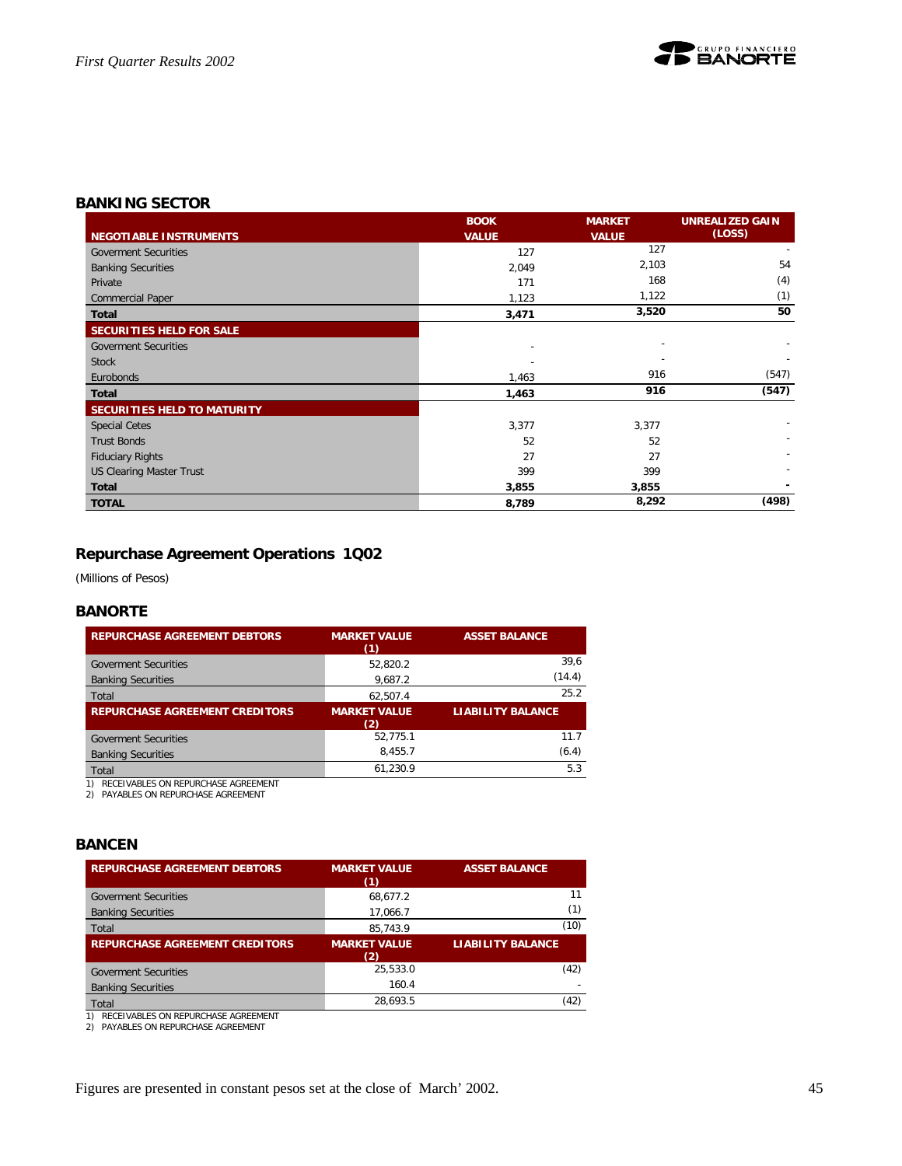

## *BANKING SECTOR*

|                                 | <b>BOOK</b>              | <b>MARKET</b> | <b>UNREALIZED GAIN</b> |
|---------------------------------|--------------------------|---------------|------------------------|
| <b>NEGOTIABLE INSTRUMENTS</b>   | <b>VALUE</b>             | <b>VALUE</b>  | (LOSS)                 |
| <b>Goverment Securities</b>     | 127                      | 127           |                        |
| <b>Banking Securities</b>       | 2,049                    | 2,103         | 54                     |
| Private                         | 171                      | 168           | (4)                    |
| <b>Commercial Paper</b>         | 1,123                    | 1,122         | (1)                    |
| <b>Total</b>                    | 3,471                    | 3,520         | 50                     |
| SECURITIES HELD FOR SALE        |                          |               |                        |
| <b>Goverment Securities</b>     | $\overline{\phantom{a}}$ |               |                        |
| <b>Stock</b>                    |                          |               |                        |
| Eurobonds                       | 1,463                    | 916           | (547)                  |
| <b>Total</b>                    | 1,463                    | 916           | (547)                  |
| SECURITIES HELD TO MATURITY     |                          |               |                        |
| <b>Special Cetes</b>            | 3,377                    | 3,377         |                        |
| <b>Trust Bonds</b>              | 52                       | 52            |                        |
| <b>Fiduciary Rights</b>         | 27                       | 27            |                        |
| <b>US Clearing Master Trust</b> | 399                      | 399           |                        |
| <b>Total</b>                    | 3,855                    | 3,855         |                        |
| <b>TOTAL</b>                    | 8,789                    | 8,292         | (498)                  |

## **Repurchase Agreement Operations 1Q02**

*(Millions of Pesos)*

## *BANORTE*

| <b>MARKET VALUE</b><br>(1) | <b>ASSET BALANCE</b>     |
|----------------------------|--------------------------|
| 52.820.2                   | 39,6                     |
| 9,687.2                    | (14.4)                   |
| 62.507.4                   | 25.2                     |
| <b>MARKET VALUE</b><br>(2) | <b>LIABILITY BALANCE</b> |
| 52.775.1                   | 11.7                     |
| 8.455.7                    | (6.4)                    |
|                            | 5.3                      |
|                            | 61.230.9                 |

1) RECEIVABLES ON REPURCHASE AGREEMENT 2) PAYABLES ON REPURCHASE AGREEMENT

## *BANCEN*

| <b>REPURCHASE AGREEMENT DEBTORS</b>                                           | <b>MARKET VALUE</b><br>(1) | <b>ASSET BALANCE</b>     |
|-------------------------------------------------------------------------------|----------------------------|--------------------------|
| <b>Goverment Securities</b>                                                   | 68.677.2                   | 11                       |
| <b>Banking Securities</b>                                                     | 17.066.7                   | (1)                      |
| Total                                                                         | 85.743.9                   | (10)                     |
| <b>REPURCHASE AGREEMENT CREDITORS</b>                                         | <b>MARKET VALUE</b><br>(2) | <b>LIABILITY BALANCE</b> |
| <b>Goverment Securities</b>                                                   | 25.533.0                   | (42)                     |
| <b>Banking Securities</b>                                                     | 160.4                      |                          |
| Total                                                                         | 28.693.5                   | (42)                     |
| RECEIVABLES ON REPURCHASE AGREEMENT<br>PAYABLES ON REPURCHASE AGREEMENT<br>2) |                            |                          |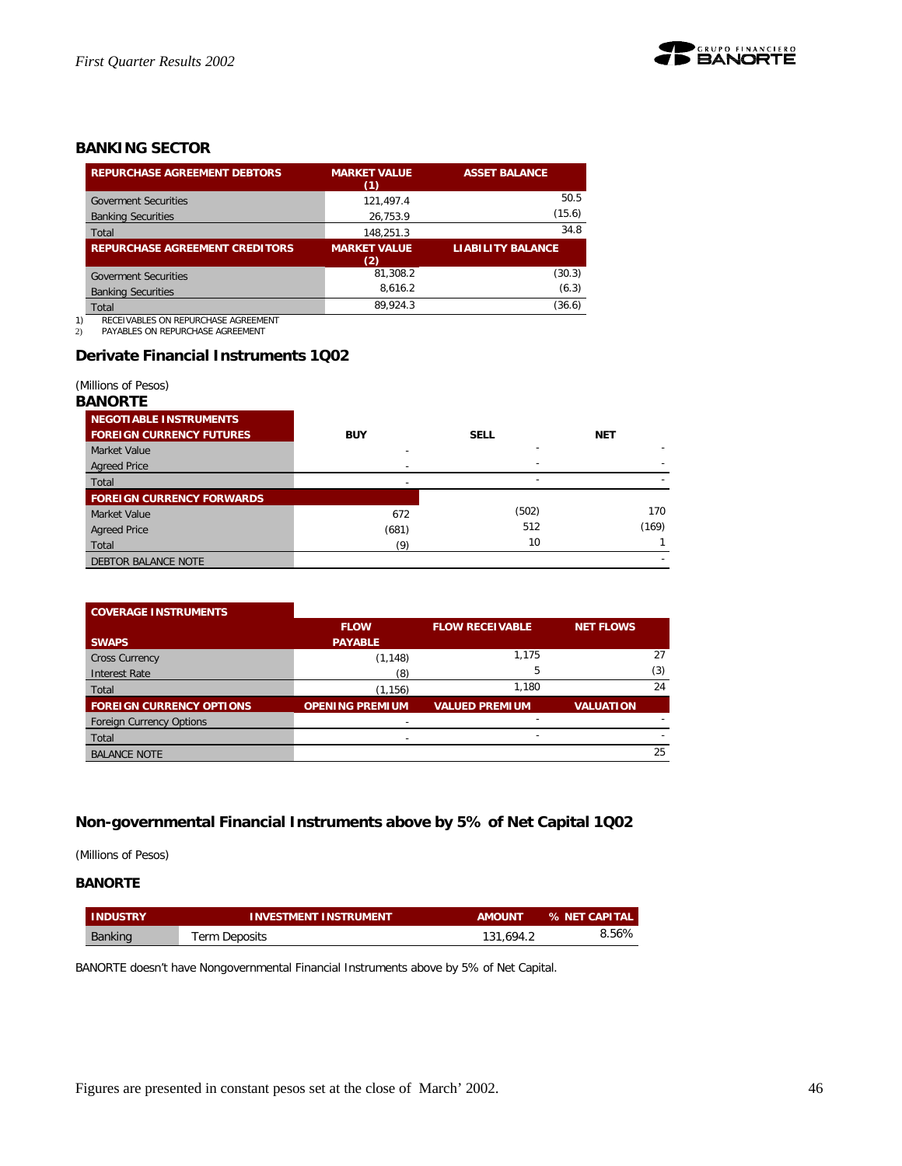

## *BANKING SECTOR*

| <b>REPURCHASE AGREEMENT DEBTORS</b>   | <b>MARKET VALUE</b><br>(1) | <b>ASSET BALANCE</b>     |
|---------------------------------------|----------------------------|--------------------------|
| <b>Goverment Securities</b>           | 121.497.4                  | 50.5                     |
| <b>Banking Securities</b>             | 26,753.9                   | (15.6)                   |
| Total                                 | 148,251.3                  | 34.8                     |
| <b>REPURCHASE AGREEMENT CREDITORS</b> | <b>MARKET VALUE</b><br>(2) | <b>LIABILITY BALANCE</b> |
| <b>Goverment Securities</b>           | 81.308.2                   | (30.3)                   |
| <b>Banking Securities</b>             | 8.616.2                    | (6.3)                    |
| Total                                 | 89.924.3                   | (36.6)                   |

1) RECEIVABLES ON REPURCHASE AGREEMENT<br>2) PAYABLES ON REPURCHASE AGREEMENT

PAYABLES ON REPURCHASE AGREEMENT

## **Derivate Financial Instruments 1Q02**

#### *(Millions of Pesos)*

#### *BANORTE*

| <b>NEGOTIABLE INSTRUMENTS</b>    |            |             |            |
|----------------------------------|------------|-------------|------------|
| <b>FOREIGN CURRENCY FUTURES</b>  | <b>BUY</b> | <b>SELL</b> | <b>NET</b> |
| Market Value                     |            |             |            |
| <b>Agreed Price</b>              |            |             |            |
| Total                            |            |             |            |
| <b>FOREIGN CURRENCY FORWARDS</b> |            |             |            |
| Market Value                     | 672        | (502)       | 170        |
| <b>Agreed Price</b>              | (681)      | 512         | (169)      |
| Total                            | (9)        | 10          |            |
| DEBTOR BALANCE NOTE              |            |             |            |

| <b>COVERAGE INSTRUMENTS</b>     |                          |                        |                  |     |
|---------------------------------|--------------------------|------------------------|------------------|-----|
|                                 | <b>FLOW</b>              | <b>FLOW RECEIVABLE</b> | <b>NET FLOWS</b> |     |
| <b>SWAPS</b>                    | <b>PAYABLE</b>           |                        |                  |     |
| <b>Cross Currency</b>           | (1, 148)                 | 1.175                  |                  | 27  |
| <b>Interest Rate</b>            | (8)                      | 5                      |                  | (3) |
| Total                           | (1, 156)                 | 1.180                  |                  | 24  |
| <b>FOREIGN CURRENCY OPTIONS</b> | <b>OPENING PREMIUM</b>   | <b>VALUED PREMIUM</b>  | <b>VALUATION</b> |     |
| <b>Foreign Currency Options</b> |                          |                        |                  |     |
| Total                           | $\overline{\phantom{0}}$ |                        |                  |     |
| <b>BALANCE NOTE</b>             |                          |                        |                  | 25  |

## **Non-governmental Financial Instruments above by 5% of Net Capital 1Q02**

*(Millions of Pesos)*

## **BANORTE**

| <b>INDUSTRY</b> | <b>INVESTMENT INSTRUMENT</b> | <b>AMOUNT</b> | % NET CAPITAL |
|-----------------|------------------------------|---------------|---------------|
| <b>Banking</b>  | Term Deposits                | 131.694.2     | 8.56%         |

BANORTE doesn't have Nongovernmental Financial Instruments above by 5% of Net Capital.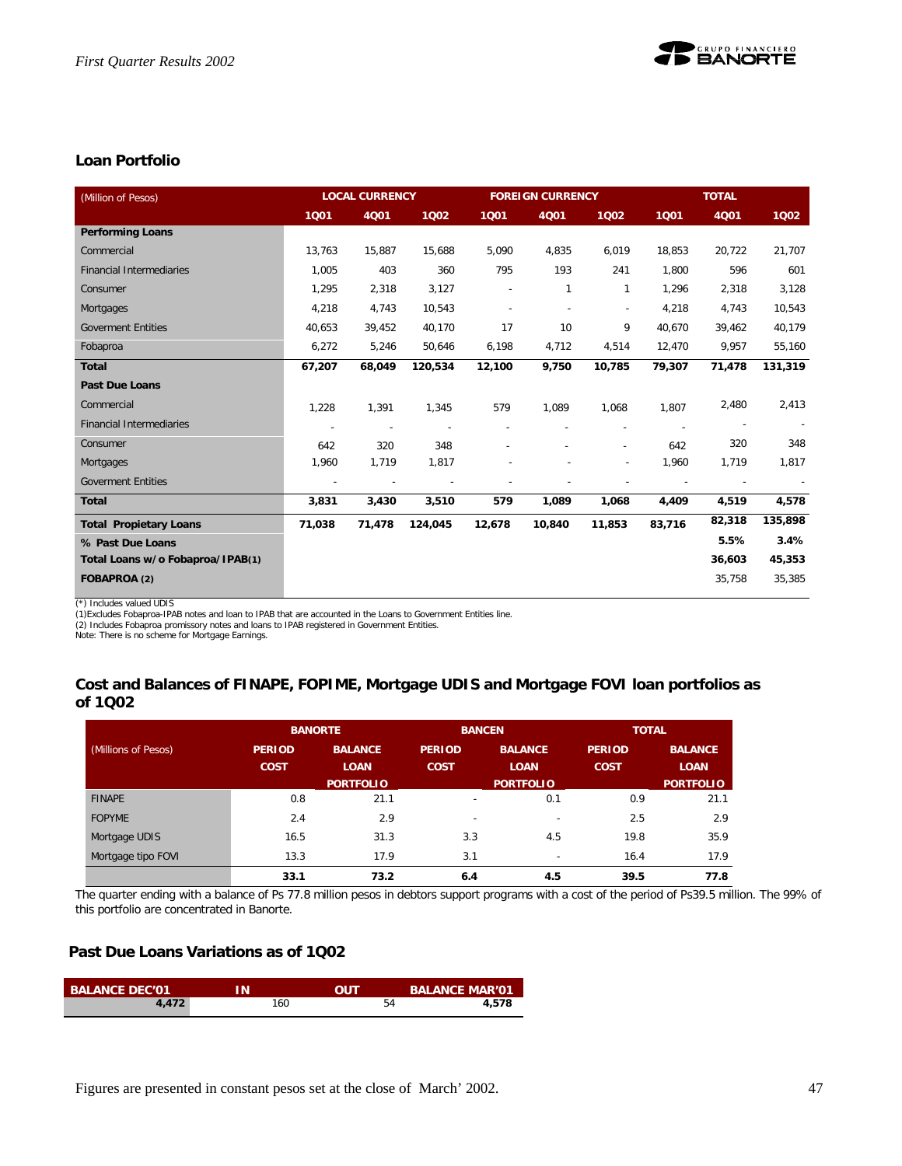

## **Loan Portfolio**

| (Million of Pesos)               |                          | <b>LOCAL CURRENCY</b>    |         |        | <b>FOREIGN CURRENCY</b> |                          |        | <b>TOTAL</b> |         |
|----------------------------------|--------------------------|--------------------------|---------|--------|-------------------------|--------------------------|--------|--------------|---------|
|                                  | 1001                     | 4Q01                     | 1002    | 1001   | 4Q01                    | 1002                     | 1001   | 4Q01         | 1002    |
| <b>Performing Loans</b>          |                          |                          |         |        |                         |                          |        |              |         |
| Commercial                       | 13,763                   | 15,887                   | 15,688  | 5,090  | 4,835                   | 6,019                    | 18,853 | 20,722       | 21,707  |
| <b>Financial Intermediaries</b>  | 1,005                    | 403                      | 360     | 795    | 193                     | 241                      | 1,800  | 596          | 601     |
| Consumer                         | 1,295                    | 2,318                    | 3,127   |        | 1                       | 1                        | 1,296  | 2,318        | 3,128   |
| Mortgages                        | 4,218                    | 4,743                    | 10,543  |        | ÷                       | $\sim$                   | 4,218  | 4,743        | 10,543  |
| <b>Goverment Entities</b>        | 40,653                   | 39,452                   | 40,170  | 17     | 10                      | 9                        | 40,670 | 39,462       | 40,179  |
| Fobaproa                         | 6,272                    | 5,246                    | 50,646  | 6,198  | 4,712                   | 4,514                    | 12,470 | 9,957        | 55,160  |
| <b>Total</b>                     | 67,207                   | 68,049                   | 120,534 | 12,100 | 9,750                   | 10,785                   | 79,307 | 71,478       | 131,319 |
| <b>Past Due Loans</b>            |                          |                          |         |        |                         |                          |        |              |         |
| Commercial                       | 1,228                    | 1,391                    | 1,345   | 579    | 1,089                   | 1,068                    | 1,807  | 2,480        | 2,413   |
| <b>Financial Intermediaries</b>  |                          | $\overline{\phantom{a}}$ |         |        |                         |                          |        |              |         |
| Consumer                         | 642                      | 320                      | 348     |        |                         |                          | 642    | 320          | 348     |
| Mortgages                        | 1,960                    | 1,719                    | 1,817   |        |                         | $\overline{\phantom{a}}$ | 1,960  | 1,719        | 1,817   |
| <b>Goverment Entities</b>        | $\overline{\phantom{a}}$ |                          |         |        |                         |                          |        |              |         |
| <b>Total</b>                     | 3,831                    | 3,430                    | 3,510   | 579    | 1,089                   | 1,068                    | 4,409  | 4,519        | 4,578   |
| <b>Total Propietary Loans</b>    | 71,038                   | 71,478                   | 124,045 | 12,678 | 10,840                  | 11,853                   | 83,716 | 82,318       | 135,898 |
| % Past Due Loans                 |                          |                          |         |        |                         |                          |        | 5.5%         | 3.4%    |
| Total Loans w/o Fobaproa/IPAB(1) |                          |                          |         |        |                         |                          |        | 36,603       | 45,353  |
| FOBAPROA (2)                     |                          |                          |         |        |                         |                          |        | 35,758       | 35,385  |

(\*) Includes valued UDIS (1)Excludes Fobaproa-IPAB notes and loan to IPAB that are accounted in the Loans to Government Entities line.

(2) Includes Fobaproa promissory notes and loans to IPAB registered in Government Entities. Note: There is no scheme for Mortgage Earnings.

# **Cost and Balances of FINAPE, FOPIME, Mortgage UDIS and Mortgage FOVI loan portfolios as**

|  | of 1Q02 |  |
|--|---------|--|
|--|---------|--|

|                     | <b>BANORTE</b> |                  | <b>BANCEN</b>            |                          | <b>TOTAL</b>  |                  |
|---------------------|----------------|------------------|--------------------------|--------------------------|---------------|------------------|
| (Millions of Pesos) | <b>PERIOD</b>  | <b>BALANCE</b>   | <b>PERIOD</b>            | <b>BALANCE</b>           | <b>PERIOD</b> | <b>BALANCE</b>   |
|                     | <b>COST</b>    | <b>LOAN</b>      | <b>COST</b>              | <b>LOAN</b>              | <b>COST</b>   | <b>LOAN</b>      |
|                     |                | <b>PORTFOLIO</b> |                          | <b>PORTFOLIO</b>         |               | <b>PORTFOLIO</b> |
| <b>FINAPE</b>       | 0.8            | 21.1             | $\overline{\phantom{0}}$ | 0.1                      | 0.9           | 21.1             |
| <b>FOPYME</b>       | 2.4            | 2.9              | $\overline{\phantom{0}}$ | $\overline{\phantom{a}}$ | 2.5           | 2.9              |
| Mortgage UDIS       | 16.5           | 31.3             | 3.3                      | 4.5                      | 19.8          | 35.9             |
| Mortgage tipo FOVI  | 13.3           | 17.9             | 3.1                      | $\overline{\phantom{a}}$ | 16.4          | 17.9             |
|                     | 33.1           | 73.2             | 6.4                      | 4.5                      | 39.5          | 77.8             |

The quarter ending with a balance of Ps 77.8 million pesos in debtors support programs with a cost of the period of Ps39.5 million. The 99% of this portfolio are concentrated in Banorte.

## **Past Due Loans Variations as of 1Q02**

| <b>BALANCE DEC'01</b> | ıΝ  | OUT | <b>BALANCE MAR'01</b> |
|-----------------------|-----|-----|-----------------------|
| 4.472                 | 160 | 54  | 4.578                 |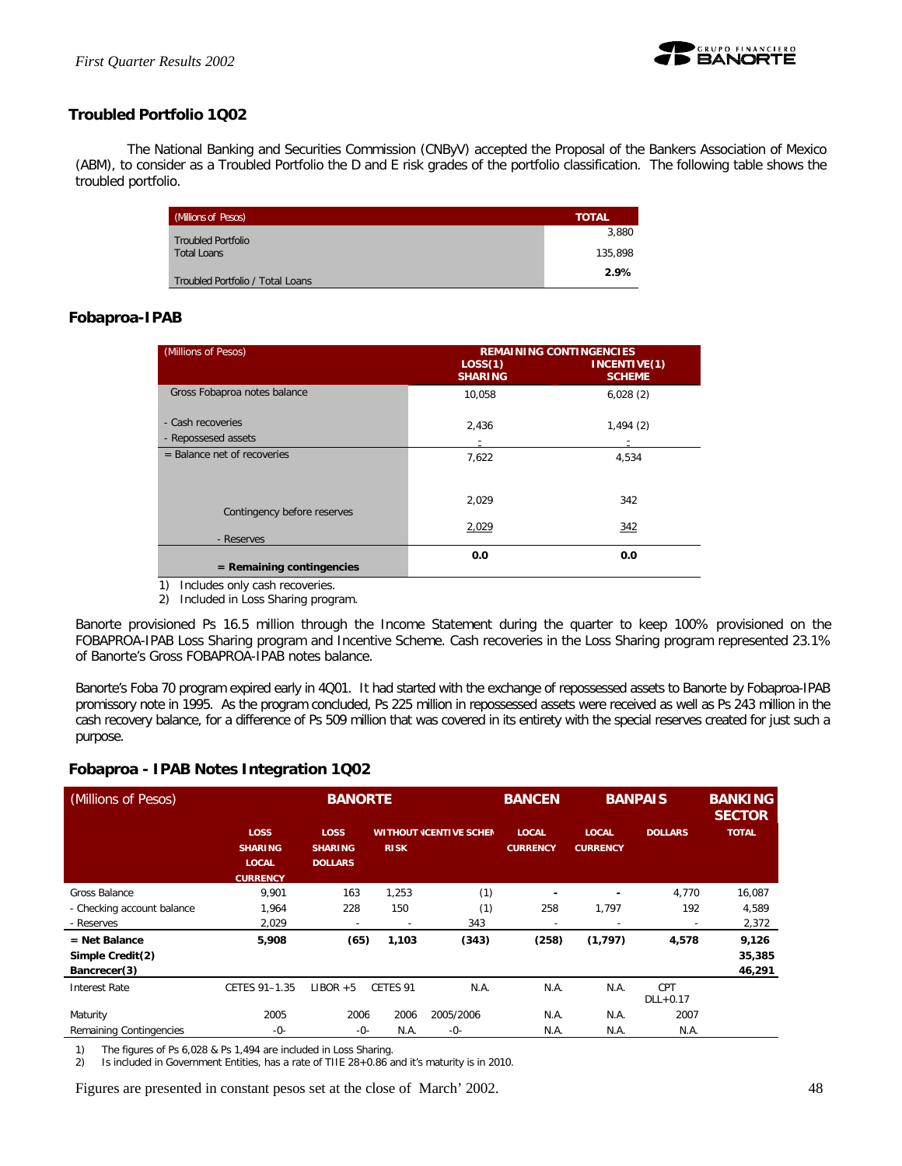

## **Troubled Portfolio 1Q02**

The National Banking and Securities Commission (CNByV) accepted the Proposal of the Bankers Association of Mexico (ABM), to consider as a Troubled Portfolio the D and E risk grades of the portfolio classification. The following table shows the troubled portfolio.

| (Millions of Pesos)              | <b>TOTAL</b> |
|----------------------------------|--------------|
| <b>Troubled Portfolio</b>        | 3,880        |
| <b>Total Loans</b>               | 135,898      |
| Troubled Portfolio / Total Loans | 2.9%         |

## **Fobaproa-IPAB**

| (Millions of Pesos)           | LOS(1)<br><b>SHARING</b> | <b>REMAINING CONTINGENCIES</b><br>INCENTIVE(1)<br><b>SCHEME</b> |
|-------------------------------|--------------------------|-----------------------------------------------------------------|
| Gross Fobaproa notes balance  | 10.058                   | 6,028(2)                                                        |
| - Cash recoveries             | 2,436                    | 1,494(2)                                                        |
| - Repossesed assets           |                          |                                                                 |
| $=$ Balance net of recoveries | 7,622                    | 4,534                                                           |
| Contingency before reserves   | 2,029                    | 342                                                             |
| - Reserves                    | 2,029                    | 342                                                             |
| $=$ Remaining contingencies   | 0.0                      | 0.0                                                             |

1) Includes only cash recoveries.

2) Included in Loss Sharing program.

Banorte provisioned Ps 16.5 million through the Income Statement during the quarter to keep 100% provisioned on the FOBAPROA-IPAB Loss Sharing program and Incentive Scheme. Cash recoveries in the Loss Sharing program represented 23.1% of Banorte's Gross FOBAPROA-IPAB notes balance.

Banorte's Foba 70 program expired early in 4Q01. It had started with the exchange of repossessed assets to Banorte by Fobaproa-IPAB promissory note in 1995. As the program concluded, Ps 225 million in repossessed assets were received as well as Ps 243 million in the cash recovery balance, for a difference of Ps 509 million that was covered in its entirety with the special reserves created for just such a purpose.

| (Millions of Pesos)        |                                                           | <b>BANORTE</b>                                  |                          |                                | <b>BANCEN</b>                   | <b>BANPAIS</b>                  |                          | <b>BANKING</b><br><b>SECTOR</b> |
|----------------------------|-----------------------------------------------------------|-------------------------------------------------|--------------------------|--------------------------------|---------------------------------|---------------------------------|--------------------------|---------------------------------|
|                            | LOSS<br><b>SHARING</b><br><b>LOCAL</b><br><b>CURRENCY</b> | <b>LOSS</b><br><b>SHARING</b><br><b>DOLLARS</b> | <b>RISK</b>              | <b>WITHOUT (CENTIVE SCHEN)</b> | <b>LOCAL</b><br><b>CURRENCY</b> | <b>LOCAL</b><br><b>CURRENCY</b> | <b>DOLLARS</b>           | <b>TOTAL</b>                    |
| Gross Balance              | 9,901                                                     | 163                                             | 1,253                    | (1)                            |                                 |                                 | 4,770                    | 16,087                          |
| - Checking account balance | 1,964                                                     | 228                                             | 150                      | (1)                            | 258                             | 1,797                           | 192                      | 4,589                           |
| - Reserves                 | 2,029                                                     | $\overline{\phantom{a}}$                        | $\overline{\phantom{a}}$ | 343                            | ٠                               | $\overline{\phantom{a}}$        | ٠                        | 2,372                           |
| $=$ Net Balance            | 5,908                                                     | (65)                                            | 1,103                    | (343)                          | (258)                           | (1, 797)                        | 4,578                    | 9,126                           |
| Simple Credit(2)           |                                                           |                                                 |                          |                                |                                 |                                 |                          | 35,385                          |
| Bancrecer(3)               |                                                           |                                                 |                          |                                |                                 |                                 |                          | 46,291                          |
| <b>Interest Rate</b>       | CETES 91-1.35                                             | $LIBOR + 5$                                     | CETES 91                 | N.A.                           | N.A.                            | N.A.                            | <b>CPT</b><br>$DLL+0.17$ |                                 |
| Maturity                   | 2005                                                      | 2006                                            | 2006                     | 2005/2006                      | N.A.                            | N.A.                            | 2007                     |                                 |
| Remaining Contingencies    | -0-                                                       | -0-                                             | N.A.                     | $-0-$                          | N.A.                            | N.A.                            | N.A.                     |                                 |

## **Fobaproa - IPAB Notes Integration 1Q02**

1) The figures of Ps 6,028 & Ps 1,494 are included in Loss Sharing.

2) Is included in Government Entities, has a rate of TIIE 28+0.86 and it's maturity is in 2010.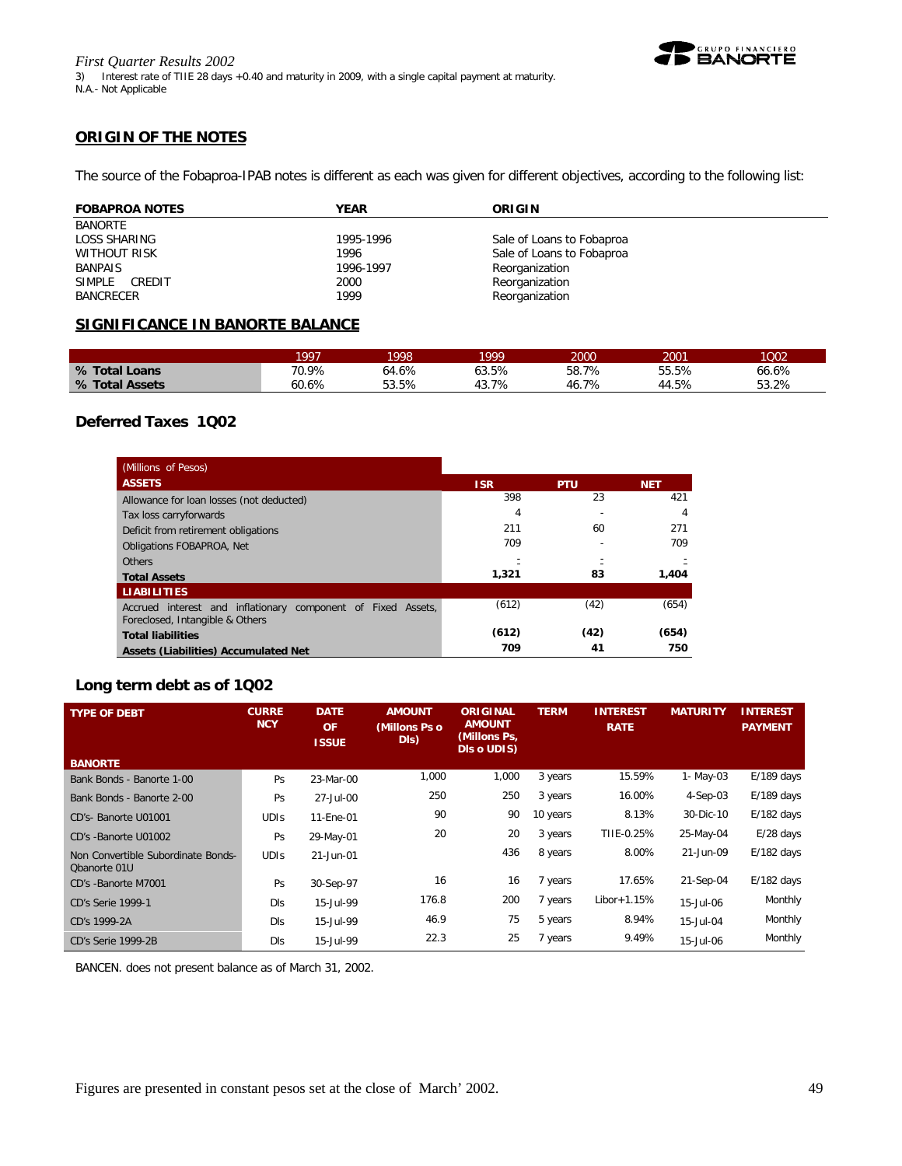

## **ORIGIN OF THE NOTES**

The source of the Fobaproa-IPAB notes is different as each was given for different objectives, according to the following list:

| <b>FOBAPROA NOTES</b> | YEAR      | ORIGIN                    |
|-----------------------|-----------|---------------------------|
| BANORTE               |           |                           |
| LOSS SHARING          | 1995-1996 | Sale of Loans to Fobaproa |
| WITHOUT RISK          | 1996      | Sale of Loans to Fobaproa |
| <b>BANPAIS</b>        | 1996-1997 | Reorganization            |
| SIMPLE CREDIT         | 2000      | Reorganization            |
| <b>BANCRECER</b>      | 1999      | Reorganization            |

## **SIGNIFICANCE IN BANORTE BALANCE**

|                | 1997  | 1998  | 999   | 2000       | 2001  | 1002  |
|----------------|-------|-------|-------|------------|-------|-------|
| % Total Loans  | 70.9% | 64.6% | 63.5% | 58.7%      | 55.5% | 66.6% |
| % Total Assets | 60.6% | 53.5% | 43.7% | 7%<br>-46. | 44.5% | 53.2% |

## **Deferred Taxes 1Q02**

| (Millions of Pesos)                                                                             |            |            |            |
|-------------------------------------------------------------------------------------------------|------------|------------|------------|
| <b>ASSETS</b>                                                                                   | <b>ISR</b> | <b>PTU</b> | <b>NET</b> |
| Allowance for loan losses (not deducted)                                                        | 398        | 23         | 421        |
| Tax loss carryforwards                                                                          | 4          |            | 4          |
| Deficit from retirement obligations                                                             | 211        | 60         | 271        |
| <b>Obligations FOBAPROA. Net</b>                                                                | 709        |            | 709        |
| <b>Others</b>                                                                                   |            |            |            |
| <b>Total Assets</b>                                                                             | 1,321      | 83         | 1,404      |
| <b>LIABILITIES</b>                                                                              |            |            |            |
| Accrued interest and inflationary component of Fixed Assets,<br>Foreclosed, Intangible & Others | (612)      | (42)       | (654)      |
| <b>Total liabilities</b>                                                                        | (612)      | (42)       | (654)      |
| Assets (Liabilities) Accumulated Net                                                            | 709        | 41         | 750        |

## **Long term debt as of 1Q02**

| <b>TYPE OF DEBT</b>                                | <b>CURRE</b><br><b>NCY</b> | <b>DATE</b><br><b>OF</b><br><b>ISSUE</b> | <b>AMOUNT</b><br>(Millons Ps o<br>DIs) | <b>ORIGINAL</b><br><b>AMOUNT</b><br>(Millons Ps,<br>DIs o UDIS) | <b>TERM</b> | <b>INTEREST</b><br><b>RATE</b> | <b>MATURITY</b> | <b>INTEREST</b><br><b>PAYMENT</b> |
|----------------------------------------------------|----------------------------|------------------------------------------|----------------------------------------|-----------------------------------------------------------------|-------------|--------------------------------|-----------------|-----------------------------------|
| <b>BANORTE</b>                                     |                            |                                          |                                        |                                                                 |             |                                |                 |                                   |
| Bank Bonds - Banorte 1-00                          | Ps                         | 23-Mar-00                                | 1,000                                  | 1,000                                                           | 3 years     | 15.59%                         | 1- May-03       | $E/189$ days                      |
| Bank Bonds - Banorte 2-00                          | Ps                         | 27-Jul-00                                | 250                                    | 250                                                             | 3 years     | 16.00%                         | $4-Sep-03$      | $E/189$ days                      |
| CD's- Banorte U01001                               | <b>UDIS</b>                | 11-Ene-01                                | 90                                     | 90                                                              | 10 years    | 8.13%                          | 30-Dic-10       | $E/182$ days                      |
| CD's -Banorte U01002                               | Ps                         | 29-May-01                                | 20                                     | 20                                                              | 3 years     | TIIE-0.25%                     | 25-May-04       | $E/28$ days                       |
| Non Convertible Subordinate Bonds-<br>Obanorte 01U | <b>UDIS</b>                | 21-Jun-01                                |                                        | 436                                                             | 8 years     | 8.00%                          | 21-Jun-09       | $E/182$ days                      |
| CD's -Banorte M7001                                | Ps                         | 30-Sep-97                                | 16                                     | 16                                                              | 7 years     | 17.65%                         | 21-Sep-04       | $E/182$ days                      |
| <b>CD's Serie 1999-1</b>                           | <b>DIs</b>                 | 15-Jul-99                                | 176.8                                  | 200                                                             | 7 years     | $Libor+1.15%$                  | 15-Jul-06       | Monthly                           |
| CD's 1999-2A                                       | <b>DIs</b>                 | 15-Jul-99                                | 46.9                                   | 75                                                              | 5 years     | 8.94%                          | 15-Jul-04       | Monthly                           |
| CD's Serie 1999-2B                                 | <b>DIs</b>                 | 15-Jul-99                                | 22.3                                   | 25                                                              | 7 years     | 9.49%                          | 15-Jul-06       | Monthly                           |

BANCEN. does not present balance as of March 31, 2002.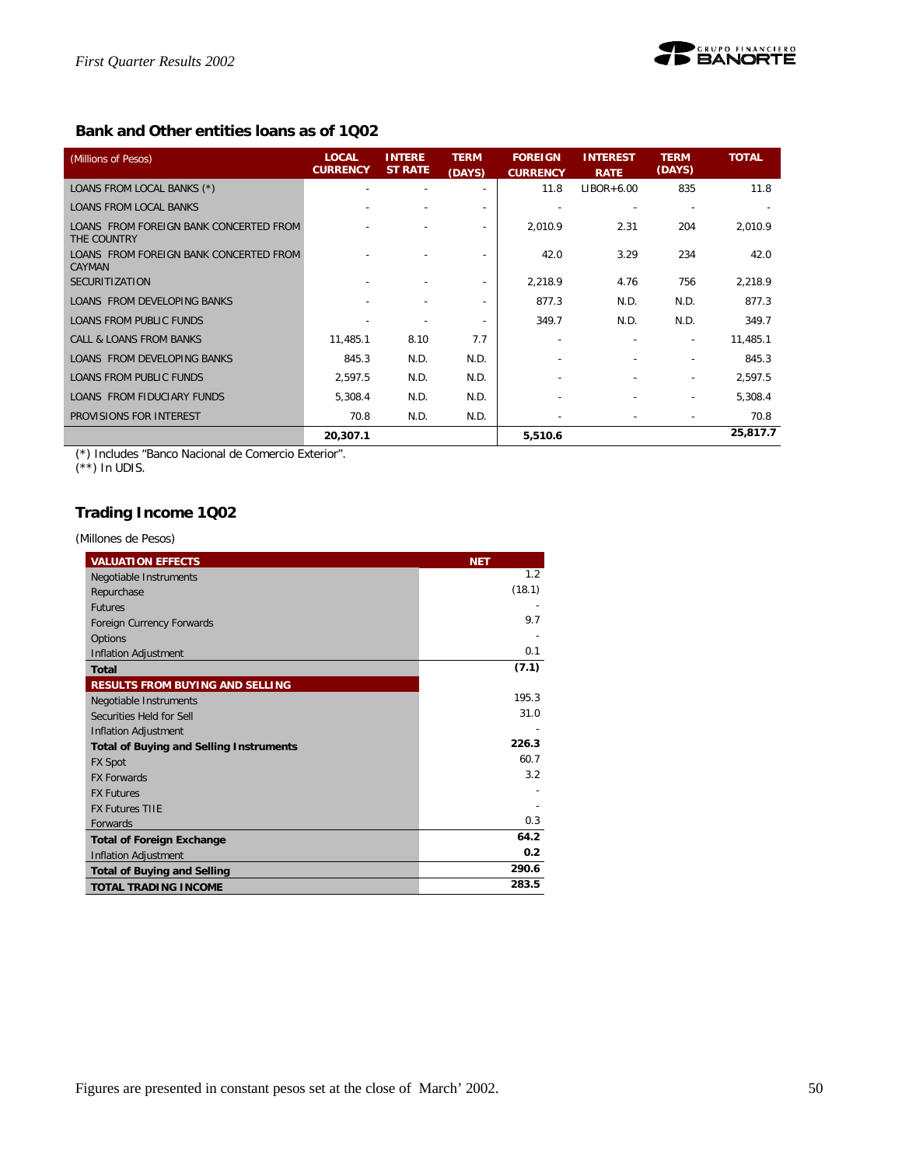

## **Bank and Other entities loans as of 1Q02**

| (Millions of Pesos)                                     | <b>LOCAL</b><br><b>CURRENCY</b> | <b>INTERE</b><br><b>ST RATE</b> | <b>TERM</b><br>(DAYS)    | <b>FOREIGN</b><br><b>CURRENCY</b> | <b>INTEREST</b><br><b>RATE</b> | <b>TERM</b><br>(DAYS)    | <b>TOTAL</b> |
|---------------------------------------------------------|---------------------------------|---------------------------------|--------------------------|-----------------------------------|--------------------------------|--------------------------|--------------|
| LOANS FROM LOCAL BANKS (*)                              |                                 |                                 | $\overline{\phantom{a}}$ | 11.8                              | $LIBOR+6.00$                   | 835                      | 11.8         |
| <b>LOANS FROM LOCAL BANKS</b>                           |                                 |                                 | $\overline{\phantom{a}}$ |                                   |                                |                          |              |
| LOANS FROM FOREIGN BANK CONCERTED FROM<br>THE COUNTRY   |                                 |                                 | $\overline{\phantom{a}}$ | 2,010.9                           | 2.31                           | 204                      | 2,010.9      |
| LOANS FROM FOREIGN BANK CONCERTED FROM<br><b>CAYMAN</b> |                                 |                                 |                          | 42.0                              | 3.29                           | 234                      | 42.0         |
| <b>SECURITIZATION</b>                                   |                                 | $\overline{\phantom{a}}$        | $\overline{\phantom{a}}$ | 2,218.9                           | 4.76                           | 756                      | 2,218.9      |
| LOANS FROM DEVELOPING BANKS                             |                                 |                                 | ٠                        | 877.3                             | N.D.                           | N.D.                     | 877.3        |
| LOANS FROM PUBLIC FUNDS                                 | ٠                               |                                 | $\overline{\phantom{a}}$ | 349.7                             | N.D.                           | N.D.                     | 349.7        |
| CALL & LOANS FROM BANKS                                 | 11,485.1                        | 8.10                            | 7.7                      |                                   |                                | $\overline{\phantom{a}}$ | 11,485.1     |
| LOANS FROM DEVELOPING BANKS                             | 845.3                           | N.D.                            | N.D.                     |                                   |                                |                          | 845.3        |
| LOANS FROM PUBLIC FUNDS                                 | 2,597.5                         | N.D.                            | N.D.                     |                                   |                                | $\overline{\phantom{a}}$ | 2,597.5      |
| LOANS FROM FIDUCIARY FUNDS                              | 5,308.4                         | N.D.                            | N.D.                     |                                   |                                |                          | 5,308.4      |
| PROVISIONS FOR INTEREST                                 | 70.8                            | N.D.                            | N.D.                     |                                   | $\overline{a}$                 |                          | 70.8         |
|                                                         | 20,307.1                        |                                 |                          | 5,510.6                           |                                |                          | 25,817.7     |

(\*) Includes "Banco Nacional de Comercio Exterior".

 $(**)$  In UDIS.

## **Trading Income 1Q02**

*(Millones de Pesos)*

| <b>VALUATION EFFECTS</b>                       | <b>NET</b> |
|------------------------------------------------|------------|
| Negotiable Instruments                         | 1.2        |
| Repurchase                                     | (18.1)     |
| <b>Futures</b>                                 |            |
| Foreign Currency Forwards                      | 9.7        |
| Options                                        |            |
| <b>Inflation Adjustment</b>                    | 0.1        |
| <b>Total</b>                                   | (7.1)      |
| <b>RESULTS FROM BUYING AND SELLING</b>         |            |
| Negotiable Instruments                         | 195.3      |
| Securities Held for Sell                       | 31.0       |
| <b>Inflation Adjustment</b>                    |            |
| <b>Total of Buying and Selling Instruments</b> | 226.3      |
| <b>FX Spot</b>                                 | 60.7       |
| <b>FX Forwards</b>                             | 3.2        |
| <b>FX Futures</b>                              |            |
| <b>FX Futures TIIF</b>                         |            |
| Forwards                                       | 0.3        |
| <b>Total of Foreign Exchange</b>               | 64.2       |
| Inflation Adjustment                           | 0.2        |
| <b>Total of Buying and Selling</b>             | 290.6      |
| <b>TOTAL TRADING INCOME</b>                    | 283.5      |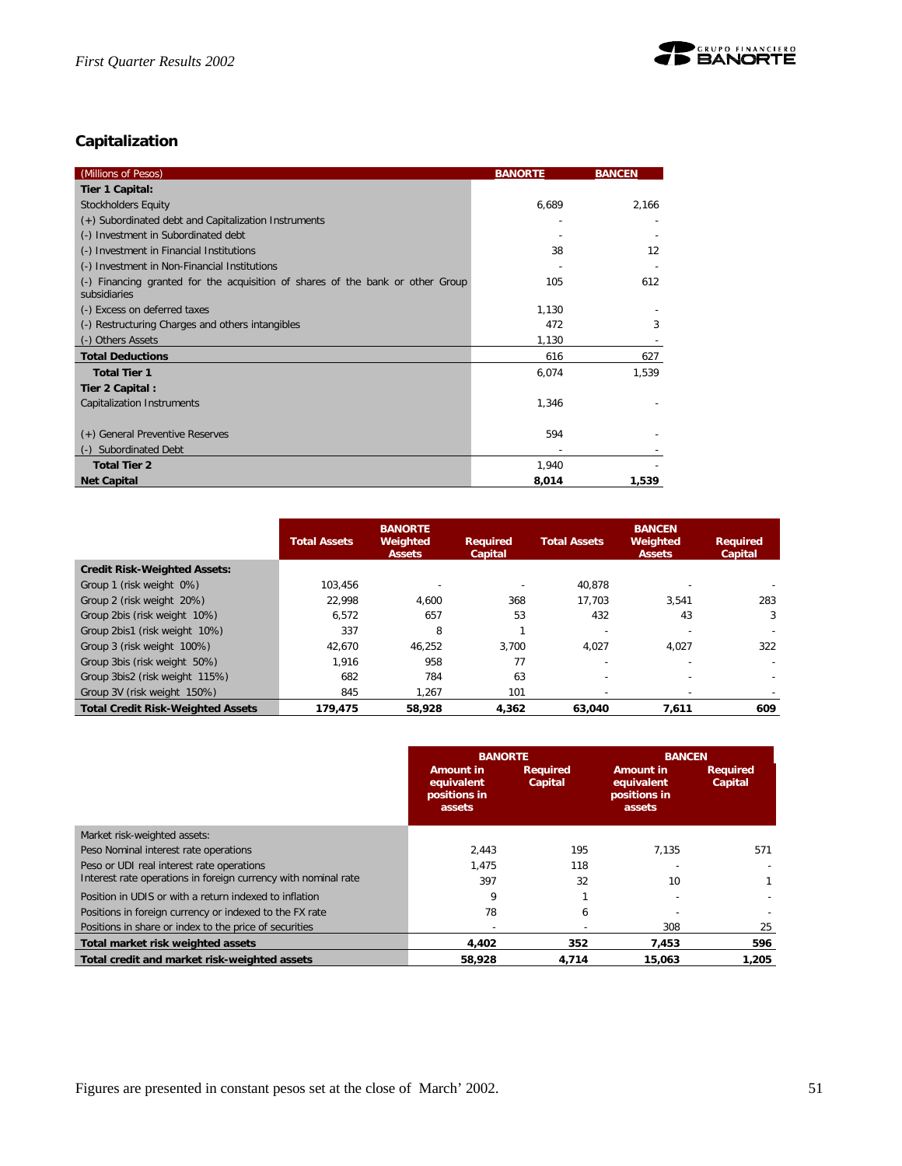

## **Capitalization**

| (Millions of Pesos)                                                                                 | <b>BANORTE</b> | <b>BANCEN</b> |
|-----------------------------------------------------------------------------------------------------|----------------|---------------|
| Tier 1 Capital:                                                                                     |                |               |
| <b>Stockholders Equity</b>                                                                          | 6,689          | 2,166         |
| (+) Subordinated debt and Capitalization Instruments                                                |                |               |
| (-) Investment in Subordinated debt                                                                 |                |               |
| (-) Investment in Financial Institutions                                                            | 38             | 12            |
| (-) Investment in Non-Financial Institutions                                                        |                |               |
| Financing granted for the acquisition of shares of the bank or other Group<br>$(-)$<br>subsidiaries | 105            | 612           |
| (-) Excess on deferred taxes                                                                        | 1,130          |               |
| (-) Restructuring Charges and others intangibles                                                    | 472            | 3             |
| (-) Others Assets                                                                                   | 1,130          |               |
| <b>Total Deductions</b>                                                                             | 616            | 627           |
| <b>Total Tier 1</b>                                                                                 | 6,074          | 1,539         |
| Tier 2 Capital:                                                                                     |                |               |
| Capitalization Instruments                                                                          | 1,346          |               |
| <b>General Preventive Reserves</b><br>$(+)$                                                         | 594            |               |
| Subordinated Debt<br>$(-)$                                                                          |                |               |
| <b>Total Tier 2</b>                                                                                 | 1,940          |               |
| <b>Net Capital</b>                                                                                  | 8,014          | 1,539         |

|                                          |                     | <b>BANORTE</b>            |                          | <b>BANCEN</b>       |                           |                            |  |
|------------------------------------------|---------------------|---------------------------|--------------------------|---------------------|---------------------------|----------------------------|--|
|                                          | <b>Total Assets</b> | Weighted<br><b>Assets</b> | Required<br>Capital      | <b>Total Assets</b> | Weighted<br><b>Assets</b> | <b>Required</b><br>Capital |  |
| <b>Credit Risk-Weighted Assets:</b>      |                     |                           |                          |                     |                           |                            |  |
| Group 1 (risk weight 0%)                 | 103.456             | -                         | $\overline{\phantom{0}}$ | 40.878              |                           |                            |  |
| Group 2 (risk weight 20%)                | 22.998              | 4.600                     | 368                      | 17.703              | 3.541                     | 283                        |  |
| Group 2bis (risk weight 10%)             | 6.572               | 657                       | 53                       | 432                 | 43                        | 3                          |  |
| Group 2bis1 (risk weight 10%)            | 337                 | 8                         |                          |                     |                           |                            |  |
| Group 3 (risk weight 100%)               | 42.670              | 46,252                    | 3.700                    | 4,027               | 4,027                     | 322                        |  |
| Group 3bis (risk weight 50%)             | 1.916               | 958                       | 77                       | ٠                   |                           |                            |  |
| Group 3bis2 (risk weight 115%)           | 682                 | 784                       | 63                       |                     |                           |                            |  |
| Group 3V (risk weight 150%)              | 845                 | 1.267                     | 101                      |                     |                           |                            |  |
| <b>Total Credit Risk-Weighted Assets</b> | 179.475             | 58,928                    | 4.362                    | 63.040              | 7.611                     | 609                        |  |

|                                                                | <b>BANORTE</b>                                           |                            | <b>BANCEN</b>                                     |                            |  |
|----------------------------------------------------------------|----------------------------------------------------------|----------------------------|---------------------------------------------------|----------------------------|--|
|                                                                | <b>Amount in</b><br>equivalent<br>positions in<br>assets | <b>Required</b><br>Capital | Amount in<br>equivalent<br>positions in<br>assets | <b>Required</b><br>Capital |  |
| Market risk-weighted assets:                                   |                                                          |                            |                                                   |                            |  |
| Peso Nominal interest rate operations                          | 2.443                                                    | 195                        | 7.135                                             | 571                        |  |
| Peso or UDI real interest rate operations                      | 1.475                                                    | 118                        |                                                   |                            |  |
| Interest rate operations in foreign currency with nominal rate | 397                                                      | 32                         | 10                                                |                            |  |
| Position in UDIS or with a return indexed to inflation         | 9                                                        |                            |                                                   |                            |  |
| Positions in foreign currency or indexed to the FX rate        | 78                                                       | 6                          |                                                   |                            |  |
| Positions in share or index to the price of securities         |                                                          |                            | 308                                               | 25                         |  |
| Total market risk weighted assets                              | 4.402                                                    | 352                        | 7,453                                             | 596                        |  |
| Total credit and market risk-weighted assets                   | 58,928                                                   | 4,714                      | 15,063                                            | 1,205                      |  |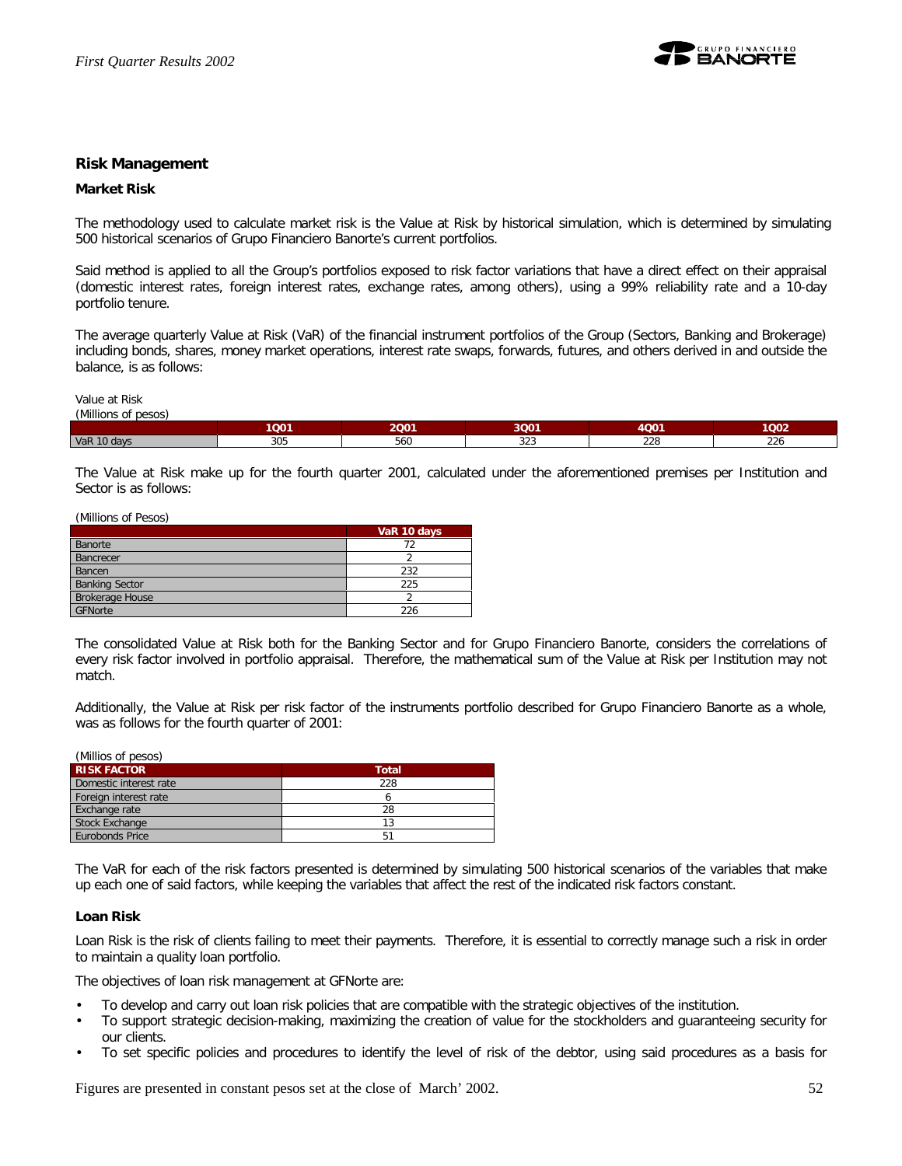

## **Risk Management**

#### **Market Risk**

The methodology used to calculate market risk is the Value at Risk by historical simulation, which is determined by simulating 500 historical scenarios of Grupo Financiero Banorte's current portfolios.

Said method is applied to all the Group's portfolios exposed to risk factor variations that have a direct effect on their appraisal (domestic interest rates, foreign interest rates, exchange rates, among others), using a 99% reliability rate and a 10-day portfolio tenure.

The average quarterly Value at Risk (VaR) of the financial instrument portfolios of the Group (Sectors, Banking and Brokerage) including bonds, shares, money market operations, interest rate swaps, forwards, futures, and others derived in and outside the balance, is as follows:

Value at Risk *(Millions of pesos)*

|             | 1001 | 2Q01 | 3Q01          | 4001          | 1Q02                 |  |  |  |
|-------------|------|------|---------------|---------------|----------------------|--|--|--|
| VaR 10 days | 305  | 560  | $\sim$<br>ں∠ں | $\sim$<br>220 | $\sim$<br><b>LLV</b> |  |  |  |

The Value at Risk make up for the fourth quarter 2001, calculated under the aforementioned premises per Institution and Sector is as follows:

(Millions of Pesos)

|                        | VaR 10 days |
|------------------------|-------------|
| Banorte                |             |
| Bancrecer              |             |
| Bancen                 | 232         |
| <b>Banking Sector</b>  | 225         |
| <b>Brokerage House</b> |             |
| GFNorte                | 226         |

The consolidated Value at Risk both for the Banking Sector and for Grupo Financiero Banorte, considers the correlations of every risk factor involved in portfolio appraisal. Therefore, the mathematical sum of the Value at Risk per Institution may not match.

Additionally, the Value at Risk per risk factor of the instruments portfolio described for Grupo Financiero Banorte as a whole, was as follows for the fourth quarter of 2001:

| (Millios of pesos)     |              |  |  |
|------------------------|--------------|--|--|
| <b>RISK FACTOR</b>     | <b>Total</b> |  |  |
| Domestic interest rate | 228          |  |  |
| Foreign interest rate  |              |  |  |
| Exchange rate          | 28           |  |  |
| <b>Stock Exchange</b>  | 13           |  |  |
| Eurobonds Price        | 51           |  |  |

The VaR for each of the risk factors presented is determined by simulating 500 historical scenarios of the variables that make up each one of said factors, while keeping the variables that affect the rest of the indicated risk factors constant.

#### **Loan Risk**

Loan Risk is the risk of clients failing to meet their payments. Therefore, it is essential to correctly manage such a risk in order to maintain a quality loan portfolio.

The objectives of loan risk management at GFNorte are:

- To develop and carry out loan risk policies that are compatible with the strategic objectives of the institution.
- To support strategic decision-making, maximizing the creation of value for the stockholders and guaranteeing security for our clients.
- To set specific policies and procedures to identify the level of risk of the debtor, using said procedures as a basis for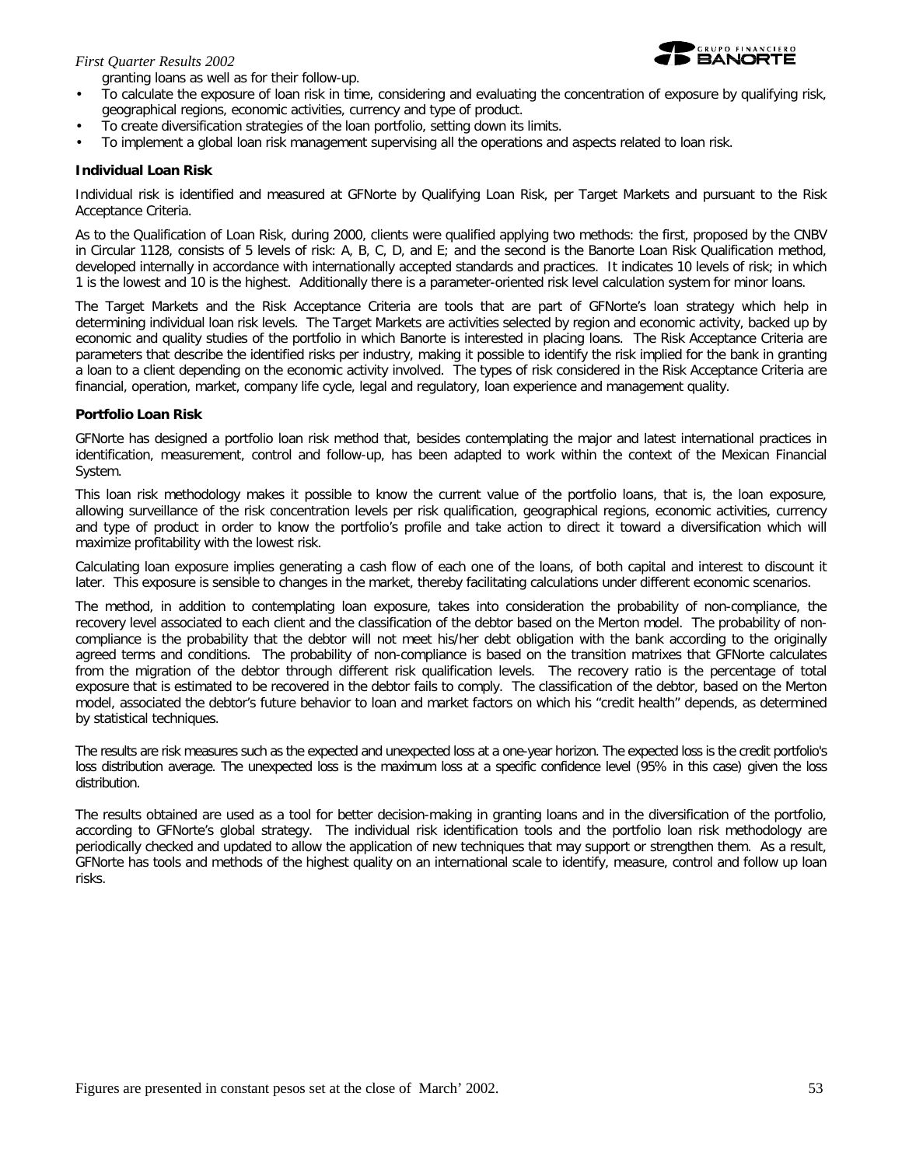## *First Quarter Results 2002*





- To calculate the exposure of loan risk in time, considering and evaluating the concentration of exposure by qualifying risk, geographical regions, economic activities, currency and type of product.
- To create diversification strategies of the loan portfolio, setting down its limits.
- To implement a global loan risk management supervising all the operations and aspects related to loan risk.

## **Individual Loan Risk**

Individual risk is identified and measured at GFNorte by Qualifying Loan Risk, per Target Markets and pursuant to the Risk Acceptance Criteria.

As to the Qualification of Loan Risk, during 2000, clients were qualified applying two methods: the first, proposed by the CNBV in Circular 1128, consists of 5 levels of risk: A, B, C, D, and E; and the second is the Banorte Loan Risk Qualification method, developed internally in accordance with internationally accepted standards and practices. It indicates 10 levels of risk; in which 1 is the lowest and 10 is the highest. Additionally there is a parameter-oriented risk level calculation system for minor loans.

The Target Markets and the Risk Acceptance Criteria are tools that are part of GFNorte's loan strategy which help in determining individual loan risk levels. The Target Markets are activities selected by region and economic activity, backed up by economic and quality studies of the portfolio in which Banorte is interested in placing loans. The Risk Acceptance Criteria are parameters that describe the identified risks per industry, making it possible to identify the risk implied for the bank in granting a loan to a client depending on the economic activity involved. The types of risk considered in the Risk Acceptance Criteria are financial, operation, market, company life cycle, legal and regulatory, loan experience and management quality.

## **Portfolio Loan Risk**

GFNorte has designed a portfolio loan risk method that, besides contemplating the major and latest international practices in identification, measurement, control and follow-up, has been adapted to work within the context of the Mexican Financial System.

This loan risk methodology makes it possible to know the current value of the portfolio loans, that is, *the loan exposure*, allowing surveillance of the risk concentration levels per risk qualification, geographical regions, economic activities, currency and type of product in order to know the portfolio's profile and take action to direct it toward a diversification which will maximize profitability with the lowest risk.

Calculating loan exposure implies generating a cash flow of each one of the loans, of both capital and interest to discount it later. This exposure is sensible to changes in the market, thereby facilitating calculations under different economic scenarios.

The method, in addition to contemplating loan exposure, takes into consideration the probability of non-compliance, the recovery level associated to each client and the classification of the debtor based on the Merton model. The *probability of noncompliance* is the probability that the debtor will not meet his/her debt obligation with the bank according to the originally agreed terms and conditions. The probability of non-compliance is based on the transition matrixes that GFNorte calculates from the migration of the debtor through different risk qualification levels. The *recovery ratio* is the percentage of total exposure that is estimated to be recovered in the debtor fails to comply. The *classification of the debtor*, based on the Merton model, associated the debtor's future behavior to loan and market factors on which his "credit health" depends, as determined by statistical techniques.

The results are risk measures such as the expected and unexpected loss at a one-year horizon. The expected loss is the credit portfolio's loss distribution average. The unexpected loss is the maximum loss at a specific confidence level (95% in this case) given the loss distribution.

The results obtained are used as a tool for better decision-making in granting loans and in the diversification of the portfolio, according to GFNorte's global strategy. The individual risk identification tools and the portfolio loan risk methodology are periodically checked and updated to allow the application of new techniques that may support or strengthen them. As a result, GFNorte has tools and methods of the highest quality on an international scale to identify, measure, control and follow up loan risks.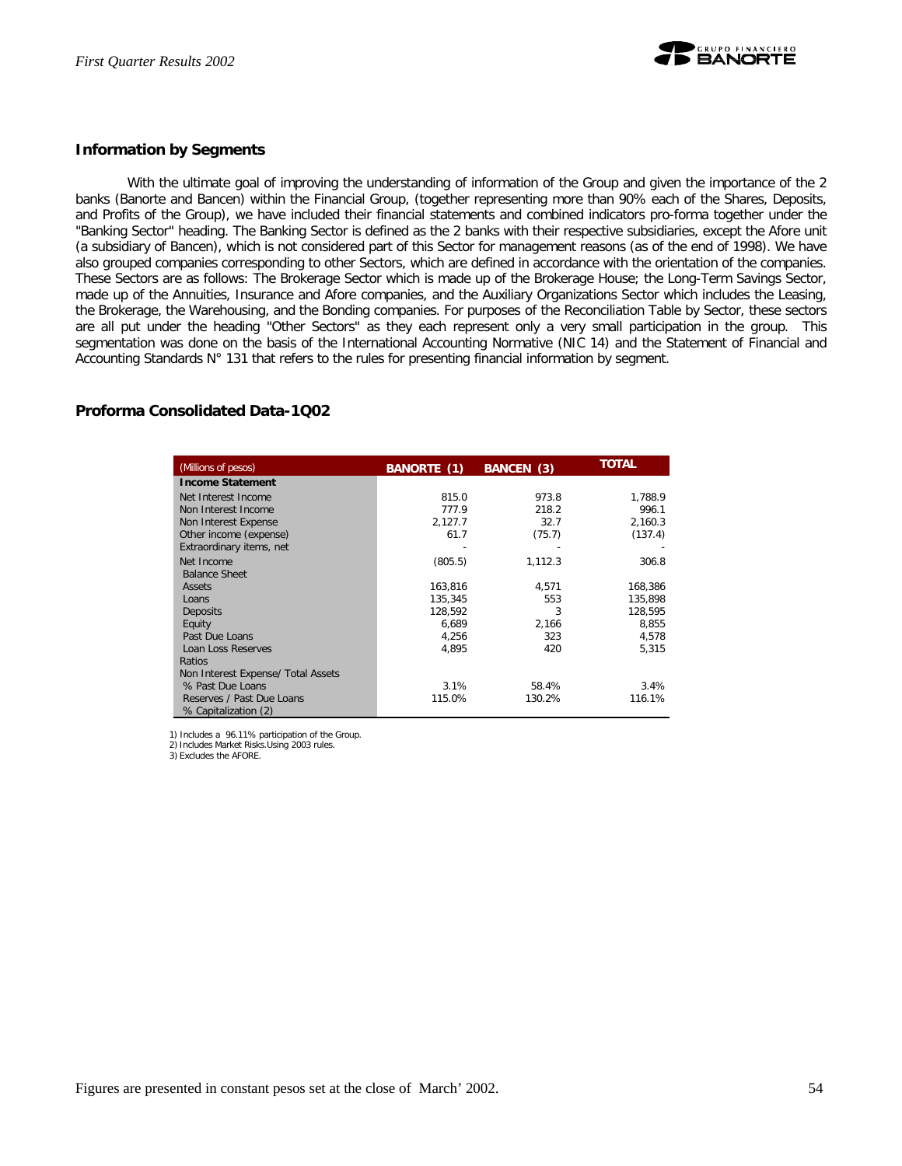

## **Information by Segments**

With the ultimate goal of improving the understanding of information of the Group and given the importance of the 2 banks (Banorte and Bancen) within the Financial Group, (together representing more than 90% each of the Shares, Deposits, and Profits of the Group), we have included their financial statements and combined indicators pro-forma together under the "Banking Sector" heading. The Banking Sector is defined as the 2 banks with their respective subsidiaries, except the Afore unit (a subsidiary of Bancen), which is not considered part of this Sector for management reasons (as of the end of 1998). We have also grouped companies corresponding to other Sectors, which are defined in accordance with the orientation of the companies. These Sectors are as follows: The Brokerage Sector which is made up of the Brokerage House; the Long-Term Savings Sector, made up of the Annuities, Insurance and Afore companies, and the Auxiliary Organizations Sector which includes the Leasing, the Brokerage, the Warehousing, and the Bonding companies. For purposes of the Reconciliation Table by Sector, these sectors are all put under the heading "Other Sectors" as they each represent only a very small participation in the group. This segmentation was done on the basis of the International Accounting Normative (NIC 14) and the Statement of Financial and Accounting Standards N° 131 that refers to the rules for presenting financial information by segment.

## **Proforma Consolidated Data-1Q02**

| (Millions of pesos)                | BANORTE (1) | BANCEN (3) | <b>TOTAL</b> |
|------------------------------------|-------------|------------|--------------|
| <b>Income Statement</b>            |             |            |              |
| Net Interest Income                | 815.0       | 973.8      | 1,788.9      |
| Non Interest Income                | 777.9       | 218.2      | 996.1        |
| Non Interest Expense               | 2,127.7     | 32.7       | 2,160.3      |
| Other income (expense)             | 61.7        | (75.7)     | (137.4)      |
| Extraordinary items, net           |             |            |              |
| Net Income                         | (805.5)     | 1,112.3    | 306.8        |
| <b>Balance Sheet</b>               |             |            |              |
| Assets                             | 163.816     | 4.571      | 168,386      |
| Loans                              | 135,345     | 553        | 135,898      |
| Deposits                           | 128.592     | 3          | 128.595      |
| Equity                             | 6,689       | 2,166      | 8,855        |
| Past Due Loans                     | 4,256       | 323        | 4,578        |
| Loan Loss Reserves                 | 4,895       | 420        | 5,315        |
| Ratios                             |             |            |              |
| Non Interest Expense/ Total Assets |             |            |              |
| % Past Due Loans                   | 3.1%        | 58.4%      | 3.4%         |
| Reserves / Past Due Loans          | 115.0%      | 130.2%     | 116.1%       |
| % Capitalization (2)               |             |            |              |

1) Includes a 96.11% participation of the Group.

2) Includes Market Risks.Using 2003 rules. 3) Excludes the AFORE.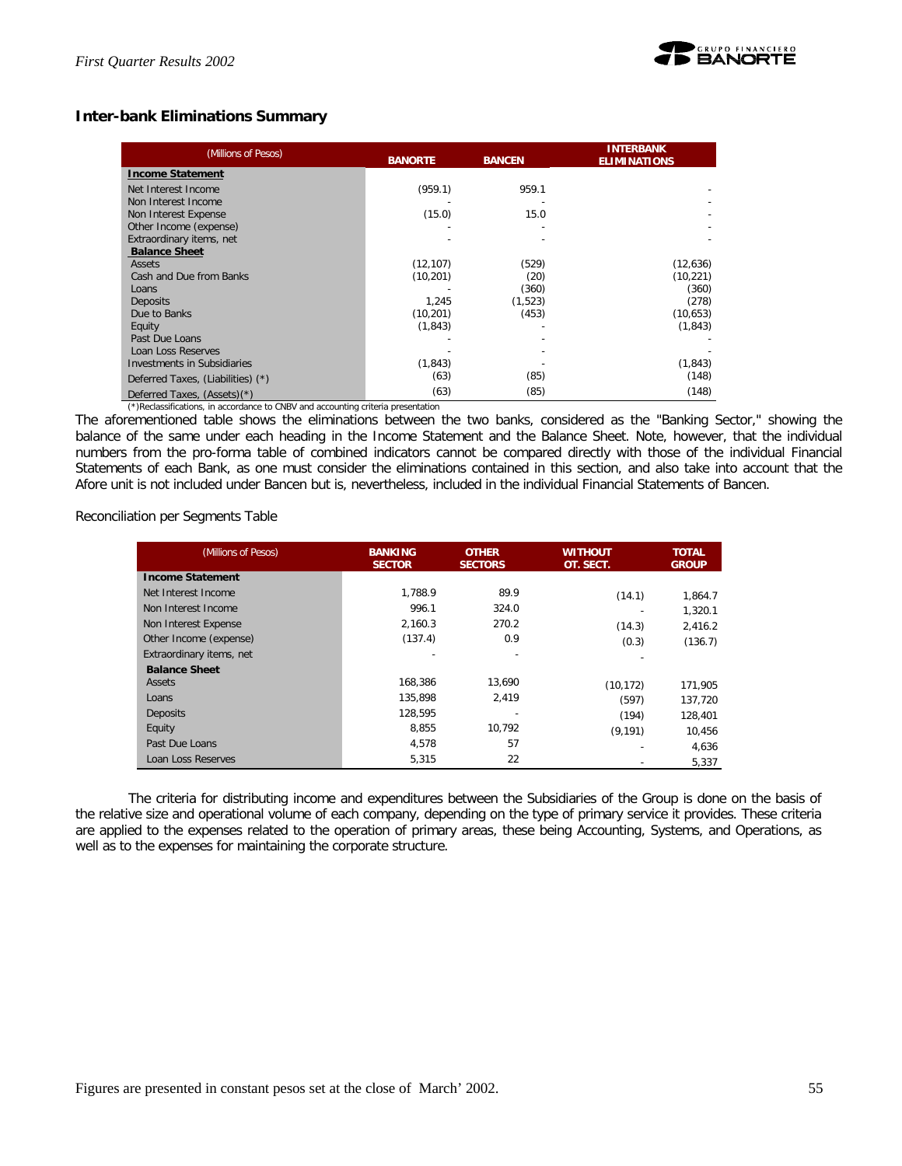

## **Inter-bank Eliminations Summary**

| (Millions of Pesos)                                                              | <b>BANORTE</b> | <b>BANCEN</b> | <b>INTERBANK</b><br><b>ELIMINATIONS</b> |  |
|----------------------------------------------------------------------------------|----------------|---------------|-----------------------------------------|--|
| <b>Income Statement</b>                                                          |                |               |                                         |  |
| Net Interest Income                                                              | (959.1)        | 959.1         |                                         |  |
| Non Interest Income                                                              |                |               |                                         |  |
| Non Interest Expense                                                             | (15.0)         | 15.0          |                                         |  |
| Other Income (expense)                                                           |                |               |                                         |  |
| Extraordinary items, net                                                         |                |               |                                         |  |
| <b>Balance Sheet</b>                                                             |                |               |                                         |  |
| <b>Assets</b>                                                                    | (12, 107)      | (529)         | (12, 636)                               |  |
| Cash and Due from Banks                                                          | (10, 201)      | (20)          | (10, 221)                               |  |
| Loans                                                                            |                | (360)         | (360)                                   |  |
| <b>Deposits</b>                                                                  | 1,245          | (1,523)       | (278)                                   |  |
| Due to Banks                                                                     | (10, 201)      | (453)         | (10, 653)                               |  |
| Equity                                                                           | (1, 843)       |               | (1, 843)                                |  |
| Past Due Loans                                                                   |                |               |                                         |  |
| Loan Loss Reserves                                                               |                |               |                                         |  |
| Investments in Subsidiaries                                                      | (1, 843)       |               | (1, 843)                                |  |
| Deferred Taxes, (Liabilities) (*)                                                | (63)           | (85)          | (148)                                   |  |
| Deferred Taxes, (Assets)(*)                                                      | (63)           | (85)          | (148)                                   |  |
| (*)Reclassifications, in accordance to CNBV and accounting criteria presentation |                |               |                                         |  |

The aforementioned table shows the eliminations between the two banks, considered as the "Banking Sector," showing the balance of the same under each heading in the Income Statement and the Balance Sheet. Note, however, that the individual numbers from the pro-forma table of combined indicators cannot be compared directly with those of the individual Financial Statements of each Bank, as one must consider the eliminations contained in this section, and also take into account that the Afore unit is not included under Bancen but *is*, nevertheless, included in the individual Financial Statements of Bancen.

Reconciliation per Segments Table

| (Millions of Pesos)      | <b>BANKING</b><br><b>SECTOR</b> | <b>OTHER</b><br><b>SECTORS</b> | WITHOUT<br>OT. SECT. | <b>TOTAL</b><br><b>GROUP</b> |
|--------------------------|---------------------------------|--------------------------------|----------------------|------------------------------|
| <b>Income Statement</b>  |                                 |                                |                      |                              |
| Net Interest Income      | 1.788.9                         | 89.9                           | (14.1)               | 1,864.7                      |
| Non Interest Income      | 996.1                           | 324.0                          |                      | 1,320.1                      |
| Non Interest Expense     | 2.160.3                         | 270.2                          | (14.3)               | 2,416.2                      |
| Other Income (expense)   | (137.4)                         | 0.9                            | (0.3)                | (136.7)                      |
| Extraordinary items, net |                                 |                                |                      |                              |
| <b>Balance Sheet</b>     |                                 |                                |                      |                              |
| Assets                   | 168.386                         | 13,690                         | (10, 172)            | 171,905                      |
| Loans                    | 135.898                         | 2,419                          | (597)                | 137,720                      |
| Deposits                 | 128.595                         |                                | (194)                | 128,401                      |
| Equity                   | 8,855                           | 10,792                         | (9, 191)             | 10.456                       |
| Past Due Loans           | 4.578                           | 57                             |                      | 4,636                        |
| Loan Loss Reserves       | 5,315                           | 22                             |                      | 5,337                        |

The criteria for distributing income and expenditures between the Subsidiaries of the Group is done on the basis of the relative size and operational volume of each company, depending on the type of primary service it provides. These criteria are applied to the expenses related to the operation of primary areas, these being Accounting, Systems, and Operations, as well as to the expenses for maintaining the corporate structure.